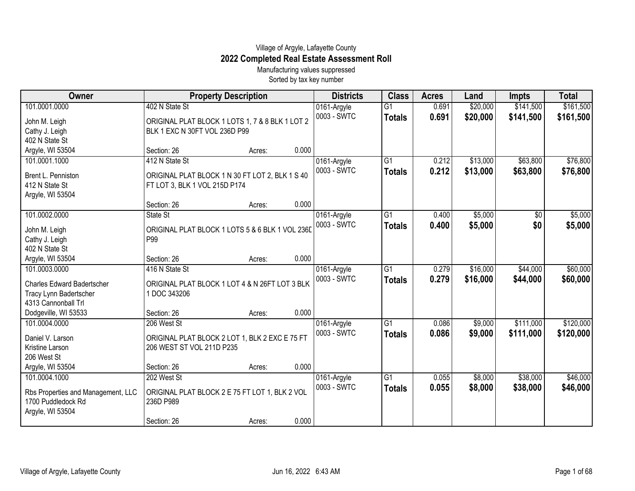## Village of Argyle, Lafayette County **2022 Completed Real Estate Assessment Roll**

Manufacturing values suppressed Sorted by tax key number

| Owner                              | <b>Property Description</b>                     |        |       | <b>Districts</b> | <b>Class</b>    | <b>Acres</b> | Land     | <b>Impts</b> | <b>Total</b> |
|------------------------------------|-------------------------------------------------|--------|-------|------------------|-----------------|--------------|----------|--------------|--------------|
| 101.0001.0000                      | 402 N State St                                  |        |       | 0161-Argyle      | $\overline{G1}$ | 0.691        | \$20,000 | \$141,500    | \$161,500    |
| John M. Leigh                      | ORIGINAL PLAT BLOCK 1 LOTS 1, 7 & 8 BLK 1 LOT 2 |        |       | 0003 - SWTC      | <b>Totals</b>   | 0.691        | \$20,000 | \$141,500    | \$161,500    |
| Cathy J. Leigh                     | BLK 1 EXC N 30FT VOL 236D P99                   |        |       |                  |                 |              |          |              |              |
| 402 N State St                     |                                                 |        |       |                  |                 |              |          |              |              |
| Argyle, WI 53504                   | Section: 26                                     | Acres: | 0.000 |                  |                 |              |          |              |              |
| 101.0001.1000                      | 412 N State St                                  |        |       | 0161-Argyle      | $\overline{G1}$ | 0.212        | \$13,000 | \$63,800     | \$76,800     |
| Brent L. Penniston                 | ORIGINAL PLAT BLOCK 1 N 30 FT LOT 2, BLK 1 S 40 |        |       | 0003 - SWTC      | <b>Totals</b>   | 0.212        | \$13,000 | \$63,800     | \$76,800     |
| 412 N State St                     | FT LOT 3, BLK 1 VOL 215D P174                   |        |       |                  |                 |              |          |              |              |
| Argyle, WI 53504                   |                                                 |        |       |                  |                 |              |          |              |              |
|                                    | Section: 26                                     | Acres: | 0.000 |                  |                 |              |          |              |              |
| 101.0002.0000                      | State St                                        |        |       | 0161-Argyle      | G1              | 0.400        | \$5,000  | $\sqrt{$0}$  | \$5,000      |
| John M. Leigh                      | ORIGINAL PLAT BLOCK 1 LOTS 5 & 6 BLK 1 VOL 236D |        |       | 0003 - SWTC      | <b>Totals</b>   | 0.400        | \$5,000  | \$0          | \$5,000      |
| Cathy J. Leigh                     | P99                                             |        |       |                  |                 |              |          |              |              |
| 402 N State St                     |                                                 |        |       |                  |                 |              |          |              |              |
| Argyle, WI 53504                   | Section: 26                                     | Acres: | 0.000 |                  |                 |              |          |              |              |
| 101.0003.0000                      | 416 N State St                                  |        |       | 0161-Argyle      | G1              | 0.279        | \$16,000 | \$44,000     | \$60,000     |
| <b>Charles Edward Badertscher</b>  | ORIGINAL PLAT BLOCK 1 LOT 4 & N 26FT LOT 3 BLK  |        |       | 0003 - SWTC      | <b>Totals</b>   | 0.279        | \$16,000 | \$44,000     | \$60,000     |
| Tracy Lynn Badertscher             | 1 DOC 343206                                    |        |       |                  |                 |              |          |              |              |
| 4313 Cannonball Trl                |                                                 |        |       |                  |                 |              |          |              |              |
| Dodgeville, WI 53533               | Section: 26                                     | Acres: | 0.000 |                  |                 |              |          |              |              |
| 101.0004.0000                      | 206 West St                                     |        |       | 0161-Argyle      | $\overline{G1}$ | 0.086        | \$9,000  | \$111,000    | \$120,000    |
|                                    |                                                 |        |       | 0003 - SWTC      | <b>Totals</b>   | 0.086        | \$9,000  | \$111,000    | \$120,000    |
| Daniel V. Larson                   | ORIGINAL PLAT BLOCK 2 LOT 1, BLK 2 EXC E 75 FT  |        |       |                  |                 |              |          |              |              |
| Kristine Larson<br>206 West St     | 206 WEST ST VOL 211D P235                       |        |       |                  |                 |              |          |              |              |
| Argyle, WI 53504                   | Section: 26                                     | Acres: | 0.000 |                  |                 |              |          |              |              |
| 101.0004.1000                      | 202 West St                                     |        |       | 0161-Argyle      | G1              | 0.055        | \$8,000  | \$38,000     | \$46,000     |
|                                    |                                                 |        |       | 0003 - SWTC      | <b>Totals</b>   | 0.055        | \$8,000  | \$38,000     | \$46,000     |
| Rbs Properties and Management, LLC | ORIGINAL PLAT BLOCK 2 E 75 FT LOT 1, BLK 2 VOL  |        |       |                  |                 |              |          |              |              |
| 1700 Puddledock Rd                 | 236D P989                                       |        |       |                  |                 |              |          |              |              |
| Argyle, WI 53504                   |                                                 |        |       |                  |                 |              |          |              |              |
|                                    | Section: 26                                     | Acres: | 0.000 |                  |                 |              |          |              |              |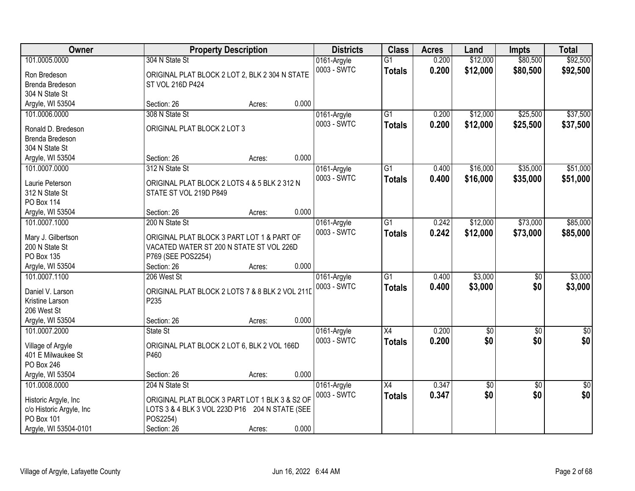| Owner                    | <b>Property Description</b>                     |        | <b>Districts</b> | <b>Class</b>    | <b>Acres</b> | Land            | <b>Impts</b>    | <b>Total</b> |
|--------------------------|-------------------------------------------------|--------|------------------|-----------------|--------------|-----------------|-----------------|--------------|
| 101.0005.0000            | 304 N State St                                  |        | 0161-Argyle      | $\overline{G1}$ | 0.200        | \$12,000        | \$80,500        | \$92,500     |
| Ron Bredeson             | ORIGINAL PLAT BLOCK 2 LOT 2, BLK 2 304 N STATE  |        | 0003 - SWTC      | <b>Totals</b>   | 0.200        | \$12,000        | \$80,500        | \$92,500     |
| Brenda Bredeson          | ST VOL 216D P424                                |        |                  |                 |              |                 |                 |              |
| 304 N State St           |                                                 |        |                  |                 |              |                 |                 |              |
| Argyle, WI 53504         | Section: 26                                     | Acres: | 0.000            |                 |              |                 |                 |              |
| 101.0006.0000            | 308 N State St                                  |        | 0161-Argyle      | $\overline{G1}$ | 0.200        | \$12,000        | \$25,500        | \$37,500     |
|                          |                                                 |        | 0003 - SWTC      | <b>Totals</b>   | 0.200        | \$12,000        | \$25,500        | \$37,500     |
| Ronald D. Bredeson       | ORIGINAL PLAT BLOCK 2 LOT 3                     |        |                  |                 |              |                 |                 |              |
| Brenda Bredeson          |                                                 |        |                  |                 |              |                 |                 |              |
| 304 N State St           |                                                 |        |                  |                 |              |                 |                 |              |
| Argyle, WI 53504         | Section: 26                                     | Acres: | 0.000            |                 |              |                 |                 |              |
| 101.0007.0000            | 312 N State St                                  |        | 0161-Argyle      | $\overline{G1}$ | 0.400        | \$16,000        | \$35,000        | \$51,000     |
| Laurie Peterson          | ORIGINAL PLAT BLOCK 2 LOTS 4 & 5 BLK 2 312 N    |        | 0003 - SWTC      | <b>Totals</b>   | 0.400        | \$16,000        | \$35,000        | \$51,000     |
| 312 N State St           | STATE ST VOL 219D P849                          |        |                  |                 |              |                 |                 |              |
| <b>PO Box 114</b>        |                                                 |        |                  |                 |              |                 |                 |              |
| Argyle, WI 53504         | Section: 26                                     | Acres: | 0.000            |                 |              |                 |                 |              |
| 101.0007.1000            | 200 N State St                                  |        | 0161-Argyle      | G1              | 0.242        | \$12,000        | \$73,000        | \$85,000     |
|                          |                                                 |        | 0003 - SWTC      | <b>Totals</b>   | 0.242        | \$12,000        | \$73,000        | \$85,000     |
| Mary J. Gilbertson       | ORIGINAL PLAT BLOCK 3 PART LOT 1 & PART OF      |        |                  |                 |              |                 |                 |              |
| 200 N State St           | VACATED WATER ST 200 N STATE ST VOL 226D        |        |                  |                 |              |                 |                 |              |
| PO Box 135               | P769 (SEE POS2254)                              |        |                  |                 |              |                 |                 |              |
| Argyle, WI 53504         | Section: 26                                     | Acres: | 0.000            |                 |              |                 |                 |              |
| 101.0007.1100            | 206 West St                                     |        | 0161-Argyle      | $\overline{G1}$ | 0.400        | \$3,000         | $\overline{50}$ | \$3,000      |
| Daniel V. Larson         | ORIGINAL PLAT BLOCK 2 LOTS 7 & 8 BLK 2 VOL 211D |        | 0003 - SWTC      | <b>Totals</b>   | 0.400        | \$3,000         | \$0             | \$3,000      |
| Kristine Larson          | P235                                            |        |                  |                 |              |                 |                 |              |
| 206 West St              |                                                 |        |                  |                 |              |                 |                 |              |
| Argyle, WI 53504         | Section: 26                                     | Acres: | 0.000            |                 |              |                 |                 |              |
| 101.0007.2000            | State St                                        |        | 0161-Argyle      | X4              | 0.200        | $\overline{60}$ | $\overline{50}$ | \$0          |
|                          |                                                 |        | 0003 - SWTC      | <b>Totals</b>   | 0.200        | \$0             | \$0             | \$0          |
| Village of Argyle        | ORIGINAL PLAT BLOCK 2 LOT 6, BLK 2 VOL 166D     |        |                  |                 |              |                 |                 |              |
| 401 E Milwaukee St       | P460                                            |        |                  |                 |              |                 |                 |              |
| PO Box 246               |                                                 |        |                  |                 |              |                 |                 |              |
| Argyle, WI 53504         | Section: 26                                     | Acres: | 0.000            |                 |              |                 |                 |              |
| 101.0008.0000            | 204 N State St                                  |        | 0161-Argyle      | X4              | 0.347        | $\overline{50}$ | $\overline{50}$ | $\sqrt{30}$  |
| Historic Argyle, Inc     | ORIGINAL PLAT BLOCK 3 PART LOT 1 BLK 3 & S2 OF  |        | 0003 - SWTC      | <b>Totals</b>   | 0.347        | \$0             | \$0             | \$0          |
| c/o Historic Argyle, Inc | LOTS 3 & 4 BLK 3 VOL 223D P16 204 N STATE (SEE  |        |                  |                 |              |                 |                 |              |
| PO Box 101               | POS2254)                                        |        |                  |                 |              |                 |                 |              |
| Argyle, WI 53504-0101    | Section: 26                                     | Acres: | 0.000            |                 |              |                 |                 |              |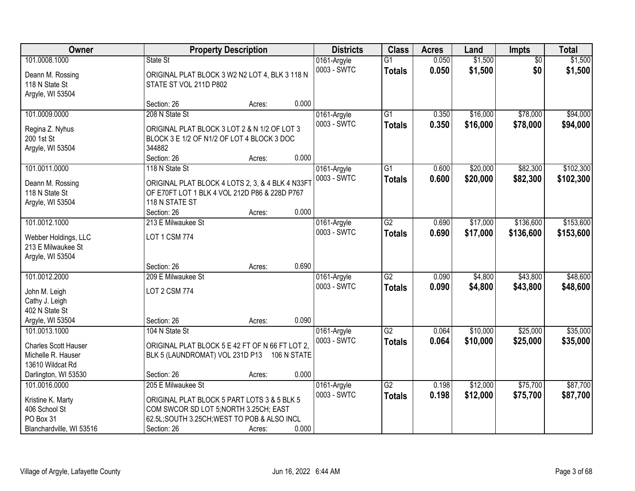| Owner                                      |                                                  | <b>Property Description</b> | <b>Districts</b>           | <b>Class</b>    | <b>Acres</b> | Land     | <b>Impts</b>    | <b>Total</b> |
|--------------------------------------------|--------------------------------------------------|-----------------------------|----------------------------|-----------------|--------------|----------|-----------------|--------------|
| 101.0008.1000                              | State St                                         |                             | 0161-Argyle                | $\overline{G1}$ | 0.050        | \$1,500  | $\overline{50}$ | \$1,500      |
| Deann M. Rossing                           | ORIGINAL PLAT BLOCK 3 W2 N2 LOT 4, BLK 3 118 N   |                             | 0003 - SWTC                | <b>Totals</b>   | 0.050        | \$1,500  | \$0             | \$1,500      |
| 118 N State St                             | STATE ST VOL 211D P802                           |                             |                            |                 |              |          |                 |              |
| Argyle, WI 53504                           |                                                  |                             |                            |                 |              |          |                 |              |
|                                            | Section: 26                                      | Acres:                      | 0.000                      |                 |              |          |                 |              |
| 101.0009.0000                              | 208 N State St                                   |                             | 0161-Argyle                | $\overline{G1}$ | 0.350        | \$16,000 | \$78,000        | \$94,000     |
| Regina Z. Nyhus                            | ORIGINAL PLAT BLOCK 3 LOT 2 & N 1/2 OF LOT 3     |                             | 0003 - SWTC                | <b>Totals</b>   | 0.350        | \$16,000 | \$78,000        | \$94,000     |
| 200 1st St                                 | BLOCK 3 E 1/2 OF N1/2 OF LOT 4 BLOCK 3 DOC       |                             |                            |                 |              |          |                 |              |
| Argyle, WI 53504                           | 344882                                           |                             |                            |                 |              |          |                 |              |
|                                            | Section: 26                                      | Acres:                      | 0.000                      |                 |              |          |                 |              |
| 101.0011.0000                              | 118 N State St                                   |                             | 0161-Argyle                | $\overline{G1}$ | 0.600        | \$20,000 | \$82,300        | \$102,300    |
| Deann M. Rossing                           | ORIGINAL PLAT BLOCK 4 LOTS 2, 3, & 4 BLK 4 N33FT |                             | 0003 - SWTC                | <b>Totals</b>   | 0.600        | \$20,000 | \$82,300        | \$102,300    |
| 118 N State St                             | OF E70FT LOT 1 BLK 4 VOL 212D P86 & 228D P767    |                             |                            |                 |              |          |                 |              |
| Argyle, WI 53504                           | 118 N STATE ST                                   |                             |                            |                 |              |          |                 |              |
|                                            | Section: 26                                      | Acres:                      | 0.000                      |                 |              |          |                 |              |
| 101.0012.1000                              | 213 E Milwaukee St                               |                             | 0161-Argyle                | $\overline{G2}$ | 0.690        | \$17,000 | \$136,600       | \$153,600    |
|                                            |                                                  |                             | 0003 - SWTC                | <b>Totals</b>   | 0.690        | \$17,000 | \$136,600       | \$153,600    |
| Webber Holdings, LLC<br>213 E Milwaukee St | <b>LOT 1 CSM 774</b>                             |                             |                            |                 |              |          |                 |              |
| Argyle, WI 53504                           |                                                  |                             |                            |                 |              |          |                 |              |
|                                            | Section: 26                                      | Acres:                      | 0.690                      |                 |              |          |                 |              |
| 101.0012.2000                              | 209 E Milwaukee St                               |                             | 0161-Argyle                | $\overline{G2}$ | 0.090        | \$4,800  | \$43,800        | \$48,600     |
|                                            |                                                  |                             | 0003 - SWTC                | <b>Totals</b>   | 0.090        | \$4,800  | \$43,800        | \$48,600     |
| John M. Leigh                              | <b>LOT 2 CSM 774</b>                             |                             |                            |                 |              |          |                 |              |
| Cathy J. Leigh<br>402 N State St           |                                                  |                             |                            |                 |              |          |                 |              |
| Argyle, WI 53504                           | Section: 26                                      | Acres:                      | 0.090                      |                 |              |          |                 |              |
| 101.0013.1000                              | 104 N State St                                   |                             | 0161-Argyle                | G2              | 0.064        | \$10,000 | \$25,000        | \$35,000     |
|                                            |                                                  |                             | 0003 - SWTC                | <b>Totals</b>   | 0.064        | \$10,000 | \$25,000        | \$35,000     |
| <b>Charles Scott Hauser</b>                | ORIGINAL PLAT BLOCK 5 E 42 FT OF N 66 FT LOT 2,  |                             |                            |                 |              |          |                 |              |
| Michelle R. Hauser                         | BLK 5 (LAUNDROMAT) VOL 231D P13 106 N STATE      |                             |                            |                 |              |          |                 |              |
| 13610 Wildcat Rd                           |                                                  |                             |                            |                 |              |          |                 |              |
| Darlington, WI 53530                       | Section: 26                                      | Acres:                      | 0.000                      |                 |              |          |                 |              |
| 101.0016.0000                              | 205 E Milwaukee St                               |                             | 0161-Argyle<br>0003 - SWTC | $\overline{G2}$ | 0.198        | \$12,000 | \$75,700        | \$87,700     |
| Kristine K. Marty                          | ORIGINAL PLAT BLOCK 5 PART LOTS 3 & 5 BLK 5      |                             |                            | <b>Totals</b>   | 0.198        | \$12,000 | \$75,700        | \$87,700     |
| 406 School St                              | COM SWCOR SD LOT 5; NORTH 3.25CH; EAST           |                             |                            |                 |              |          |                 |              |
| PO Box 31                                  | 62.5L;SOUTH 3.25CH;WEST TO POB & ALSO INCL       |                             |                            |                 |              |          |                 |              |
| Blanchardville, WI 53516                   | Section: 26                                      | Acres:                      | 0.000                      |                 |              |          |                 |              |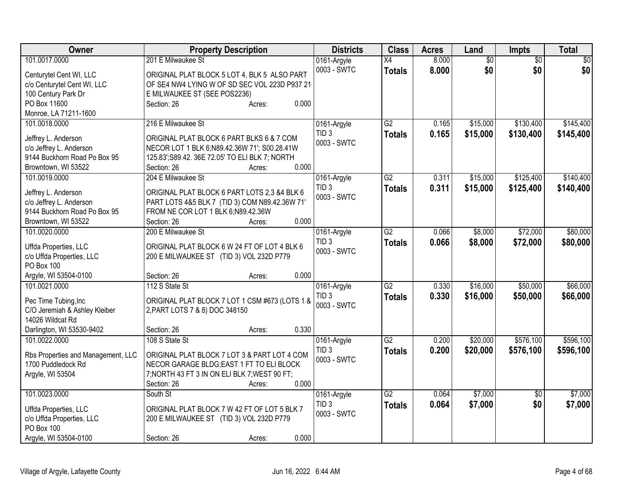| Owner                                          | <b>Property Description</b>                     | <b>Districts</b> | <b>Class</b>    | <b>Acres</b> | Land            | Impts           | <b>Total</b> |
|------------------------------------------------|-------------------------------------------------|------------------|-----------------|--------------|-----------------|-----------------|--------------|
| 101.0017.0000                                  | 201 E Milwaukee St                              | 0161-Argyle      | $\overline{X4}$ | 8.000        | $\overline{60}$ | $\overline{60}$ | \$0          |
| Centurytel Cent WI, LLC                        | ORIGINAL PLAT BLOCK 5 LOT 4, BLK 5 ALSO PART    | 0003 - SWTC      | <b>Totals</b>   | 8.000        | \$0             | \$0             | \$0          |
| c/o Centurytel Cent WI, LLC                    | OF SE4 NW4 LYING W OF SD SEC VOL 223D P937 21   |                  |                 |              |                 |                 |              |
| 100 Century Park Dr                            | E MILWAUKEE ST (SEE POS2236)                    |                  |                 |              |                 |                 |              |
| PO Box 11600                                   | 0.000<br>Section: 26<br>Acres:                  |                  |                 |              |                 |                 |              |
| Monroe, LA 71211-1600                          |                                                 |                  |                 |              |                 |                 |              |
| 101.0018.0000                                  | 216 E Milwaukee St                              | 0161-Argyle      | G2              | 0.165        | \$15,000        | \$130,400       | \$145,400    |
|                                                | ORIGINAL PLAT BLOCK 6 PART BLKS 6 & 7 COM       | TID <sub>3</sub> | <b>Totals</b>   | 0.165        | \$15,000        | \$130,400       | \$145,400    |
| Jeffrey L. Anderson<br>c/o Jeffrey L. Anderson | NECOR LOT 1 BLK 6;N89.42.36W 71'; S00.28.41W    | 0003 - SWTC      |                 |              |                 |                 |              |
| 9144 Buckhorn Road Po Box 95                   | 125.83'; S89.42. 36E 72.05' TO ELI BLK 7; NORTH |                  |                 |              |                 |                 |              |
| Browntown, WI 53522                            | 0.000<br>Section: 26<br>Acres:                  |                  |                 |              |                 |                 |              |
| 101.0019.0000                                  | 204 E Milwaukee St                              | 0161-Argyle      | G2              | 0.311        | \$15,000        | \$125,400       | \$140,400    |
|                                                |                                                 | TID <sub>3</sub> |                 |              |                 |                 |              |
| Jeffrey L. Anderson                            | ORIGINAL PLAT BLOCK 6 PART LOTS 2,3 &4 BLK 6    | 0003 - SWTC      | <b>Totals</b>   | 0.311        | \$15,000        | \$125,400       | \$140,400    |
| c/o Jeffrey L. Anderson                        | PART LOTS 4&5 BLK 7 (TID 3) COM N89.42.36W 71'  |                  |                 |              |                 |                 |              |
| 9144 Buckhorn Road Po Box 95                   | FROM NE COR LOT 1 BLK 6;N89.42.36W              |                  |                 |              |                 |                 |              |
| Browntown, WI 53522                            | 0.000<br>Section: 26<br>Acres:                  |                  |                 |              |                 |                 |              |
| 101.0020.0000                                  | 200 E Milwaukee St                              | 0161-Argyle      | $\overline{G2}$ | 0.066        | \$8,000         | \$72,000        | \$80,000     |
| Uffda Properties, LLC                          | ORIGINAL PLAT BLOCK 6 W 24 FT OF LOT 4 BLK 6    | TID <sub>3</sub> | <b>Totals</b>   | 0.066        | \$8,000         | \$72,000        | \$80,000     |
| c/o Uffda Properties, LLC                      | 200 E MILWAUKEE ST (TID 3) VOL 232D P779        | 0003 - SWTC      |                 |              |                 |                 |              |
| <b>PO Box 100</b>                              |                                                 |                  |                 |              |                 |                 |              |
| Argyle, WI 53504-0100                          | 0.000<br>Section: 26<br>Acres:                  |                  |                 |              |                 |                 |              |
| 101.0021.0000                                  | 112 S State St                                  | 0161-Argyle      | $\overline{G2}$ | 0.330        | \$16,000        | \$50,000        | \$66,000     |
|                                                |                                                 | TID <sub>3</sub> | <b>Totals</b>   | 0.330        | \$16,000        | \$50,000        | \$66,000     |
| Pec Time Tubing, Inc                           | ORIGINAL PLAT BLOCK 7 LOT 1 CSM #673 (LOTS 1 &  | 0003 - SWTC      |                 |              |                 |                 |              |
| C/O Jeremiah & Ashley Kleiber                  | 2, PART LOTS 7 & 8) DOC 348150                  |                  |                 |              |                 |                 |              |
| 14026 Wildcat Rd                               |                                                 |                  |                 |              |                 |                 |              |
| Darlington, WI 53530-9402                      | 0.330<br>Section: 26<br>Acres:                  |                  |                 |              |                 |                 |              |
| 101.0022.0000                                  | 108 S State St                                  | 0161-Argyle      | $\overline{G2}$ | 0.200        | \$20,000        | \$576,100       | \$596,100    |
| Rbs Properties and Management, LLC             | ORIGINAL PLAT BLOCK 7 LOT 3 & PART LOT 4 COM    | TID <sub>3</sub> | <b>Totals</b>   | 0.200        | \$20,000        | \$576,100       | \$596,100    |
| 1700 Puddledock Rd                             | NECOR GARAGE BLDG; EAST 1 FT TO ELI BLOCK       | 0003 - SWTC      |                 |              |                 |                 |              |
| Argyle, WI 53504                               | 7; NORTH 43 FT 3 IN ON ELI BLK 7; WEST 90 FT;   |                  |                 |              |                 |                 |              |
|                                                | Section: 26<br>0.000<br>Acres:                  |                  |                 |              |                 |                 |              |
| 101.0023.0000                                  | South St                                        | 0161-Argyle      | $\overline{G2}$ | 0.064        | \$7,000         | $\overline{50}$ | \$7,000      |
|                                                |                                                 | TID <sub>3</sub> | <b>Totals</b>   | 0.064        | \$7,000         | \$0             | \$7,000      |
| Uffda Properties, LLC                          | ORIGINAL PLAT BLOCK 7 W 42 FT OF LOT 5 BLK 7    | 0003 - SWTC      |                 |              |                 |                 |              |
| c/o Uffda Properties, LLC                      | 200 E MILWAUKEE ST (TID 3) VOL 232D P779        |                  |                 |              |                 |                 |              |
| PO Box 100                                     |                                                 |                  |                 |              |                 |                 |              |
| Argyle, WI 53504-0100                          | 0.000<br>Section: 26<br>Acres:                  |                  |                 |              |                 |                 |              |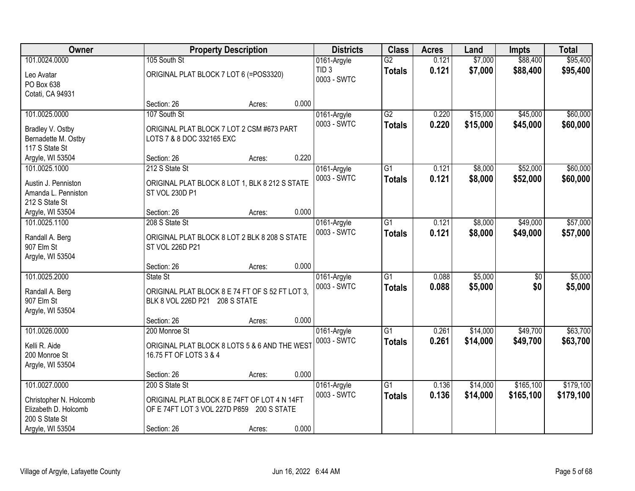| Owner                          |                                                                  | <b>Property Description</b> |       | <b>Districts</b> | <b>Class</b>    | <b>Acres</b> | Land     | <b>Impts</b> | <b>Total</b> |
|--------------------------------|------------------------------------------------------------------|-----------------------------|-------|------------------|-----------------|--------------|----------|--------------|--------------|
| 101.0024.0000                  | 105 South St                                                     |                             |       | 0161-Argyle      | $\overline{G2}$ | 0.121        | \$7,000  | \$88,400     | \$95,400     |
| Leo Avatar                     | ORIGINAL PLAT BLOCK 7 LOT 6 (=POS3320)                           |                             |       | TID <sub>3</sub> | <b>Totals</b>   | 0.121        | \$7,000  | \$88,400     | \$95,400     |
| PO Box 638                     |                                                                  |                             |       | 0003 - SWTC      |                 |              |          |              |              |
| Cotati, CA 94931               |                                                                  |                             |       |                  |                 |              |          |              |              |
|                                | Section: 26                                                      | Acres:                      | 0.000 |                  |                 |              |          |              |              |
| 101.0025.0000                  | 107 South St                                                     |                             |       | 0161-Argyle      | G2              | 0.220        | \$15,000 | \$45,000     | \$60,000     |
| Bradley V. Ostby               | ORIGINAL PLAT BLOCK 7 LOT 2 CSM #673 PART                        |                             |       | 0003 - SWTC      | <b>Totals</b>   | 0.220        | \$15,000 | \$45,000     | \$60,000     |
| Bernadette M. Ostby            | LOTS 7 & 8 DOC 332165 EXC                                        |                             |       |                  |                 |              |          |              |              |
| 117 S State St                 |                                                                  |                             |       |                  |                 |              |          |              |              |
| Argyle, WI 53504               | Section: 26                                                      | Acres:                      | 0.220 |                  |                 |              |          |              |              |
| 101.0025.1000                  | 212 S State St                                                   |                             |       | 0161-Argyle      | G1              | 0.121        | \$8,000  | \$52,000     | \$60,000     |
| Austin J. Penniston            | ORIGINAL PLAT BLOCK 8 LOT 1, BLK 8 212 S STATE                   |                             |       | 0003 - SWTC      | <b>Totals</b>   | 0.121        | \$8,000  | \$52,000     | \$60,000     |
| Amanda L. Penniston            | ST VOL 230D P1                                                   |                             |       |                  |                 |              |          |              |              |
| 212 S State St                 |                                                                  |                             |       |                  |                 |              |          |              |              |
| Argyle, WI 53504               | Section: 26                                                      | Acres:                      | 0.000 |                  |                 |              |          |              |              |
| 101.0025.1100                  | 208 S State St                                                   |                             |       | 0161-Argyle      | G1              | 0.121        | \$8,000  | \$49,000     | \$57,000     |
|                                |                                                                  |                             |       | 0003 - SWTC      | <b>Totals</b>   | 0.121        | \$8,000  | \$49,000     | \$57,000     |
| Randall A. Berg<br>907 Elm St  | ORIGINAL PLAT BLOCK 8 LOT 2 BLK 8 208 S STATE<br>ST VOL 226D P21 |                             |       |                  |                 |              |          |              |              |
| Argyle, WI 53504               |                                                                  |                             |       |                  |                 |              |          |              |              |
|                                | Section: 26                                                      | Acres:                      | 0.000 |                  |                 |              |          |              |              |
| 101.0025.2000                  | State St                                                         |                             |       | 0161-Argyle      | $\overline{G1}$ | 0.088        | \$5,000  | \$0          | \$5,000      |
|                                |                                                                  |                             |       | 0003 - SWTC      | <b>Totals</b>   | 0.088        | \$5,000  | \$0          | \$5,000      |
| Randall A. Berg                | ORIGINAL PLAT BLOCK 8 E 74 FT OF S 52 FT LOT 3,                  |                             |       |                  |                 |              |          |              |              |
| 907 Elm St<br>Argyle, WI 53504 | BLK 8 VOL 226D P21 208 S STATE                                   |                             |       |                  |                 |              |          |              |              |
|                                | Section: 26                                                      | Acres:                      | 0.000 |                  |                 |              |          |              |              |
| 101.0026.0000                  | 200 Monroe St                                                    |                             |       | 0161-Argyle      | $\overline{G1}$ | 0.261        | \$14,000 | \$49,700     | \$63,700     |
|                                |                                                                  |                             |       | 0003 - SWTC      | <b>Totals</b>   | 0.261        | \$14,000 | \$49,700     | \$63,700     |
| Kelli R. Aide                  | ORIGINAL PLAT BLOCK 8 LOTS 5 & 6 AND THE WEST                    |                             |       |                  |                 |              |          |              |              |
| 200 Monroe St                  | 16.75 FT OF LOTS 3 & 4                                           |                             |       |                  |                 |              |          |              |              |
| Argyle, WI 53504               | Section: 26                                                      |                             | 0.000 |                  |                 |              |          |              |              |
| 101.0027.0000                  | 200 S State St                                                   | Acres:                      |       | 0161-Argyle      | $\overline{G1}$ | 0.136        | \$14,000 | \$165,100    | \$179,100    |
|                                |                                                                  |                             |       | 0003 - SWTC      | <b>Totals</b>   | 0.136        | \$14,000 | \$165,100    | \$179,100    |
| Christopher N. Holcomb         | ORIGINAL PLAT BLOCK 8 E 74FT OF LOT 4 N 14FT                     |                             |       |                  |                 |              |          |              |              |
| Elizabeth D. Holcomb           | OF E 74FT LOT 3 VOL 227D P859 200 S STATE                        |                             |       |                  |                 |              |          |              |              |
| 200 S State St                 |                                                                  |                             |       |                  |                 |              |          |              |              |
| Argyle, WI 53504               | Section: 26                                                      | Acres:                      | 0.000 |                  |                 |              |          |              |              |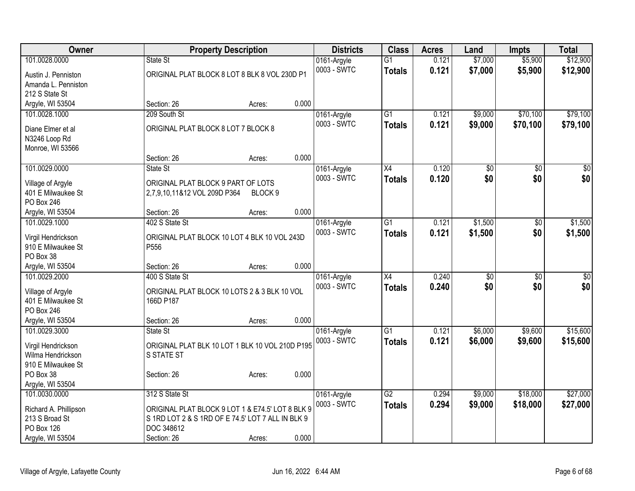| Owner                                   | <b>Property Description</b>                                        |                    | <b>Districts</b> | <b>Class</b>    | <b>Acres</b> | Land            | <b>Impts</b> | <b>Total</b>    |
|-----------------------------------------|--------------------------------------------------------------------|--------------------|------------------|-----------------|--------------|-----------------|--------------|-----------------|
| 101.0028.0000                           | State St                                                           |                    | 0161-Argyle      | $\overline{G1}$ | 0.121        | \$7,000         | \$5,900      | \$12,900        |
| Austin J. Penniston                     | ORIGINAL PLAT BLOCK 8 LOT 8 BLK 8 VOL 230D P1                      |                    | 0003 - SWTC      | <b>Totals</b>   | 0.121        | \$7,000         | \$5,900      | \$12,900        |
| Amanda L. Penniston                     |                                                                    |                    |                  |                 |              |                 |              |                 |
| 212 S State St                          |                                                                    |                    |                  |                 |              |                 |              |                 |
| Argyle, WI 53504                        | Section: 26                                                        | 0.000<br>Acres:    |                  |                 |              |                 |              |                 |
| 101.0028.1000                           | 209 South St                                                       |                    | 0161-Argyle      | G1              | 0.121        | \$9,000         | \$70,100     | \$79,100        |
| Diane Elmer et al                       | ORIGINAL PLAT BLOCK 8 LOT 7 BLOCK 8                                |                    | 0003 - SWTC      | <b>Totals</b>   | 0.121        | \$9,000         | \$70,100     | \$79,100        |
| N3246 Loop Rd                           |                                                                    |                    |                  |                 |              |                 |              |                 |
| Monroe, WI 53566                        |                                                                    |                    |                  |                 |              |                 |              |                 |
|                                         | Section: 26                                                        | 0.000<br>Acres:    |                  |                 |              |                 |              |                 |
| 101.0029.0000                           | State St                                                           |                    | 0161-Argyle      | X4              | 0.120        | \$0             | \$0          | $\sqrt{50}$     |
|                                         |                                                                    |                    | 0003 - SWTC      | <b>Totals</b>   | 0.120        | \$0             | \$0          | \$0             |
| Village of Argyle<br>401 E Milwaukee St | ORIGINAL PLAT BLOCK 9 PART OF LOTS<br>2,7,9,10,11&12 VOL 209D P364 | BLOCK <sub>9</sub> |                  |                 |              |                 |              |                 |
| PO Box 246                              |                                                                    |                    |                  |                 |              |                 |              |                 |
| Argyle, WI 53504                        | Section: 26                                                        | 0.000<br>Acres:    |                  |                 |              |                 |              |                 |
| 101.0029.1000                           | 402 S State St                                                     |                    | 0161-Argyle      | $\overline{G1}$ | 0.121        | \$1,500         | \$0          | \$1,500         |
|                                         |                                                                    |                    | 0003 - SWTC      | <b>Totals</b>   | 0.121        | \$1,500         | \$0          | \$1,500         |
| Virgil Hendrickson                      | ORIGINAL PLAT BLOCK 10 LOT 4 BLK 10 VOL 243D                       |                    |                  |                 |              |                 |              |                 |
| 910 E Milwaukee St                      | P556                                                               |                    |                  |                 |              |                 |              |                 |
| PO Box 38<br>Argyle, WI 53504           | Section: 26                                                        | 0.000              |                  |                 |              |                 |              |                 |
| 101.0029.2000                           | 400 S State St                                                     | Acres:             | 0161-Argyle      | $\overline{X4}$ | 0.240        | $\overline{50}$ | \$0          | $\overline{50}$ |
|                                         |                                                                    |                    | 0003 - SWTC      | <b>Totals</b>   | 0.240        | \$0             | \$0          | \$0             |
| Village of Argyle                       | ORIGINAL PLAT BLOCK 10 LOTS 2 & 3 BLK 10 VOL                       |                    |                  |                 |              |                 |              |                 |
| 401 E Milwaukee St                      | 166D P187                                                          |                    |                  |                 |              |                 |              |                 |
| PO Box 246                              |                                                                    |                    |                  |                 |              |                 |              |                 |
| Argyle, WI 53504                        | Section: 26                                                        | 0.000<br>Acres:    |                  |                 |              |                 |              |                 |
| 101.0029.3000                           | State St                                                           |                    | 0161-Argyle      | $\overline{G1}$ | 0.121        | \$6,000         | \$9,600      | \$15,600        |
| Virgil Hendrickson                      | ORIGINAL PLAT BLK 10 LOT 1 BLK 10 VOL 210D P195                    |                    | 0003 - SWTC      | <b>Totals</b>   | 0.121        | \$6,000         | \$9,600      | \$15,600        |
| Wilma Hendrickson                       | <b>S STATE ST</b>                                                  |                    |                  |                 |              |                 |              |                 |
| 910 E Milwaukee St                      |                                                                    |                    |                  |                 |              |                 |              |                 |
| PO Box 38                               | Section: 26                                                        | 0.000<br>Acres:    |                  |                 |              |                 |              |                 |
| Argyle, WI 53504                        |                                                                    |                    |                  |                 |              |                 |              |                 |
| 101.0030.0000                           | 312 S State St                                                     |                    | 0161-Argyle      | $\overline{G2}$ | 0.294        | \$9,000         | \$18,000     | \$27,000        |
| Richard A. Phillipson                   | ORIGINAL PLAT BLOCK 9 LOT 1 & E74.5' LOT 8 BLK 9                   |                    | 0003 - SWTC      | <b>Totals</b>   | 0.294        | \$9,000         | \$18,000     | \$27,000        |
| 213 S Broad St                          | S 1RD LOT 2 & S 1RD OF E 74.5' LOT 7 ALL IN BLK 9                  |                    |                  |                 |              |                 |              |                 |
| <b>PO Box 126</b>                       | DOC 348612                                                         |                    |                  |                 |              |                 |              |                 |
| Argyle, WI 53504                        | Section: 26                                                        | 0.000<br>Acres:    |                  |                 |              |                 |              |                 |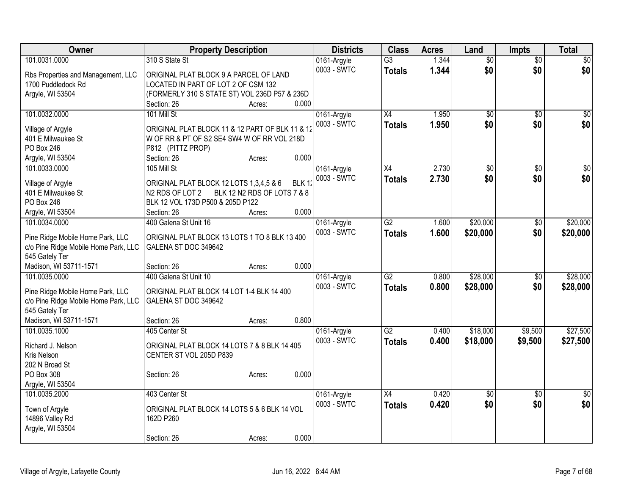| Owner                                | <b>Property Description</b>                                            | <b>Districts</b> | <b>Class</b>    | <b>Acres</b> | Land            | <b>Impts</b>    | <b>Total</b> |
|--------------------------------------|------------------------------------------------------------------------|------------------|-----------------|--------------|-----------------|-----------------|--------------|
| 101.0031.0000                        | 310 S State St                                                         | 0161-Argyle      | $\overline{G3}$ | 1.344        | $\overline{50}$ | $\overline{50}$ | \$0          |
| Rbs Properties and Management, LLC   | ORIGINAL PLAT BLOCK 9 A PARCEL OF LAND                                 | 0003 - SWTC      | <b>Totals</b>   | 1.344        | \$0             | \$0             | \$0          |
| 1700 Puddledock Rd                   | LOCATED IN PART OF LOT 2 OF CSM 132                                    |                  |                 |              |                 |                 |              |
| Argyle, WI 53504                     | (FORMERLY 310 S STATE ST) VOL 236D P57 & 236D                          |                  |                 |              |                 |                 |              |
|                                      | 0.000<br>Section: 26<br>Acres:                                         |                  |                 |              |                 |                 |              |
| 101.0032.0000                        | 101 Mill St                                                            | 0161-Argyle      | X4              | 1.950        | \$0             | $\overline{50}$ | \$0          |
|                                      |                                                                        | 0003 - SWTC      | <b>Totals</b>   | 1.950        | \$0             | \$0             | \$0          |
| Village of Argyle                    | ORIGINAL PLAT BLOCK 11 & 12 PART OF BLK 11 & 12                        |                  |                 |              |                 |                 |              |
| 401 E Milwaukee St                   | W OF RR & PT OF S2 SE4 SW4 W OF RR VOL 218D                            |                  |                 |              |                 |                 |              |
| PO Box 246                           | P812 (PITTZ PROP)                                                      |                  |                 |              |                 |                 |              |
| Argyle, WI 53504                     | 0.000<br>Section: 26<br>Acres:                                         |                  |                 |              |                 |                 |              |
| 101.0033.0000                        | 105 Mill St                                                            | 0161-Argyle      | X4              | 2.730        | \$0             | \$0             | \$0          |
| Village of Argyle                    | ORIGINAL PLAT BLOCK 12 LOTS 1,3,4,5 & 6<br>BLK 12                      | 0003 - SWTC      | <b>Totals</b>   | 2.730        | \$0             | \$0             | \$0          |
| 401 E Milwaukee St                   | BLK 12 N2 RDS OF LOTS 7 & 8<br>N <sub>2</sub> RD <sub>S</sub> OF LOT 2 |                  |                 |              |                 |                 |              |
| PO Box 246                           | BLK 12 VOL 173D P500 & 205D P122                                       |                  |                 |              |                 |                 |              |
| Argyle, WI 53504                     | 0.000<br>Section: 26<br>Acres:                                         |                  |                 |              |                 |                 |              |
| 101.0034.0000                        | 400 Galena St Unit 16                                                  | 0161-Argyle      | $\overline{G2}$ | 1.600        | \$20,000        | \$0             | \$20,000     |
|                                      |                                                                        | 0003 - SWTC      |                 | 1.600        | \$20,000        | \$0             | \$20,000     |
| Pine Ridge Mobile Home Park, LLC     | ORIGINAL PLAT BLOCK 13 LOTS 1 TO 8 BLK 13 400                          |                  | <b>Totals</b>   |              |                 |                 |              |
| c/o Pine Ridge Mobile Home Park, LLC | GALENA ST DOC 349642                                                   |                  |                 |              |                 |                 |              |
| 545 Gately Ter                       |                                                                        |                  |                 |              |                 |                 |              |
| Madison, WI 53711-1571               | 0.000<br>Section: 26<br>Acres:                                         |                  |                 |              |                 |                 |              |
| 101.0035.0000                        | 400 Galena St Unit 10                                                  | 0161-Argyle      | $\overline{G2}$ | 0.800        | \$28,000        | \$0             | \$28,000     |
| Pine Ridge Mobile Home Park, LLC     | ORIGINAL PLAT BLOCK 14 LOT 1-4 BLK 14 400                              | 0003 - SWTC      | <b>Totals</b>   | 0.800        | \$28,000        | \$0             | \$28,000     |
| c/o Pine Ridge Mobile Home Park, LLC | GALENA ST DOC 349642                                                   |                  |                 |              |                 |                 |              |
| 545 Gately Ter                       |                                                                        |                  |                 |              |                 |                 |              |
| Madison, WI 53711-1571               | 0.800<br>Section: 26<br>Acres:                                         |                  |                 |              |                 |                 |              |
| 101.0035.1000                        | 405 Center St                                                          | 0161-Argyle      | $\overline{G2}$ | 0.400        | \$18,000        | \$9,500         | \$27,500     |
|                                      |                                                                        | 0003 - SWTC      |                 |              |                 |                 |              |
| Richard J. Nelson                    | ORIGINAL PLAT BLOCK 14 LOTS 7 & 8 BLK 14 405                           |                  | <b>Totals</b>   | 0.400        | \$18,000        | \$9,500         | \$27,500     |
| Kris Nelson                          | CENTER ST VOL 205D P839                                                |                  |                 |              |                 |                 |              |
| 202 N Broad St                       |                                                                        |                  |                 |              |                 |                 |              |
| PO Box 308                           | 0.000<br>Section: 26<br>Acres:                                         |                  |                 |              |                 |                 |              |
| Argyle, WI 53504                     |                                                                        |                  |                 |              |                 |                 |              |
| 101.0035.2000                        | 403 Center St                                                          | 0161-Argyle      | $\overline{X4}$ | 0.420        | $\overline{50}$ | \$0             | $\sqrt{30}$  |
|                                      |                                                                        | 0003 - SWTC      | <b>Totals</b>   | 0.420        | \$0             | \$0             | \$0          |
| Town of Argyle                       | ORIGINAL PLAT BLOCK 14 LOTS 5 & 6 BLK 14 VOL                           |                  |                 |              |                 |                 |              |
| 14896 Valley Rd                      | 162D P260                                                              |                  |                 |              |                 |                 |              |
| Argyle, WI 53504                     |                                                                        |                  |                 |              |                 |                 |              |
|                                      | 0.000<br>Section: 26<br>Acres:                                         |                  |                 |              |                 |                 |              |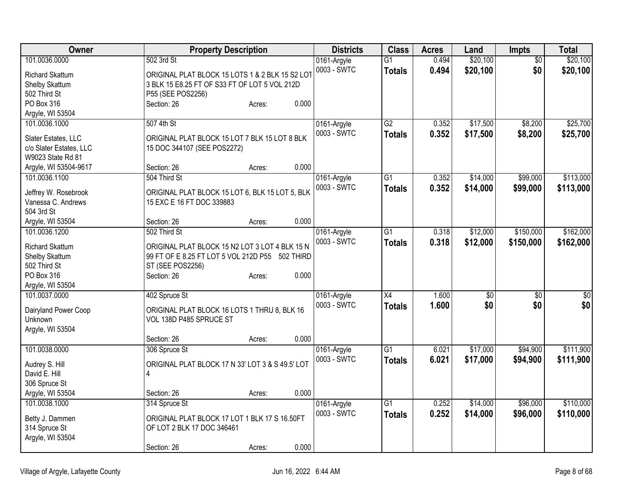| Owner                                        | <b>Property Description</b>                      | <b>Districts</b> | <b>Class</b>    | <b>Acres</b> | Land            | <b>Impts</b> | <b>Total</b>    |
|----------------------------------------------|--------------------------------------------------|------------------|-----------------|--------------|-----------------|--------------|-----------------|
| 101.0036.0000                                | 502 3rd St                                       | 0161-Argyle      | $\overline{G1}$ | 0.494        | \$20,100        | \$0          | \$20,100        |
| <b>Richard Skattum</b>                       | ORIGINAL PLAT BLOCK 15 LOTS 1 & 2 BLK 15 S2 LOT  | 0003 - SWTC      | <b>Totals</b>   | 0.494        | \$20,100        | \$0          | \$20,100        |
| Shelby Skattum                               | 3 BLK 15 E8.25 FT OF S33 FT OF LOT 5 VOL 212D    |                  |                 |              |                 |              |                 |
| 502 Third St                                 | P55 (SEE POS2256)                                |                  |                 |              |                 |              |                 |
| PO Box 316                                   | 0.000<br>Section: 26<br>Acres:                   |                  |                 |              |                 |              |                 |
| Argyle, WI 53504                             |                                                  |                  |                 |              |                 |              |                 |
| 101.0036.1000                                | 507 4th St                                       | 0161-Argyle      | G2              | 0.352        | \$17,500        | \$8,200      | \$25,700        |
|                                              |                                                  | 0003 - SWTC      | <b>Totals</b>   | 0.352        | \$17,500        | \$8,200      | \$25,700        |
| Slater Estates, LLC                          | ORIGINAL PLAT BLOCK 15 LOT 7 BLK 15 LOT 8 BLK    |                  |                 |              |                 |              |                 |
| c/o Slater Estates, LLC<br>W9023 State Rd 81 | 15 DOC 344107 (SEE POS2272)                      |                  |                 |              |                 |              |                 |
| Argyle, WI 53504-9617                        | 0.000<br>Section: 26<br>Acres:                   |                  |                 |              |                 |              |                 |
| 101.0036.1100                                | 504 Third St                                     | 0161-Argyle      | $\overline{G1}$ | 0.352        | \$14,000        | \$99,000     | \$113,000       |
|                                              |                                                  | 0003 - SWTC      |                 |              |                 |              |                 |
| Jeffrey W. Rosebrook                         | ORIGINAL PLAT BLOCK 15 LOT 6, BLK 15 LOT 5, BLK  |                  | <b>Totals</b>   | 0.352        | \$14,000        | \$99,000     | \$113,000       |
| Vanessa C. Andrews                           | 15 EXC E 16 FT DOC 339883                        |                  |                 |              |                 |              |                 |
| 504 3rd St                                   |                                                  |                  |                 |              |                 |              |                 |
| Argyle, WI 53504                             | 0.000<br>Section: 26<br>Acres:                   |                  |                 |              |                 |              |                 |
| 101.0036.1200                                | 502 Third St                                     | 0161-Argyle      | $\overline{G1}$ | 0.318        | \$12,000        | \$150,000    | \$162,000       |
| <b>Richard Skattum</b>                       | ORIGINAL PLAT BLOCK 15 N2 LOT 3 LOT 4 BLK 15 N   | 0003 - SWTC      | <b>Totals</b>   | 0.318        | \$12,000        | \$150,000    | \$162,000       |
| Shelby Skattum                               | 99 FT OF E 8.25 FT LOT 5 VOL 212D P55 502 THIRD  |                  |                 |              |                 |              |                 |
| 502 Third St                                 | ST (SEE POS2256)                                 |                  |                 |              |                 |              |                 |
| PO Box 316                                   | 0.000<br>Section: 26<br>Acres:                   |                  |                 |              |                 |              |                 |
| Argyle, WI 53504                             |                                                  |                  |                 |              |                 |              |                 |
| 101.0037.0000                                | 402 Spruce St                                    | 0161-Argyle      | X4              | 1.600        | $\overline{50}$ | \$0          | $\overline{50}$ |
|                                              |                                                  | 0003 - SWTC      | <b>Totals</b>   | 1.600        | \$0             | \$0          | \$0             |
| Dairyland Power Coop                         | ORIGINAL PLAT BLOCK 16 LOTS 1 THRU 8, BLK 16     |                  |                 |              |                 |              |                 |
| Unknown                                      | VOL 138D P485 SPRUCE ST                          |                  |                 |              |                 |              |                 |
| Argyle, WI 53504                             |                                                  |                  |                 |              |                 |              |                 |
|                                              | 0.000<br>Section: 26<br>Acres:                   |                  |                 |              |                 |              | \$111,900       |
| 101.0038.0000                                | 306 Spruce St                                    | 0161-Argyle      | $\overline{G1}$ | 6.021        | \$17,000        | \$94,900     |                 |
| Audrey S. Hill                               | ORIGINAL PLAT BLOCK 17 N 33' LOT 3 & S 49.5' LOT | 0003 - SWTC      | <b>Totals</b>   | 6.021        | \$17,000        | \$94,900     | \$111,900       |
| David E. Hill                                | 4                                                |                  |                 |              |                 |              |                 |
| 306 Spruce St                                |                                                  |                  |                 |              |                 |              |                 |
| Argyle, WI 53504                             | 0.000<br>Section: 26<br>Acres:                   |                  |                 |              |                 |              |                 |
| 101.0038.1000                                | 314 Spruce St                                    | 0161-Argyle      | G1              | 0.252        | \$14,000        | \$96,000     | \$110,000       |
| Betty J. Dammen                              | ORIGINAL PLAT BLOCK 17 LOT 1 BLK 17 S 16.50FT    | 0003 - SWTC      | <b>Totals</b>   | 0.252        | \$14,000        | \$96,000     | \$110,000       |
| 314 Spruce St                                | OF LOT 2 BLK 17 DOC 346461                       |                  |                 |              |                 |              |                 |
| Argyle, WI 53504                             |                                                  |                  |                 |              |                 |              |                 |
|                                              | 0.000<br>Section: 26<br>Acres:                   |                  |                 |              |                 |              |                 |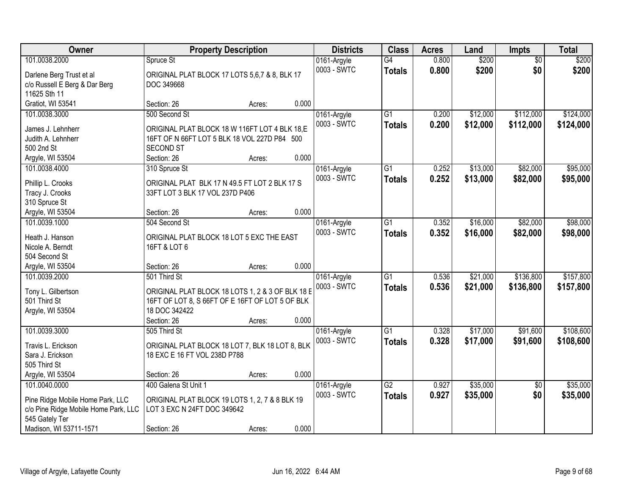| Owner                                | <b>Property Description</b>                      |        |       | <b>Districts</b> | <b>Class</b>    | <b>Acres</b> | Land     | <b>Impts</b>    | <b>Total</b> |
|--------------------------------------|--------------------------------------------------|--------|-------|------------------|-----------------|--------------|----------|-----------------|--------------|
| 101.0038.2000                        | Spruce St                                        |        |       | 0161-Argyle      | $\overline{G4}$ | 0.800        | \$200    | \$0             | \$200        |
| Darlene Berg Trust et al             | ORIGINAL PLAT BLOCK 17 LOTS 5,6,7 & 8, BLK 17    |        |       | 0003 - SWTC      | <b>Totals</b>   | 0.800        | \$200    | \$0             | \$200        |
| c/o Russell E Berg & Dar Berg        | DOC 349668                                       |        |       |                  |                 |              |          |                 |              |
| 11625 Sth 11                         |                                                  |        |       |                  |                 |              |          |                 |              |
| Gratiot, WI 53541                    | Section: 26                                      | Acres: | 0.000 |                  |                 |              |          |                 |              |
| 101.0038.3000                        | 500 Second St                                    |        |       | 0161-Argyle      | $\overline{G1}$ | 0.200        | \$12,000 | \$112,000       | \$124,000    |
| James J. Lehnherr                    | ORIGINAL PLAT BLOCK 18 W 116FT LOT 4 BLK 18,E    |        |       | 0003 - SWTC      | <b>Totals</b>   | 0.200        | \$12,000 | \$112,000       | \$124,000    |
| Judith A. Lehnherr                   | 16FT OF N 66FT LOT 5 BLK 18 VOL 227D P84 500     |        |       |                  |                 |              |          |                 |              |
| 500 2nd St                           | <b>SECOND ST</b>                                 |        |       |                  |                 |              |          |                 |              |
| Argyle, WI 53504                     | Section: 26                                      | Acres: | 0.000 |                  |                 |              |          |                 |              |
| 101.0038.4000                        | 310 Spruce St                                    |        |       | 0161-Argyle      | $\overline{G1}$ | 0.252        | \$13,000 | \$82,000        | \$95,000     |
|                                      |                                                  |        |       | 0003 - SWTC      | <b>Totals</b>   | 0.252        | \$13,000 | \$82,000        | \$95,000     |
| Phillip L. Crooks                    | ORIGINAL PLAT BLK 17 N 49.5 FT LOT 2 BLK 17 S    |        |       |                  |                 |              |          |                 |              |
| Tracy J. Crooks                      | 33FT LOT 3 BLK 17 VOL 237D P406                  |        |       |                  |                 |              |          |                 |              |
| 310 Spruce St                        |                                                  |        |       |                  |                 |              |          |                 |              |
| Argyle, WI 53504                     | Section: 26                                      | Acres: | 0.000 |                  |                 |              |          |                 |              |
| 101.0039.1000                        | 504 Second St                                    |        |       | 0161-Argyle      | G1              | 0.352        | \$16,000 | \$82,000        | \$98,000     |
| Heath J. Hanson                      | ORIGINAL PLAT BLOCK 18 LOT 5 EXC THE EAST        |        |       | 0003 - SWTC      | <b>Totals</b>   | 0.352        | \$16,000 | \$82,000        | \$98,000     |
| Nicole A. Berndt                     | 16FT & LOT 6                                     |        |       |                  |                 |              |          |                 |              |
| 504 Second St                        |                                                  |        |       |                  |                 |              |          |                 |              |
| Argyle, WI 53504                     | Section: 26                                      | Acres: | 0.000 |                  |                 |              |          |                 |              |
| 101.0039.2000                        | 501 Third St                                     |        |       | 0161-Argyle      | $\overline{G1}$ | 0.536        | \$21,000 | \$136,800       | \$157,800    |
| Tony L. Gilbertson                   | ORIGINAL PLAT BLOCK 18 LOTS 1, 2 & 3 OF BLK 18 E |        |       | 0003 - SWTC      | <b>Totals</b>   | 0.536        | \$21,000 | \$136,800       | \$157,800    |
| 501 Third St                         | 16FT OF LOT 8, S 66FT OF E 16FT OF LOT 5 OF BLK  |        |       |                  |                 |              |          |                 |              |
| Argyle, WI 53504                     | 18 DOC 342422                                    |        |       |                  |                 |              |          |                 |              |
|                                      | Section: 26                                      | Acres: | 0.000 |                  |                 |              |          |                 |              |
| 101.0039.3000                        | 505 Third St                                     |        |       | 0161-Argyle      | G1              | 0.328        | \$17,000 | \$91,600        | \$108,600    |
| Travis L. Erickson                   | ORIGINAL PLAT BLOCK 18 LOT 7, BLK 18 LOT 8, BLK  |        |       | 0003 - SWTC      | <b>Totals</b>   | 0.328        | \$17,000 | \$91,600        | \$108,600    |
| Sara J. Erickson                     | 18 EXC E 16 FT VOL 238D P788                     |        |       |                  |                 |              |          |                 |              |
| 505 Third St                         |                                                  |        |       |                  |                 |              |          |                 |              |
| Argyle, WI 53504                     | Section: 26                                      | Acres: | 0.000 |                  |                 |              |          |                 |              |
| 101.0040.0000                        | 400 Galena St Unit 1                             |        |       | 0161-Argyle      | $\overline{G2}$ | 0.927        | \$35,000 | $\overline{50}$ | \$35,000     |
|                                      |                                                  |        |       | 0003 - SWTC      | <b>Totals</b>   | 0.927        | \$35,000 | \$0             | \$35,000     |
| Pine Ridge Mobile Home Park, LLC     | ORIGINAL PLAT BLOCK 19 LOTS 1, 2, 7 & 8 BLK 19   |        |       |                  |                 |              |          |                 |              |
| c/o Pine Ridge Mobile Home Park, LLC | LOT 3 EXC N 24FT DOC 349642                      |        |       |                  |                 |              |          |                 |              |
| 545 Gately Ter                       |                                                  |        |       |                  |                 |              |          |                 |              |
| Madison, WI 53711-1571               | Section: 26                                      | Acres: | 0.000 |                  |                 |              |          |                 |              |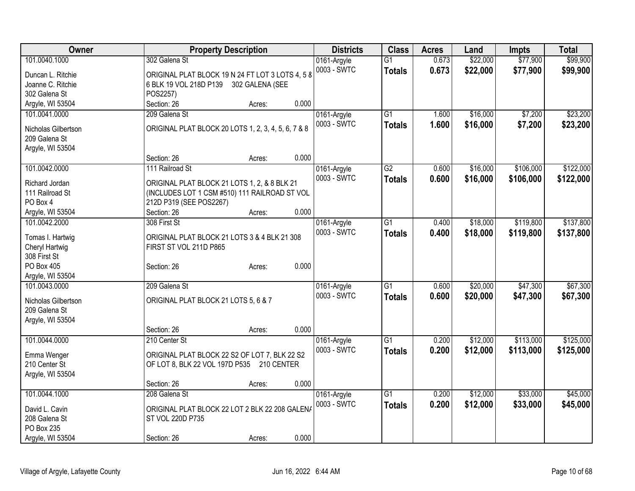| Owner                             | <b>Property Description</b>                         | <b>Districts</b>           | <b>Class</b>    | <b>Acres</b> | Land     | <b>Impts</b> | <b>Total</b> |
|-----------------------------------|-----------------------------------------------------|----------------------------|-----------------|--------------|----------|--------------|--------------|
| 101.0040.1000                     | 302 Galena St                                       | 0161-Argyle                | $\overline{G1}$ | 0.673        | \$22,000 | \$77,900     | \$99,900     |
| Duncan L. Ritchie                 | ORIGINAL PLAT BLOCK 19 N 24 FT LOT 3 LOTS 4, 5 8    | 0003 - SWTC                | <b>Totals</b>   | 0.673        | \$22,000 | \$77,900     | \$99,900     |
| Joanne C. Ritchie                 | 6 BLK 19 VOL 218D P139 302 GALENA (SEE              |                            |                 |              |          |              |              |
| 302 Galena St                     | POS2257)                                            |                            |                 |              |          |              |              |
| Argyle, WI 53504                  | 0.000<br>Section: 26<br>Acres:                      |                            |                 |              |          |              |              |
| 101.0041.0000                     | 209 Galena St                                       | 0161-Argyle                | $\overline{G1}$ | 1.600        | \$16,000 | \$7,200      | \$23,200     |
| Nicholas Gilbertson               | ORIGINAL PLAT BLOCK 20 LOTS 1, 2, 3, 4, 5, 6, 7 & 8 | 0003 - SWTC                | <b>Totals</b>   | 1.600        | \$16,000 | \$7,200      | \$23,200     |
| 209 Galena St                     |                                                     |                            |                 |              |          |              |              |
| Argyle, WI 53504                  |                                                     |                            |                 |              |          |              |              |
|                                   | 0.000<br>Section: 26<br>Acres:                      |                            |                 |              |          |              |              |
| 101.0042.0000                     | 111 Railroad St                                     | 0161-Argyle                | $\overline{G2}$ | 0.600        | \$16,000 | \$106,000    | \$122,000    |
|                                   |                                                     | 0003 - SWTC                | <b>Totals</b>   | 0.600        | \$16,000 | \$106,000    | \$122,000    |
| Richard Jordan                    | ORIGINAL PLAT BLOCK 21 LOTS 1, 2, & 8 BLK 21        |                            |                 |              |          |              |              |
| 111 Railroad St                   | (INCLUDES LOT 1 CSM #510) 111 RAILROAD ST VOL       |                            |                 |              |          |              |              |
| PO Box 4                          | 212D P319 (SEE POS2267)<br>0.000                    |                            |                 |              |          |              |              |
| Argyle, WI 53504<br>101.0042.2000 | Section: 26<br>Acres:<br>308 First St               |                            | $\overline{G1}$ | 0.400        | \$18,000 | \$119,800    | \$137,800    |
|                                   |                                                     | 0161-Argyle<br>0003 - SWTC |                 |              |          |              |              |
| Tomas I. Hartwig                  | ORIGINAL PLAT BLOCK 21 LOTS 3 & 4 BLK 21 308        |                            | <b>Totals</b>   | 0.400        | \$18,000 | \$119,800    | \$137,800    |
| Cheryl Hartwig                    | FIRST ST VOL 211D P865                              |                            |                 |              |          |              |              |
| 308 First St                      |                                                     |                            |                 |              |          |              |              |
| PO Box 405                        | 0.000<br>Section: 26<br>Acres:                      |                            |                 |              |          |              |              |
| Argyle, WI 53504                  |                                                     |                            |                 |              |          |              |              |
| 101.0043.0000                     | 209 Galena St                                       | 0161-Argyle                | G1              | 0.600        | \$20,000 | \$47,300     | \$67,300     |
| Nicholas Gilbertson               | ORIGINAL PLAT BLOCK 21 LOTS 5, 6 & 7                | 0003 - SWTC                | <b>Totals</b>   | 0.600        | \$20,000 | \$47,300     | \$67,300     |
| 209 Galena St                     |                                                     |                            |                 |              |          |              |              |
| Argyle, WI 53504                  |                                                     |                            |                 |              |          |              |              |
|                                   | 0.000<br>Section: 26<br>Acres:                      |                            |                 |              |          |              |              |
| 101.0044.0000                     | 210 Center St                                       | 0161-Argyle                | $\overline{G1}$ | 0.200        | \$12,000 | \$113,000    | \$125,000    |
| Emma Wenger                       | ORIGINAL PLAT BLOCK 22 S2 OF LOT 7, BLK 22 S2       | 0003 - SWTC                | <b>Totals</b>   | 0.200        | \$12,000 | \$113,000    | \$125,000    |
| 210 Center St                     | OF LOT 8, BLK 22 VOL 197D P535 210 CENTER           |                            |                 |              |          |              |              |
| Argyle, WI 53504                  |                                                     |                            |                 |              |          |              |              |
|                                   | 0.000<br>Section: 26<br>Acres:                      |                            |                 |              |          |              |              |
| 101.0044.1000                     | 208 Galena St                                       | 0161-Argyle                | $\overline{G1}$ | 0.200        | \$12,000 | \$33,000     | \$45,000     |
|                                   |                                                     | 0003 - SWTC                | <b>Totals</b>   | 0.200        | \$12,000 | \$33,000     | \$45,000     |
| David L. Cavin                    | ORIGINAL PLAT BLOCK 22 LOT 2 BLK 22 208 GALENA      |                            |                 |              |          |              |              |
| 208 Galena St                     | ST VOL 220D P735                                    |                            |                 |              |          |              |              |
| PO Box 235<br>Argyle, WI 53504    | 0.000<br>Section: 26                                |                            |                 |              |          |              |              |
|                                   | Acres:                                              |                            |                 |              |          |              |              |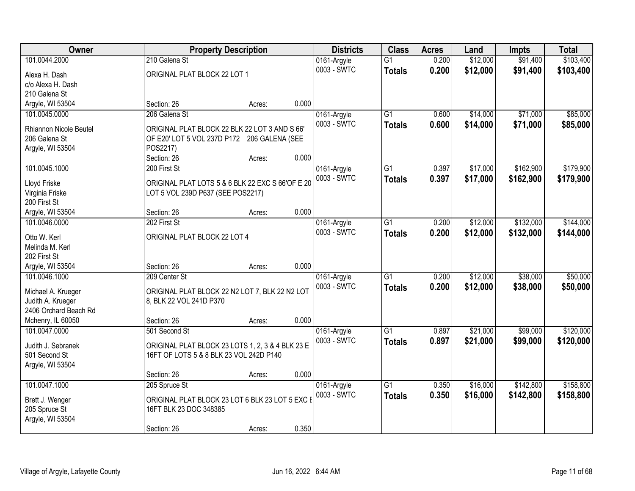| Owner                           |                                                  | <b>Property Description</b> |       | <b>Districts</b>           | <b>Class</b>    | <b>Acres</b> | Land     | <b>Impts</b> | <b>Total</b> |
|---------------------------------|--------------------------------------------------|-----------------------------|-------|----------------------------|-----------------|--------------|----------|--------------|--------------|
| 101.0044.2000                   | 210 Galena St                                    |                             |       | 0161-Argyle                | $\overline{G1}$ | 0.200        | \$12,000 | \$91,400     | \$103,400    |
| Alexa H. Dash                   | ORIGINAL PLAT BLOCK 22 LOT 1                     |                             |       | 0003 - SWTC                | <b>Totals</b>   | 0.200        | \$12,000 | \$91,400     | \$103,400    |
| c/o Alexa H. Dash               |                                                  |                             |       |                            |                 |              |          |              |              |
| 210 Galena St                   |                                                  |                             |       |                            |                 |              |          |              |              |
| Argyle, WI 53504                | Section: 26                                      | Acres:                      | 0.000 |                            |                 |              |          |              |              |
| 101.0045.0000                   | 206 Galena St                                    |                             |       | 0161-Argyle                | $\overline{G1}$ | 0.600        | \$14,000 | \$71,000     | \$85,000     |
| Rhiannon Nicole Beutel          | ORIGINAL PLAT BLOCK 22 BLK 22 LOT 3 AND S 66'    |                             |       | 0003 - SWTC                | <b>Totals</b>   | 0.600        | \$14,000 | \$71,000     | \$85,000     |
| 206 Galena St                   | OF E20' LOT 5 VOL 237D P172 206 GALENA (SEE      |                             |       |                            |                 |              |          |              |              |
| Argyle, WI 53504                | POS2217)                                         |                             |       |                            |                 |              |          |              |              |
|                                 | Section: 26                                      | Acres:                      | 0.000 |                            |                 |              |          |              |              |
| 101.0045.1000                   | 200 First St                                     |                             |       | 0161-Argyle                | $\overline{G1}$ | 0.397        | \$17,000 | \$162,900    | \$179,900    |
|                                 |                                                  |                             |       | 0003 - SWTC                | <b>Totals</b>   | 0.397        | \$17,000 | \$162,900    | \$179,900    |
| Lloyd Friske                    | ORIGINAL PLAT LOTS 5 & 6 BLK 22 EXC S 66'OF E 20 |                             |       |                            |                 |              |          |              |              |
| Virginia Friske<br>200 First St | LOT 5 VOL 239D P637 (SEE POS2217)                |                             |       |                            |                 |              |          |              |              |
| Argyle, WI 53504                | Section: 26                                      | Acres:                      | 0.000 |                            |                 |              |          |              |              |
| 101.0046.0000                   | 202 First St                                     |                             |       | 0161-Argyle                | $\overline{G1}$ | 0.200        | \$12,000 | \$132,000    | \$144,000    |
|                                 |                                                  |                             |       | 0003 - SWTC                | <b>Totals</b>   | 0.200        | \$12,000 | \$132,000    | \$144,000    |
| Otto W. Kerl                    | ORIGINAL PLAT BLOCK 22 LOT 4                     |                             |       |                            |                 |              |          |              |              |
| Melinda M. Kerl                 |                                                  |                             |       |                            |                 |              |          |              |              |
| 202 First St                    |                                                  |                             |       |                            |                 |              |          |              |              |
| Argyle, WI 53504                | Section: 26                                      | Acres:                      | 0.000 |                            | $\overline{G1}$ |              |          |              | \$50,000     |
| 101.0046.1000                   | 209 Center St                                    |                             |       | 0161-Argyle<br>0003 - SWTC |                 | 0.200        | \$12,000 | \$38,000     |              |
| Michael A. Krueger              | ORIGINAL PLAT BLOCK 22 N2 LOT 7, BLK 22 N2 LOT   |                             |       |                            | <b>Totals</b>   | 0.200        | \$12,000 | \$38,000     | \$50,000     |
| Judith A. Krueger               | 8, BLK 22 VOL 241D P370                          |                             |       |                            |                 |              |          |              |              |
| 2406 Orchard Beach Rd           |                                                  |                             |       |                            |                 |              |          |              |              |
| Mchenry, IL 60050               | Section: 26                                      | Acres:                      | 0.000 |                            |                 |              |          |              |              |
| 101.0047.0000                   | 501 Second St                                    |                             |       | 0161-Argyle                | $\overline{G1}$ | 0.897        | \$21,000 | \$99,000     | \$120,000    |
| Judith J. Sebranek              | ORIGINAL PLAT BLOCK 23 LOTS 1, 2, 3 & 4 BLK 23 E |                             |       | 0003 - SWTC                | <b>Totals</b>   | 0.897        | \$21,000 | \$99,000     | \$120,000    |
| 501 Second St                   | 16FT OF LOTS 5 & 8 BLK 23 VOL 242D P140          |                             |       |                            |                 |              |          |              |              |
| Argyle, WI 53504                |                                                  |                             |       |                            |                 |              |          |              |              |
|                                 | Section: 26                                      | Acres:                      | 0.000 |                            |                 |              |          |              |              |
| 101.0047.1000                   | 205 Spruce St                                    |                             |       | 0161-Argyle                | $\overline{G1}$ | 0.350        | \$16,000 | \$142,800    | \$158,800    |
| Brett J. Wenger                 | ORIGINAL PLAT BLOCK 23 LOT 6 BLK 23 LOT 5 EXC I  |                             |       | 0003 - SWTC                | <b>Totals</b>   | 0.350        | \$16,000 | \$142,800    | \$158,800    |
| 205 Spruce St                   | 16FT BLK 23 DOC 348385                           |                             |       |                            |                 |              |          |              |              |
| Argyle, WI 53504                |                                                  |                             |       |                            |                 |              |          |              |              |
|                                 | Section: 26                                      | Acres:                      | 0.350 |                            |                 |              |          |              |              |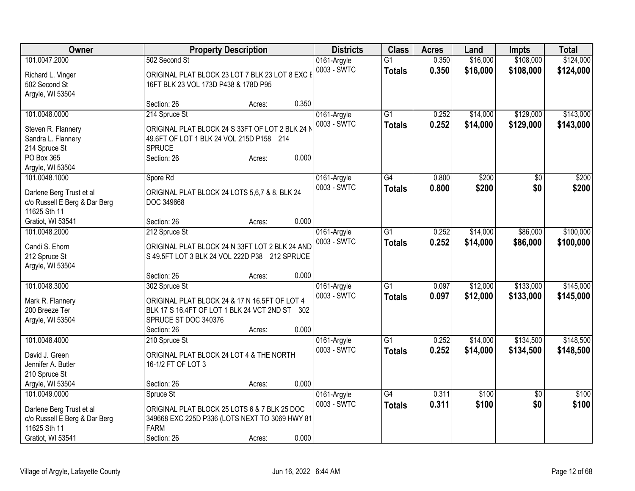| Owner                                                     |                                                             | <b>Property Description</b> |       | <b>Districts</b> | <b>Class</b>    | <b>Acres</b> | Land     | <b>Impts</b>    | <b>Total</b> |
|-----------------------------------------------------------|-------------------------------------------------------------|-----------------------------|-------|------------------|-----------------|--------------|----------|-----------------|--------------|
| 101.0047.2000                                             | 502 Second St                                               |                             |       | 0161-Argyle      | $\overline{G1}$ | 0.350        | \$16,000 | \$108,000       | \$124,000    |
| Richard L. Vinger                                         | ORIGINAL PLAT BLOCK 23 LOT 7 BLK 23 LOT 8 EXC I             |                             |       | 0003 - SWTC      | <b>Totals</b>   | 0.350        | \$16,000 | \$108,000       | \$124,000    |
| 502 Second St                                             | 16FT BLK 23 VOL 173D P438 & 178D P95                        |                             |       |                  |                 |              |          |                 |              |
| Argyle, WI 53504                                          |                                                             |                             |       |                  |                 |              |          |                 |              |
|                                                           | Section: 26                                                 | Acres:                      | 0.350 |                  |                 |              |          |                 |              |
| 101.0048.0000                                             | 214 Spruce St                                               |                             |       | 0161-Argyle      | $\overline{G1}$ | 0.252        | \$14,000 | \$129,000       | \$143,000    |
| Steven R. Flannery                                        | ORIGINAL PLAT BLOCK 24 S 33FT OF LOT 2 BLK 24 N             |                             |       | 0003 - SWTC      | <b>Totals</b>   | 0.252        | \$14,000 | \$129,000       | \$143,000    |
| Sandra L. Flannery                                        | 49.6FT OF LOT 1 BLK 24 VOL 215D P158 214                    |                             |       |                  |                 |              |          |                 |              |
| 214 Spruce St                                             | <b>SPRUCE</b>                                               |                             |       |                  |                 |              |          |                 |              |
| PO Box 365                                                | Section: 26                                                 | Acres:                      | 0.000 |                  |                 |              |          |                 |              |
| Argyle, WI 53504                                          |                                                             |                             |       |                  |                 |              |          |                 |              |
| 101.0048.1000                                             | Spore Rd                                                    |                             |       | 0161-Argyle      | G4              | 0.800        | \$200    | $\sqrt{50}$     | \$200        |
|                                                           |                                                             |                             |       | 0003 - SWTC      | <b>Totals</b>   | 0.800        | \$200    | \$0             | \$200        |
| Darlene Berg Trust et al                                  | ORIGINAL PLAT BLOCK 24 LOTS 5,6,7 & 8, BLK 24<br>DOC 349668 |                             |       |                  |                 |              |          |                 |              |
| c/o Russell E Berg & Dar Berg<br>11625 Sth 11             |                                                             |                             |       |                  |                 |              |          |                 |              |
| Gratiot, WI 53541                                         | Section: 26                                                 | Acres:                      | 0.000 |                  |                 |              |          |                 |              |
| 101.0048.2000                                             | 212 Spruce St                                               |                             |       | 0161-Argyle      | $\overline{G1}$ | 0.252        | \$14,000 | \$86,000        | \$100,000    |
|                                                           |                                                             |                             |       | 0003 - SWTC      | <b>Totals</b>   | 0.252        | \$14,000 | \$86,000        | \$100,000    |
| Candi S. Ehorn                                            | ORIGINAL PLAT BLOCK 24 N 33FT LOT 2 BLK 24 AND              |                             |       |                  |                 |              |          |                 |              |
| 212 Spruce St                                             | S 49.5FT LOT 3 BLK 24 VOL 222D P38 212 SPRUCE               |                             |       |                  |                 |              |          |                 |              |
| Argyle, WI 53504                                          |                                                             |                             |       |                  |                 |              |          |                 |              |
|                                                           | Section: 26                                                 | Acres:                      | 0.000 |                  |                 |              |          |                 |              |
| 101.0048.3000                                             | 302 Spruce St                                               |                             |       | 0161-Argyle      | $\overline{G1}$ | 0.097        | \$12,000 | \$133,000       | \$145,000    |
| Mark R. Flannery                                          | ORIGINAL PLAT BLOCK 24 & 17 N 16.5FT OF LOT 4               |                             |       | 0003 - SWTC      | <b>Totals</b>   | 0.097        | \$12,000 | \$133,000       | \$145,000    |
| 200 Breeze Ter                                            | BLK 17 S 16.4FT OF LOT 1 BLK 24 VCT 2ND ST 302              |                             |       |                  |                 |              |          |                 |              |
| Argyle, WI 53504                                          | SPRUCE ST DOC 340376                                        |                             |       |                  |                 |              |          |                 |              |
|                                                           | Section: 26                                                 | Acres:                      | 0.000 |                  |                 |              |          |                 |              |
| 101.0048.4000                                             | 210 Spruce St                                               |                             |       | 0161-Argyle      | $\overline{G1}$ | 0.252        | \$14,000 | \$134,500       | \$148,500    |
| David J. Green                                            | ORIGINAL PLAT BLOCK 24 LOT 4 & THE NORTH                    |                             |       | 0003 - SWTC      | <b>Totals</b>   | 0.252        | \$14,000 | \$134,500       | \$148,500    |
| Jennifer A. Butler                                        | 16-1/2 FT OF LOT 3                                          |                             |       |                  |                 |              |          |                 |              |
| 210 Spruce St                                             |                                                             |                             |       |                  |                 |              |          |                 |              |
| Argyle, WI 53504                                          | Section: 26                                                 | Acres:                      | 0.000 |                  |                 |              |          |                 |              |
| 101.0049.0000                                             | Spruce St                                                   |                             |       | 0161-Argyle      | $\overline{G4}$ | 0.311        | \$100    | $\overline{50}$ | \$100        |
|                                                           | ORIGINAL PLAT BLOCK 25 LOTS 6 & 7 BLK 25 DOC                |                             |       | 0003 - SWTC      | <b>Totals</b>   | 0.311        | \$100    | \$0             | \$100        |
| Darlene Berg Trust et al<br>c/o Russell E Berg & Dar Berg | 349668 EXC 225D P336 (LOTS NEXT TO 3069 HWY 81              |                             |       |                  |                 |              |          |                 |              |
| 11625 Sth 11                                              | <b>FARM</b>                                                 |                             |       |                  |                 |              |          |                 |              |
| Gratiot, WI 53541                                         | Section: 26                                                 | Acres:                      | 0.000 |                  |                 |              |          |                 |              |
|                                                           |                                                             |                             |       |                  |                 |              |          |                 |              |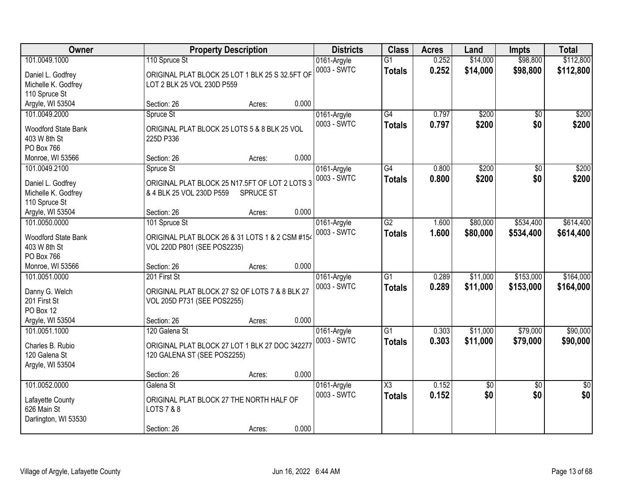| Owner                | <b>Property Description</b>                     |       | <b>Districts</b> | <b>Class</b>    | <b>Acres</b> | Land        | <b>Impts</b>    | <b>Total</b>    |
|----------------------|-------------------------------------------------|-------|------------------|-----------------|--------------|-------------|-----------------|-----------------|
| 101.0049.1000        | 110 Spruce St                                   |       | 0161-Argyle      | $\overline{G1}$ | 0.252        | \$14,000    | \$98,800        | \$112,800       |
| Daniel L. Godfrey    | ORIGINAL PLAT BLOCK 25 LOT 1 BLK 25 S 32.5FT OF |       | 0003 - SWTC      | <b>Totals</b>   | 0.252        | \$14,000    | \$98,800        | \$112,800       |
| Michelle K. Godfrey  | LOT 2 BLK 25 VOL 230D P559                      |       |                  |                 |              |             |                 |                 |
| 110 Spruce St        |                                                 |       |                  |                 |              |             |                 |                 |
| Argyle, WI 53504     | Section: 26<br>Acres:                           | 0.000 |                  |                 |              |             |                 |                 |
| 101.0049.2000        | Spruce St                                       |       | 0161-Argyle      | $\overline{G4}$ | 0.797        | \$200       | \$0             | \$200           |
| Woodford State Bank  | ORIGINAL PLAT BLOCK 25 LOTS 5 & 8 BLK 25 VOL    |       | 0003 - SWTC      | <b>Totals</b>   | 0.797        | \$200       | \$0             | \$200           |
| 403 W 8th St         | 225D P336                                       |       |                  |                 |              |             |                 |                 |
| PO Box 766           |                                                 |       |                  |                 |              |             |                 |                 |
| Monroe, WI 53566     | Section: 26<br>Acres:                           | 0.000 |                  |                 |              |             |                 |                 |
| 101.0049.2100        | Spruce St                                       |       | 0161-Argyle      | G4              | 0.800        | \$200       | \$0             | \$200           |
|                      |                                                 |       | 0003 - SWTC      | <b>Totals</b>   | 0.800        | \$200       | \$0             | \$200           |
| Daniel L. Godfrey    | ORIGINAL PLAT BLOCK 25 N17.5FT OF LOT 2 LOTS 3  |       |                  |                 |              |             |                 |                 |
| Michelle K. Godfrey  | & 4 BLK 25 VOL 230D P559<br>SPRUCE ST           |       |                  |                 |              |             |                 |                 |
| 110 Spruce St        |                                                 |       |                  |                 |              |             |                 |                 |
| Argyle, WI 53504     | Section: 26<br>Acres:                           | 0.000 |                  |                 |              |             |                 |                 |
| 101.0050.0000        | 101 Spruce St                                   |       | 0161-Argyle      | $\overline{G2}$ | 1.600        | \$80,000    | \$534,400       | \$614,400       |
| Woodford State Bank  | ORIGINAL PLAT BLOCK 26 & 31 LOTS 1 & 2 CSM #154 |       | 0003 - SWTC      | <b>Totals</b>   | 1.600        | \$80,000    | \$534,400       | \$614,400       |
| 403 W 8th St         | VOL 220D P801 (SEE POS2235)                     |       |                  |                 |              |             |                 |                 |
| PO Box 766           |                                                 |       |                  |                 |              |             |                 |                 |
| Monroe, WI 53566     | Section: 26<br>Acres:                           | 0.000 |                  |                 |              |             |                 |                 |
| 101.0051.0000        | 201 First St                                    |       | 0161-Argyle      | $\overline{G1}$ | 0.289        | \$11,000    | \$153,000       | \$164,000       |
| Danny G. Welch       | ORIGINAL PLAT BLOCK 27 S2 OF LOTS 7 & 8 BLK 27  |       | 0003 - SWTC      | <b>Totals</b>   | 0.289        | \$11,000    | \$153,000       | \$164,000       |
| 201 First St         | VOL 205D P731 (SEE POS2255)                     |       |                  |                 |              |             |                 |                 |
| PO Box 12            |                                                 |       |                  |                 |              |             |                 |                 |
| Argyle, WI 53504     | Section: 26<br>Acres:                           | 0.000 |                  |                 |              |             |                 |                 |
| 101.0051.1000        | 120 Galena St                                   |       | 0161-Argyle      | $\overline{G1}$ | 0.303        | \$11,000    | \$79,000        | \$90,000        |
| Charles B. Rubio     | ORIGINAL PLAT BLOCK 27 LOT 1 BLK 27 DOC 342277  |       | 0003 - SWTC      | <b>Totals</b>   | 0.303        | \$11,000    | \$79,000        | \$90,000        |
| 120 Galena St        | 120 GALENA ST (SEE POS2255)                     |       |                  |                 |              |             |                 |                 |
| Argyle, WI 53504     |                                                 |       |                  |                 |              |             |                 |                 |
|                      | Section: 26<br>Acres:                           | 0.000 |                  |                 |              |             |                 |                 |
| 101.0052.0000        | Galena St                                       |       | 0161-Argyle      | X3              | 0.152        | $\sqrt{50}$ | $\overline{30}$ | $\overline{50}$ |
|                      |                                                 |       | 0003 - SWTC      | <b>Totals</b>   | 0.152        | \$0         | \$0             | \$0             |
| Lafayette County     | ORIGINAL PLAT BLOCK 27 THE NORTH HALF OF        |       |                  |                 |              |             |                 |                 |
| 626 Main St          | LOTS 7 & 8                                      |       |                  |                 |              |             |                 |                 |
| Darlington, WI 53530 |                                                 |       |                  |                 |              |             |                 |                 |
|                      | Section: 26<br>Acres:                           | 0.000 |                  |                 |              |             |                 |                 |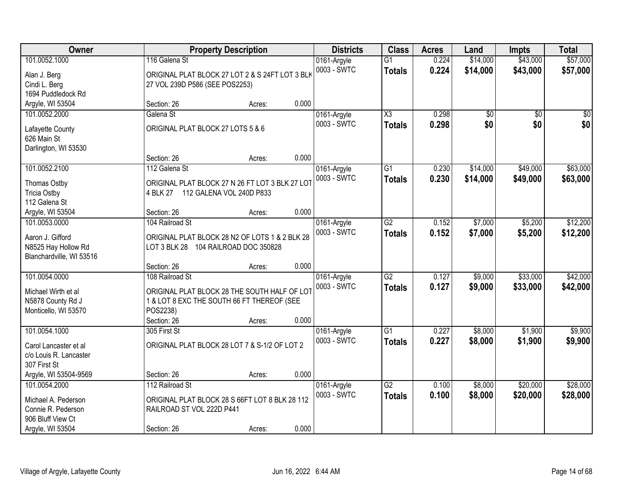| <b>Owner</b>                              |                                                                                        | <b>Property Description</b> |       | <b>Districts</b>           | <b>Class</b>           | <b>Acres</b> | Land     | <b>Impts</b>    | <b>Total</b> |
|-------------------------------------------|----------------------------------------------------------------------------------------|-----------------------------|-------|----------------------------|------------------------|--------------|----------|-----------------|--------------|
| 101.0052.1000                             | 116 Galena St                                                                          |                             |       | 0161-Argyle                | $\overline{G1}$        | 0.224        | \$14,000 | \$43,000        | \$57,000     |
| Alan J. Berg                              | ORIGINAL PLAT BLOCK 27 LOT 2 & S 24FT LOT 3 BLK                                        |                             |       | 0003 - SWTC                | <b>Totals</b>          | 0.224        | \$14,000 | \$43,000        | \$57,000     |
| Cindi L. Berg                             | 27 VOL 239D P586 (SEE POS2253)                                                         |                             |       |                            |                        |              |          |                 |              |
| 1694 Puddledock Rd                        |                                                                                        |                             |       |                            |                        |              |          |                 |              |
| Argyle, WI 53504                          | Section: 26                                                                            | Acres:                      | 0.000 |                            |                        |              |          |                 |              |
| 101.0052.2000                             | Galena St                                                                              |                             |       | 0161-Argyle                | $\overline{\text{X3}}$ | 0.298        | \$0      | $\overline{50}$ | \$0          |
| Lafayette County                          | ORIGINAL PLAT BLOCK 27 LOTS 5 & 6                                                      |                             |       | 0003 - SWTC                | <b>Totals</b>          | 0.298        | \$0      | \$0             | \$0          |
| 626 Main St                               |                                                                                        |                             |       |                            |                        |              |          |                 |              |
| Darlington, WI 53530                      |                                                                                        |                             |       |                            |                        |              |          |                 |              |
|                                           | Section: 26                                                                            | Acres:                      | 0.000 |                            |                        |              |          |                 |              |
| 101.0052.2100                             | 112 Galena St                                                                          |                             |       | 0161-Argyle                | $\overline{G1}$        | 0.230        | \$14,000 | \$49,000        | \$63,000     |
| Thomas Ostby                              | ORIGINAL PLAT BLOCK 27 N 26 FT LOT 3 BLK 27 LOT                                        |                             |       | 0003 - SWTC                | <b>Totals</b>          | 0.230        | \$14,000 | \$49,000        | \$63,000     |
| <b>Tricia Ostby</b>                       | 4 BLK 27 112 GALENA VOL 240D P833                                                      |                             |       |                            |                        |              |          |                 |              |
| 112 Galena St                             |                                                                                        |                             |       |                            |                        |              |          |                 |              |
| Argyle, WI 53504                          | Section: 26                                                                            | Acres:                      | 0.000 |                            |                        |              |          |                 |              |
| 101.0053.0000                             | 104 Railroad St                                                                        |                             |       | 0161-Argyle                | G2                     | 0.152        | \$7,000  | \$5,200         | \$12,200     |
|                                           |                                                                                        |                             |       | 0003 - SWTC                | <b>Totals</b>          | 0.152        | \$7,000  | \$5,200         | \$12,200     |
| Aaron J. Gifford<br>N8525 Hay Hollow Rd   | ORIGINAL PLAT BLOCK 28 N2 OF LOTS 1 & 2 BLK 28<br>LOT 3 BLK 28 104 RAILROAD DOC 350828 |                             |       |                            |                        |              |          |                 |              |
| Blanchardville, WI 53516                  |                                                                                        |                             |       |                            |                        |              |          |                 |              |
|                                           | Section: 26                                                                            | Acres:                      | 0.000 |                            |                        |              |          |                 |              |
| 101.0054.0000                             | 108 Railroad St                                                                        |                             |       | 0161-Argyle                | $\overline{G2}$        | 0.127        | \$9,000  | \$33,000        | \$42,000     |
|                                           |                                                                                        |                             |       | 0003 - SWTC                | <b>Totals</b>          | 0.127        | \$9,000  | \$33,000        | \$42,000     |
| Michael Wirth et al                       | ORIGINAL PLAT BLOCK 28 THE SOUTH HALF OF LOT                                           |                             |       |                            |                        |              |          |                 |              |
| N5878 County Rd J<br>Monticello, WI 53570 | 1 & LOT 8 EXC THE SOUTH 66 FT THEREOF (SEE<br>POS2238)                                 |                             |       |                            |                        |              |          |                 |              |
|                                           | Section: 26                                                                            | Acres:                      | 0.000 |                            |                        |              |          |                 |              |
| 101.0054.1000                             | 305 First St                                                                           |                             |       | 0161-Argyle                | $\overline{G1}$        | 0.227        | \$8,000  | \$1,900         | \$9,900      |
|                                           |                                                                                        |                             |       | 0003 - SWTC                | <b>Totals</b>          | 0.227        | \$8,000  | \$1,900         | \$9,900      |
| Carol Lancaster et al                     | ORIGINAL PLAT BLOCK 28 LOT 7 & S-1/2 OF LOT 2                                          |                             |       |                            |                        |              |          |                 |              |
| c/o Louis R. Lancaster                    |                                                                                        |                             |       |                            |                        |              |          |                 |              |
| 307 First St                              |                                                                                        |                             | 0.000 |                            |                        |              |          |                 |              |
| Argyle, WI 53504-9569<br>101.0054.2000    | Section: 26<br>112 Railroad St                                                         | Acres:                      |       |                            | $\overline{G2}$        | 0.100        | \$8,000  | \$20,000        | \$28,000     |
|                                           |                                                                                        |                             |       | 0161-Argyle<br>0003 - SWTC |                        |              |          |                 |              |
| Michael A. Pederson                       | ORIGINAL PLAT BLOCK 28 S 66FT LOT 8 BLK 28 112                                         |                             |       |                            | <b>Totals</b>          | 0.100        | \$8,000  | \$20,000        | \$28,000     |
| Connie R. Pederson                        | RAILROAD ST VOL 222D P441                                                              |                             |       |                            |                        |              |          |                 |              |
| 906 Bluff View Ct                         |                                                                                        |                             |       |                            |                        |              |          |                 |              |
| Argyle, WI 53504                          | Section: 26                                                                            | Acres:                      | 0.000 |                            |                        |              |          |                 |              |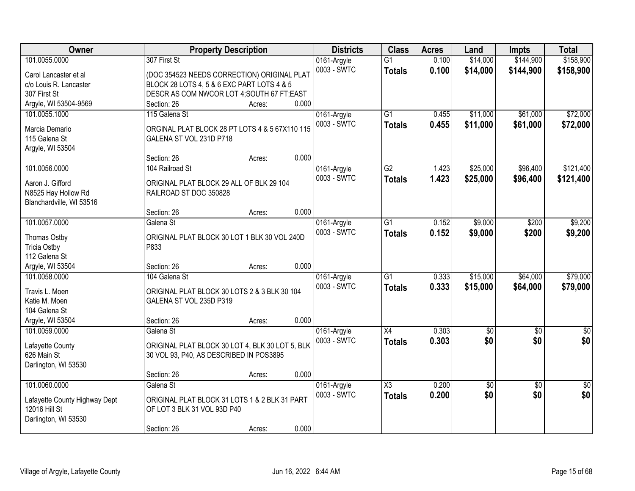| Owner                                           | <b>Property Description</b>                     |        | <b>Districts</b> | <b>Class</b>        | <b>Acres</b> | Land            | <b>Impts</b>    | <b>Total</b>  |
|-------------------------------------------------|-------------------------------------------------|--------|------------------|---------------------|--------------|-----------------|-----------------|---------------|
| 101.0055.0000                                   | 307 First St                                    |        | 0161-Argyle      | $\overline{G1}$     | 0.100        | \$14,000        | \$144,900       | \$158,900     |
| Carol Lancaster et al                           | (DOC 354523 NEEDS CORRECTION) ORIGINAL PLAT     |        | 0003 - SWTC      | <b>Totals</b>       | 0.100        | \$14,000        | \$144,900       | \$158,900     |
| c/o Louis R. Lancaster                          | BLOCK 28 LOTS 4, 5 & 6 EXC PART LOTS 4 & 5      |        |                  |                     |              |                 |                 |               |
| 307 First St                                    | DESCR AS COM NWCOR LOT 4; SOUTH 67 FT; EAST     |        |                  |                     |              |                 |                 |               |
| Argyle, WI 53504-9569                           | Section: 26                                     | Acres: | 0.000            |                     |              |                 |                 |               |
| 101.0055.1000                                   | 115 Galena St                                   |        | 0161-Argyle      | $\overline{G1}$     | 0.455        | \$11,000        | \$61,000        | \$72,000      |
| Marcia Demario                                  | ORGINAL PLAT BLOCK 28 PT LOTS 4 & 5 67X110 115  |        | 0003 - SWTC      | <b>Totals</b>       | 0.455        | \$11,000        | \$61,000        | \$72,000      |
| 115 Galena St                                   | GALENA ST VOL 231D P718                         |        |                  |                     |              |                 |                 |               |
| Argyle, WI 53504                                |                                                 |        |                  |                     |              |                 |                 |               |
|                                                 | Section: 26                                     | Acres: | 0.000            |                     |              |                 |                 |               |
| 101.0056.0000                                   | 104 Railroad St                                 |        | 0161-Argyle      | $\overline{G2}$     | 1.423        | \$25,000        | \$96,400        | \$121,400     |
|                                                 |                                                 |        | 0003 - SWTC      | <b>Totals</b>       | 1.423        | \$25,000        | \$96,400        | \$121,400     |
| Aaron J. Gifford                                | ORIGINAL PLAT BLOCK 29 ALL OF BLK 29 104        |        |                  |                     |              |                 |                 |               |
| N8525 Hay Hollow Rd<br>Blanchardville, WI 53516 | RAILROAD ST DOC 350828                          |        |                  |                     |              |                 |                 |               |
|                                                 | Section: 26                                     | Acres: | 0.000            |                     |              |                 |                 |               |
| 101.0057.0000                                   | Galena St                                       |        | 0161-Argyle      | G1                  | 0.152        | \$9,000         | \$200           | \$9,200       |
|                                                 |                                                 |        | 0003 - SWTC      | <b>Totals</b>       | 0.152        | \$9,000         | \$200           | \$9,200       |
| Thomas Ostby                                    | ORIGINAL PLAT BLOCK 30 LOT 1 BLK 30 VOL 240D    |        |                  |                     |              |                 |                 |               |
| <b>Tricia Ostby</b>                             | P833                                            |        |                  |                     |              |                 |                 |               |
| 112 Galena St                                   |                                                 |        |                  |                     |              |                 |                 |               |
| Argyle, WI 53504                                | Section: 26                                     | Acres: | 0.000            |                     |              |                 |                 |               |
| 101.0058.0000                                   | 104 Galena St                                   |        | 0161-Argyle      | $\overline{G1}$     | 0.333        | \$15,000        | \$64,000        | \$79,000      |
| Travis L. Moen                                  | ORIGINAL PLAT BLOCK 30 LOTS 2 & 3 BLK 30 104    |        | 0003 - SWTC      | <b>Totals</b>       | 0.333        | \$15,000        | \$64,000        | \$79,000      |
| Katie M. Moen                                   | GALENA ST VOL 235D P319                         |        |                  |                     |              |                 |                 |               |
| 104 Galena St                                   |                                                 |        |                  |                     |              |                 |                 |               |
| Argyle, WI 53504                                | Section: 26                                     | Acres: | 0.000            |                     |              |                 |                 |               |
| 101.0059.0000                                   | Galena St                                       |        | 0161-Argyle      | X4                  | 0.303        | $\sqrt{$0}$     | $\sqrt{6}$      | $\sqrt{50}$   |
| Lafayette County                                | ORIGINAL PLAT BLOCK 30 LOT 4, BLK 30 LOT 5, BLK |        | 0003 - SWTC      | <b>Totals</b>       | 0.303        | \$0             | \$0             | \$0           |
| 626 Main St                                     | 30 VOL 93, P40, AS DESCRIBED IN POS3895         |        |                  |                     |              |                 |                 |               |
| Darlington, WI 53530                            |                                                 |        |                  |                     |              |                 |                 |               |
|                                                 | Section: 26                                     | Acres: | 0.000            |                     |              |                 |                 |               |
| 101.0060.0000                                   | Galena St                                       |        | 0161-Argyle      | $\overline{\chi_3}$ | 0.200        | $\overline{50}$ | $\overline{30}$ | $\frac{1}{2}$ |
| Lafayette County Highway Dept                   | ORIGINAL PLAT BLOCK 31 LOTS 1 & 2 BLK 31 PART   |        | 0003 - SWTC      | <b>Totals</b>       | 0.200        | \$0             | \$0             | \$0           |
| 12016 Hill St                                   | OF LOT 3 BLK 31 VOL 93D P40                     |        |                  |                     |              |                 |                 |               |
| Darlington, WI 53530                            |                                                 |        |                  |                     |              |                 |                 |               |
|                                                 | Section: 26                                     | Acres: | 0.000            |                     |              |                 |                 |               |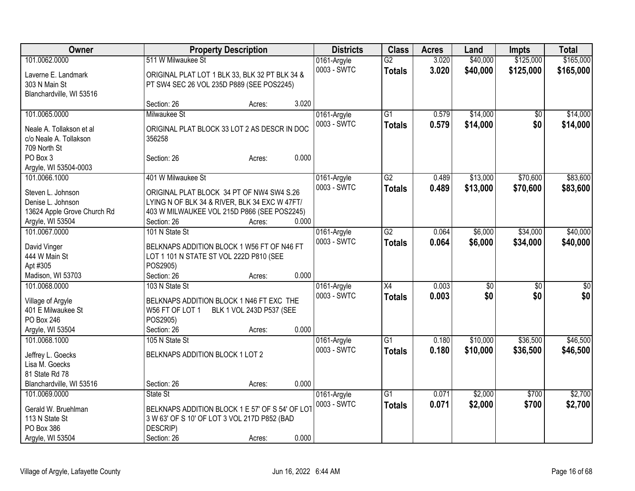| <b>Owner</b>                        | <b>Property Description</b>                     |                          |       | <b>Districts</b> | <b>Class</b>    | <b>Acres</b> | Land            | <b>Impts</b>    | <b>Total</b> |
|-------------------------------------|-------------------------------------------------|--------------------------|-------|------------------|-----------------|--------------|-----------------|-----------------|--------------|
| 101.0062.0000                       | 511 W Milwaukee St                              |                          |       | 0161-Argyle      | $\overline{G2}$ | 3.020        | \$40,000        | \$125,000       | \$165,000    |
| Laverne E. Landmark                 | ORIGINAL PLAT LOT 1 BLK 33, BLK 32 PT BLK 34 &  |                          |       | 0003 - SWTC      | <b>Totals</b>   | 3.020        | \$40,000        | \$125,000       | \$165,000    |
| 303 N Main St                       | PT SW4 SEC 26 VOL 235D P889 (SEE POS2245)       |                          |       |                  |                 |              |                 |                 |              |
| Blanchardville, WI 53516            |                                                 |                          |       |                  |                 |              |                 |                 |              |
|                                     | Section: 26                                     | Acres:                   | 3.020 |                  |                 |              |                 |                 |              |
| 101.0065.0000                       | Milwaukee St                                    |                          |       | 0161-Argyle      | $\overline{G1}$ | 0.579        | \$14,000        | $\overline{50}$ | \$14,000     |
|                                     |                                                 |                          |       | 0003 - SWTC      | <b>Totals</b>   | 0.579        | \$14,000        | \$0             | \$14,000     |
| Neale A. Tollakson et al            | ORIGINAL PLAT BLOCK 33 LOT 2 AS DESCR IN DOC    |                          |       |                  |                 |              |                 |                 |              |
| c/o Neale A. Tollakson              | 356258                                          |                          |       |                  |                 |              |                 |                 |              |
| 709 North St                        |                                                 |                          |       |                  |                 |              |                 |                 |              |
| PO Box 3                            | Section: 26                                     | Acres:                   | 0.000 |                  |                 |              |                 |                 |              |
| Argyle, WI 53504-0003               |                                                 |                          |       |                  |                 |              |                 |                 |              |
| 101.0066.1000                       | 401 W Milwaukee St                              |                          |       | 0161-Argyle      | $\overline{G2}$ | 0.489        | \$13,000        | \$70,600        | \$83,600     |
| Steven L. Johnson                   | ORIGINAL PLAT BLOCK 34 PT OF NW4 SW4 S.26       |                          |       | 0003 - SWTC      | <b>Totals</b>   | 0.489        | \$13,000        | \$70,600        | \$83,600     |
| Denise L. Johnson                   | LYING N OF BLK 34 & RIVER, BLK 34 EXC W 47FT/   |                          |       |                  |                 |              |                 |                 |              |
| 13624 Apple Grove Church Rd         | 403 W MILWAUKEE VOL 215D P866 (SEE POS2245)     |                          |       |                  |                 |              |                 |                 |              |
| Argyle, WI 53504                    | Section: 26                                     | Acres:                   | 0.000 |                  |                 |              |                 |                 |              |
| 101.0067.0000                       | 101 N State St                                  |                          |       | 0161-Argyle      | $\overline{G2}$ | 0.064        | \$6,000         | \$34,000        | \$40,000     |
|                                     |                                                 |                          |       | 0003 - SWTC      | <b>Totals</b>   | 0.064        | \$6,000         | \$34,000        | \$40,000     |
| David Vinger                        | BELKNAPS ADDITION BLOCK 1 W56 FT OF N46 FT      |                          |       |                  |                 |              |                 |                 |              |
| 444 W Main St                       | LOT 1 101 N STATE ST VOL 222D P810 (SEE         |                          |       |                  |                 |              |                 |                 |              |
| Apt #305                            | POS2905)                                        |                          | 0.000 |                  |                 |              |                 |                 |              |
| Madison, WI 53703                   | Section: 26                                     | Acres:                   |       |                  |                 |              |                 |                 |              |
| 101.0068.0000                       | 103 N State St                                  |                          |       | 0161-Argyle      | $\overline{X4}$ | 0.003        | $\overline{50}$ | \$0             | \$0          |
| Village of Argyle                   | BELKNAPS ADDITION BLOCK 1 N46 FT EXC THE        |                          |       | 0003 - SWTC      | <b>Totals</b>   | 0.003        | \$0             | \$0             | \$0          |
| 401 E Milwaukee St                  | W56 FT OF LOT 1                                 | BLK 1 VOL 243D P537 (SEE |       |                  |                 |              |                 |                 |              |
| PO Box 246                          | POS2905)                                        |                          |       |                  |                 |              |                 |                 |              |
| Argyle, WI 53504                    | Section: 26                                     | Acres:                   | 0.000 |                  |                 |              |                 |                 |              |
| 101.0068.1000                       | 105 N State St                                  |                          |       | 0161-Argyle      | $\overline{G1}$ | 0.180        | \$10,000        | \$36,500        | \$46,500     |
|                                     | BELKNAPS ADDITION BLOCK 1 LOT 2                 |                          |       | 0003 - SWTC      | <b>Totals</b>   | 0.180        | \$10,000        | \$36,500        | \$46,500     |
| Jeffrey L. Goecks<br>Lisa M. Goecks |                                                 |                          |       |                  |                 |              |                 |                 |              |
| 81 State Rd 78                      |                                                 |                          |       |                  |                 |              |                 |                 |              |
| Blanchardville, WI 53516            | Section: 26                                     | Acres:                   | 0.000 |                  |                 |              |                 |                 |              |
| 101.0069.0000                       | State St                                        |                          |       | 0161-Argyle      | $\overline{G1}$ | 0.071        | \$2,000         | \$700           | \$2,700      |
|                                     |                                                 |                          |       | 0003 - SWTC      |                 |              |                 |                 |              |
| Gerald W. Bruehlman                 | BELKNAPS ADDITION BLOCK 1 E 57' OF S 54' OF LOT |                          |       |                  | <b>Totals</b>   | 0.071        | \$2,000         | \$700           | \$2,700      |
| 113 N State St                      | 3 W 63' OF S 10' OF LOT 3 VOL 217D P852 (BAD    |                          |       |                  |                 |              |                 |                 |              |
| PO Box 386                          | DESCRIP)                                        |                          |       |                  |                 |              |                 |                 |              |
| Argyle, WI 53504                    | Section: 26                                     | Acres:                   | 0.000 |                  |                 |              |                 |                 |              |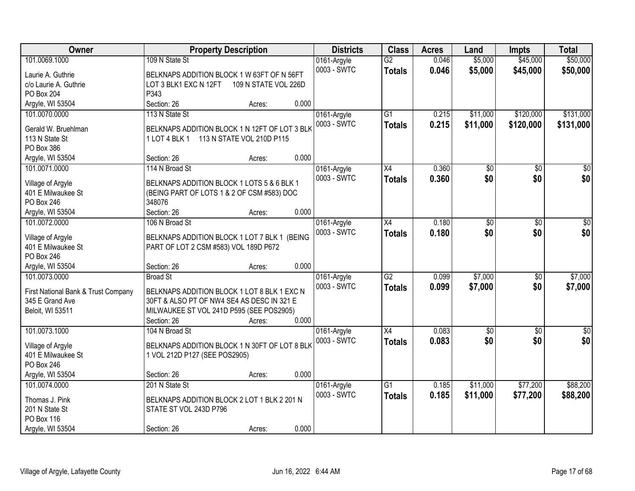| Owner                               | <b>Property Description</b>                   |                      |       | <b>Districts</b> | <b>Class</b>    | <b>Acres</b> | Land            | <b>Impts</b>    | <b>Total</b>     |
|-------------------------------------|-----------------------------------------------|----------------------|-------|------------------|-----------------|--------------|-----------------|-----------------|------------------|
| 101.0069.1000                       | 109 N State St                                |                      |       | 0161-Argyle      | $\overline{G2}$ | 0.046        | \$5,000         | \$45,000        | \$50,000         |
| Laurie A. Guthrie                   | BELKNAPS ADDITION BLOCK 1 W 63FT OF N 56FT    |                      |       | 0003 - SWTC      | <b>Totals</b>   | 0.046        | \$5,000         | \$45,000        | \$50,000         |
| c/o Laurie A. Guthrie               | LOT 3 BLK1 EXC N 12FT                         | 109 N STATE VOL 226D |       |                  |                 |              |                 |                 |                  |
| <b>PO Box 204</b>                   | P343                                          |                      |       |                  |                 |              |                 |                 |                  |
| Argyle, WI 53504                    | Section: 26                                   | Acres:               | 0.000 |                  |                 |              |                 |                 |                  |
| 101.0070.0000                       | 113 N State St                                |                      |       | 0161-Argyle      | $\overline{G1}$ | 0.215        | \$11,000        | \$120,000       | \$131,000        |
| Gerald W. Bruehlman                 | BELKNAPS ADDITION BLOCK 1 N 12FT OF LOT 3 BLK |                      |       | 0003 - SWTC      | <b>Totals</b>   | 0.215        | \$11,000        | \$120,000       | \$131,000        |
| 113 N State St                      | 1 LOT 4 BLK 1 113 N STATE VOL 210D P115       |                      |       |                  |                 |              |                 |                 |                  |
| PO Box 386                          |                                               |                      |       |                  |                 |              |                 |                 |                  |
| Argyle, WI 53504                    | Section: 26                                   | Acres:               | 0.000 |                  |                 |              |                 |                 |                  |
| 101.0071.0000                       | 114 N Broad St                                |                      |       | 0161-Argyle      | X4              | 0.360        | \$0             | \$0             | $\overline{50}$  |
|                                     |                                               |                      |       | 0003 - SWTC      | <b>Totals</b>   | 0.360        | \$0             | \$0             | \$0              |
| Village of Argyle                   | BELKNAPS ADDITION BLOCK 1 LOTS 5 & 6 BLK 1    |                      |       |                  |                 |              |                 |                 |                  |
| 401 E Milwaukee St                  | (BEING PART OF LOTS 1 & 2 OF CSM #583) DOC    |                      |       |                  |                 |              |                 |                 |                  |
| PO Box 246                          | 348076                                        |                      |       |                  |                 |              |                 |                 |                  |
| Argyle, WI 53504                    | Section: 26                                   | Acres:               | 0.000 |                  |                 |              |                 |                 |                  |
| 101.0072.0000                       | 106 N Broad St                                |                      |       | 0161-Argyle      | X4              | 0.180        | \$0             | $\sqrt{6}$      | $\sqrt{50}$      |
| Village of Argyle                   | BELKNAPS ADDITION BLOCK 1 LOT 7 BLK 1 (BEING  |                      |       | 0003 - SWTC      | <b>Totals</b>   | 0.180        | \$0             | \$0             | \$0              |
| 401 E Milwaukee St                  | PART OF LOT 2 CSM #583) VOL 189D P672         |                      |       |                  |                 |              |                 |                 |                  |
| PO Box 246                          |                                               |                      |       |                  |                 |              |                 |                 |                  |
| Argyle, WI 53504                    | Section: 26                                   | Acres:               | 0.000 |                  |                 |              |                 |                 |                  |
| 101.0073.0000                       | <b>Broad St</b>                               |                      |       | 0161-Argyle      | $\overline{G2}$ | 0.099        | \$7,000         | \$0             | \$7,000          |
|                                     |                                               |                      |       | 0003 - SWTC      | <b>Totals</b>   | 0.099        | \$7,000         | \$0             | \$7,000          |
| First National Bank & Trust Company | BELKNAPS ADDITION BLOCK 1 LOT 8 BLK 1 EXC N   |                      |       |                  |                 |              |                 |                 |                  |
| 345 E Grand Ave                     | 30FT & ALSO PT OF NW4 SE4 AS DESC IN 321 E    |                      |       |                  |                 |              |                 |                 |                  |
| Beloit, WI 53511                    | MILWAUKEE ST VOL 241D P595 (SEE POS2905)      |                      |       |                  |                 |              |                 |                 |                  |
|                                     | Section: 26                                   | Acres:               | 0.000 |                  |                 |              |                 |                 |                  |
| 101.0073.1000                       | 104 N Broad St                                |                      |       | 0161-Argyle      | $\overline{X4}$ | 0.083        | $\overline{50}$ | $\overline{50}$ | $\overline{\$0}$ |
| Village of Argyle                   | BELKNAPS ADDITION BLOCK 1 N 30FT OF LOT 8 BLK |                      |       | 0003 - SWTC      | <b>Totals</b>   | 0.083        | \$0             | \$0             | \$0              |
| 401 E Milwaukee St                  | 1 VOL 212D P127 (SEE POS2905)                 |                      |       |                  |                 |              |                 |                 |                  |
| PO Box 246                          |                                               |                      |       |                  |                 |              |                 |                 |                  |
| Argyle, WI 53504                    | Section: 26                                   | Acres:               | 0.000 |                  |                 |              |                 |                 |                  |
| 101.0074.0000                       | 201 N State St                                |                      |       | 0161-Argyle      | $\overline{G1}$ | 0.185        | \$11,000        | \$77,200        | \$88,200         |
|                                     | BELKNAPS ADDITION BLOCK 2 LOT 1 BLK 2 201 N   |                      |       | 0003 - SWTC      | <b>Totals</b>   | 0.185        | \$11,000        | \$77,200        | \$88,200         |
| Thomas J. Pink<br>201 N State St    | STATE ST VOL 243D P796                        |                      |       |                  |                 |              |                 |                 |                  |
| PO Box 116                          |                                               |                      |       |                  |                 |              |                 |                 |                  |
|                                     |                                               |                      |       |                  |                 |              |                 |                 |                  |
| Argyle, WI 53504                    | Section: 26                                   | Acres:               | 0.000 |                  |                 |              |                 |                 |                  |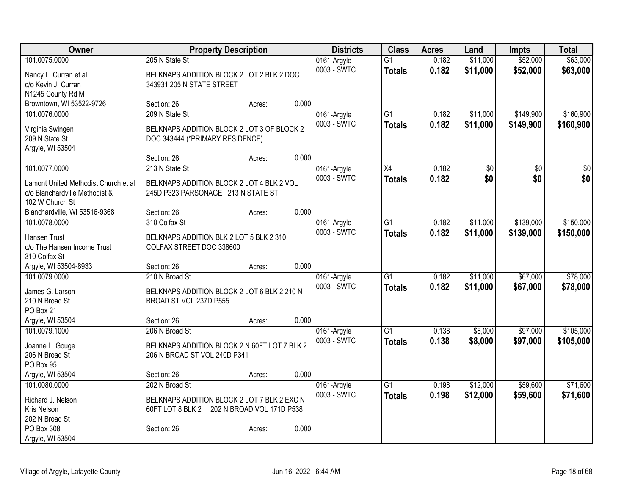| Owner                                | <b>Property Description</b>                   |       | <b>Districts</b> | <b>Class</b>    | <b>Acres</b> | Land            | <b>Impts</b> | <b>Total</b> |
|--------------------------------------|-----------------------------------------------|-------|------------------|-----------------|--------------|-----------------|--------------|--------------|
| 101.0075.0000                        | 205 N State St                                |       | 0161-Argyle      | $\overline{G1}$ | 0.182        | \$11,000        | \$52,000     | \$63,000     |
| Nancy L. Curran et al                | BELKNAPS ADDITION BLOCK 2 LOT 2 BLK 2 DOC     |       | 0003 - SWTC      | <b>Totals</b>   | 0.182        | \$11,000        | \$52,000     | \$63,000     |
| c/o Kevin J. Curran                  | 343931 205 N STATE STREET                     |       |                  |                 |              |                 |              |              |
| N1245 County Rd M                    |                                               |       |                  |                 |              |                 |              |              |
| Browntown, WI 53522-9726             | Section: 26<br>Acres:                         | 0.000 |                  |                 |              |                 |              |              |
| 101.0076.0000                        | 209 N State St                                |       | 0161-Argyle      | G1              | 0.182        | \$11,000        | \$149,900    | \$160,900    |
|                                      | BELKNAPS ADDITION BLOCK 2 LOT 3 OF BLOCK 2    |       | 0003 - SWTC      | <b>Totals</b>   | 0.182        | \$11,000        | \$149,900    | \$160,900    |
| Virginia Swingen<br>209 N State St   | DOC 343444 (*PRIMARY RESIDENCE)               |       |                  |                 |              |                 |              |              |
| Argyle, WI 53504                     |                                               |       |                  |                 |              |                 |              |              |
|                                      | Section: 26<br>Acres:                         | 0.000 |                  |                 |              |                 |              |              |
| 101.0077.0000                        | 213 N State St                                |       | 0161-Argyle      | X4              | 0.182        | $\overline{50}$ | \$0          | $\sqrt{50}$  |
|                                      |                                               |       | 0003 - SWTC      | <b>Totals</b>   | 0.182        | \$0             | \$0          | \$0          |
| Lamont United Methodist Church et al | BELKNAPS ADDITION BLOCK 2 LOT 4 BLK 2 VOL     |       |                  |                 |              |                 |              |              |
| c/o Blanchardville Methodist &       | 245D P323 PARSONAGE 213 N STATE ST            |       |                  |                 |              |                 |              |              |
| 102 W Church St                      |                                               |       |                  |                 |              |                 |              |              |
| Blanchardville, WI 53516-9368        | Section: 26<br>Acres:                         | 0.000 |                  |                 |              |                 |              |              |
| 101.0078.0000                        | 310 Colfax St                                 |       | 0161-Argyle      | $\overline{G1}$ | 0.182        | \$11,000        | \$139,000    | \$150,000    |
| Hansen Trust                         | BELKNAPS ADDITION BLK 2 LOT 5 BLK 2 310       |       | 0003 - SWTC      | <b>Totals</b>   | 0.182        | \$11,000        | \$139,000    | \$150,000    |
| c/o The Hansen Income Trust          | COLFAX STREET DOC 338600                      |       |                  |                 |              |                 |              |              |
| 310 Colfax St                        |                                               |       |                  |                 |              |                 |              |              |
| Argyle, WI 53504-8933                | Section: 26<br>Acres:                         | 0.000 |                  |                 |              |                 |              |              |
| 101.0079.0000                        | 210 N Broad St                                |       | 0161-Argyle      | $\overline{G1}$ | 0.182        | \$11,000        | \$67,000     | \$78,000     |
| James G. Larson                      | BELKNAPS ADDITION BLOCK 2 LOT 6 BLK 2 210 N   |       | 0003 - SWTC      | <b>Totals</b>   | 0.182        | \$11,000        | \$67,000     | \$78,000     |
| 210 N Broad St                       | BROAD ST VOL 237D P555                        |       |                  |                 |              |                 |              |              |
| PO Box 21                            |                                               |       |                  |                 |              |                 |              |              |
| Argyle, WI 53504                     | Section: 26<br>Acres:                         | 0.000 |                  |                 |              |                 |              |              |
| 101.0079.1000                        | 206 N Broad St                                |       | 0161-Argyle      | $\overline{G1}$ | 0.138        | \$8,000         | \$97,000     | \$105,000    |
| Joanne L. Gouge                      | BELKNAPS ADDITION BLOCK 2 N 60FT LOT 7 BLK 2  |       | 0003 - SWTC      | <b>Totals</b>   | 0.138        | \$8,000         | \$97,000     | \$105,000    |
| 206 N Broad St                       | 206 N BROAD ST VOL 240D P341                  |       |                  |                 |              |                 |              |              |
| PO Box 95                            |                                               |       |                  |                 |              |                 |              |              |
| Argyle, WI 53504                     | Section: 26<br>Acres:                         | 0.000 |                  |                 |              |                 |              |              |
| 101.0080.0000                        | 202 N Broad St                                |       | 0161-Argyle      | G1              | 0.198        | \$12,000        | \$59,600     | \$71,600     |
|                                      |                                               |       | 0003 - SWTC      | <b>Totals</b>   | 0.198        | \$12,000        | \$59,600     | \$71,600     |
| Richard J. Nelson                    | BELKNAPS ADDITION BLOCK 2 LOT 7 BLK 2 EXC N   |       |                  |                 |              |                 |              |              |
| Kris Nelson                          | 60FT LOT 8 BLK 2<br>202 N BROAD VOL 171D P538 |       |                  |                 |              |                 |              |              |
| 202 N Broad St                       |                                               |       |                  |                 |              |                 |              |              |
| PO Box 308                           | Section: 26<br>Acres:                         | 0.000 |                  |                 |              |                 |              |              |
| Argyle, WI 53504                     |                                               |       |                  |                 |              |                 |              |              |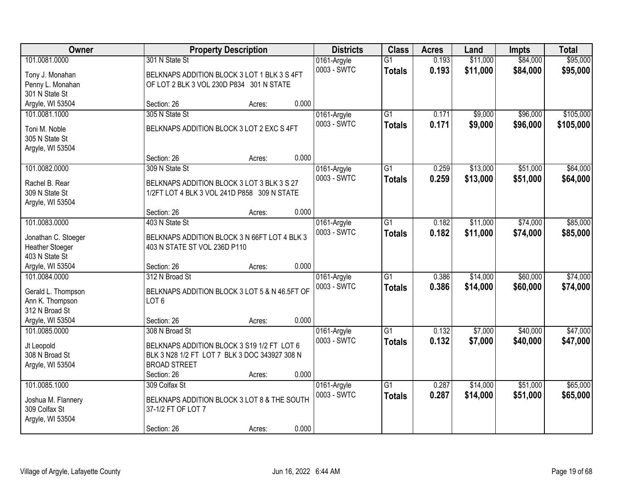| Owner                             | <b>Property Description</b>                   |       | <b>Districts</b>           | <b>Class</b>    | <b>Acres</b> | Land     | <b>Impts</b> | <b>Total</b> |
|-----------------------------------|-----------------------------------------------|-------|----------------------------|-----------------|--------------|----------|--------------|--------------|
| 101.0081.0000                     | 301 N State St                                |       | 0161-Argyle                | $\overline{G1}$ | 0.193        | \$11,000 | \$84,000     | \$95,000     |
| Tony J. Monahan                   | BELKNAPS ADDITION BLOCK 3 LOT 1 BLK 3 S 4FT   |       | 0003 - SWTC                | <b>Totals</b>   | 0.193        | \$11,000 | \$84,000     | \$95,000     |
| Penny L. Monahan                  | OF LOT 2 BLK 3 VOL 230D P834 301 N STATE      |       |                            |                 |              |          |              |              |
| 301 N State St                    |                                               |       |                            |                 |              |          |              |              |
| Argyle, WI 53504                  | Section: 26<br>Acres:                         | 0.000 |                            |                 |              |          |              |              |
| 101.0081.1000                     | 305 N State St                                |       | 0161-Argyle                | $\overline{G1}$ | 0.171        | \$9,000  | \$96,000     | \$105,000    |
| Toni M. Noble                     | BELKNAPS ADDITION BLOCK 3 LOT 2 EXC S 4FT     |       | 0003 - SWTC                | <b>Totals</b>   | 0.171        | \$9,000  | \$96,000     | \$105,000    |
| 305 N State St                    |                                               |       |                            |                 |              |          |              |              |
| Argyle, WI 53504                  |                                               |       |                            |                 |              |          |              |              |
|                                   | Section: 26<br>Acres:                         | 0.000 |                            |                 |              |          |              |              |
| 101.0082.0000                     | 309 N State St                                |       | 0161-Argyle                | G1              | 0.259        | \$13,000 | \$51,000     | \$64,000     |
| Rachel B. Rear                    | BELKNAPS ADDITION BLOCK 3 LOT 3 BLK 3 S 27    |       | 0003 - SWTC                | <b>Totals</b>   | 0.259        | \$13,000 | \$51,000     | \$64,000     |
| 309 N State St                    | 1/2FT LOT 4 BLK 3 VOL 241D P858 309 N STATE   |       |                            |                 |              |          |              |              |
| Argyle, WI 53504                  |                                               |       |                            |                 |              |          |              |              |
|                                   | Section: 26<br>Acres:                         | 0.000 |                            |                 |              |          |              |              |
| 101.0083.0000                     | 403 N State St                                |       | 0161-Argyle                | G1              | 0.182        | \$11,000 | \$74,000     | \$85,000     |
|                                   |                                               |       | 0003 - SWTC                | <b>Totals</b>   | 0.182        | \$11,000 | \$74,000     | \$85,000     |
| Jonathan C. Stoeger               | BELKNAPS ADDITION BLOCK 3 N 66FT LOT 4 BLK 3  |       |                            |                 |              |          |              |              |
| Heather Stoeger<br>403 N State St | 403 N STATE ST VOL 236D P110                  |       |                            |                 |              |          |              |              |
| Argyle, WI 53504                  | Section: 26<br>Acres:                         | 0.000 |                            |                 |              |          |              |              |
| 101.0084.0000                     | 312 N Broad St                                |       | 0161-Argyle                | $\overline{G1}$ | 0.386        | \$14,000 | \$60,000     | \$74,000     |
|                                   |                                               |       | 0003 - SWTC                | <b>Totals</b>   | 0.386        | \$14,000 | \$60,000     | \$74,000     |
| Gerald L. Thompson                | BELKNAPS ADDITION BLOCK 3 LOT 5 & N 46.5FT OF |       |                            |                 |              |          |              |              |
| Ann K. Thompson                   | LOT <sub>6</sub>                              |       |                            |                 |              |          |              |              |
| 312 N Broad St                    |                                               | 0.000 |                            |                 |              |          |              |              |
| Argyle, WI 53504<br>101.0085.0000 | Section: 26<br>Acres:<br>308 N Broad St       |       |                            | $\overline{G1}$ | 0.132        | \$7,000  | \$40,000     | \$47,000     |
|                                   |                                               |       | 0161-Argyle<br>0003 - SWTC |                 | 0.132        |          | \$40,000     |              |
| Jt Leopold                        | BELKNAPS ADDITION BLOCK 3 S19 1/2 FT LOT 6    |       |                            | <b>Totals</b>   |              | \$7,000  |              | \$47,000     |
| 308 N Broad St                    | BLK 3 N28 1/2 FT LOT 7 BLK 3 DOC 343927 308 N |       |                            |                 |              |          |              |              |
| Argyle, WI 53504                  | <b>BROAD STREET</b>                           |       |                            |                 |              |          |              |              |
|                                   | Section: 26<br>Acres:                         | 0.000 |                            |                 |              |          |              |              |
| 101.0085.1000                     | 309 Colfax St                                 |       | 0161-Argyle                | $\overline{G1}$ | 0.287        | \$14,000 | \$51,000     | \$65,000     |
| Joshua M. Flannery                | BELKNAPS ADDITION BLOCK 3 LOT 8 & THE SOUTH   |       | 0003 - SWTC                | <b>Totals</b>   | 0.287        | \$14,000 | \$51,000     | \$65,000     |
| 309 Colfax St                     | 37-1/2 FT OF LOT 7                            |       |                            |                 |              |          |              |              |
| Argyle, WI 53504                  |                                               |       |                            |                 |              |          |              |              |
|                                   | Section: 26<br>Acres:                         | 0.000 |                            |                 |              |          |              |              |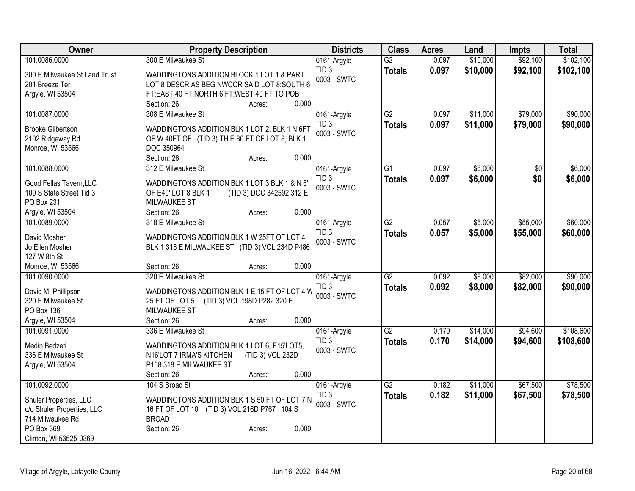| Owner                             | <b>Property Description</b>                     | <b>Districts</b>                | <b>Class</b>    | <b>Acres</b> | Land     | <b>Impts</b>    | <b>Total</b> |
|-----------------------------------|-------------------------------------------------|---------------------------------|-----------------|--------------|----------|-----------------|--------------|
| 101.0086.0000                     | 300 E Milwaukee St                              | 0161-Argyle                     | $\overline{G2}$ | 0.097        | \$10,000 | \$92,100        | \$102,100    |
| 300 E Milwaukee St Land Trust     | WADDINGTONS ADDITION BLOCK 1 LOT 1 & PART       | TID <sub>3</sub>                | <b>Totals</b>   | 0.097        | \$10,000 | \$92,100        | \$102,100    |
| 201 Breeze Ter                    | LOT 8 DESCR AS BEG NWCOR SAID LOT 8; SOUTH 6    | 0003 - SWTC                     |                 |              |          |                 |              |
| Argyle, WI 53504                  | FT;EAST 40 FT;NORTH 6 FT;WEST 40 FT TO POB      |                                 |                 |              |          |                 |              |
|                                   | 0.000<br>Section: 26<br>Acres:                  |                                 |                 |              |          |                 |              |
| 101.0087.0000                     | 308 E Milwaukee St                              | 0161-Argyle                     | G2              | 0.097        | \$11,000 | \$79,000        | \$90,000     |
| <b>Brooke Gilbertson</b>          | WADDINGTONS ADDITION BLK 1 LOT 2, BLK 1 N 6FT   | TID <sub>3</sub>                | <b>Totals</b>   | 0.097        | \$11,000 | \$79,000        | \$90,000     |
| 2102 Ridgeway Rd                  | OF W 40FT OF (TID 3) THE 80 FT OF LOT 8, BLK 1  | 0003 - SWTC                     |                 |              |          |                 |              |
| Monroe, WI 53566                  | DOC 350964                                      |                                 |                 |              |          |                 |              |
|                                   | 0.000<br>Section: 26<br>Acres:                  |                                 |                 |              |          |                 |              |
| 101.0088.0000                     | 312 E Milwaukee St                              | 0161-Argyle                     | $\overline{G1}$ | 0.097        | \$6,000  | $\overline{50}$ | \$6,000      |
|                                   |                                                 | TID <sub>3</sub>                | <b>Totals</b>   | 0.097        | \$6,000  | \$0             | \$6,000      |
| Good Fellas Tavern, LLC           | WADDINGTONS ADDITION BLK 1 LOT 3 BLK 1 & N 6'   | 0003 - SWTC                     |                 |              |          |                 |              |
| 109 S State Street Tid 3          | (TID 3) DOC 342592 312 E<br>OF E40' LOT 8 BLK 1 |                                 |                 |              |          |                 |              |
| PO Box 231                        | <b>MILWAUKEE ST</b><br>0.000<br>Section: 26     |                                 |                 |              |          |                 |              |
| Argyle, WI 53504<br>101.0089.0000 | Acres:<br>318 E Milwaukee St                    |                                 | $\overline{G2}$ | 0.057        | \$5,000  | \$55,000        | \$60,000     |
|                                   |                                                 | 0161-Argyle<br>TID <sub>3</sub> |                 |              |          |                 |              |
| David Mosher                      | WADDINGTONS ADDITION BLK 1 W 25FT OF LOT 4      | 0003 - SWTC                     | <b>Totals</b>   | 0.057        | \$5,000  | \$55,000        | \$60,000     |
| Jo Ellen Mosher                   | BLK 1 318 E MILWAUKEE ST (TID 3) VOL 234D P486  |                                 |                 |              |          |                 |              |
| 127 W 8th St                      |                                                 |                                 |                 |              |          |                 |              |
| Monroe, WI 53566                  | 0.000<br>Section: 26<br>Acres:                  |                                 |                 |              |          |                 |              |
| 101.0090.0000                     | 320 E Milwaukee St                              | 0161-Argyle                     | $\overline{G2}$ | 0.092        | \$8,000  | \$82,000        | \$90,000     |
| David M. Phillipson               | WADDINGTONS ADDITION BLK 1 E 15 FT OF LOT 4 W   | TID <sub>3</sub>                | <b>Totals</b>   | 0.092        | \$8,000  | \$82,000        | \$90,000     |
| 320 E Milwaukee St                | (TID 3) VOL 198D P282 320 E<br>25 FT OF LOT 5   | 0003 - SWTC                     |                 |              |          |                 |              |
| PO Box 136                        | <b>MILWAUKEE ST</b>                             |                                 |                 |              |          |                 |              |
| Argyle, WI 53504                  | 0.000<br>Section: 26<br>Acres:                  |                                 |                 |              |          |                 |              |
| 101.0091.0000                     | 336 E Milwaukee St                              | 0161-Argyle                     | $\overline{G2}$ | 0.170        | \$14,000 | \$94,600        | \$108,600    |
| Medin Bedzeti                     | WADDINGTONS ADDITION BLK 1 LOT 6, E15'LOT5,     | TID <sub>3</sub>                | <b>Totals</b>   | 0.170        | \$14,000 | \$94,600        | \$108,600    |
| 336 E Milwaukee St                | N16'LOT 7 IRMA'S KITCHEN<br>(TID 3) VOL 232D    | 0003 - SWTC                     |                 |              |          |                 |              |
| Argyle, WI 53504                  | P158 318 E MILWAUKEE ST                         |                                 |                 |              |          |                 |              |
|                                   | 0.000<br>Section: 26<br>Acres:                  |                                 |                 |              |          |                 |              |
| 101.0092.0000                     | 104 S Broad St                                  | 0161-Argyle                     | G2              | 0.182        | \$11,000 | \$67,500        | \$78,500     |
|                                   |                                                 | TID <sub>3</sub>                | <b>Totals</b>   | 0.182        | \$11,000 | \$67,500        | \$78,500     |
| Shuler Properties, LLC            | WADDINGTONS ADDITION BLK 1 S 50 FT OF LOT 7 N   | 0003 - SWTC                     |                 |              |          |                 |              |
| c/o Shuler Properties, LLC        | 16 FT OF LOT 10 (TID 3) VOL 216D P767 104 S     |                                 |                 |              |          |                 |              |
| 714 Milwaukee Rd<br>PO Box 369    | <b>BROAD</b><br>0.000<br>Section: 26            |                                 |                 |              |          |                 |              |
| Clinton, WI 53525-0369            | Acres:                                          |                                 |                 |              |          |                 |              |
|                                   |                                                 |                                 |                 |              |          |                 |              |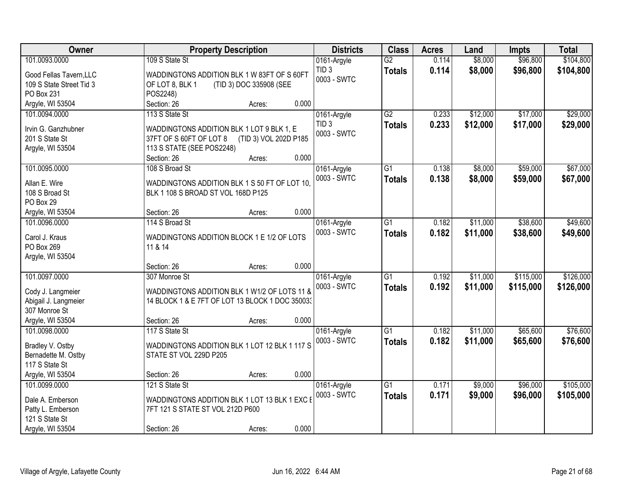| Owner                                 | <b>Property Description</b>                                                                   | <b>Districts</b> | <b>Class</b>    | <b>Acres</b> | Land     | <b>Impts</b> | <b>Total</b> |
|---------------------------------------|-----------------------------------------------------------------------------------------------|------------------|-----------------|--------------|----------|--------------|--------------|
| 101.0093.0000                         | 109 S State St                                                                                | 0161-Argyle      | $\overline{G2}$ | 0.114        | \$8,000  | \$96,800     | \$104,800    |
| Good Fellas Tavern, LLC               | WADDINGTONS ADDITION BLK 1 W 83FT OF S 60FT                                                   | TID <sub>3</sub> | <b>Totals</b>   | 0.114        | \$8,000  | \$96,800     | \$104,800    |
| 109 S State Street Tid 3              | (TID 3) DOC 335908 (SEE<br>OF LOT 8, BLK 1                                                    | 0003 - SWTC      |                 |              |          |              |              |
| PO Box 231                            | POS2248)                                                                                      |                  |                 |              |          |              |              |
| Argyle, WI 53504                      | 0.000<br>Section: 26<br>Acres:                                                                |                  |                 |              |          |              |              |
| 101.0094.0000                         | 113 S State St                                                                                | 0161-Argyle      | $\overline{G2}$ | 0.233        | \$12,000 | \$17,000     | \$29,000     |
|                                       |                                                                                               | TID <sub>3</sub> | <b>Totals</b>   | 0.233        | \$12,000 | \$17,000     | \$29,000     |
| Irvin G. Ganzhubner<br>201 S State St | WADDINGTONS ADDITION BLK 1 LOT 9 BLK 1, E<br>37FT OF S 60FT OF LOT 8<br>(TID 3) VOL 202D P185 | 0003 - SWTC      |                 |              |          |              |              |
| Argyle, WI 53504                      | 113 S STATE (SEE POS2248)                                                                     |                  |                 |              |          |              |              |
|                                       | 0.000<br>Section: 26<br>Acres:                                                                |                  |                 |              |          |              |              |
| 101.0095.0000                         | 108 S Broad St                                                                                | 0161-Argyle      | G1              | 0.138        | \$8,000  | \$59,000     | \$67,000     |
|                                       |                                                                                               | 0003 - SWTC      | <b>Totals</b>   | 0.138        | \$8,000  | \$59,000     | \$67,000     |
| Allan E. Wire                         | WADDINGTONS ADDITION BLK 1 S 50 FT OF LOT 10.                                                 |                  |                 |              |          |              |              |
| 108 S Broad St                        | BLK 1 108 S BROAD ST VOL 168D P125                                                            |                  |                 |              |          |              |              |
| PO Box 29                             |                                                                                               |                  |                 |              |          |              |              |
| Argyle, WI 53504                      | 0.000<br>Section: 26<br>Acres:                                                                |                  |                 |              |          |              |              |
| 101.0096.0000                         | 114 S Broad St                                                                                | 0161-Argyle      | G1              | 0.182        | \$11,000 | \$38,600     | \$49,600     |
| Carol J. Kraus                        | WADDINGTONS ADDITION BLOCK 1 E 1/2 OF LOTS                                                    | 0003 - SWTC      | <b>Totals</b>   | 0.182        | \$11,000 | \$38,600     | \$49,600     |
| PO Box 269                            | 11 & 14                                                                                       |                  |                 |              |          |              |              |
| Argyle, WI 53504                      |                                                                                               |                  |                 |              |          |              |              |
|                                       | 0.000<br>Section: 26<br>Acres:                                                                |                  |                 |              |          |              |              |
| 101.0097.0000                         | 307 Monroe St                                                                                 | 0161-Argyle      | $\overline{G1}$ | 0.192        | \$11,000 | \$115,000    | \$126,000    |
| Cody J. Langmeier                     | WADDINGTONS ADDITION BLK 1 W1/2 OF LOTS 11 &                                                  | 0003 - SWTC      | <b>Totals</b>   | 0.192        | \$11,000 | \$115,000    | \$126,000    |
| Abigail J. Langmeier                  | 14 BLOCK 1 & E 7FT OF LOT 13 BLOCK 1 DOC 350033                                               |                  |                 |              |          |              |              |
| 307 Monroe St                         |                                                                                               |                  |                 |              |          |              |              |
| Argyle, WI 53504                      | 0.000<br>Section: 26<br>Acres:                                                                |                  |                 |              |          |              |              |
| 101.0098.0000                         | 117 S State St                                                                                | 0161-Argyle      | $\overline{G1}$ | 0.182        | \$11,000 | \$65,600     | \$76,600     |
|                                       |                                                                                               | 0003 - SWTC      | <b>Totals</b>   | 0.182        | \$11,000 | \$65,600     | \$76,600     |
| Bradley V. Ostby                      | WADDINGTONS ADDITION BLK 1 LOT 12 BLK 1 117 S                                                 |                  |                 |              |          |              |              |
| Bernadette M. Ostby<br>117 S State St | STATE ST VOL 229D P205                                                                        |                  |                 |              |          |              |              |
| Argyle, WI 53504                      | 0.000<br>Section: 26<br>Acres:                                                                |                  |                 |              |          |              |              |
| 101.0099.0000                         | 121 S State St                                                                                | 0161-Argyle      | $\overline{G1}$ | 0.171        | \$9,000  | \$96,000     | \$105,000    |
|                                       |                                                                                               | 0003 - SWTC      | <b>Totals</b>   | 0.171        | \$9,000  | \$96,000     | \$105,000    |
| Dale A. Emberson                      | WADDINGTONS ADDITION BLK 1 LOT 13 BLK 1 EXC E                                                 |                  |                 |              |          |              |              |
| Patty L. Emberson                     | 7FT 121 S STATE ST VOL 212D P600                                                              |                  |                 |              |          |              |              |
| 121 S State St                        |                                                                                               |                  |                 |              |          |              |              |
| Argyle, WI 53504                      | 0.000<br>Section: 26<br>Acres:                                                                |                  |                 |              |          |              |              |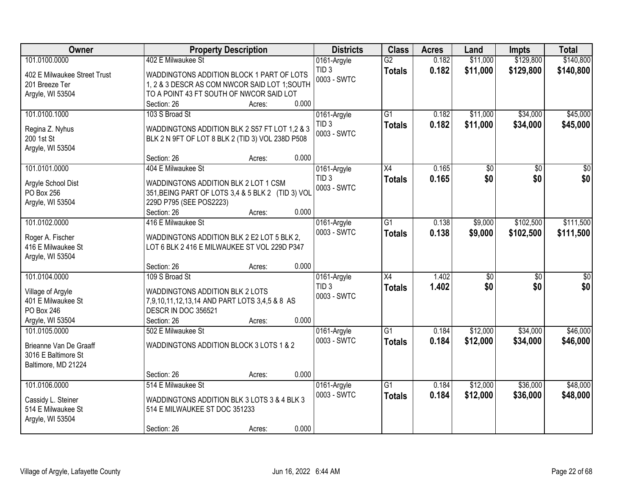| Owner                            | <b>Property Description</b>                       | <b>Districts</b> | <b>Class</b>    | <b>Acres</b> | Land            | <b>Impts</b>    | <b>Total</b>    |
|----------------------------------|---------------------------------------------------|------------------|-----------------|--------------|-----------------|-----------------|-----------------|
| 101.0100.0000                    | 402 E Milwaukee St                                | 0161-Argyle      | $\overline{G2}$ | 0.182        | \$11,000        | \$129,800       | \$140,800       |
| 402 E Milwaukee Street Trust     | WADDINGTONS ADDITION BLOCK 1 PART OF LOTS         | TID <sub>3</sub> | <b>Totals</b>   | 0.182        | \$11,000        | \$129,800       | \$140,800       |
| 201 Breeze Ter                   | 1, 2 & 3 DESCR AS COM NWCOR SAID LOT 1; SOUTH     | 0003 - SWTC      |                 |              |                 |                 |                 |
| Argyle, WI 53504                 | TO A POINT 43 FT SOUTH OF NWCOR SAID LOT          |                  |                 |              |                 |                 |                 |
|                                  | 0.000<br>Section: 26<br>Acres:                    |                  |                 |              |                 |                 |                 |
| 101.0100.1000                    | 103 S Broad St                                    | 0161-Argyle      | $\overline{G1}$ | 0.182        | \$11,000        | \$34,000        | \$45,000        |
| Regina Z. Nyhus                  | WADDINGTONS ADDITION BLK 2 S57 FT LOT 1.2 & 3     | TID <sub>3</sub> | <b>Totals</b>   | 0.182        | \$11,000        | \$34,000        | \$45,000        |
| 200 1st St                       | BLK 2 N 9FT OF LOT 8 BLK 2 (TID 3) VOL 238D P508  | 0003 - SWTC      |                 |              |                 |                 |                 |
| Argyle, WI 53504                 |                                                   |                  |                 |              |                 |                 |                 |
|                                  | 0.000<br>Section: 26<br>Acres:                    |                  |                 |              |                 |                 |                 |
| 101.0101.0000                    | 404 E Milwaukee St                                | 0161-Argyle      | X4              | 0.165        | \$0             | $\sqrt{6}$      | $\overline{50}$ |
|                                  | WADDINGTONS ADDITION BLK 2 LOT 1 CSM              | TID <sub>3</sub> | <b>Totals</b>   | 0.165        | \$0             | \$0             | \$0             |
| Argyle School Dist<br>PO Box 256 | 351, BEING PART OF LOTS 3,4 & 5 BLK 2 (TID 3) VOL | 0003 - SWTC      |                 |              |                 |                 |                 |
| Argyle, WI 53504                 | 229D P795 (SEE POS2223)                           |                  |                 |              |                 |                 |                 |
|                                  | 0.000<br>Section: 26<br>Acres:                    |                  |                 |              |                 |                 |                 |
| 101.0102.0000                    | 416 E Milwaukee St                                | 0161-Argyle      | G <sub>1</sub>  | 0.138        | \$9,000         | \$102,500       | \$111,500       |
|                                  |                                                   | 0003 - SWTC      | <b>Totals</b>   | 0.138        | \$9,000         | \$102,500       | \$111,500       |
| Roger A. Fischer                 | WADDINGTONS ADDITION BLK 2 E2 LOT 5 BLK 2,        |                  |                 |              |                 |                 |                 |
| 416 E Milwaukee St               | LOT 6 BLK 2 416 E MILWAUKEE ST VOL 229D P347      |                  |                 |              |                 |                 |                 |
| Argyle, WI 53504                 | 0.000<br>Section: 26                              |                  |                 |              |                 |                 |                 |
| 101.0104.0000                    | Acres:<br>109 S Broad St                          | 0161-Argyle      | X4              | 1.402        | $\overline{50}$ | $\overline{30}$ | $\overline{50}$ |
|                                  |                                                   | TID <sub>3</sub> |                 | 1.402        | \$0             | \$0             | \$0             |
| Village of Argyle                | WADDINGTONS ADDITION BLK 2 LOTS                   | 0003 - SWTC      | <b>Totals</b>   |              |                 |                 |                 |
| 401 E Milwaukee St               | 7,9,10,11,12,13,14 AND PART LOTS 3,4,5 & 8 AS     |                  |                 |              |                 |                 |                 |
| PO Box 246                       | DESCR IN DOC 356521                               |                  |                 |              |                 |                 |                 |
| Argyle, WI 53504                 | 0.000<br>Section: 26<br>Acres:                    |                  |                 |              |                 |                 |                 |
| 101.0105.0000                    | 502 E Milwaukee St                                | 0161-Argyle      | $\overline{G1}$ | 0.184        | \$12,000        | \$34,000        | \$46,000        |
| Brieanne Van De Graaff           | WADDINGTONS ADDITION BLOCK 3 LOTS 1 & 2           | 0003 - SWTC      | <b>Totals</b>   | 0.184        | \$12,000        | \$34,000        | \$46,000        |
| 3016 E Baltimore St              |                                                   |                  |                 |              |                 |                 |                 |
| Baltimore, MD 21224              |                                                   |                  |                 |              |                 |                 |                 |
|                                  | 0.000<br>Section: 26<br>Acres:                    |                  |                 |              |                 |                 |                 |
| 101.0106.0000                    | 514 E Milwaukee St                                | 0161-Argyle      | $\overline{G1}$ | 0.184        | \$12,000        | \$36,000        | \$48,000        |
| Cassidy L. Steiner               | WADDINGTONS ADDITION BLK 3 LOTS 3 & 4 BLK 3       | 0003 - SWTC      | <b>Totals</b>   | 0.184        | \$12,000        | \$36,000        | \$48,000        |
| 514 E Milwaukee St               | 514 E MILWAUKEE ST DOC 351233                     |                  |                 |              |                 |                 |                 |
| Argyle, WI 53504                 |                                                   |                  |                 |              |                 |                 |                 |
|                                  | 0.000<br>Section: 26<br>Acres:                    |                  |                 |              |                 |                 |                 |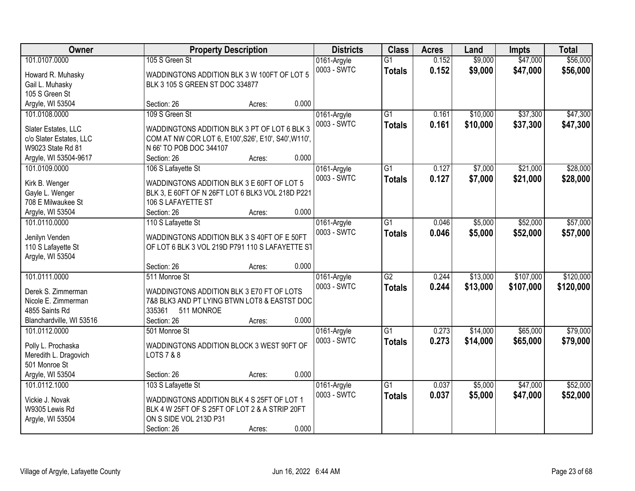| Owner                                  |                                                      | <b>Property Description</b> |       | <b>Districts</b> | <b>Class</b>    | <b>Acres</b> | Land     | <b>Impts</b> | <b>Total</b> |
|----------------------------------------|------------------------------------------------------|-----------------------------|-------|------------------|-----------------|--------------|----------|--------------|--------------|
| 101.0107.0000                          | 105 S Green St                                       |                             |       | 0161-Argyle      | $\overline{G1}$ | 0.152        | \$9,000  | \$47,000     | \$56,000     |
| Howard R. Muhasky                      | WADDINGTONS ADDITION BLK 3 W 100FT OF LOT 5          |                             |       | 0003 - SWTC      | <b>Totals</b>   | 0.152        | \$9,000  | \$47,000     | \$56,000     |
| Gail L. Muhasky                        | BLK 3 105 S GREEN ST DOC 334877                      |                             |       |                  |                 |              |          |              |              |
| 105 S Green St                         |                                                      |                             |       |                  |                 |              |          |              |              |
| Argyle, WI 53504                       | Section: 26                                          | Acres:                      | 0.000 |                  |                 |              |          |              |              |
| 101.0108.0000                          | 109 S Green St                                       |                             |       | 0161-Argyle      | $\overline{G1}$ | 0.161        | \$10,000 | \$37,300     | \$47,300     |
|                                        |                                                      |                             |       | 0003 - SWTC      | <b>Totals</b>   | 0.161        | \$10,000 | \$37,300     | \$47,300     |
| Slater Estates, LLC                    | WADDINGTONS ADDITION BLK 3 PT OF LOT 6 BLK 3         |                             |       |                  |                 |              |          |              |              |
| c/o Slater Estates, LLC                | COM AT NW COR LOT 6, E100', S26', E10', S40', W110', |                             |       |                  |                 |              |          |              |              |
| W9023 State Rd 81                      | N 66' TO POB DOC 344107<br>Section: 26               |                             | 0.000 |                  |                 |              |          |              |              |
| Argyle, WI 53504-9617<br>101.0109.0000 |                                                      | Acres:                      |       |                  | $\overline{G1}$ | 0.127        | \$7,000  | \$21,000     | \$28,000     |
|                                        | 106 S Lafayette St                                   |                             |       | 0161-Argyle      |                 |              |          |              |              |
| Kirk B. Wenger                         | WADDINGTONS ADDITION BLK 3 E 60FT OF LOT 5           |                             |       | 0003 - SWTC      | <b>Totals</b>   | 0.127        | \$7,000  | \$21,000     | \$28,000     |
| Gayle L. Wenger                        | BLK 3, E 60FT OF N 26FT LOT 6 BLK3 VOL 218D P221     |                             |       |                  |                 |              |          |              |              |
| 708 E Milwaukee St                     | 106 S LAFAYETTE ST                                   |                             |       |                  |                 |              |          |              |              |
| Argyle, WI 53504                       | Section: 26                                          | Acres:                      | 0.000 |                  |                 |              |          |              |              |
| 101.0110.0000                          | 110 S Lafayette St                                   |                             |       | 0161-Argyle      | $\overline{G1}$ | 0.046        | \$5,000  | \$52,000     | \$57,000     |
| Jenilyn Venden                         | WADDINGTONS ADDITION BLK 3 S 40FT OF E 50FT          |                             |       | 0003 - SWTC      | <b>Totals</b>   | 0.046        | \$5,000  | \$52,000     | \$57,000     |
| 110 S Lafayette St                     | OF LOT 6 BLK 3 VOL 219D P791 110 S LAFAYETTE ST      |                             |       |                  |                 |              |          |              |              |
| Argyle, WI 53504                       |                                                      |                             |       |                  |                 |              |          |              |              |
|                                        | Section: 26                                          | Acres:                      | 0.000 |                  |                 |              |          |              |              |
| 101.0111.0000                          | 511 Monroe St                                        |                             |       | 0161-Argyle      | $\overline{G2}$ | 0.244        | \$13,000 | \$107,000    | \$120,000    |
|                                        |                                                      |                             |       | 0003 - SWTC      | <b>Totals</b>   | 0.244        | \$13,000 | \$107,000    | \$120,000    |
| Derek S. Zimmerman                     | WADDINGTONS ADDITION BLK 3 E70 FT OF LOTS            |                             |       |                  |                 |              |          |              |              |
| Nicole E. Zimmerman                    | 7&8 BLK3 AND PT LYING BTWN LOT8 & EASTST DOC         |                             |       |                  |                 |              |          |              |              |
| 4855 Saints Rd                         | 335361<br>511 MONROE                                 |                             |       |                  |                 |              |          |              |              |
| Blanchardville, WI 53516               | Section: 26                                          | Acres:                      | 0.000 |                  |                 |              |          |              |              |
| 101.0112.0000                          | 501 Monroe St                                        |                             |       | 0161-Argyle      | $\overline{G1}$ | 0.273        | \$14,000 | \$65,000     | \$79,000     |
| Polly L. Prochaska                     | WADDINGTONS ADDITION BLOCK 3 WEST 90FT OF            |                             |       | 0003 - SWTC      | <b>Totals</b>   | 0.273        | \$14,000 | \$65,000     | \$79,000     |
| Meredith L. Dragovich                  | <b>LOTS 7 &amp; 8</b>                                |                             |       |                  |                 |              |          |              |              |
| 501 Monroe St                          |                                                      |                             |       |                  |                 |              |          |              |              |
| Argyle, WI 53504                       | Section: 26                                          | Acres:                      | 0.000 |                  |                 |              |          |              |              |
| 101.0112.1000                          | 103 S Lafayette St                                   |                             |       | 0161-Argyle      | $\overline{G1}$ | 0.037        | \$5,000  | \$47,000     | \$52,000     |
|                                        |                                                      |                             |       | 0003 - SWTC      | <b>Totals</b>   | 0.037        | \$5,000  | \$47,000     | \$52,000     |
| Vickie J. Novak                        | WADDINGTONS ADDITION BLK 4 S 25FT OF LOT 1           |                             |       |                  |                 |              |          |              |              |
| W9305 Lewis Rd                         | BLK 4 W 25FT OF S 25FT OF LOT 2 & A STRIP 20FT       |                             |       |                  |                 |              |          |              |              |
| Argyle, WI 53504                       | ON S SIDE VOL 213D P31                               |                             |       |                  |                 |              |          |              |              |
|                                        | Section: 26                                          | Acres:                      | 0.000 |                  |                 |              |          |              |              |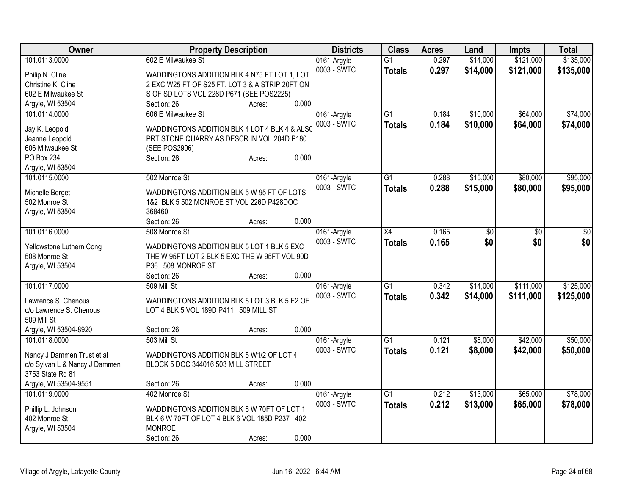| Owner                         | <b>Property Description</b>                     | <b>Districts</b> | <b>Class</b>    | <b>Acres</b> | Land            | <b>Impts</b> | <b>Total</b> |
|-------------------------------|-------------------------------------------------|------------------|-----------------|--------------|-----------------|--------------|--------------|
| 101.0113.0000                 | 602 E Milwaukee St                              | 0161-Argyle      | $\overline{G1}$ | 0.297        | \$14,000        | \$121,000    | \$135,000    |
| Philip N. Cline               | WADDINGTONS ADDITION BLK 4 N75 FT LOT 1, LOT    | 0003 - SWTC      | <b>Totals</b>   | 0.297        | \$14,000        | \$121,000    | \$135,000    |
| Christine K. Cline            | 2 EXC W25 FT OF S25 FT, LOT 3 & A STRIP 20FT ON |                  |                 |              |                 |              |              |
| 602 E Milwaukee St            | S OF SD LOTS VOL 228D P671 (SEE POS2225)        |                  |                 |              |                 |              |              |
| Argyle, WI 53504              | 0.000<br>Section: 26<br>Acres:                  |                  |                 |              |                 |              |              |
| 101.0114.0000                 | 606 E Milwaukee St                              | 0161-Argyle      | $\overline{G1}$ | 0.184        | \$10,000        | \$64,000     | \$74,000     |
|                               |                                                 | 0003 - SWTC      | <b>Totals</b>   | 0.184        | \$10,000        | \$64,000     | \$74,000     |
| Jay K. Leopold                | WADDINGTONS ADDITION BLK 4 LOT 4 BLK 4 & ALSO   |                  |                 |              |                 |              |              |
| Jeanne Leopold                | PRT STONE QUARRY AS DESCR IN VOL 204D P180      |                  |                 |              |                 |              |              |
| 606 Milwaukee St              | (SEE POS2906)                                   |                  |                 |              |                 |              |              |
| PO Box 234                    | 0.000<br>Section: 26<br>Acres:                  |                  |                 |              |                 |              |              |
| Argyle, WI 53504              |                                                 |                  |                 |              |                 |              |              |
| 101.0115.0000                 | 502 Monroe St                                   | 0161-Argyle      | $\overline{G1}$ | 0.288        | \$15,000        | \$80,000     | \$95,000     |
| Michelle Berget               | WADDINGTONS ADDITION BLK 5 W 95 FT OF LOTS      | 0003 - SWTC      | <b>Totals</b>   | 0.288        | \$15,000        | \$80,000     | \$95,000     |
| 502 Monroe St                 | 1&2 BLK 5 502 MONROE ST VOL 226D P428DOC        |                  |                 |              |                 |              |              |
| Argyle, WI 53504              | 368460                                          |                  |                 |              |                 |              |              |
|                               | 0.000<br>Section: 26<br>Acres:                  |                  |                 |              |                 |              |              |
| 101.0116.0000                 | 508 Monroe St                                   | 0161-Argyle      | $\overline{X4}$ | 0.165        | $\overline{50}$ | \$0          | $\sqrt{50}$  |
|                               |                                                 | 0003 - SWTC      | <b>Totals</b>   | 0.165        | \$0             | \$0          | \$0          |
| Yellowstone Luthern Cong      | WADDINGTONS ADDITION BLK 5 LOT 1 BLK 5 EXC      |                  |                 |              |                 |              |              |
| 508 Monroe St                 | THE W 95FT LOT 2 BLK 5 EXC THE W 95FT VOL 90D   |                  |                 |              |                 |              |              |
| Argyle, WI 53504              | P36 508 MONROE ST                               |                  |                 |              |                 |              |              |
|                               | 0.000<br>Section: 26<br>Acres:                  |                  |                 |              |                 |              |              |
| 101.0117.0000                 | 509 Mill St                                     | 0161-Argyle      | $\overline{G1}$ | 0.342        | \$14,000        | \$111,000    | \$125,000    |
| Lawrence S. Chenous           | WADDINGTONS ADDITION BLK 5 LOT 3 BLK 5 E2 OF    | 0003 - SWTC      | <b>Totals</b>   | 0.342        | \$14,000        | \$111,000    | \$125,000    |
| c/o Lawrence S. Chenous       | LOT 4 BLK 5 VOL 189D P411 509 MILL ST           |                  |                 |              |                 |              |              |
| 509 Mill St                   |                                                 |                  |                 |              |                 |              |              |
| Argyle, WI 53504-8920         | 0.000<br>Section: 26<br>Acres:                  |                  |                 |              |                 |              |              |
| 101.0118.0000                 | 503 Mill St                                     | 0161-Argyle      | $\overline{G1}$ | 0.121        | \$8,000         | \$42,000     | \$50,000     |
|                               |                                                 | 0003 - SWTC      |                 | 0.121        | \$8,000         | \$42,000     |              |
| Nancy J Dammen Trust et al    | WADDINGTONS ADDITION BLK 5 W1/2 OF LOT 4        |                  | <b>Totals</b>   |              |                 |              | \$50,000     |
| c/o Sylvan L & Nancy J Dammen | BLOCK 5 DOC 344016 503 MILL STREET              |                  |                 |              |                 |              |              |
| 3753 State Rd 81              |                                                 |                  |                 |              |                 |              |              |
| Argyle, WI 53504-9551         | 0.000<br>Section: 26<br>Acres:                  |                  |                 |              |                 |              |              |
| 101.0119.0000                 | 402 Monroe St                                   | 0161-Argyle      | $\overline{G1}$ | 0.212        | \$13,000        | \$65,000     | \$78,000     |
| Phillip L. Johnson            | WADDINGTONS ADDITION BLK 6 W 70FT OF LOT 1      | 0003 - SWTC      | <b>Totals</b>   | 0.212        | \$13,000        | \$65,000     | \$78,000     |
| 402 Monroe St                 | BLK 6 W 70FT OF LOT 4 BLK 6 VOL 185D P237 402   |                  |                 |              |                 |              |              |
|                               | <b>MONROE</b>                                   |                  |                 |              |                 |              |              |
| Argyle, WI 53504              | 0.000                                           |                  |                 |              |                 |              |              |
|                               | Section: 26<br>Acres:                           |                  |                 |              |                 |              |              |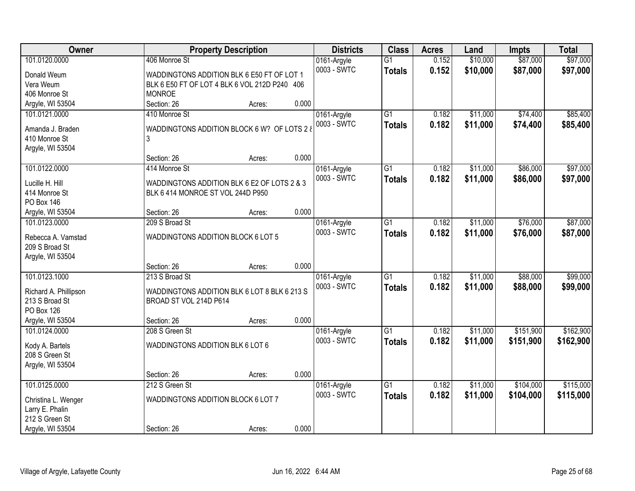| Owner                             | <b>Property Description</b>                   |        |       | <b>Districts</b> | <b>Class</b>    | <b>Acres</b> | Land     | <b>Impts</b> | <b>Total</b> |
|-----------------------------------|-----------------------------------------------|--------|-------|------------------|-----------------|--------------|----------|--------------|--------------|
| 101.0120.0000                     | 406 Monroe St                                 |        |       | 0161-Argyle      | $\overline{G1}$ | 0.152        | \$10,000 | \$87,000     | \$97,000     |
| Donald Weum                       | WADDINGTONS ADDITION BLK 6 E50 FT OF LOT 1    |        |       | 0003 - SWTC      | <b>Totals</b>   | 0.152        | \$10,000 | \$87,000     | \$97,000     |
| Vera Weum                         | BLK 6 E50 FT OF LOT 4 BLK 6 VOL 212D P240 406 |        |       |                  |                 |              |          |              |              |
| 406 Monroe St                     | <b>MONROE</b>                                 |        |       |                  |                 |              |          |              |              |
| Argyle, WI 53504                  | Section: 26                                   | Acres: | 0.000 |                  |                 |              |          |              |              |
| 101.0121.0000                     | 410 Monroe St                                 |        |       | 0161-Argyle      | $\overline{G1}$ | 0.182        | \$11,000 | \$74,400     | \$85,400     |
|                                   |                                               |        |       | 0003 - SWTC      | <b>Totals</b>   | 0.182        | \$11,000 | \$74,400     | \$85,400     |
| Amanda J. Braden                  | WADDINGTONS ADDITION BLOCK 6 W? OF LOTS 2 &   |        |       |                  |                 |              |          |              |              |
| 410 Monroe St<br>Argyle, WI 53504 | 3                                             |        |       |                  |                 |              |          |              |              |
|                                   | Section: 26                                   | Acres: | 0.000 |                  |                 |              |          |              |              |
| 101.0122.0000                     | 414 Monroe St                                 |        |       | 0161-Argyle      | G1              | 0.182        | \$11,000 | \$86,000     | \$97,000     |
|                                   |                                               |        |       | 0003 - SWTC      |                 | 0.182        | \$11,000 |              |              |
| Lucille H. Hill                   | WADDINGTONS ADDITION BLK 6 E2 OF LOTS 2 & 3   |        |       |                  | <b>Totals</b>   |              |          | \$86,000     | \$97,000     |
| 414 Monroe St                     | BLK 6 414 MONROE ST VOL 244D P950             |        |       |                  |                 |              |          |              |              |
| <b>PO Box 146</b>                 |                                               |        |       |                  |                 |              |          |              |              |
| Argyle, WI 53504                  | Section: 26                                   | Acres: | 0.000 |                  |                 |              |          |              |              |
| 101.0123.0000                     | 209 S Broad St                                |        |       | 0161-Argyle      | G1              | 0.182        | \$11,000 | \$76,000     | \$87,000     |
| Rebecca A. Vamstad                | WADDINGTONS ADDITION BLOCK 6 LOT 5            |        |       | 0003 - SWTC      | <b>Totals</b>   | 0.182        | \$11,000 | \$76,000     | \$87,000     |
| 209 S Broad St                    |                                               |        |       |                  |                 |              |          |              |              |
| Argyle, WI 53504                  |                                               |        |       |                  |                 |              |          |              |              |
|                                   | Section: 26                                   | Acres: | 0.000 |                  |                 |              |          |              |              |
| 101.0123.1000                     | 213 S Broad St                                |        |       | 0161-Argyle      | $\overline{G1}$ | 0.182        | \$11,000 | \$88,000     | \$99,000     |
|                                   |                                               |        |       | 0003 - SWTC      | <b>Totals</b>   | 0.182        | \$11,000 | \$88,000     | \$99,000     |
| Richard A. Phillipson             | WADDINGTONS ADDITION BLK 6 LOT 8 BLK 6 213 S  |        |       |                  |                 |              |          |              |              |
| 213 S Broad St                    | BROAD ST VOL 214D P614                        |        |       |                  |                 |              |          |              |              |
| PO Box 126                        |                                               |        |       |                  |                 |              |          |              |              |
| Argyle, WI 53504                  | Section: 26                                   | Acres: | 0.000 |                  |                 |              |          |              |              |
| 101.0124.0000                     | 208 S Green St                                |        |       | 0161-Argyle      | $\overline{G1}$ | 0.182        | \$11,000 | \$151,900    | \$162,900    |
| Kody A. Bartels                   | WADDINGTONS ADDITION BLK 6 LOT 6              |        |       | 0003 - SWTC      | <b>Totals</b>   | 0.182        | \$11,000 | \$151,900    | \$162,900    |
| 208 S Green St                    |                                               |        |       |                  |                 |              |          |              |              |
| Argyle, WI 53504                  |                                               |        |       |                  |                 |              |          |              |              |
|                                   | Section: 26                                   | Acres: | 0.000 |                  |                 |              |          |              |              |
| 101.0125.0000                     | 212 S Green St                                |        |       | 0161-Argyle      | $\overline{G1}$ | 0.182        | \$11,000 | \$104,000    | \$115,000    |
| Christina L. Wenger               | WADDINGTONS ADDITION BLOCK 6 LOT 7            |        |       | 0003 - SWTC      | <b>Totals</b>   | 0.182        | \$11,000 | \$104,000    | \$115,000    |
| Larry E. Phalin                   |                                               |        |       |                  |                 |              |          |              |              |
| 212 S Green St                    |                                               |        |       |                  |                 |              |          |              |              |
| Argyle, WI 53504                  | Section: 26                                   | Acres: | 0.000 |                  |                 |              |          |              |              |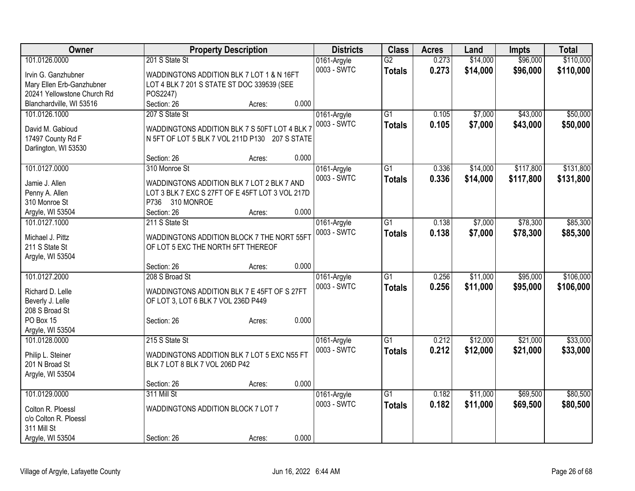| Owner                                     | <b>Property Description</b>                                                                     | <b>Districts</b> | <b>Class</b> | <b>Acres</b>    | Land  | Impts    | <b>Total</b> |           |
|-------------------------------------------|-------------------------------------------------------------------------------------------------|------------------|--------------|-----------------|-------|----------|--------------|-----------|
| 101.0126.0000                             | 201 S State St                                                                                  |                  | 0161-Argyle  | $\overline{G2}$ | 0.273 | \$14,000 | \$96,000     | \$110,000 |
| Irvin G. Ganzhubner                       | WADDINGTONS ADDITION BLK 7 LOT 1 & N 16FT                                                       |                  | 0003 - SWTC  | <b>Totals</b>   | 0.273 | \$14,000 | \$96,000     | \$110,000 |
| Mary Ellen Erb-Ganzhubner                 | LOT 4 BLK 7 201 S STATE ST DOC 339539 (SEE                                                      |                  |              |                 |       |          |              |           |
| 20241 Yellowstone Church Rd               | POS2247)                                                                                        |                  |              |                 |       |          |              |           |
| Blanchardville, WI 53516                  | Section: 26                                                                                     | 0.000<br>Acres:  |              |                 |       |          |              |           |
| 101.0126.1000                             | 207 S State St                                                                                  |                  | 0161-Argyle  | $\overline{G1}$ | 0.105 | \$7,000  | \$43,000     | \$50,000  |
|                                           |                                                                                                 |                  | 0003 - SWTC  | <b>Totals</b>   | 0.105 | \$7,000  | \$43,000     | \$50,000  |
| David M. Gabioud                          | WADDINGTONS ADDITION BLK 7 S 50FT LOT 4 BLK 7<br>N 5FT OF LOT 5 BLK 7 VOL 211D P130 207 S STATE |                  |              |                 |       |          |              |           |
| 17497 County Rd F<br>Darlington, WI 53530 |                                                                                                 |                  |              |                 |       |          |              |           |
|                                           | Section: 26                                                                                     | 0.000<br>Acres:  |              |                 |       |          |              |           |
| 101.0127.0000                             | 310 Monroe St                                                                                   |                  | 0161-Argyle  | $\overline{G1}$ | 0.336 | \$14,000 | \$117,800    | \$131,800 |
|                                           |                                                                                                 |                  | 0003 - SWTC  | <b>Totals</b>   | 0.336 | \$14,000 | \$117,800    | \$131,800 |
| Jamie J. Allen                            | WADDINGTONS ADDITION BLK 7 LOT 2 BLK 7 AND                                                      |                  |              |                 |       |          |              |           |
| Penny A. Allen                            | LOT 3 BLK 7 EXC S 27FT OF E 45FT LOT 3 VOL 217D                                                 |                  |              |                 |       |          |              |           |
| 310 Monroe St                             | P736 310 MONROE                                                                                 |                  |              |                 |       |          |              |           |
| Argyle, WI 53504                          | Section: 26                                                                                     | 0.000<br>Acres:  |              |                 |       |          |              |           |
| 101.0127.1000                             | 211 S State St                                                                                  |                  | 0161-Argyle  | G1              | 0.138 | \$7,000  | \$78,300     | \$85,300  |
| Michael J. Pittz                          | WADDINGTONS ADDITION BLOCK 7 THE NORT 55FT                                                      |                  | 0003 - SWTC  | <b>Totals</b>   | 0.138 | \$7,000  | \$78,300     | \$85,300  |
| 211 S State St                            | OF LOT 5 EXC THE NORTH 5FT THEREOF                                                              |                  |              |                 |       |          |              |           |
| Argyle, WI 53504                          |                                                                                                 |                  |              |                 |       |          |              |           |
|                                           | Section: 26                                                                                     | 0.000<br>Acres:  |              |                 |       |          |              |           |
| 101.0127.2000                             | 208 S Broad St                                                                                  |                  | 0161-Argyle  | $\overline{G1}$ | 0.256 | \$11,000 | \$95,000     | \$106,000 |
|                                           |                                                                                                 |                  | 0003 - SWTC  | <b>Totals</b>   | 0.256 | \$11,000 | \$95,000     | \$106,000 |
| Richard D. Lelle                          | WADDINGTONS ADDITION BLK 7 E 45FT OF S 27FT                                                     |                  |              |                 |       |          |              |           |
| Beverly J. Lelle<br>208 S Broad St        | OF LOT 3, LOT 6 BLK 7 VOL 236D P449                                                             |                  |              |                 |       |          |              |           |
| PO Box 15                                 | Section: 26                                                                                     | 0.000<br>Acres:  |              |                 |       |          |              |           |
| Argyle, WI 53504                          |                                                                                                 |                  |              |                 |       |          |              |           |
| 101.0128.0000                             | 215 S State St                                                                                  |                  | 0161-Argyle  | $\overline{G1}$ | 0.212 | \$12,000 | \$21,000     | \$33,000  |
|                                           |                                                                                                 |                  | 0003 - SWTC  | <b>Totals</b>   | 0.212 | \$12,000 | \$21,000     | \$33,000  |
| Philip L. Steiner                         | WADDINGTONS ADDITION BLK 7 LOT 5 EXC N55 FT                                                     |                  |              |                 |       |          |              |           |
| 201 N Broad St                            | BLK 7 LOT 8 BLK 7 VOL 206D P42                                                                  |                  |              |                 |       |          |              |           |
| Argyle, WI 53504                          |                                                                                                 |                  |              |                 |       |          |              |           |
|                                           | Section: 26                                                                                     | 0.000<br>Acres:  |              |                 |       |          |              |           |
| 101.0129.0000                             | 311 Mill St                                                                                     |                  | 0161-Argyle  | $\overline{G1}$ | 0.182 | \$11,000 | \$69,500     | \$80,500  |
| Colton R. Ploessl                         | WADDINGTONS ADDITION BLOCK 7 LOT 7                                                              |                  | 0003 - SWTC  | <b>Totals</b>   | 0.182 | \$11,000 | \$69,500     | \$80,500  |
| c/o Colton R. Ploessl                     |                                                                                                 |                  |              |                 |       |          |              |           |
| 311 Mill St                               |                                                                                                 |                  |              |                 |       |          |              |           |
| Argyle, WI 53504                          | Section: 26                                                                                     | 0.000<br>Acres:  |              |                 |       |          |              |           |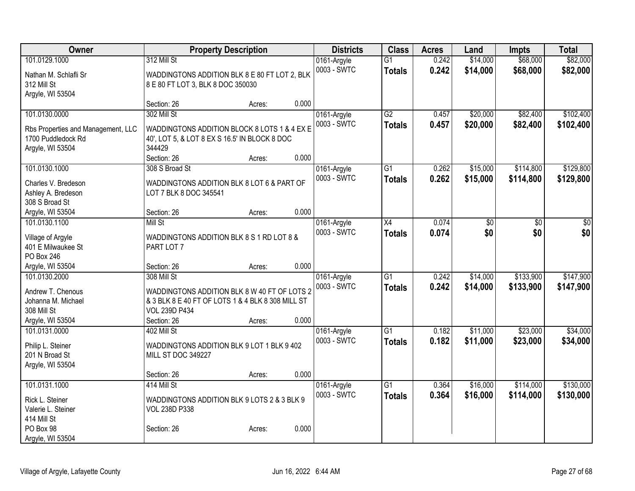| Owner                                 | <b>Property Description</b>                                         |        |       | <b>Districts</b>           | <b>Class</b>    | <b>Acres</b> | Land            | <b>Impts</b> | <b>Total</b> |
|---------------------------------------|---------------------------------------------------------------------|--------|-------|----------------------------|-----------------|--------------|-----------------|--------------|--------------|
| 101.0129.1000                         | 312 Mill St                                                         |        |       | 0161-Argyle                | $\overline{G1}$ | 0.242        | \$14,000        | \$68,000     | \$82,000     |
| Nathan M. Schlafli Sr                 | WADDINGTONS ADDITION BLK 8 E 80 FT LOT 2, BLK                       |        |       | 0003 - SWTC                | <b>Totals</b>   | 0.242        | \$14,000        | \$68,000     | \$82,000     |
| 312 Mill St                           | 8 E 80 FT LOT 3, BLK 8 DOC 350030                                   |        |       |                            |                 |              |                 |              |              |
| Argyle, WI 53504                      |                                                                     |        |       |                            |                 |              |                 |              |              |
|                                       | Section: 26                                                         | Acres: | 0.000 |                            |                 |              |                 |              |              |
| 101.0130.0000                         | 302 Mill St                                                         |        |       | 0161-Argyle                | $\overline{G2}$ | 0.457        | \$20,000        | \$82,400     | \$102,400    |
| Rbs Properties and Management, LLC    | WADDINGTONS ADDITION BLOCK 8 LOTS 1 & 4 EX E                        |        |       | 0003 - SWTC                | <b>Totals</b>   | 0.457        | \$20,000        | \$82,400     | \$102,400    |
| 1700 Puddledock Rd                    | 40', LOT 5, & LOT 8 EX S 16.5' IN BLOCK 8 DOC                       |        |       |                            |                 |              |                 |              |              |
| Argyle, WI 53504                      | 344429                                                              |        |       |                            |                 |              |                 |              |              |
|                                       | Section: 26                                                         | Acres: | 0.000 |                            |                 |              |                 |              |              |
| 101.0130.1000                         | 308 S Broad St                                                      |        |       | 0161-Argyle                | $\overline{G1}$ | 0.262        | \$15,000        | \$114,800    | \$129,800    |
|                                       |                                                                     |        |       | 0003 - SWTC                | <b>Totals</b>   | 0.262        | \$15,000        | \$114,800    | \$129,800    |
| Charles V. Bredeson                   | WADDINGTONS ADDITION BLK 8 LOT 6 & PART OF                          |        |       |                            |                 |              |                 |              |              |
| Ashley A. Bredeson                    | LOT 7 BLK 8 DOC 345541                                              |        |       |                            |                 |              |                 |              |              |
| 308 S Broad St<br>Argyle, WI 53504    | Section: 26                                                         | Acres: | 0.000 |                            |                 |              |                 |              |              |
| 101.0130.1100                         | <b>Mill St</b>                                                      |        |       |                            | $\overline{X4}$ | 0.074        | $\overline{50}$ | \$0          | \$0          |
|                                       |                                                                     |        |       | 0161-Argyle<br>0003 - SWTC |                 | 0.074        | \$0             | \$0          | \$0          |
| Village of Argyle                     | WADDINGTONS ADDITION BLK 8 S 1 RD LOT 8 &                           |        |       |                            | <b>Totals</b>   |              |                 |              |              |
| 401 E Milwaukee St                    | PART LOT 7                                                          |        |       |                            |                 |              |                 |              |              |
| PO Box 246                            |                                                                     |        |       |                            |                 |              |                 |              |              |
| Argyle, WI 53504                      | Section: 26                                                         | Acres: | 0.000 |                            |                 |              |                 |              |              |
| 101.0130.2000                         | 308 Mill St                                                         |        |       | 0161-Argyle                | $\overline{G1}$ | 0.242        | \$14,000        | \$133,900    | \$147,900    |
| Andrew T. Chenous                     | WADDINGTONS ADDITION BLK 8 W 40 FT OF LOTS 2                        |        |       | 0003 - SWTC                | <b>Totals</b>   | 0.242        | \$14,000        | \$133,900    | \$147,900    |
| Johanna M. Michael                    | & 3 BLK 8 E 40 FT OF LOTS 1 & 4 BLK 8 308 MILL ST                   |        |       |                            |                 |              |                 |              |              |
| 308 Mill St                           | VOL 239D P434                                                       |        |       |                            |                 |              |                 |              |              |
| Argyle, WI 53504                      | Section: 26                                                         | Acres: | 0.000 |                            |                 |              |                 |              |              |
| 101.0131.0000                         | 402 Mill St                                                         |        |       | 0161-Argyle                | $\overline{G1}$ | 0.182        | \$11,000        | \$23,000     | \$34,000     |
| Philip L. Steiner                     | WADDINGTONS ADDITION BLK 9 LOT 1 BLK 9 402                          |        |       | 0003 - SWTC                | <b>Totals</b>   | 0.182        | \$11,000        | \$23,000     | \$34,000     |
| 201 N Broad St                        | MILL ST DOC 349227                                                  |        |       |                            |                 |              |                 |              |              |
| Argyle, WI 53504                      |                                                                     |        |       |                            |                 |              |                 |              |              |
|                                       | Section: 26                                                         | Acres: | 0.000 |                            |                 |              |                 |              |              |
| 101.0131.1000                         | 414 Mill St                                                         |        |       | 0161-Argyle                | $\overline{G1}$ | 0.364        | \$16,000        | \$114,000    | \$130,000    |
|                                       |                                                                     |        |       | 0003 - SWTC                | <b>Totals</b>   | 0.364        | \$16,000        | \$114,000    | \$130,000    |
| Rick L. Steiner<br>Valerie L. Steiner | WADDINGTONS ADDITION BLK 9 LOTS 2 & 3 BLK 9<br><b>VOL 238D P338</b> |        |       |                            |                 |              |                 |              |              |
| 414 Mill St                           |                                                                     |        |       |                            |                 |              |                 |              |              |
| PO Box 98                             | Section: 26                                                         | Acres: | 0.000 |                            |                 |              |                 |              |              |
| Argyle, WI 53504                      |                                                                     |        |       |                            |                 |              |                 |              |              |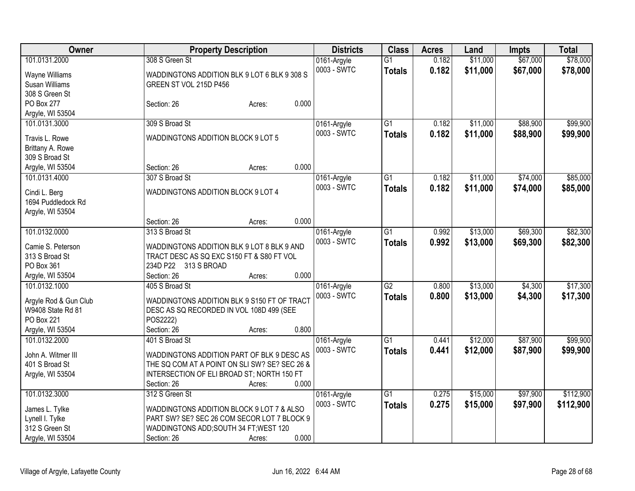| \$67,000<br>308 S Green St<br>\$11,000<br>101.0131.2000<br>0.182<br>0161-Argyle<br>$\overline{G1}$                                | \$78,000  |
|-----------------------------------------------------------------------------------------------------------------------------------|-----------|
| 0003 - SWTC<br>0.182<br>\$11,000<br>\$67,000<br><b>Totals</b><br>WADDINGTONS ADDITION BLK 9 LOT 6 BLK 9 308 S<br>Wayne Williams   | \$78,000  |
| Susan Williams<br>GREEN ST VOL 215D P456                                                                                          |           |
| 308 S Green St                                                                                                                    |           |
| 0.000<br>PO Box 277<br>Section: 26<br>Acres:                                                                                      |           |
| Argyle, WI 53504                                                                                                                  |           |
| \$11,000<br>\$88,900<br>101.0131.3000<br>309 S Broad St<br>G1<br>0.182<br>0161-Argyle                                             | \$99,900  |
| 0003 - SWTC<br>0.182<br>\$11,000<br>\$88,900<br><b>Totals</b><br>WADDINGTONS ADDITION BLOCK 9 LOT 5                               | \$99,900  |
| Travis L. Rowe                                                                                                                    |           |
| Brittany A. Rowe<br>309 S Broad St                                                                                                |           |
| 0.000<br>Argyle, WI 53504<br>Section: 26<br>Acres:                                                                                |           |
| \$74,000<br>101.0131.4000<br>307 S Broad St<br>$\overline{G1}$<br>\$11,000<br>0.182                                               | \$85,000  |
| 0161-Argyle<br>0003 - SWTC<br>0.182                                                                                               |           |
| \$11,000<br>\$74,000<br><b>Totals</b><br>WADDINGTONS ADDITION BLOCK 9 LOT 4<br>Cindi L. Berg                                      | \$85,000  |
| 1694 Puddledock Rd                                                                                                                |           |
| Argyle, WI 53504                                                                                                                  |           |
| 0.000<br>Section: 26<br>Acres:                                                                                                    |           |
| 313 S Broad St<br>\$69,300<br>101.0132.0000<br>$\overline{G1}$<br>0.992<br>\$13,000<br>0161-Argyle                                | \$82,300  |
| 0003 - SWTC<br>0.992<br>\$13,000<br>\$69,300<br><b>Totals</b><br>Camie S. Peterson<br>WADDINGTONS ADDITION BLK 9 LOT 8 BLK 9 AND  | \$82,300  |
| 313 S Broad St<br>TRACT DESC AS SQ EXC S150 FT & S80 FT VOL                                                                       |           |
| PO Box 361<br>234D P22 313 S BROAD                                                                                                |           |
| 0.000<br>Argyle, WI 53504<br>Section: 26<br>Acres:                                                                                |           |
| $\overline{G2}$<br>\$13,000<br>\$4,300<br>101.0132.1000<br>405 S Broad St<br>0161-Argyle<br>0.800                                 | \$17,300  |
| 0003 - SWTC<br>0.800<br>\$13,000<br>\$4,300<br><b>Totals</b>                                                                      | \$17,300  |
| Argyle Rod & Gun Club<br>WADDINGTONS ADDITION BLK 9 S150 FT OF TRACT                                                              |           |
| W9408 State Rd 81<br>DESC AS SQ RECORDED IN VOL 108D 499 (SEE                                                                     |           |
| PO Box 221<br>POS2222)                                                                                                            |           |
| 0.800<br>Argyle, WI 53504<br>Section: 26<br>Acres:                                                                                |           |
| \$87,900<br>401 S Broad St<br>$\overline{G1}$<br>\$12,000<br>101.0132.2000<br>0161-Argyle<br>0.441                                | \$99,900  |
| 0003 - SWTC<br>0.441<br>\$12,000<br>\$87,900<br><b>Totals</b><br>WADDINGTONS ADDITION PART OF BLK 9 DESC AS<br>John A. Witmer III | \$99,900  |
| 401 S Broad St<br>THE SQ COM AT A POINT ON SLI SW? SE? SEC 26 &                                                                   |           |
| Argyle, WI 53504<br>INTERSECTION OF ELI BROAD ST; NORTH 150 FT                                                                    |           |
| 0.000<br>Section: 26<br>Acres:                                                                                                    |           |
| 101.0132.3000<br>$\overline{G1}$<br>\$15,000<br>\$97,900<br>312 S Green St<br>0.275<br>0161-Argyle                                | \$112,900 |
| 0.275<br>0003 - SWTC<br>\$15,000<br>\$97,900<br><b>Totals</b><br>James L. Tylke<br>WADDINGTONS ADDITION BLOCK 9 LOT 7 & ALSO      | \$112,900 |
| PART SW? SE? SEC 26 COM SECOR LOT 7 BLOCK 9<br>Lynell I. Tylke                                                                    |           |
| 312 S Green St<br>WADDINGTONS ADD; SOUTH 34 FT; WEST 120                                                                          |           |
| 0.000<br>Argyle, WI 53504<br>Section: 26<br>Acres:                                                                                |           |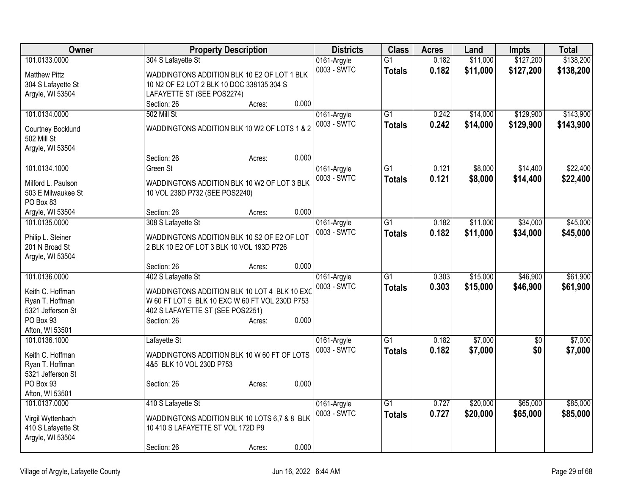| Owner                            | <b>Property Description</b>                    | <b>Districts</b>           | <b>Class</b>    | <b>Acres</b> | Land     | <b>Impts</b>      | <b>Total</b> |
|----------------------------------|------------------------------------------------|----------------------------|-----------------|--------------|----------|-------------------|--------------|
| 101.0133.0000                    | 304 S Lafayette St                             | 0161-Argyle                | $\overline{G1}$ | 0.182        | \$11,000 | \$127,200         | \$138,200    |
| <b>Matthew Pittz</b>             | WADDINGTONS ADDITION BLK 10 E2 OF LOT 1 BLK    | 0003 - SWTC                | <b>Totals</b>   | 0.182        | \$11,000 | \$127,200         | \$138,200    |
| 304 S Lafayette St               | 10 N2 OF E2 LOT 2 BLK 10 DOC 338135 304 S      |                            |                 |              |          |                   |              |
| Argyle, WI 53504                 | LAFAYETTE ST (SEE POS2274)                     |                            |                 |              |          |                   |              |
|                                  | 0.000<br>Section: 26<br>Acres:                 |                            |                 |              |          |                   |              |
| 101.0134.0000                    | 502 Mill St                                    | 0161-Argyle                | $\overline{G1}$ | 0.242        | \$14,000 | \$129,900         | \$143,900    |
| Courtney Bocklund                | WADDINGTONS ADDITION BLK 10 W2 OF LOTS 1 & 2   | 0003 - SWTC                | <b>Totals</b>   | 0.242        | \$14,000 | \$129,900         | \$143,900    |
| 502 Mill St                      |                                                |                            |                 |              |          |                   |              |
| Argyle, WI 53504                 |                                                |                            |                 |              |          |                   |              |
|                                  | 0.000<br>Section: 26<br>Acres:                 |                            |                 |              |          |                   |              |
| 101.0134.1000                    | Green St                                       | 0161-Argyle                | G1              | 0.121        | \$8,000  | \$14,400          | \$22,400     |
| Milford L. Paulson               | WADDINGTONS ADDITION BLK 10 W2 OF LOT 3 BLK    | 0003 - SWTC                | <b>Totals</b>   | 0.121        | \$8,000  | \$14,400          | \$22,400     |
| 503 E Milwaukee St               | 10 VOL 238D P732 (SEE POS2240)                 |                            |                 |              |          |                   |              |
| PO Box 83                        |                                                |                            |                 |              |          |                   |              |
| Argyle, WI 53504                 | 0.000<br>Section: 26<br>Acres:                 |                            |                 |              |          |                   |              |
| 101.0135.0000                    | 308 S Lafayette St                             | 0161-Argyle                | $\overline{G1}$ | 0.182        | \$11,000 | \$34,000          | \$45,000     |
| Philip L. Steiner                | WADDINGTONS ADDITION BLK 10 S2 OF E2 OF LOT    | 0003 - SWTC                | <b>Totals</b>   | 0.182        | \$11,000 | \$34,000          | \$45,000     |
| 201 N Broad St                   | 2 BLK 10 E2 OF LOT 3 BLK 10 VOL 193D P726      |                            |                 |              |          |                   |              |
| Argyle, WI 53504                 |                                                |                            |                 |              |          |                   |              |
|                                  | 0.000<br>Section: 26<br>Acres:                 |                            |                 |              |          |                   |              |
| 101.0136.0000                    | 402 S Lafayette St                             | 0161-Argyle                | $\overline{G1}$ | 0.303        | \$15,000 | \$46,900          | \$61,900     |
| Keith C. Hoffman                 | WADDINGTONS ADDITION BLK 10 LOT 4 BLK 10 EXC   | 0003 - SWTC                | <b>Totals</b>   | 0.303        | \$15,000 | \$46,900          | \$61,900     |
| Ryan T. Hoffman                  | W 60 FT LOT 5 BLK 10 EXC W 60 FT VOL 230D P753 |                            |                 |              |          |                   |              |
| 5321 Jefferson St                | 402 S LAFAYETTE ST (SEE POS2251)               |                            |                 |              |          |                   |              |
| PO Box 93                        | 0.000<br>Section: 26<br>Acres:                 |                            |                 |              |          |                   |              |
| Afton, WI 53501                  |                                                |                            |                 |              |          |                   |              |
| 101.0136.1000                    | Lafayette St                                   | 0161-Argyle<br>0003 - SWTC | G1              | 0.182        | \$7,000  | $\sqrt{6}$<br>\$0 | \$7,000      |
| Keith C. Hoffman                 | WADDINGTONS ADDITION BLK 10 W 60 FT OF LOTS    |                            | <b>Totals</b>   | 0.182        | \$7,000  |                   | \$7,000      |
| Ryan T. Hoffman                  | 4&5 BLK 10 VOL 230D P753                       |                            |                 |              |          |                   |              |
| 5321 Jefferson St                |                                                |                            |                 |              |          |                   |              |
| PO Box 93                        | 0.000<br>Section: 26<br>Acres:                 |                            |                 |              |          |                   |              |
| Afton, WI 53501<br>101.0137.0000 | 410 S Lafayette St                             |                            | G1              | 0.727        | \$20,000 | \$65,000          | \$85,000     |
|                                  |                                                | 0161-Argyle<br>0003 - SWTC | <b>Totals</b>   | 0.727        | \$20,000 | \$65,000          | \$85,000     |
| Virgil Wyttenbach                | WADDINGTONS ADDITION BLK 10 LOTS 6,7 & 8 BLK   |                            |                 |              |          |                   |              |
| 410 S Lafayette St               | 10 410 S LAFAYETTE ST VOL 172D P9              |                            |                 |              |          |                   |              |
| Argyle, WI 53504                 |                                                |                            |                 |              |          |                   |              |
|                                  | 0.000<br>Section: 26<br>Acres:                 |                            |                 |              |          |                   |              |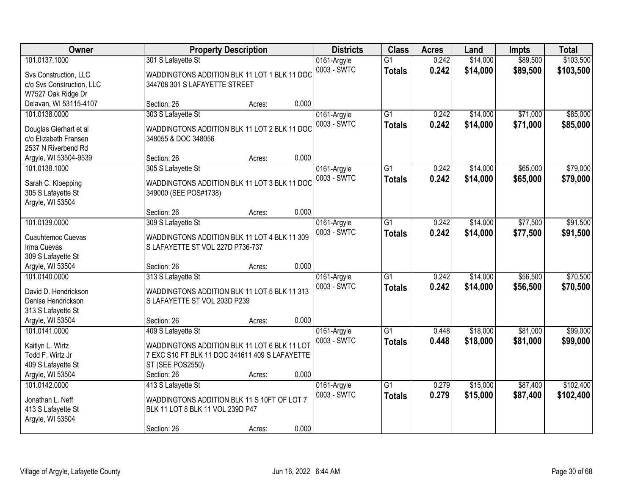| Owner                                        |                                                | <b>Property Description</b> |       | <b>Districts</b> | <b>Class</b>    | <b>Acres</b> | Land     | <b>Impts</b> | <b>Total</b> |
|----------------------------------------------|------------------------------------------------|-----------------------------|-------|------------------|-----------------|--------------|----------|--------------|--------------|
| 101.0137.1000                                | 301 S Lafayette St                             |                             |       | 0161-Argyle      | $\overline{G1}$ | 0.242        | \$14,000 | \$89,500     | \$103,500    |
| Svs Construction, LLC                        | WADDINGTONS ADDITION BLK 11 LOT 1 BLK 11 DOC   |                             |       | 0003 - SWTC      | <b>Totals</b>   | 0.242        | \$14,000 | \$89,500     | \$103,500    |
| c/o Svs Construction, LLC                    | 344708 301 S LAFAYETTE STREET                  |                             |       |                  |                 |              |          |              |              |
| W7527 Oak Ridge Dr                           |                                                |                             |       |                  |                 |              |          |              |              |
| Delavan, WI 53115-4107                       | Section: 26                                    | Acres:                      | 0.000 |                  |                 |              |          |              |              |
| 101.0138.0000                                | 303 S Lafayette St                             |                             |       | 0161-Argyle      | $\overline{G1}$ | 0.242        | \$14,000 | \$71,000     | \$85,000     |
|                                              |                                                |                             |       | 0003 - SWTC      | <b>Totals</b>   | 0.242        | \$14,000 | \$71,000     | \$85,000     |
| Douglas Gierhart et al                       | WADDINGTONS ADDITION BLK 11 LOT 2 BLK 11 DOC   |                             |       |                  |                 |              |          |              |              |
| c/o Elizabeth Fransen<br>2537 N Riverbend Rd | 348055 & DOC 348056                            |                             |       |                  |                 |              |          |              |              |
| Argyle, WI 53504-9539                        | Section: 26                                    | Acres:                      | 0.000 |                  |                 |              |          |              |              |
| 101.0138.1000                                | 305 S Lafayette St                             |                             |       | 0161-Argyle      | $\overline{G1}$ | 0.242        | \$14,000 | \$65,000     | \$79,000     |
|                                              |                                                |                             |       | 0003 - SWTC      |                 |              |          |              |              |
| Sarah C. Kloepping                           | WADDINGTONS ADDITION BLK 11 LOT 3 BLK 11 DOC   |                             |       |                  | <b>Totals</b>   | 0.242        | \$14,000 | \$65,000     | \$79,000     |
| 305 S Lafayette St                           | 349000 (SEE POS#1738)                          |                             |       |                  |                 |              |          |              |              |
| Argyle, WI 53504                             |                                                |                             |       |                  |                 |              |          |              |              |
|                                              | Section: 26                                    | Acres:                      | 0.000 |                  |                 |              |          |              |              |
| 101.0139.0000                                | 309 S Lafayette St                             |                             |       | 0161-Argyle      | $\overline{G1}$ | 0.242        | \$14,000 | \$77,500     | \$91,500     |
| Cuauhtemoc Cuevas                            | WADDINGTONS ADDITION BLK 11 LOT 4 BLK 11 309   |                             |       | 0003 - SWTC      | <b>Totals</b>   | 0.242        | \$14,000 | \$77,500     | \$91,500     |
| Irma Cuevas                                  | S LAFAYETTE ST VOL 227D P736-737               |                             |       |                  |                 |              |          |              |              |
| 309 S Lafayette St                           |                                                |                             |       |                  |                 |              |          |              |              |
| Argyle, WI 53504                             | Section: 26                                    | Acres:                      | 0.000 |                  |                 |              |          |              |              |
| 101.0140.0000                                | 313 S Lafayette St                             |                             |       | 0161-Argyle      | $\overline{G1}$ | 0.242        | \$14,000 | \$56,500     | \$70,500     |
|                                              |                                                |                             |       | 0003 - SWTC      | <b>Totals</b>   | 0.242        | \$14,000 | \$56,500     | \$70,500     |
| David D. Hendrickson                         | WADDINGTONS ADDITION BLK 11 LOT 5 BLK 11 313   |                             |       |                  |                 |              |          |              |              |
| Denise Hendrickson                           | S LAFAYETTE ST VOL 203D P239                   |                             |       |                  |                 |              |          |              |              |
| 313 S Lafayette St                           |                                                |                             | 0.000 |                  |                 |              |          |              |              |
| Argyle, WI 53504                             | Section: 26                                    | Acres:                      |       |                  |                 |              |          |              |              |
| 101.0141.0000                                | 409 S Lafayette St                             |                             |       | 0161-Argyle      | $\overline{G1}$ | 0.448        | \$18,000 | \$81,000     | \$99,000     |
| Kaitlyn L. Wirtz                             | WADDINGTONS ADDITION BLK 11 LOT 6 BLK 11 LOT   |                             |       | 0003 - SWTC      | <b>Totals</b>   | 0.448        | \$18,000 | \$81,000     | \$99,000     |
| Todd F. Wirtz Jr                             | 7 EXC S10 FT BLK 11 DOC 341611 409 S LAFAYETTE |                             |       |                  |                 |              |          |              |              |
| 409 S Lafayette St                           | ST (SEE POS2550)                               |                             |       |                  |                 |              |          |              |              |
| Argyle, WI 53504                             | Section: 26                                    | Acres:                      | 0.000 |                  |                 |              |          |              |              |
| 101.0142.0000                                | 413 S Lafayette St                             |                             |       | 0161-Argyle      | $\overline{G1}$ | 0.279        | \$15,000 | \$87,400     | \$102,400    |
| Jonathan L. Neff                             | WADDINGTONS ADDITION BLK 11 S 10FT OF LOT 7    |                             |       | 0003 - SWTC      | <b>Totals</b>   | 0.279        | \$15,000 | \$87,400     | \$102,400    |
| 413 S Lafayette St                           | BLK 11 LOT 8 BLK 11 VOL 239D P47               |                             |       |                  |                 |              |          |              |              |
| Argyle, WI 53504                             |                                                |                             |       |                  |                 |              |          |              |              |
|                                              | Section: 26                                    | Acres:                      | 0.000 |                  |                 |              |          |              |              |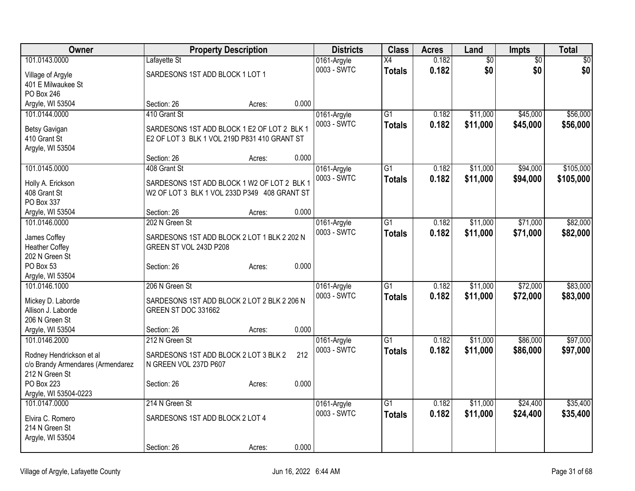| Owner                             |                                              | <b>Property Description</b> |       | <b>Districts</b>           | <b>Class</b>    | <b>Acres</b> | Land            | <b>Impts</b>    | Total            |
|-----------------------------------|----------------------------------------------|-----------------------------|-------|----------------------------|-----------------|--------------|-----------------|-----------------|------------------|
| 101.0143.0000                     | Lafayette St                                 |                             |       | 0161-Argyle                | X4              | 0.182        | $\overline{60}$ | $\overline{60}$ | $\overline{\$0}$ |
| Village of Argyle                 | SARDESONS 1ST ADD BLOCK 1 LOT 1              |                             |       | 0003 - SWTC                | <b>Totals</b>   | 0.182        | \$0             | \$0             | \$0              |
| 401 E Milwaukee St                |                                              |                             |       |                            |                 |              |                 |                 |                  |
| PO Box 246                        |                                              |                             |       |                            |                 |              |                 |                 |                  |
| Argyle, WI 53504                  | Section: 26                                  | Acres:                      | 0.000 |                            |                 |              |                 |                 |                  |
| 101.0144.0000                     | 410 Grant St                                 |                             |       | 0161-Argyle                | $\overline{G1}$ | 0.182        | \$11,000        | \$45,000        | \$56,000         |
| Betsy Gavigan                     | SARDESONS 1ST ADD BLOCK 1 E2 OF LOT 2 BLK 1  |                             |       | 0003 - SWTC                | <b>Totals</b>   | 0.182        | \$11,000        | \$45,000        | \$56,000         |
| 410 Grant St                      | E2 OF LOT 3 BLK 1 VOL 219D P831 410 GRANT ST |                             |       |                            |                 |              |                 |                 |                  |
| Argyle, WI 53504                  |                                              |                             |       |                            |                 |              |                 |                 |                  |
|                                   | Section: 26                                  | Acres:                      | 0.000 |                            |                 |              |                 |                 |                  |
| 101.0145.0000                     | 408 Grant St                                 |                             |       | 0161-Argyle                | $\overline{G1}$ | 0.182        | \$11,000        | \$94,000        | \$105,000        |
| Holly A. Erickson                 | SARDESONS 1ST ADD BLOCK 1 W2 OF LOT 2 BLK 1  |                             |       | 0003 - SWTC                | <b>Totals</b>   | 0.182        | \$11,000        | \$94,000        | \$105,000        |
| 408 Grant St                      | W2 OF LOT 3 BLK 1 VOL 233D P349 408 GRANT ST |                             |       |                            |                 |              |                 |                 |                  |
| PO Box 337                        |                                              |                             |       |                            |                 |              |                 |                 |                  |
| Argyle, WI 53504                  | Section: 26                                  | Acres:                      | 0.000 |                            |                 |              |                 |                 |                  |
| 101.0146.0000                     | 202 N Green St                               |                             |       | 0161-Argyle                | $\overline{G1}$ | 0.182        | \$11,000        | \$71,000        | \$82,000         |
|                                   |                                              |                             |       | 0003 - SWTC                | <b>Totals</b>   | 0.182        | \$11,000        | \$71,000        | \$82,000         |
| James Coffey                      | SARDESONS 1ST ADD BLOCK 2 LOT 1 BLK 2 202 N  |                             |       |                            |                 |              |                 |                 |                  |
| <b>Heather Coffey</b>             | GREEN ST VOL 243D P208                       |                             |       |                            |                 |              |                 |                 |                  |
| 202 N Green St<br>PO Box 53       | Section: 26                                  | Acres:                      | 0.000 |                            |                 |              |                 |                 |                  |
| Argyle, WI 53504                  |                                              |                             |       |                            |                 |              |                 |                 |                  |
| 101.0146.1000                     | 206 N Green St                               |                             |       | 0161-Argyle                | G1              | 0.182        | \$11,000        | \$72,000        | \$83,000         |
|                                   |                                              |                             |       | 0003 - SWTC                | <b>Totals</b>   | 0.182        | \$11,000        | \$72,000        | \$83,000         |
| Mickey D. Laborde                 | SARDESONS 1ST ADD BLOCK 2 LOT 2 BLK 2 206 N  |                             |       |                            |                 |              |                 |                 |                  |
| Allison J. Laborde                | GREEN ST DOC 331662                          |                             |       |                            |                 |              |                 |                 |                  |
| 206 N Green St                    |                                              |                             | 0.000 |                            |                 |              |                 |                 |                  |
| Argyle, WI 53504<br>101.0146.2000 | Section: 26<br>212 N Green St                | Acres:                      |       |                            | G1              | 0.182        | \$11,000        | \$86,000        | \$97,000         |
|                                   |                                              |                             |       | 0161-Argyle<br>0003 - SWTC | <b>Totals</b>   | 0.182        | \$11,000        | \$86,000        | \$97,000         |
| Rodney Hendrickson et al          | SARDESONS 1ST ADD BLOCK 2 LOT 3 BLK 2        |                             | 212   |                            |                 |              |                 |                 |                  |
| c/o Brandy Armendares (Armendarez | N GREEN VOL 237D P607                        |                             |       |                            |                 |              |                 |                 |                  |
| 212 N Green St                    |                                              |                             |       |                            |                 |              |                 |                 |                  |
| PO Box 223                        | Section: 26                                  | Acres:                      | 0.000 |                            |                 |              |                 |                 |                  |
| Argyle, WI 53504-0223             |                                              |                             |       |                            |                 |              |                 |                 |                  |
| 101.0147.0000                     | 214 N Green St                               |                             |       | 0161-Argyle                | G1              | 0.182        | \$11,000        | \$24,400        | \$35,400         |
| Elvira C. Romero                  | SARDESONS 1ST ADD BLOCK 2 LOT 4              |                             |       | 0003 - SWTC                | <b>Totals</b>   | 0.182        | \$11,000        | \$24,400        | \$35,400         |
| 214 N Green St                    |                                              |                             |       |                            |                 |              |                 |                 |                  |
| Argyle, WI 53504                  |                                              |                             |       |                            |                 |              |                 |                 |                  |
|                                   | Section: 26                                  | Acres:                      | 0.000 |                            |                 |              |                 |                 |                  |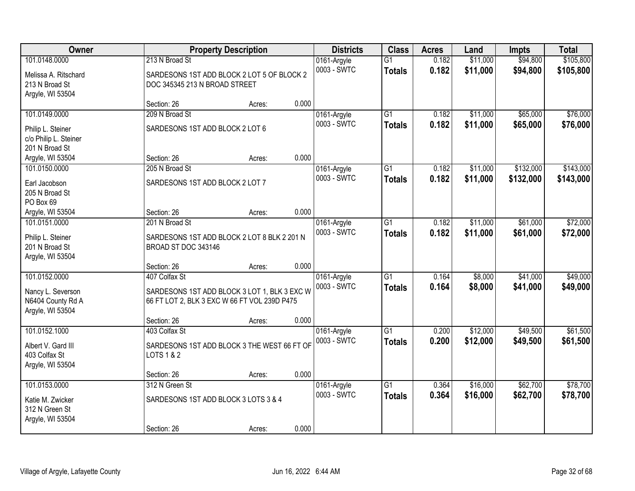| Owner                                                                    |                                                                                                               | <b>Property Description</b> |       | <b>Districts</b>           | <b>Class</b>                     | <b>Acres</b>   | Land                 | <b>Impts</b>         | <b>Total</b>         |
|--------------------------------------------------------------------------|---------------------------------------------------------------------------------------------------------------|-----------------------------|-------|----------------------------|----------------------------------|----------------|----------------------|----------------------|----------------------|
| 101.0148.0000                                                            | 213 N Broad St                                                                                                |                             |       | 0161-Argyle                | $\overline{G1}$                  | 0.182          | \$11,000             | \$94,800             | \$105,800            |
| Melissa A. Ritschard<br>213 N Broad St<br>Argyle, WI 53504               | SARDESONS 1ST ADD BLOCK 2 LOT 5 OF BLOCK 2<br>DOC 345345 213 N BROAD STREET                                   |                             |       | 0003 - SWTC                | <b>Totals</b>                    | 0.182          | \$11,000             | \$94,800             | \$105,800            |
|                                                                          | Section: 26                                                                                                   | Acres:                      | 0.000 |                            |                                  |                |                      |                      |                      |
| 101.0149.0000                                                            | 209 N Broad St                                                                                                |                             |       | 0161-Argyle                | $\overline{G1}$                  | 0.182          | \$11,000             | \$65,000             | \$76,000             |
| Philip L. Steiner<br>c/o Philip L. Steiner<br>201 N Broad St             | SARDESONS 1ST ADD BLOCK 2 LOT 6                                                                               |                             |       | 0003 - SWTC                | <b>Totals</b>                    | 0.182          | \$11,000             | \$65,000             | \$76,000             |
| Argyle, WI 53504                                                         | Section: 26                                                                                                   | Acres:                      | 0.000 |                            |                                  |                |                      |                      |                      |
| 101.0150.0000                                                            | 205 N Broad St                                                                                                |                             |       | 0161-Argyle                | G1                               | 0.182          | \$11,000             | \$132,000            | \$143,000            |
| Earl Jacobson<br>205 N Broad St<br>PO Box 69                             | SARDESONS 1ST ADD BLOCK 2 LOT 7                                                                               |                             |       | 0003 - SWTC                | <b>Totals</b>                    | 0.182          | \$11,000             | \$132,000            | \$143,000            |
| Argyle, WI 53504                                                         | Section: 26                                                                                                   | Acres:                      | 0.000 |                            |                                  |                |                      |                      |                      |
| 101.0151.0000                                                            | 201 N Broad St                                                                                                |                             |       | 0161-Argyle                | G1                               | 0.182          | \$11,000             | \$61,000             | \$72,000             |
| Philip L. Steiner<br>201 N Broad St<br>Argyle, WI 53504                  | SARDESONS 1ST ADD BLOCK 2 LOT 8 BLK 2 201 N<br>BROAD ST DOC 343146                                            |                             |       | 0003 - SWTC                | <b>Totals</b>                    | 0.182          | \$11,000             | \$61,000             | \$72,000             |
|                                                                          | Section: 26                                                                                                   | Acres:                      | 0.000 |                            |                                  |                |                      |                      |                      |
| 101.0152.0000<br>Nancy L. Severson<br>N6404 County Rd A                  | 407 Colfax St<br>SARDESONS 1ST ADD BLOCK 3 LOT 1, BLK 3 EXC W<br>66 FT LOT 2, BLK 3 EXC W 66 FT VOL 239D P475 |                             |       | 0161-Argyle<br>0003 - SWTC | $\overline{G1}$<br><b>Totals</b> | 0.164<br>0.164 | \$8,000<br>\$8,000   | \$41,000<br>\$41,000 | \$49,000<br>\$49,000 |
| Argyle, WI 53504                                                         |                                                                                                               |                             |       |                            |                                  |                |                      |                      |                      |
|                                                                          | Section: 26                                                                                                   | Acres:                      | 0.000 |                            |                                  |                |                      |                      |                      |
| 101.0152.1000<br>Albert V. Gard III<br>403 Colfax St<br>Argyle, WI 53504 | 403 Colfax St<br>SARDESONS 1ST ADD BLOCK 3 THE WEST 66 FT OF<br>LOTS 1 & 2                                    |                             |       | 0161-Argyle<br>0003 - SWTC | $\overline{G1}$<br><b>Totals</b> | 0.200<br>0.200 | \$12,000<br>\$12,000 | \$49,500<br>\$49,500 | \$61,500<br>\$61,500 |
|                                                                          | Section: 26                                                                                                   | Acres:                      | 0.000 |                            |                                  |                |                      |                      |                      |
| 101.0153.0000<br>Katie M. Zwicker<br>312 N Green St                      | 312 N Green St<br>SARDESONS 1ST ADD BLOCK 3 LOTS 3 & 4                                                        |                             |       | 0161-Argyle<br>0003 - SWTC | $\overline{G1}$<br><b>Totals</b> | 0.364<br>0.364 | \$16,000<br>\$16,000 | \$62,700<br>\$62,700 | \$78,700<br>\$78,700 |
| Argyle, WI 53504                                                         | Section: 26                                                                                                   | Acres:                      | 0.000 |                            |                                  |                |                      |                      |                      |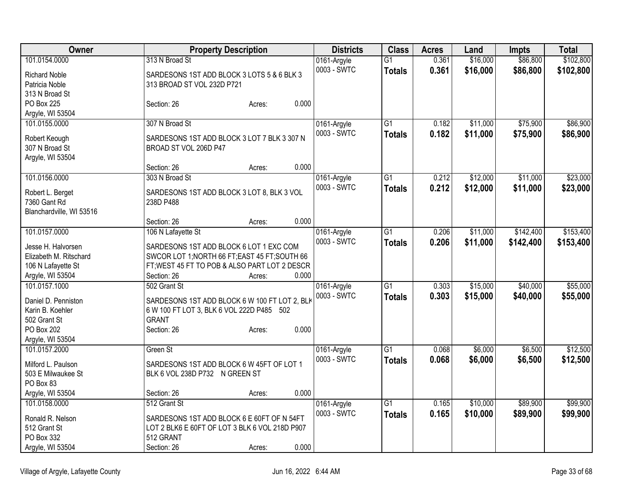| Owner                    | <b>Property Description</b>                    | <b>Districts</b> | <b>Class</b>    | <b>Acres</b> | Land     | <b>Impts</b> | <b>Total</b> |
|--------------------------|------------------------------------------------|------------------|-----------------|--------------|----------|--------------|--------------|
| 101.0154.0000            | 313 N Broad St                                 | 0161-Argyle      | $\overline{G1}$ | 0.361        | \$16,000 | \$86,800     | \$102,800    |
| <b>Richard Noble</b>     | SARDESONS 1ST ADD BLOCK 3 LOTS 5 & 6 BLK 3     | 0003 - SWTC      | <b>Totals</b>   | 0.361        | \$16,000 | \$86,800     | \$102,800    |
| Patricia Noble           | 313 BROAD ST VOL 232D P721                     |                  |                 |              |          |              |              |
| 313 N Broad St           |                                                |                  |                 |              |          |              |              |
| PO Box 225               | 0.000<br>Section: 26<br>Acres:                 |                  |                 |              |          |              |              |
| Argyle, WI 53504         |                                                |                  |                 |              |          |              |              |
| 101.0155.0000            | 307 N Broad St                                 | 0161-Argyle      | $\overline{G1}$ | 0.182        | \$11,000 | \$75,900     | \$86,900     |
| Robert Keough            | SARDESONS 1ST ADD BLOCK 3 LOT 7 BLK 3 307 N    | 0003 - SWTC      | <b>Totals</b>   | 0.182        | \$11,000 | \$75,900     | \$86,900     |
| 307 N Broad St           | BROAD ST VOL 206D P47                          |                  |                 |              |          |              |              |
| Argyle, WI 53504         |                                                |                  |                 |              |          |              |              |
|                          | 0.000<br>Section: 26<br>Acres:                 |                  |                 |              |          |              |              |
| 101.0156.0000            | 303 N Broad St                                 | 0161-Argyle      | $\overline{G1}$ | 0.212        | \$12,000 | \$11,000     | \$23,000     |
|                          |                                                | 0003 - SWTC      | <b>Totals</b>   | 0.212        | \$12,000 | \$11,000     | \$23,000     |
| Robert L. Berget         | SARDESONS 1ST ADD BLOCK 3 LOT 8, BLK 3 VOL     |                  |                 |              |          |              |              |
| 7360 Gant Rd             | 238D P488                                      |                  |                 |              |          |              |              |
| Blanchardville, WI 53516 | 0.000<br>Section: 26<br>Acres:                 |                  |                 |              |          |              |              |
| 101.0157.0000            | 106 N Lafayette St                             | 0161-Argyle      | $\overline{G1}$ | 0.206        | \$11,000 | \$142,400    | \$153,400    |
|                          |                                                | 0003 - SWTC      |                 | 0.206        | \$11,000 |              |              |
| Jesse H. Halvorsen       | SARDESONS 1ST ADD BLOCK 6 LOT 1 EXC COM        |                  | <b>Totals</b>   |              |          | \$142,400    | \$153,400    |
| Elizabeth M. Ritschard   | SWCOR LOT 1; NORTH 66 FT; EAST 45 FT; SOUTH 66 |                  |                 |              |          |              |              |
| 106 N Lafayette St       | FT; WEST 45 FT TO POB & ALSO PART LOT 2 DESCR  |                  |                 |              |          |              |              |
| Argyle, WI 53504         | Section: 26<br>0.000<br>Acres:                 |                  |                 |              |          |              |              |
| 101.0157.1000            | 502 Grant St                                   | 0161-Argyle      | $\overline{G1}$ | 0.303        | \$15,000 | \$40,000     | \$55,000     |
| Daniel D. Penniston      | SARDESONS 1ST ADD BLOCK 6 W 100 FT LOT 2, BLK  | 0003 - SWTC      | <b>Totals</b>   | 0.303        | \$15,000 | \$40,000     | \$55,000     |
| Karin B. Koehler         | 6 W 100 FT LOT 3, BLK 6 VOL 222D P485 502      |                  |                 |              |          |              |              |
| 502 Grant St             | <b>GRANT</b>                                   |                  |                 |              |          |              |              |
| PO Box 202               | 0.000<br>Section: 26<br>Acres:                 |                  |                 |              |          |              |              |
| Argyle, WI 53504         |                                                |                  |                 |              |          |              |              |
| 101.0157.2000            | Green St                                       | 0161-Argyle      | $\overline{G1}$ | 0.068        | \$6,000  | \$6,500      | \$12,500     |
| Milford L. Paulson       | SARDESONS 1ST ADD BLOCK 6 W 45FT OF LOT 1      | 0003 - SWTC      | <b>Totals</b>   | 0.068        | \$6,000  | \$6,500      | \$12,500     |
| 503 E Milwaukee St       | BLK 6 VOL 238D P732 N GREEN ST                 |                  |                 |              |          |              |              |
| PO Box 83                |                                                |                  |                 |              |          |              |              |
| Argyle, WI 53504         | 0.000<br>Section: 26<br>Acres:                 |                  |                 |              |          |              |              |
| 101.0158.0000            | 512 Grant St                                   | 0161-Argyle      | $\overline{G1}$ | 0.165        | \$10,000 | \$89,900     | \$99,900     |
|                          |                                                | 0003 - SWTC      | <b>Totals</b>   | 0.165        | \$10,000 | \$89,900     | \$99,900     |
| Ronald R. Nelson         | SARDESONS 1ST ADD BLOCK 6 E 60FT OF N 54FT     |                  |                 |              |          |              |              |
| 512 Grant St             | LOT 2 BLK6 E 60FT OF LOT 3 BLK 6 VOL 218D P907 |                  |                 |              |          |              |              |
| PO Box 332               | 512 GRANT                                      |                  |                 |              |          |              |              |
| Argyle, WI 53504         | 0.000<br>Section: 26<br>Acres:                 |                  |                 |              |          |              |              |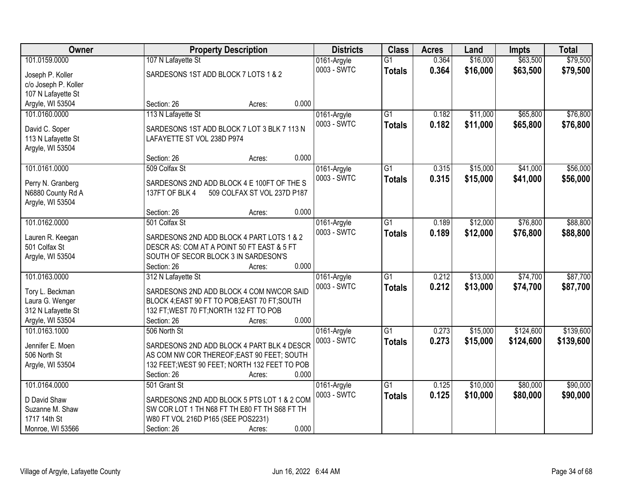| Owner                                 | <b>Property Description</b>                                                                 | <b>Districts</b> | <b>Class</b>    | <b>Acres</b> | Land     | <b>Impts</b> | <b>Total</b> |
|---------------------------------------|---------------------------------------------------------------------------------------------|------------------|-----------------|--------------|----------|--------------|--------------|
| 101.0159.0000                         | 107 N Lafayette St                                                                          | 0161-Argyle      | $\overline{G1}$ | 0.364        | \$16,000 | \$63,500     | \$79,500     |
| Joseph P. Koller                      | SARDESONS 1ST ADD BLOCK 7 LOTS 1 & 2                                                        | 0003 - SWTC      | <b>Totals</b>   | 0.364        | \$16,000 | \$63,500     | \$79,500     |
| c/o Joseph P. Koller                  |                                                                                             |                  |                 |              |          |              |              |
| 107 N Lafayette St                    |                                                                                             |                  |                 |              |          |              |              |
| Argyle, WI 53504                      | 0.000<br>Section: 26<br>Acres:                                                              |                  |                 |              |          |              |              |
| 101.0160.0000                         | 113 N Lafayette St                                                                          | 0161-Argyle      | $\overline{G1}$ | 0.182        | \$11,000 | \$65,800     | \$76,800     |
| David C. Soper                        | SARDESONS 1ST ADD BLOCK 7 LOT 3 BLK 7 113 N                                                 | 0003 - SWTC      | <b>Totals</b>   | 0.182        | \$11,000 | \$65,800     | \$76,800     |
| 113 N Lafayette St                    | LAFAYETTE ST VOL 238D P974                                                                  |                  |                 |              |          |              |              |
| Argyle, WI 53504                      |                                                                                             |                  |                 |              |          |              |              |
|                                       | 0.000<br>Section: 26<br>Acres:                                                              |                  |                 |              |          |              |              |
| 101.0161.0000                         | 509 Colfax St                                                                               | 0161-Argyle      | $\overline{G1}$ | 0.315        | \$15,000 | \$41,000     | \$56,000     |
|                                       |                                                                                             | 0003 - SWTC      | <b>Totals</b>   | 0.315        | \$15,000 | \$41,000     | \$56,000     |
| Perry N. Granberg                     | SARDESONS 2ND ADD BLOCK 4 E 100FT OF THE S<br>137FT OF BLK 4<br>509 COLFAX ST VOL 237D P187 |                  |                 |              |          |              |              |
| N6880 County Rd A<br>Argyle, WI 53504 |                                                                                             |                  |                 |              |          |              |              |
|                                       | 0.000<br>Section: 26<br>Acres:                                                              |                  |                 |              |          |              |              |
| 101.0162.0000                         | 501 Colfax St                                                                               | 0161-Argyle      | G1              | 0.189        | \$12,000 | \$76,800     | \$88,800     |
|                                       |                                                                                             | 0003 - SWTC      | <b>Totals</b>   | 0.189        | \$12,000 | \$76,800     | \$88,800     |
| Lauren R. Keegan                      | SARDESONS 2ND ADD BLOCK 4 PART LOTS 1 & 2                                                   |                  |                 |              |          |              |              |
| 501 Colfax St                         | DESCR AS: COM AT A POINT 50 FT EAST & 5 FT                                                  |                  |                 |              |          |              |              |
| Argyle, WI 53504                      | SOUTH OF SECOR BLOCK 3 IN SARDESON'S                                                        |                  |                 |              |          |              |              |
|                                       | 0.000<br>Section: 26<br>Acres:                                                              |                  |                 |              |          |              |              |
| 101.0163.0000                         | 312 N Lafayette St                                                                          | 0161-Argyle      | $\overline{G1}$ | 0.212        | \$13,000 | \$74,700     | \$87,700     |
| Tory L. Beckman                       | SARDESONS 2ND ADD BLOCK 4 COM NWCOR SAID                                                    | 0003 - SWTC      | <b>Totals</b>   | 0.212        | \$13,000 | \$74,700     | \$87,700     |
| Laura G. Wenger                       | BLOCK 4; EAST 90 FT TO POB; EAST 70 FT; SOUTH                                               |                  |                 |              |          |              |              |
| 312 N Lafayette St                    | 132 FT; WEST 70 FT; NORTH 132 FT TO POB                                                     |                  |                 |              |          |              |              |
| Argyle, WI 53504                      | 0.000<br>Section: 26<br>Acres:                                                              |                  |                 |              |          |              |              |
| 101.0163.1000                         | 506 North St                                                                                | 0161-Argyle      | G1              | 0.273        | \$15,000 | \$124,600    | \$139,600    |
| Jennifer E. Moen                      | SARDESONS 2ND ADD BLOCK 4 PART BLK 4 DESCR                                                  | 0003 - SWTC      | <b>Totals</b>   | 0.273        | \$15,000 | \$124,600    | \$139,600    |
| 506 North St                          | AS COM NW COR THEREOF; EAST 90 FEET; SOUTH                                                  |                  |                 |              |          |              |              |
| Argyle, WI 53504                      | 132 FEET; WEST 90 FEET; NORTH 132 FEET TO POB                                               |                  |                 |              |          |              |              |
|                                       | 0.000<br>Section: 26<br>Acres:                                                              |                  |                 |              |          |              |              |
| 101.0164.0000                         | 501 Grant St                                                                                | 0161-Argyle      | $\overline{G1}$ | 0.125        | \$10,000 | \$80,000     | \$90,000     |
| D David Shaw                          | SARDESONS 2ND ADD BLOCK 5 PTS LOT 1 & 2 COM                                                 | 0003 - SWTC      | <b>Totals</b>   | 0.125        | \$10,000 | \$80,000     | \$90,000     |
| Suzanne M. Shaw                       | SW COR LOT 1 TH N68 FT TH E80 FT TH S68 FT TH                                               |                  |                 |              |          |              |              |
| 1717 14th St                          | W80 FT VOL 216D P165 (SEE POS2231)                                                          |                  |                 |              |          |              |              |
| Monroe, WI 53566                      | 0.000<br>Section: 26<br>Acres:                                                              |                  |                 |              |          |              |              |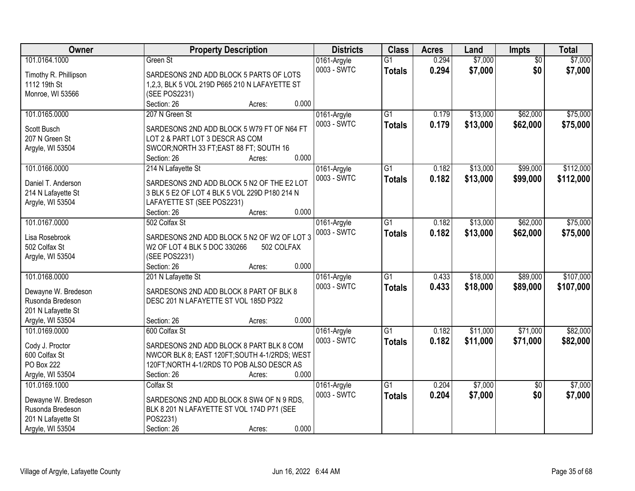| Owner                 | <b>Property Description</b>                   | <b>Districts</b> | <b>Class</b>    | <b>Acres</b> | Land     | Impts           | <b>Total</b> |
|-----------------------|-----------------------------------------------|------------------|-----------------|--------------|----------|-----------------|--------------|
| 101.0164.1000         | Green St                                      | 0161-Argyle      | $\overline{G1}$ | 0.294        | \$7,000  | $\overline{50}$ | \$7,000      |
| Timothy R. Phillipson | SARDESONS 2ND ADD BLOCK 5 PARTS OF LOTS       | 0003 - SWTC      | <b>Totals</b>   | 0.294        | \$7,000  | \$0             | \$7,000      |
| 1112 19th St          | 1,2,3, BLK 5 VOL 219D P665 210 N LAFAYETTE ST |                  |                 |              |          |                 |              |
| Monroe, WI 53566      | (SEE POS2231)                                 |                  |                 |              |          |                 |              |
|                       | 0.000<br>Section: 26<br>Acres:                |                  |                 |              |          |                 |              |
| 101.0165.0000         | 207 N Green St                                | 0161-Argyle      | $\overline{G1}$ | 0.179        | \$13,000 | \$62,000        | \$75,000     |
|                       |                                               | 0003 - SWTC      | <b>Totals</b>   | 0.179        | \$13,000 | \$62,000        | \$75,000     |
| Scott Busch           | SARDESONS 2ND ADD BLOCK 5 W79 FT OF N64 FT    |                  |                 |              |          |                 |              |
| 207 N Green St        | LOT 2 & PART LOT 3 DESCR AS COM               |                  |                 |              |          |                 |              |
| Argyle, WI 53504      | SWCOR; NORTH 33 FT; EAST 88 FT; SOUTH 16      |                  |                 |              |          |                 |              |
|                       | 0.000<br>Section: 26<br>Acres:                |                  |                 |              |          |                 |              |
| 101.0166.0000         | 214 N Lafayette St                            | 0161-Argyle      | $\overline{G1}$ | 0.182        | \$13,000 | \$99,000        | \$112,000    |
| Daniel T. Anderson    | SARDESONS 2ND ADD BLOCK 5 N2 OF THE E2 LOT    | 0003 - SWTC      | <b>Totals</b>   | 0.182        | \$13,000 | \$99,000        | \$112,000    |
| 214 N Lafayette St    | 3 BLK 5 E2 OF LOT 4 BLK 5 VOL 229D P180 214 N |                  |                 |              |          |                 |              |
| Argyle, WI 53504      | LAFAYETTE ST (SEE POS2231)                    |                  |                 |              |          |                 |              |
|                       | 0.000<br>Section: 26<br>Acres:                |                  |                 |              |          |                 |              |
| 101.0167.0000         | 502 Colfax St                                 | 0161-Argyle      | G1              | 0.182        | \$13,000 | \$62,000        | \$75,000     |
|                       |                                               | 0003 - SWTC      | <b>Totals</b>   | 0.182        | \$13,000 | \$62,000        | \$75,000     |
| Lisa Rosebrook        | SARDESONS 2ND ADD BLOCK 5 N2 OF W2 OF LOT 3   |                  |                 |              |          |                 |              |
| 502 Colfax St         | W2 OF LOT 4 BLK 5 DOC 330266<br>502 COLFAX    |                  |                 |              |          |                 |              |
| Argyle, WI 53504      | (SEE POS2231)                                 |                  |                 |              |          |                 |              |
|                       | 0.000<br>Section: 26<br>Acres:                |                  |                 |              |          |                 |              |
| 101.0168.0000         | 201 N Lafayette St                            | 0161-Argyle      | $\overline{G1}$ | 0.433        | \$18,000 | \$89,000        | \$107,000    |
| Dewayne W. Bredeson   | SARDESONS 2ND ADD BLOCK 8 PART OF BLK 8       | 0003 - SWTC      | <b>Totals</b>   | 0.433        | \$18,000 | \$89,000        | \$107,000    |
| Rusonda Bredeson      | DESC 201 N LAFAYETTE ST VOL 185D P322         |                  |                 |              |          |                 |              |
| 201 N Lafayette St    |                                               |                  |                 |              |          |                 |              |
| Argyle, WI 53504      | 0.000<br>Section: 26<br>Acres:                |                  |                 |              |          |                 |              |
| 101.0169.0000         | 600 Colfax St                                 | 0161-Argyle      | $\overline{G1}$ | 0.182        | \$11,000 | \$71,000        | \$82,000     |
| Cody J. Proctor       | SARDESONS 2ND ADD BLOCK 8 PART BLK 8 COM      | 0003 - SWTC      | <b>Totals</b>   | 0.182        | \$11,000 | \$71,000        | \$82,000     |
| 600 Colfax St         | NWCOR BLK 8; EAST 120FT;SOUTH 4-1/2RDS; WEST  |                  |                 |              |          |                 |              |
| PO Box 222            | 120FT; NORTH 4-1/2RDS TO POB ALSO DESCR AS    |                  |                 |              |          |                 |              |
| Argyle, WI 53504      | 0.000<br>Section: 26<br>Acres:                |                  |                 |              |          |                 |              |
| 101.0169.1000         | Colfax St                                     | 0161-Argyle      | $\overline{G1}$ | 0.204        | \$7,000  | $\overline{50}$ | \$7,000      |
|                       |                                               | 0003 - SWTC      |                 |              |          |                 |              |
| Dewayne W. Bredeson   | SARDESONS 2ND ADD BLOCK 8 SW4 OF N 9 RDS,     |                  | <b>Totals</b>   | 0.204        | \$7,000  | \$0             | \$7,000      |
| Rusonda Bredeson      | BLK 8 201 N LAFAYETTE ST VOL 174D P71 (SEE    |                  |                 |              |          |                 |              |
| 201 N Lafayette St    | POS2231)                                      |                  |                 |              |          |                 |              |
| Argyle, WI 53504      | 0.000<br>Section: 26<br>Acres:                |                  |                 |              |          |                 |              |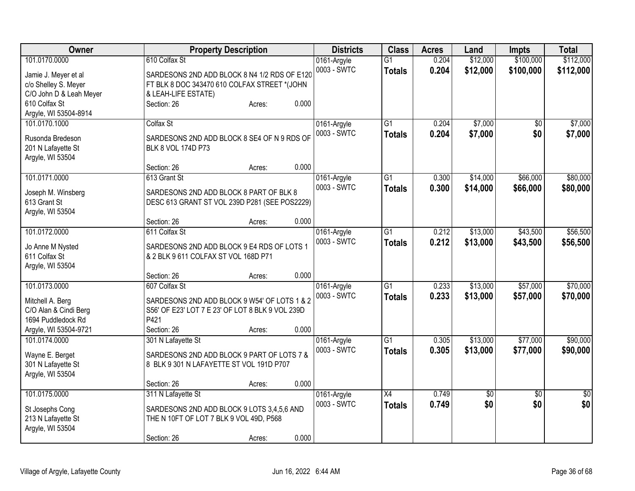| Owner                                       |                                                          | <b>Property Description</b> |       |                            | <b>Class</b>    | <b>Acres</b> | Land            | <b>Impts</b>    | <b>Total</b> |
|---------------------------------------------|----------------------------------------------------------|-----------------------------|-------|----------------------------|-----------------|--------------|-----------------|-----------------|--------------|
| 101.0170.0000                               | 610 Colfax St                                            |                             |       | 0161-Argyle                | $\overline{G1}$ | 0.204        | \$12,000        | \$100,000       | \$112,000    |
| Jamie J. Meyer et al                        | SARDESONS 2ND ADD BLOCK 8 N4 1/2 RDS OF E120             |                             |       | 0003 - SWTC                | <b>Totals</b>   | 0.204        | \$12,000        | \$100,000       | \$112,000    |
| c/o Shelley S. Meyer                        | FT BLK 8 DOC 343470 610 COLFAX STREET *(JOHN             |                             |       |                            |                 |              |                 |                 |              |
| C/O John D & Leah Meyer                     | & LEAH-LIFE ESTATE)                                      |                             |       |                            |                 |              |                 |                 |              |
| 610 Colfax St                               | Section: 26                                              | Acres:                      | 0.000 |                            |                 |              |                 |                 |              |
| Argyle, WI 53504-8914                       |                                                          |                             |       |                            |                 |              |                 |                 |              |
| 101.0170.1000                               | Colfax St                                                |                             |       | 0161-Argyle                | $\overline{G1}$ | 0.204        | \$7,000         | $\sqrt{6}$      | \$7,000      |
| Rusonda Bredeson                            | SARDESONS 2ND ADD BLOCK 8 SE4 OF N 9 RDS OF              |                             |       | 0003 - SWTC                | <b>Totals</b>   | 0.204        | \$7,000         | \$0             | \$7,000      |
| 201 N Lafayette St                          | BLK 8 VOL 174D P73                                       |                             |       |                            |                 |              |                 |                 |              |
| Argyle, WI 53504                            |                                                          |                             |       |                            |                 |              |                 |                 |              |
|                                             | Section: 26                                              | Acres:                      | 0.000 |                            |                 |              |                 |                 |              |
| 101.0171.0000                               | 613 Grant St                                             |                             |       | 0161-Argyle                | $\overline{G1}$ | 0.300        | \$14,000        | \$66,000        | \$80,000     |
|                                             |                                                          |                             |       | 0003 - SWTC                | <b>Totals</b>   | 0.300        | \$14,000        | \$66,000        | \$80,000     |
| Joseph M. Winsberg                          | SARDESONS 2ND ADD BLOCK 8 PART OF BLK 8                  |                             |       |                            |                 |              |                 |                 |              |
| 613 Grant St                                | DESC 613 GRANT ST VOL 239D P281 (SEE POS2229)            |                             |       |                            |                 |              |                 |                 |              |
| Argyle, WI 53504                            |                                                          |                             |       |                            |                 |              |                 |                 |              |
|                                             | Section: 26                                              | Acres:                      | 0.000 |                            |                 |              |                 |                 |              |
| 101.0172.0000                               | 611 Colfax St                                            |                             |       | 0161-Argyle                | $\overline{G1}$ | 0.212        | \$13,000        | \$43,500        | \$56,500     |
| Jo Anne M Nysted                            | SARDESONS 2ND ADD BLOCK 9 E4 RDS OF LOTS 1               |                             |       | 0003 - SWTC                | <b>Totals</b>   | 0.212        | \$13,000        | \$43,500        | \$56,500     |
| 611 Colfax St                               | & 2 BLK 9 611 COLFAX ST VOL 168D P71                     |                             |       |                            |                 |              |                 |                 |              |
| Argyle, WI 53504                            |                                                          |                             |       |                            |                 |              |                 |                 |              |
|                                             | Section: 26                                              | Acres:                      | 0.000 |                            |                 |              |                 |                 |              |
| 101.0173.0000                               | 607 Colfax St                                            |                             |       | 0161-Argyle                | G1              | 0.233        | \$13,000        | \$57,000        | \$70,000     |
|                                             |                                                          |                             |       | 0003 - SWTC                | <b>Totals</b>   | 0.233        | \$13,000        | \$57,000        | \$70,000     |
| Mitchell A. Berg                            | SARDESONS 2ND ADD BLOCK 9 W54' OF LOTS 1 & 2             |                             |       |                            |                 |              |                 |                 |              |
| C/O Alan & Cindi Berg<br>1694 Puddledock Rd | S56' OF E23' LOT 7 E 23' OF LOT 8 BLK 9 VOL 239D<br>P421 |                             |       |                            |                 |              |                 |                 |              |
|                                             |                                                          |                             | 0.000 |                            |                 |              |                 |                 |              |
| Argyle, WI 53504-9721<br>101.0174.0000      | Section: 26                                              | Acres:                      |       |                            | $\overline{G1}$ | 0.305        | \$13,000        | \$77,000        | \$90,000     |
|                                             | 301 N Lafayette St                                       |                             |       | 0161-Argyle<br>0003 - SWTC |                 |              |                 |                 |              |
| Wayne E. Berget                             | SARDESONS 2ND ADD BLOCK 9 PART OF LOTS 7 &               |                             |       |                            | <b>Totals</b>   | 0.305        | \$13,000        | \$77,000        | \$90,000     |
| 301 N Lafayette St                          | 8 BLK 9 301 N LAFAYETTE ST VOL 191D P707                 |                             |       |                            |                 |              |                 |                 |              |
| Argyle, WI 53504                            |                                                          |                             |       |                            |                 |              |                 |                 |              |
|                                             | Section: 26                                              | Acres:                      | 0.000 |                            |                 |              |                 |                 |              |
| 101.0175.0000                               | 311 N Lafayette St                                       |                             |       | 0161-Argyle                | $\overline{X4}$ | 0.749        | $\overline{50}$ | $\overline{30}$ | $\sqrt{30}$  |
| St Josephs Cong                             | SARDESONS 2ND ADD BLOCK 9 LOTS 3,4,5,6 AND               |                             |       | 0003 - SWTC                | <b>Totals</b>   | 0.749        | \$0             | \$0             | \$0          |
| 213 N Lafayette St                          | THE N 10FT OF LOT 7 BLK 9 VOL 49D, P568                  |                             |       |                            |                 |              |                 |                 |              |
| Argyle, WI 53504                            |                                                          |                             |       |                            |                 |              |                 |                 |              |
|                                             | Section: 26                                              | Acres:                      | 0.000 |                            |                 |              |                 |                 |              |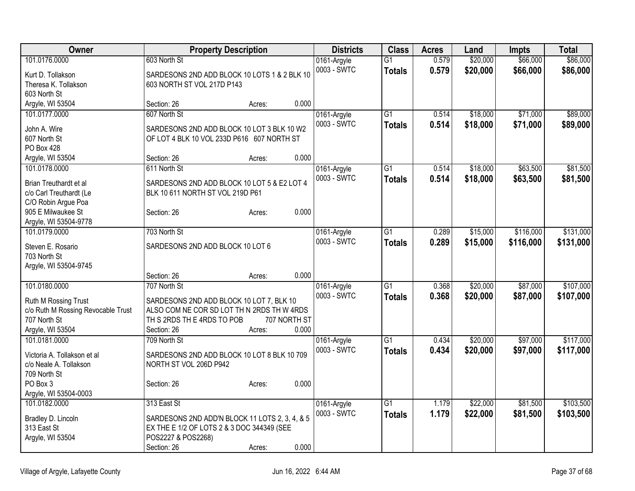| Owner                                                      | <b>Property Description</b>                                                            |                 | <b>Districts</b> | <b>Class</b>    | <b>Acres</b> | Land     | <b>Impts</b> | <b>Total</b> |
|------------------------------------------------------------|----------------------------------------------------------------------------------------|-----------------|------------------|-----------------|--------------|----------|--------------|--------------|
| 101.0176.0000                                              | 603 North St                                                                           |                 | 0161-Argyle      | $\overline{G1}$ | 0.579        | \$20,000 | \$66,000     | \$86,000     |
| Kurt D. Tollakson                                          | SARDESONS 2ND ADD BLOCK 10 LOTS 1 & 2 BLK 10                                           |                 | 0003 - SWTC      | <b>Totals</b>   | 0.579        | \$20,000 | \$66,000     | \$86,000     |
| Theresa K. Tollakson                                       | 603 NORTH ST VOL 217D P143                                                             |                 |                  |                 |              |          |              |              |
| 603 North St                                               |                                                                                        |                 |                  |                 |              |          |              |              |
| Argyle, WI 53504                                           | Section: 26                                                                            | 0.000<br>Acres: |                  |                 |              |          |              |              |
| 101.0177.0000                                              | 607 North St                                                                           |                 | 0161-Argyle      | $\overline{G1}$ | 0.514        | \$18,000 | \$71,000     | \$89,000     |
| John A. Wire                                               | SARDESONS 2ND ADD BLOCK 10 LOT 3 BLK 10 W2                                             |                 | 0003 - SWTC      | <b>Totals</b>   | 0.514        | \$18,000 | \$71,000     | \$89,000     |
| 607 North St                                               | OF LOT 4 BLK 10 VOL 233D P616 607 NORTH ST                                             |                 |                  |                 |              |          |              |              |
| PO Box 428                                                 |                                                                                        |                 |                  |                 |              |          |              |              |
| Argyle, WI 53504                                           | Section: 26                                                                            | 0.000<br>Acres: |                  |                 |              |          |              |              |
| 101.0178.0000                                              | 611 North St                                                                           |                 | 0161-Argyle      | $\overline{G1}$ | 0.514        | \$18,000 | \$63,500     | \$81,500     |
| Brian Treuthardt et al                                     | SARDESONS 2ND ADD BLOCK 10 LOT 5 & E2 LOT 4                                            |                 | 0003 - SWTC      | <b>Totals</b>   | 0.514        | \$18,000 | \$63,500     | \$81,500     |
| c/o Carl Treuthardt (Le                                    | BLK 10 611 NORTH ST VOL 219D P61                                                       |                 |                  |                 |              |          |              |              |
| C/O Robin Argue Poa                                        |                                                                                        |                 |                  |                 |              |          |              |              |
| 905 E Milwaukee St                                         | Section: 26                                                                            | 0.000<br>Acres: |                  |                 |              |          |              |              |
| Argyle, WI 53504-9778                                      |                                                                                        |                 |                  |                 |              |          |              |              |
| 101.0179.0000                                              | 703 North St                                                                           |                 | 0161-Argyle      | $\overline{G1}$ | 0.289        | \$15,000 | \$116,000    | \$131,000    |
| Steven E. Rosario                                          | SARDESONS 2ND ADD BLOCK 10 LOT 6                                                       |                 | 0003 - SWTC      | <b>Totals</b>   | 0.289        | \$15,000 | \$116,000    | \$131,000    |
| 703 North St                                               |                                                                                        |                 |                  |                 |              |          |              |              |
| Argyle, WI 53504-9745                                      |                                                                                        |                 |                  |                 |              |          |              |              |
|                                                            | Section: 26                                                                            | 0.000<br>Acres: |                  |                 |              |          |              |              |
| 101.0180.0000                                              | 707 North St                                                                           |                 | 0161-Argyle      | G1              | 0.368        | \$20,000 | \$87,000     | \$107,000    |
|                                                            |                                                                                        |                 | 0003 - SWTC      | <b>Totals</b>   | 0.368        | \$20,000 | \$87,000     | \$107,000    |
| Ruth M Rossing Trust<br>c/o Ruth M Rossing Revocable Trust | SARDESONS 2ND ADD BLOCK 10 LOT 7, BLK 10<br>ALSO COM NE COR SD LOT TH N 2RDS TH W 4RDS |                 |                  |                 |              |          |              |              |
| 707 North St                                               | TH S 2RDS TH E 4RDS TO POB                                                             | 707 NORTH ST    |                  |                 |              |          |              |              |
| Argyle, WI 53504                                           | Section: 26                                                                            | 0.000<br>Acres: |                  |                 |              |          |              |              |
| 101.0181.0000                                              | 709 North St                                                                           |                 | 0161-Argyle      | $\overline{G1}$ | 0.434        | \$20,000 | \$97,000     | \$117,000    |
|                                                            |                                                                                        |                 | 0003 - SWTC      | <b>Totals</b>   | 0.434        | \$20,000 | \$97,000     | \$117,000    |
| Victoria A. Tollakson et al                                | SARDESONS 2ND ADD BLOCK 10 LOT 8 BLK 10 709                                            |                 |                  |                 |              |          |              |              |
| c/o Neale A. Tollakson<br>709 North St                     | NORTH ST VOL 206D P942                                                                 |                 |                  |                 |              |          |              |              |
| PO Box 3                                                   | Section: 26                                                                            | 0.000<br>Acres: |                  |                 |              |          |              |              |
| Argyle, WI 53504-0003                                      |                                                                                        |                 |                  |                 |              |          |              |              |
| 101.0182.0000                                              | 313 East St                                                                            |                 | 0161-Argyle      | $\overline{G1}$ | 1.179        | \$22,000 | \$81,500     | \$103,500    |
|                                                            |                                                                                        |                 | 0003 - SWTC      | <b>Totals</b>   | 1.179        | \$22,000 | \$81,500     | \$103,500    |
| Bradley D. Lincoln                                         | SARDESONS 2ND ADD'N BLOCK 11 LOTS 2, 3, 4, & 5                                         |                 |                  |                 |              |          |              |              |
| 313 East St<br>Argyle, WI 53504                            | EX THE E 1/2 OF LOTS 2 & 3 DOC 344349 (SEE<br>POS2227 & POS2268)                       |                 |                  |                 |              |          |              |              |
|                                                            | Section: 26                                                                            | 0.000<br>Acres: |                  |                 |              |          |              |              |
|                                                            |                                                                                        |                 |                  |                 |              |          |              |              |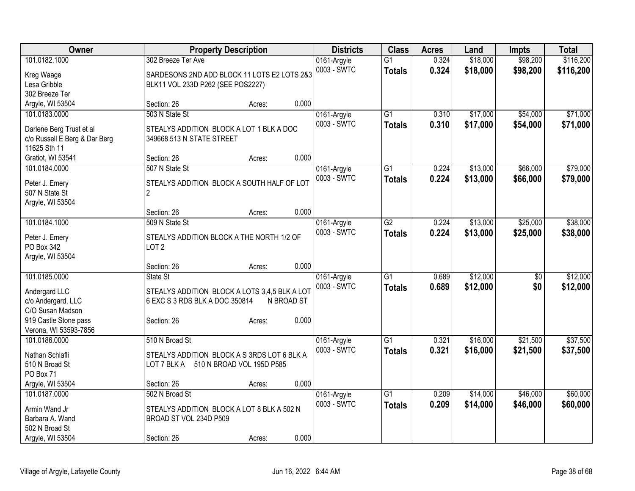| Owner                                  |                                                              | <b>Property Description</b> |            | <b>Districts</b>           | <b>Class</b>    | <b>Acres</b> | Land     | <b>Impts</b>    | <b>Total</b> |
|----------------------------------------|--------------------------------------------------------------|-----------------------------|------------|----------------------------|-----------------|--------------|----------|-----------------|--------------|
| 101.0182.1000                          | 302 Breeze Ter Ave                                           |                             |            | 0161-Argyle                | $\overline{G1}$ | 0.324        | \$18,000 | \$98,200        | \$116,200    |
| Kreg Waage                             | SARDESONS 2ND ADD BLOCK 11 LOTS E2 LOTS 2&3                  |                             |            | 0003 - SWTC                | <b>Totals</b>   | 0.324        | \$18,000 | \$98,200        | \$116,200    |
| Lesa Gribble                           | BLK11 VOL 233D P262 (SEE POS2227)                            |                             |            |                            |                 |              |          |                 |              |
| 302 Breeze Ter                         |                                                              |                             |            |                            |                 |              |          |                 |              |
| Argyle, WI 53504                       | Section: 26                                                  | Acres:                      | 0.000      |                            |                 |              |          |                 |              |
| 101.0183.0000                          | 503 N State St                                               |                             |            | 0161-Argyle                | $\overline{G1}$ | 0.310        | \$17,000 | \$54,000        | \$71,000     |
| Darlene Berg Trust et al               | STEALYS ADDITION BLOCK A LOT 1 BLK A DOC                     |                             |            | 0003 - SWTC                | <b>Totals</b>   | 0.310        | \$17,000 | \$54,000        | \$71,000     |
| c/o Russell E Berg & Dar Berg          | 349668 513 N STATE STREET                                    |                             |            |                            |                 |              |          |                 |              |
| 11625 Sth 11                           |                                                              |                             |            |                            |                 |              |          |                 |              |
| Gratiot, WI 53541                      | Section: 26                                                  | Acres:                      | 0.000      |                            |                 |              |          |                 |              |
| 101.0184.0000                          | 507 N State St                                               |                             |            | 0161-Argyle                | $\overline{G1}$ | 0.224        | \$13,000 | \$66,000        | \$79,000     |
|                                        |                                                              |                             |            | 0003 - SWTC                | <b>Totals</b>   | 0.224        | \$13,000 | \$66,000        | \$79,000     |
| Peter J. Emery<br>507 N State St       | STEALYS ADDITION BLOCK A SOUTH HALF OF LOT<br>$\overline{2}$ |                             |            |                            |                 |              |          |                 |              |
| Argyle, WI 53504                       |                                                              |                             |            |                            |                 |              |          |                 |              |
|                                        | Section: 26                                                  | Acres:                      | 0.000      |                            |                 |              |          |                 |              |
| 101.0184.1000                          | 509 N State St                                               |                             |            | 0161-Argyle                | G2              | 0.224        | \$13,000 | \$25,000        | \$38,000     |
|                                        |                                                              |                             |            | 0003 - SWTC                | <b>Totals</b>   | 0.224        | \$13,000 | \$25,000        | \$38,000     |
| Peter J. Emery                         | STEALYS ADDITION BLOCK A THE NORTH 1/2 OF                    |                             |            |                            |                 |              |          |                 |              |
| PO Box 342                             | LOT <sub>2</sub>                                             |                             |            |                            |                 |              |          |                 |              |
| Argyle, WI 53504                       | Section: 26                                                  |                             | 0.000      |                            |                 |              |          |                 |              |
| 101.0185.0000                          | State St                                                     | Acres:                      |            | 0161-Argyle                | $\overline{G1}$ | 0.689        | \$12,000 | $\overline{30}$ | \$12,000     |
|                                        |                                                              |                             |            | 0003 - SWTC                | <b>Totals</b>   | 0.689        | \$12,000 | \$0             | \$12,000     |
| Andergard LLC                          | STEALYS ADDITION BLOCK A LOTS 3,4,5 BLK A LOT                |                             |            |                            |                 |              |          |                 |              |
| c/o Andergard, LLC                     | 6 EXC S 3 RDS BLK A DOC 350814                               |                             | N BROAD ST |                            |                 |              |          |                 |              |
| C/O Susan Madson                       |                                                              |                             |            |                            |                 |              |          |                 |              |
| 919 Castle Stone pass                  | Section: 26                                                  | Acres:                      | 0.000      |                            |                 |              |          |                 |              |
| Verona, WI 53593-7856<br>101.0186.0000 | 510 N Broad St                                               |                             |            |                            | $\overline{G1}$ | 0.321        | \$16,000 | \$21,500        | \$37,500     |
|                                        |                                                              |                             |            | 0161-Argyle<br>0003 - SWTC |                 | 0.321        | \$16,000 | \$21,500        | \$37,500     |
| Nathan Schlafli                        | STEALYS ADDITION BLOCK A S 3RDS LOT 6 BLK A                  |                             |            |                            | <b>Totals</b>   |              |          |                 |              |
| 510 N Broad St                         | LOT 7 BLK A                                                  | 510 N BROAD VOL 195D P585   |            |                            |                 |              |          |                 |              |
| PO Box 71                              |                                                              |                             |            |                            |                 |              |          |                 |              |
| Argyle, WI 53504                       | Section: 26                                                  | Acres:                      | 0.000      |                            |                 |              |          |                 |              |
| 101.0187.0000                          | 502 N Broad St                                               |                             |            | 0161-Argyle                | $\overline{G1}$ | 0.209        | \$14,000 | \$46,000        | \$60,000     |
| Armin Wand Jr                          | STEALYS ADDITION BLOCK A LOT 8 BLK A 502 N                   |                             |            | 0003 - SWTC                | <b>Totals</b>   | 0.209        | \$14,000 | \$46,000        | \$60,000     |
| Barbara A. Wand                        | BROAD ST VOL 234D P509                                       |                             |            |                            |                 |              |          |                 |              |
| 502 N Broad St                         |                                                              |                             |            |                            |                 |              |          |                 |              |
| Argyle, WI 53504                       | Section: 26                                                  | Acres:                      | 0.000      |                            |                 |              |          |                 |              |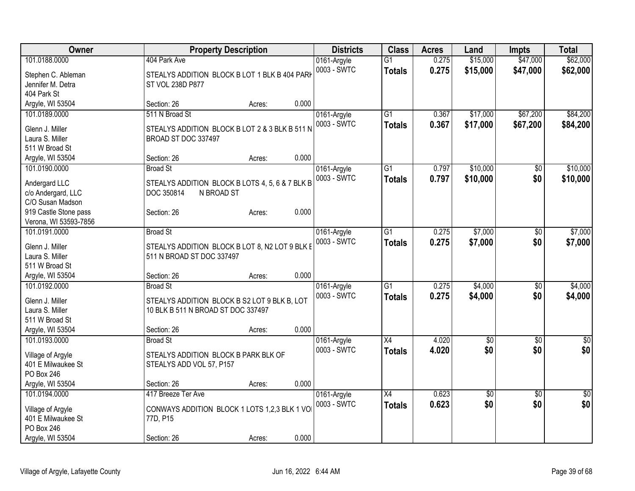| \$62,000<br>101.0188.0000<br>0.275<br>0161-Argyle<br>$\overline{G1}$<br>0003 - SWTC<br>0.275<br>\$15,000<br>\$47,000<br>\$62,000<br><b>Totals</b><br>STEALYS ADDITION BLOCK B LOT 1 BLK B 404 PARK<br>Stephen C. Ableman<br>Jennifer M. Detra<br>ST VOL 238D P877<br>404 Park St<br>0.000<br>Argyle, WI 53504<br>Section: 26<br>Acres:<br>511 N Broad St<br>\$17,000<br>\$67,200<br>\$84,200<br>101.0189.0000<br>0161-Argyle<br>G1<br>0.367<br>0.367<br>\$17,000<br>\$67,200<br>0003 - SWTC<br>\$84,200<br><b>Totals</b><br>Glenn J. Miller<br>STEALYS ADDITION BLOCK B LOT 2 & 3 BLK B 511 N<br>Laura S. Miller<br>BROAD ST DOC 337497<br>511 W Broad St<br>0.000<br>Argyle, WI 53504<br>Section: 26<br>Acres:<br>\$10,000<br><b>Broad St</b><br>\$10,000<br>101.0190.0000<br>0161-Argyle<br>G1<br>0.797<br>$\sqrt{6}$<br>0003 - SWTC<br>0.797<br>\$0<br>\$10,000<br>\$10,000<br><b>Totals</b><br>STEALYS ADDITION BLOCK B LOTS 4, 5, 6 & 7 BLK B<br>Andergard LLC<br>DOC 350814<br>c/o Andergard, LLC<br>N BROAD ST<br>C/O Susan Madson<br>0.000<br>919 Castle Stone pass<br>Section: 26<br>Acres:<br>Verona, WI 53593-7856<br>101.0191.0000<br>\$7,000<br>$\overline{G1}$<br>0.275<br>\$7,000<br><b>Broad St</b><br>0161-Argyle<br>\$0<br>0003 - SWTC<br>0.275<br>\$7,000<br>\$0<br>\$7,000<br><b>Totals</b><br>STEALYS ADDITION BLOCK B LOT 8, N2 LOT 9 BLK E<br>Glenn J. Miller<br>511 N BROAD ST DOC 337497<br>Laura S. Miller<br>511 W Broad St<br>0.000<br>Argyle, WI 53504<br>Section: 26<br>Acres:<br>\$4,000<br>\$4,000<br>101.0192.0000<br><b>Broad St</b><br>0161-Argyle<br>G1<br>0.275<br>$\sqrt[6]{3}$<br>0003 - SWTC<br>0.275<br>\$4,000<br>\$0<br>\$4,000<br><b>Totals</b><br>Glenn J. Miller<br>STEALYS ADDITION BLOCK B S2 LOT 9 BLK B, LOT<br>Laura S. Miller<br>10 BLK B 511 N BROAD ST DOC 337497<br>511 W Broad St<br>0.000<br>Argyle, WI 53504<br>Section: 26<br>Acres:<br>101.0193.0000<br>0161-Argyle<br>$\overline{X4}$<br>4.020<br>$\overline{60}$<br>$\overline{30}$<br><b>Broad St</b><br>$\sqrt{6}$<br>\$0<br>\$0<br>\$0<br>4.020<br>0003 - SWTC<br><b>Totals</b><br>STEALYS ADDITION BLOCK B PARK BLK OF<br>Village of Argyle | Owner              | <b>Property Description</b> | <b>Districts</b> | <b>Class</b> | <b>Acres</b> | Land     | <b>Impts</b> | <b>Total</b> |
|---------------------------------------------------------------------------------------------------------------------------------------------------------------------------------------------------------------------------------------------------------------------------------------------------------------------------------------------------------------------------------------------------------------------------------------------------------------------------------------------------------------------------------------------------------------------------------------------------------------------------------------------------------------------------------------------------------------------------------------------------------------------------------------------------------------------------------------------------------------------------------------------------------------------------------------------------------------------------------------------------------------------------------------------------------------------------------------------------------------------------------------------------------------------------------------------------------------------------------------------------------------------------------------------------------------------------------------------------------------------------------------------------------------------------------------------------------------------------------------------------------------------------------------------------------------------------------------------------------------------------------------------------------------------------------------------------------------------------------------------------------------------------------------------------------------------------------------------------------------------------------------------------------------------------------------------------------------------------------------------------------------------------------------------------------------------------------------------------------------------------------------------------------------|--------------------|-----------------------------|------------------|--------------|--------------|----------|--------------|--------------|
|                                                                                                                                                                                                                                                                                                                                                                                                                                                                                                                                                                                                                                                                                                                                                                                                                                                                                                                                                                                                                                                                                                                                                                                                                                                                                                                                                                                                                                                                                                                                                                                                                                                                                                                                                                                                                                                                                                                                                                                                                                                                                                                                                               |                    | 404 Park Ave                |                  |              |              | \$15,000 | \$47,000     |              |
|                                                                                                                                                                                                                                                                                                                                                                                                                                                                                                                                                                                                                                                                                                                                                                                                                                                                                                                                                                                                                                                                                                                                                                                                                                                                                                                                                                                                                                                                                                                                                                                                                                                                                                                                                                                                                                                                                                                                                                                                                                                                                                                                                               |                    |                             |                  |              |              |          |              |              |
|                                                                                                                                                                                                                                                                                                                                                                                                                                                                                                                                                                                                                                                                                                                                                                                                                                                                                                                                                                                                                                                                                                                                                                                                                                                                                                                                                                                                                                                                                                                                                                                                                                                                                                                                                                                                                                                                                                                                                                                                                                                                                                                                                               |                    |                             |                  |              |              |          |              |              |
|                                                                                                                                                                                                                                                                                                                                                                                                                                                                                                                                                                                                                                                                                                                                                                                                                                                                                                                                                                                                                                                                                                                                                                                                                                                                                                                                                                                                                                                                                                                                                                                                                                                                                                                                                                                                                                                                                                                                                                                                                                                                                                                                                               |                    |                             |                  |              |              |          |              |              |
|                                                                                                                                                                                                                                                                                                                                                                                                                                                                                                                                                                                                                                                                                                                                                                                                                                                                                                                                                                                                                                                                                                                                                                                                                                                                                                                                                                                                                                                                                                                                                                                                                                                                                                                                                                                                                                                                                                                                                                                                                                                                                                                                                               |                    |                             |                  |              |              |          |              |              |
|                                                                                                                                                                                                                                                                                                                                                                                                                                                                                                                                                                                                                                                                                                                                                                                                                                                                                                                                                                                                                                                                                                                                                                                                                                                                                                                                                                                                                                                                                                                                                                                                                                                                                                                                                                                                                                                                                                                                                                                                                                                                                                                                                               |                    |                             |                  |              |              |          |              |              |
|                                                                                                                                                                                                                                                                                                                                                                                                                                                                                                                                                                                                                                                                                                                                                                                                                                                                                                                                                                                                                                                                                                                                                                                                                                                                                                                                                                                                                                                                                                                                                                                                                                                                                                                                                                                                                                                                                                                                                                                                                                                                                                                                                               |                    |                             |                  |              |              |          |              |              |
|                                                                                                                                                                                                                                                                                                                                                                                                                                                                                                                                                                                                                                                                                                                                                                                                                                                                                                                                                                                                                                                                                                                                                                                                                                                                                                                                                                                                                                                                                                                                                                                                                                                                                                                                                                                                                                                                                                                                                                                                                                                                                                                                                               |                    |                             |                  |              |              |          |              |              |
|                                                                                                                                                                                                                                                                                                                                                                                                                                                                                                                                                                                                                                                                                                                                                                                                                                                                                                                                                                                                                                                                                                                                                                                                                                                                                                                                                                                                                                                                                                                                                                                                                                                                                                                                                                                                                                                                                                                                                                                                                                                                                                                                                               |                    |                             |                  |              |              |          |              |              |
|                                                                                                                                                                                                                                                                                                                                                                                                                                                                                                                                                                                                                                                                                                                                                                                                                                                                                                                                                                                                                                                                                                                                                                                                                                                                                                                                                                                                                                                                                                                                                                                                                                                                                                                                                                                                                                                                                                                                                                                                                                                                                                                                                               |                    |                             |                  |              |              |          |              |              |
|                                                                                                                                                                                                                                                                                                                                                                                                                                                                                                                                                                                                                                                                                                                                                                                                                                                                                                                                                                                                                                                                                                                                                                                                                                                                                                                                                                                                                                                                                                                                                                                                                                                                                                                                                                                                                                                                                                                                                                                                                                                                                                                                                               |                    |                             |                  |              |              |          |              |              |
|                                                                                                                                                                                                                                                                                                                                                                                                                                                                                                                                                                                                                                                                                                                                                                                                                                                                                                                                                                                                                                                                                                                                                                                                                                                                                                                                                                                                                                                                                                                                                                                                                                                                                                                                                                                                                                                                                                                                                                                                                                                                                                                                                               |                    |                             |                  |              |              |          |              |              |
|                                                                                                                                                                                                                                                                                                                                                                                                                                                                                                                                                                                                                                                                                                                                                                                                                                                                                                                                                                                                                                                                                                                                                                                                                                                                                                                                                                                                                                                                                                                                                                                                                                                                                                                                                                                                                                                                                                                                                                                                                                                                                                                                                               |                    |                             |                  |              |              |          |              |              |
|                                                                                                                                                                                                                                                                                                                                                                                                                                                                                                                                                                                                                                                                                                                                                                                                                                                                                                                                                                                                                                                                                                                                                                                                                                                                                                                                                                                                                                                                                                                                                                                                                                                                                                                                                                                                                                                                                                                                                                                                                                                                                                                                                               |                    |                             |                  |              |              |          |              |              |
|                                                                                                                                                                                                                                                                                                                                                                                                                                                                                                                                                                                                                                                                                                                                                                                                                                                                                                                                                                                                                                                                                                                                                                                                                                                                                                                                                                                                                                                                                                                                                                                                                                                                                                                                                                                                                                                                                                                                                                                                                                                                                                                                                               |                    |                             |                  |              |              |          |              |              |
|                                                                                                                                                                                                                                                                                                                                                                                                                                                                                                                                                                                                                                                                                                                                                                                                                                                                                                                                                                                                                                                                                                                                                                                                                                                                                                                                                                                                                                                                                                                                                                                                                                                                                                                                                                                                                                                                                                                                                                                                                                                                                                                                                               |                    |                             |                  |              |              |          |              |              |
|                                                                                                                                                                                                                                                                                                                                                                                                                                                                                                                                                                                                                                                                                                                                                                                                                                                                                                                                                                                                                                                                                                                                                                                                                                                                                                                                                                                                                                                                                                                                                                                                                                                                                                                                                                                                                                                                                                                                                                                                                                                                                                                                                               |                    |                             |                  |              |              |          |              |              |
|                                                                                                                                                                                                                                                                                                                                                                                                                                                                                                                                                                                                                                                                                                                                                                                                                                                                                                                                                                                                                                                                                                                                                                                                                                                                                                                                                                                                                                                                                                                                                                                                                                                                                                                                                                                                                                                                                                                                                                                                                                                                                                                                                               |                    |                             |                  |              |              |          |              |              |
|                                                                                                                                                                                                                                                                                                                                                                                                                                                                                                                                                                                                                                                                                                                                                                                                                                                                                                                                                                                                                                                                                                                                                                                                                                                                                                                                                                                                                                                                                                                                                                                                                                                                                                                                                                                                                                                                                                                                                                                                                                                                                                                                                               |                    |                             |                  |              |              |          |              |              |
|                                                                                                                                                                                                                                                                                                                                                                                                                                                                                                                                                                                                                                                                                                                                                                                                                                                                                                                                                                                                                                                                                                                                                                                                                                                                                                                                                                                                                                                                                                                                                                                                                                                                                                                                                                                                                                                                                                                                                                                                                                                                                                                                                               |                    |                             |                  |              |              |          |              |              |
|                                                                                                                                                                                                                                                                                                                                                                                                                                                                                                                                                                                                                                                                                                                                                                                                                                                                                                                                                                                                                                                                                                                                                                                                                                                                                                                                                                                                                                                                                                                                                                                                                                                                                                                                                                                                                                                                                                                                                                                                                                                                                                                                                               |                    |                             |                  |              |              |          |              |              |
|                                                                                                                                                                                                                                                                                                                                                                                                                                                                                                                                                                                                                                                                                                                                                                                                                                                                                                                                                                                                                                                                                                                                                                                                                                                                                                                                                                                                                                                                                                                                                                                                                                                                                                                                                                                                                                                                                                                                                                                                                                                                                                                                                               |                    |                             |                  |              |              |          |              |              |
|                                                                                                                                                                                                                                                                                                                                                                                                                                                                                                                                                                                                                                                                                                                                                                                                                                                                                                                                                                                                                                                                                                                                                                                                                                                                                                                                                                                                                                                                                                                                                                                                                                                                                                                                                                                                                                                                                                                                                                                                                                                                                                                                                               |                    |                             |                  |              |              |          |              |              |
|                                                                                                                                                                                                                                                                                                                                                                                                                                                                                                                                                                                                                                                                                                                                                                                                                                                                                                                                                                                                                                                                                                                                                                                                                                                                                                                                                                                                                                                                                                                                                                                                                                                                                                                                                                                                                                                                                                                                                                                                                                                                                                                                                               |                    |                             |                  |              |              |          |              |              |
|                                                                                                                                                                                                                                                                                                                                                                                                                                                                                                                                                                                                                                                                                                                                                                                                                                                                                                                                                                                                                                                                                                                                                                                                                                                                                                                                                                                                                                                                                                                                                                                                                                                                                                                                                                                                                                                                                                                                                                                                                                                                                                                                                               |                    |                             |                  |              |              |          |              |              |
|                                                                                                                                                                                                                                                                                                                                                                                                                                                                                                                                                                                                                                                                                                                                                                                                                                                                                                                                                                                                                                                                                                                                                                                                                                                                                                                                                                                                                                                                                                                                                                                                                                                                                                                                                                                                                                                                                                                                                                                                                                                                                                                                                               |                    |                             |                  |              |              |          |              |              |
|                                                                                                                                                                                                                                                                                                                                                                                                                                                                                                                                                                                                                                                                                                                                                                                                                                                                                                                                                                                                                                                                                                                                                                                                                                                                                                                                                                                                                                                                                                                                                                                                                                                                                                                                                                                                                                                                                                                                                                                                                                                                                                                                                               |                    |                             |                  |              |              |          |              |              |
|                                                                                                                                                                                                                                                                                                                                                                                                                                                                                                                                                                                                                                                                                                                                                                                                                                                                                                                                                                                                                                                                                                                                                                                                                                                                                                                                                                                                                                                                                                                                                                                                                                                                                                                                                                                                                                                                                                                                                                                                                                                                                                                                                               |                    |                             |                  |              |              |          |              |              |
|                                                                                                                                                                                                                                                                                                                                                                                                                                                                                                                                                                                                                                                                                                                                                                                                                                                                                                                                                                                                                                                                                                                                                                                                                                                                                                                                                                                                                                                                                                                                                                                                                                                                                                                                                                                                                                                                                                                                                                                                                                                                                                                                                               |                    |                             |                  |              |              |          |              |              |
|                                                                                                                                                                                                                                                                                                                                                                                                                                                                                                                                                                                                                                                                                                                                                                                                                                                                                                                                                                                                                                                                                                                                                                                                                                                                                                                                                                                                                                                                                                                                                                                                                                                                                                                                                                                                                                                                                                                                                                                                                                                                                                                                                               | 401 E Milwaukee St | STEALYS ADD VOL 57, P157    |                  |              |              |          |              |              |
| PO Box 246                                                                                                                                                                                                                                                                                                                                                                                                                                                                                                                                                                                                                                                                                                                                                                                                                                                                                                                                                                                                                                                                                                                                                                                                                                                                                                                                                                                                                                                                                                                                                                                                                                                                                                                                                                                                                                                                                                                                                                                                                                                                                                                                                    |                    |                             |                  |              |              |          |              |              |
| 0.000<br>Argyle, WI 53504<br>Section: 26<br>Acres:                                                                                                                                                                                                                                                                                                                                                                                                                                                                                                                                                                                                                                                                                                                                                                                                                                                                                                                                                                                                                                                                                                                                                                                                                                                                                                                                                                                                                                                                                                                                                                                                                                                                                                                                                                                                                                                                                                                                                                                                                                                                                                            |                    |                             |                  |              |              |          |              |              |
| X4<br>0.623<br>$\sqrt{50}$<br>101.0194.0000<br>417 Breeze Ter Ave<br>0161-Argyle<br>$\overline{60}$<br>$\overline{50}$                                                                                                                                                                                                                                                                                                                                                                                                                                                                                                                                                                                                                                                                                                                                                                                                                                                                                                                                                                                                                                                                                                                                                                                                                                                                                                                                                                                                                                                                                                                                                                                                                                                                                                                                                                                                                                                                                                                                                                                                                                        |                    |                             |                  |              |              |          |              |              |
| 0.623<br>\$0<br>\$0<br>\$0 <br>0003 - SWTC<br><b>Totals</b>                                                                                                                                                                                                                                                                                                                                                                                                                                                                                                                                                                                                                                                                                                                                                                                                                                                                                                                                                                                                                                                                                                                                                                                                                                                                                                                                                                                                                                                                                                                                                                                                                                                                                                                                                                                                                                                                                                                                                                                                                                                                                                   |                    |                             |                  |              |              |          |              |              |
| CONWAYS ADDITION BLOCK 1 LOTS 1,2,3 BLK 1 VOI<br>Village of Argyle<br>401 E Milwaukee St                                                                                                                                                                                                                                                                                                                                                                                                                                                                                                                                                                                                                                                                                                                                                                                                                                                                                                                                                                                                                                                                                                                                                                                                                                                                                                                                                                                                                                                                                                                                                                                                                                                                                                                                                                                                                                                                                                                                                                                                                                                                      |                    |                             |                  |              |              |          |              |              |
| 77D, P15<br>PO Box 246                                                                                                                                                                                                                                                                                                                                                                                                                                                                                                                                                                                                                                                                                                                                                                                                                                                                                                                                                                                                                                                                                                                                                                                                                                                                                                                                                                                                                                                                                                                                                                                                                                                                                                                                                                                                                                                                                                                                                                                                                                                                                                                                        |                    |                             |                  |              |              |          |              |              |
| 0.000<br>Argyle, WI 53504<br>Section: 26<br>Acres:                                                                                                                                                                                                                                                                                                                                                                                                                                                                                                                                                                                                                                                                                                                                                                                                                                                                                                                                                                                                                                                                                                                                                                                                                                                                                                                                                                                                                                                                                                                                                                                                                                                                                                                                                                                                                                                                                                                                                                                                                                                                                                            |                    |                             |                  |              |              |          |              |              |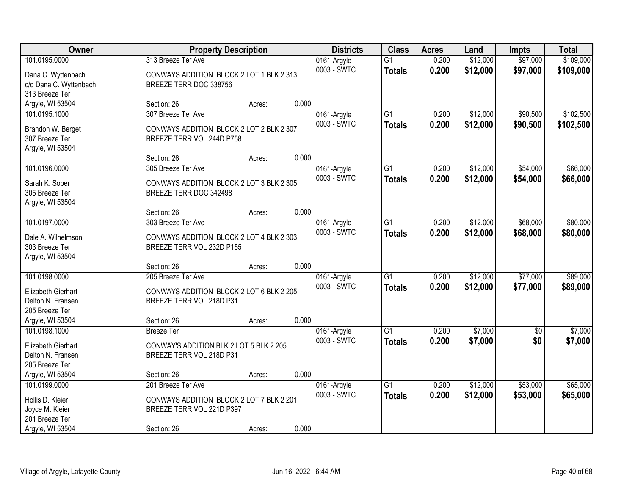| Owner                               | <b>Property Description</b>              |                 | <b>Districts</b> | <b>Class</b>    | <b>Acres</b> | Land     | <b>Impts</b>    | <b>Total</b> |
|-------------------------------------|------------------------------------------|-----------------|------------------|-----------------|--------------|----------|-----------------|--------------|
| 101.0195.0000                       | 313 Breeze Ter Ave                       |                 | 0161-Argyle      | $\overline{G1}$ | 0.200        | \$12,000 | \$97,000        | \$109,000    |
| Dana C. Wyttenbach                  | CONWAYS ADDITION BLOCK 2 LOT 1 BLK 2 313 |                 | 0003 - SWTC      | <b>Totals</b>   | 0.200        | \$12,000 | \$97,000        | \$109,000    |
| c/o Dana C. Wyttenbach              | BREEZE TERR DOC 338756                   |                 |                  |                 |              |          |                 |              |
| 313 Breeze Ter                      |                                          |                 |                  |                 |              |          |                 |              |
| Argyle, WI 53504                    | Section: 26                              | 0.000<br>Acres: |                  |                 |              |          |                 |              |
| 101.0195.1000                       | 307 Breeze Ter Ave                       |                 | 0161-Argyle      | $\overline{G1}$ | 0.200        | \$12,000 | \$90,500        | \$102,500    |
| Brandon W. Berget                   | CONWAYS ADDITION BLOCK 2 LOT 2 BLK 2 307 |                 | 0003 - SWTC      | <b>Totals</b>   | 0.200        | \$12,000 | \$90,500        | \$102,500    |
| 307 Breeze Ter                      | BREEZE TERR VOL 244D P758                |                 |                  |                 |              |          |                 |              |
| Argyle, WI 53504                    |                                          |                 |                  |                 |              |          |                 |              |
|                                     | Section: 26                              | 0.000<br>Acres: |                  |                 |              |          |                 |              |
| 101.0196.0000                       | 305 Breeze Ter Ave                       |                 | 0161-Argyle      | G1              | 0.200        | \$12,000 | \$54,000        | \$66,000     |
| Sarah K. Soper                      | CONWAYS ADDITION BLOCK 2 LOT 3 BLK 2 305 |                 | 0003 - SWTC      | <b>Totals</b>   | 0.200        | \$12,000 | \$54,000        | \$66,000     |
| 305 Breeze Ter                      | BREEZE TERR DOC 342498                   |                 |                  |                 |              |          |                 |              |
| Argyle, WI 53504                    |                                          |                 |                  |                 |              |          |                 |              |
|                                     | Section: 26                              | 0.000<br>Acres: |                  |                 |              |          |                 |              |
| 101.0197.0000                       | 303 Breeze Ter Ave                       |                 | 0161-Argyle      | G1              | 0.200        | \$12,000 | \$68,000        | \$80,000     |
|                                     |                                          |                 | 0003 - SWTC      | <b>Totals</b>   | 0.200        | \$12,000 | \$68,000        | \$80,000     |
| Dale A. Wilhelmson                  | CONWAYS ADDITION BLOCK 2 LOT 4 BLK 2 303 |                 |                  |                 |              |          |                 |              |
| 303 Breeze Ter                      | BREEZE TERR VOL 232D P155                |                 |                  |                 |              |          |                 |              |
| Argyle, WI 53504                    |                                          |                 |                  |                 |              |          |                 |              |
|                                     | Section: 26                              | 0.000<br>Acres: |                  |                 |              |          |                 |              |
| 101.0198.0000                       | 205 Breeze Ter Ave                       |                 | 0161-Argyle      | $\overline{G1}$ | 0.200        | \$12,000 | \$77,000        | \$89,000     |
| Elizabeth Gierhart                  | CONWAYS ADDITION BLOCK 2 LOT 6 BLK 2 205 |                 | 0003 - SWTC      | <b>Totals</b>   | 0.200        | \$12,000 | \$77,000        | \$89,000     |
| Delton N. Fransen                   | BREEZE TERR VOL 218D P31                 |                 |                  |                 |              |          |                 |              |
| 205 Breeze Ter                      |                                          |                 |                  |                 |              |          |                 |              |
| Argyle, WI 53504                    | Section: 26                              | 0.000<br>Acres: |                  |                 |              |          |                 |              |
| 101.0198.1000                       | <b>Breeze</b> Ter                        |                 | 0161-Argyle      | $\overline{G1}$ | 0.200        | \$7,000  | $\overline{50}$ | \$7,000      |
| Elizabeth Gierhart                  | CONWAY'S ADDITION BLK 2 LOT 5 BLK 2 205  |                 | 0003 - SWTC      | <b>Totals</b>   | 0.200        | \$7,000  | \$0             | \$7,000      |
| Delton N. Fransen                   | BREEZE TERR VOL 218D P31                 |                 |                  |                 |              |          |                 |              |
| 205 Breeze Ter                      |                                          |                 |                  |                 |              |          |                 |              |
| Argyle, WI 53504                    | Section: 26                              | 0.000<br>Acres: |                  |                 |              |          |                 |              |
| 101.0199.0000                       | 201 Breeze Ter Ave                       |                 | 0161-Argyle      | $\overline{G1}$ | 0.200        | \$12,000 | \$53,000        | \$65,000     |
|                                     | CONWAYS ADDITION BLOCK 2 LOT 7 BLK 2 201 |                 | 0003 - SWTC      | <b>Totals</b>   | 0.200        | \$12,000 | \$53,000        | \$65,000     |
| Hollis D. Kleier<br>Joyce M. Kleier | BREEZE TERR VOL 221D P397                |                 |                  |                 |              |          |                 |              |
| 201 Breeze Ter                      |                                          |                 |                  |                 |              |          |                 |              |
| Argyle, WI 53504                    | Section: 26                              | 0.000<br>Acres: |                  |                 |              |          |                 |              |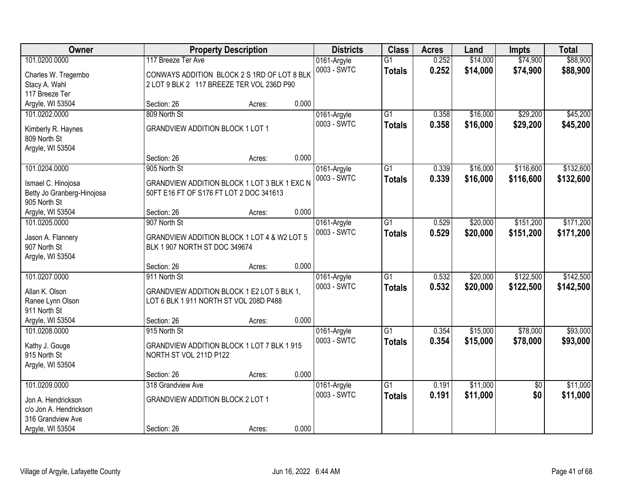| Owner                                      |                                              | <b>Property Description</b> |       | <b>Districts</b> | <b>Class</b>    | <b>Acres</b> | Land     | <b>Impts</b>    | <b>Total</b> |
|--------------------------------------------|----------------------------------------------|-----------------------------|-------|------------------|-----------------|--------------|----------|-----------------|--------------|
| 101.0200.0000                              | 117 Breeze Ter Ave                           |                             |       | 0161-Argyle      | $\overline{G1}$ | 0.252        | \$14,000 | \$74,900        | \$88,900     |
| Charles W. Tregembo                        | CONWAYS ADDITION BLOCK 2 S 1RD OF LOT 8 BLK  |                             |       | 0003 - SWTC      | <b>Totals</b>   | 0.252        | \$14,000 | \$74,900        | \$88,900     |
| Stacy A. Wahl                              | 2 LOT 9 BLK 2 117 BREEZE TER VOL 236D P90    |                             |       |                  |                 |              |          |                 |              |
| 117 Breeze Ter                             |                                              |                             |       |                  |                 |              |          |                 |              |
| Argyle, WI 53504                           | Section: 26                                  | Acres:                      | 0.000 |                  |                 |              |          |                 |              |
| 101.0202.0000                              | 809 North St                                 |                             |       | 0161-Argyle      | $\overline{G1}$ | 0.358        | \$16,000 | \$29,200        | \$45,200     |
| Kimberly R. Haynes                         | <b>GRANDVIEW ADDITION BLOCK 1 LOT 1</b>      |                             |       | 0003 - SWTC      | Totals          | 0.358        | \$16,000 | \$29,200        | \$45,200     |
| 809 North St                               |                                              |                             |       |                  |                 |              |          |                 |              |
| Argyle, WI 53504                           |                                              |                             |       |                  |                 |              |          |                 |              |
|                                            | Section: 26                                  | Acres:                      | 0.000 |                  |                 |              |          |                 |              |
| 101.0204.0000                              | 905 North St                                 |                             |       | 0161-Argyle      | G1              | 0.339        | \$16,000 | \$116,600       | \$132,600    |
|                                            |                                              |                             |       | 0003 - SWTC      | <b>Totals</b>   | 0.339        | \$16,000 | \$116,600       | \$132,600    |
| Ismael C. Hinojosa                         | GRANDVIEW ADDITION BLOCK 1 LOT 3 BLK 1 EXC N |                             |       |                  |                 |              |          |                 |              |
| Betty Jo Granberg-Hinojosa<br>905 North St | 50FT E16 FT OF S176 FT LOT 2 DOC 341613      |                             |       |                  |                 |              |          |                 |              |
| Argyle, WI 53504                           | Section: 26                                  | Acres:                      | 0.000 |                  |                 |              |          |                 |              |
| 101.0205.0000                              | 907 North St                                 |                             |       | 0161-Argyle      | G1              | 0.529        | \$20,000 | \$151,200       | \$171,200    |
|                                            |                                              |                             |       | 0003 - SWTC      | <b>Totals</b>   | 0.529        | \$20,000 | \$151,200       | \$171,200    |
| Jason A. Flannery                          | GRANDVIEW ADDITION BLOCK 1 LOT 4 & W2 LOT 5  |                             |       |                  |                 |              |          |                 |              |
| 907 North St                               | BLK 1 907 NORTH ST DOC 349674                |                             |       |                  |                 |              |          |                 |              |
| Argyle, WI 53504                           |                                              |                             |       |                  |                 |              |          |                 |              |
|                                            | Section: 26                                  | Acres:                      | 0.000 |                  |                 |              |          |                 |              |
| 101.0207.0000                              | 911 North St                                 |                             |       | 0161-Argyle      | $\overline{G1}$ | 0.532        | \$20,000 | \$122,500       | \$142,500    |
| Allan K. Olson                             | GRANDVIEW ADDITION BLOCK 1 E2 LOT 5 BLK 1,   |                             |       | 0003 - SWTC      | Totals          | 0.532        | \$20,000 | \$122,500       | \$142,500    |
| Ranee Lynn Olson                           | LOT 6 BLK 1 911 NORTH ST VOL 208D P488       |                             |       |                  |                 |              |          |                 |              |
| 911 North St                               |                                              |                             |       |                  |                 |              |          |                 |              |
| Argyle, WI 53504                           | Section: 26                                  | Acres:                      | 0.000 |                  |                 |              |          |                 |              |
| 101.0208.0000                              | 915 North St                                 |                             |       | 0161-Argyle      | $\overline{G1}$ | 0.354        | \$15,000 | \$78,000        | \$93,000     |
| Kathy J. Gouge                             | GRANDVIEW ADDITION BLOCK 1 LOT 7 BLK 1 915   |                             |       | 0003 - SWTC      | <b>Totals</b>   | 0.354        | \$15,000 | \$78,000        | \$93,000     |
| 915 North St                               | NORTH ST VOL 211D P122                       |                             |       |                  |                 |              |          |                 |              |
| Argyle, WI 53504                           |                                              |                             |       |                  |                 |              |          |                 |              |
|                                            | Section: 26                                  | Acres:                      | 0.000 |                  |                 |              |          |                 |              |
| 101.0209.0000                              | 318 Grandview Ave                            |                             |       | 0161-Argyle      | $\overline{G1}$ | 0.191        | \$11,000 | $\overline{50}$ | \$11,000     |
| Jon A. Hendrickson                         | <b>GRANDVIEW ADDITION BLOCK 2 LOT 1</b>      |                             |       | 0003 - SWTC      | <b>Totals</b>   | 0.191        | \$11,000 | \$0             | \$11,000     |
| c/o Jon A. Hendrickson                     |                                              |                             |       |                  |                 |              |          |                 |              |
| 316 Grandview Ave                          |                                              |                             |       |                  |                 |              |          |                 |              |
| Argyle, WI 53504                           | Section: 26                                  | Acres:                      | 0.000 |                  |                 |              |          |                 |              |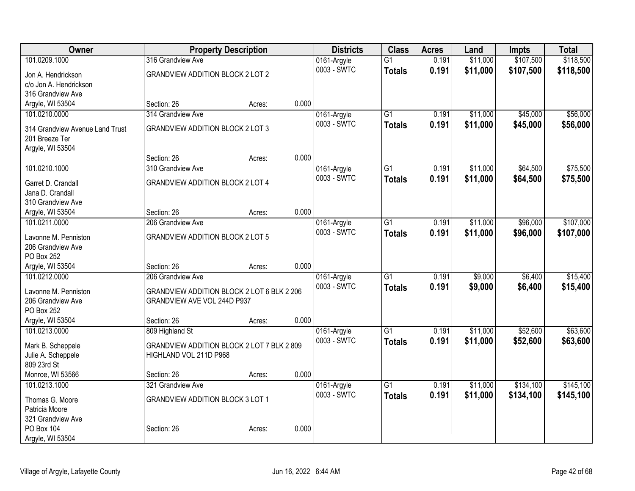| Owner                             | <b>Property Description</b>                |        |       | <b>Districts</b>           | <b>Class</b>    | <b>Acres</b> | Land     | <b>Impts</b> | <b>Total</b> |
|-----------------------------------|--------------------------------------------|--------|-------|----------------------------|-----------------|--------------|----------|--------------|--------------|
| 101.0209.1000                     | 316 Grandview Ave                          |        |       | 0161-Argyle                | $\overline{G1}$ | 0.191        | \$11,000 | \$107,500    | \$118,500    |
| Jon A. Hendrickson                | <b>GRANDVIEW ADDITION BLOCK 2 LOT 2</b>    |        |       | 0003 - SWTC                | <b>Totals</b>   | 0.191        | \$11,000 | \$107,500    | \$118,500    |
| c/o Jon A. Hendrickson            |                                            |        |       |                            |                 |              |          |              |              |
| 316 Grandview Ave                 |                                            |        |       |                            |                 |              |          |              |              |
| Argyle, WI 53504                  | Section: 26                                | Acres: | 0.000 |                            |                 |              |          |              |              |
| 101.0210.0000                     | 314 Grandview Ave                          |        |       | 0161-Argyle                | $\overline{G1}$ | 0.191        | \$11,000 | \$45,000     | \$56,000     |
| 314 Grandview Avenue Land Trust   | <b>GRANDVIEW ADDITION BLOCK 2 LOT 3</b>    |        |       | 0003 - SWTC                | <b>Totals</b>   | 0.191        | \$11,000 | \$45,000     | \$56,000     |
| 201 Breeze Ter                    |                                            |        |       |                            |                 |              |          |              |              |
| Argyle, WI 53504                  |                                            |        |       |                            |                 |              |          |              |              |
|                                   | Section: 26                                | Acres: | 0.000 |                            |                 |              |          |              |              |
| 101.0210.1000                     | 310 Grandview Ave                          |        |       | 0161-Argyle                | $\overline{G1}$ | 0.191        | \$11,000 | \$64,500     | \$75,500     |
|                                   |                                            |        |       | 0003 - SWTC                | <b>Totals</b>   | 0.191        | \$11,000 | \$64,500     | \$75,500     |
| Garret D. Crandall                | <b>GRANDVIEW ADDITION BLOCK 2 LOT 4</b>    |        |       |                            |                 |              |          |              |              |
| Jana D. Crandall                  |                                            |        |       |                            |                 |              |          |              |              |
| 310 Grandview Ave                 | Section: 26                                |        | 0.000 |                            |                 |              |          |              |              |
| Argyle, WI 53504<br>101.0211.0000 | 206 Grandview Ave                          | Acres: |       |                            | $\overline{G1}$ | 0.191        | \$11,000 | \$96,000     | \$107,000    |
|                                   |                                            |        |       | 0161-Argyle<br>0003 - SWTC |                 |              |          |              |              |
| Lavonne M. Penniston              | <b>GRANDVIEW ADDITION BLOCK 2 LOT 5</b>    |        |       |                            | <b>Totals</b>   | 0.191        | \$11,000 | \$96,000     | \$107,000    |
| 206 Grandview Ave                 |                                            |        |       |                            |                 |              |          |              |              |
| PO Box 252                        |                                            |        |       |                            |                 |              |          |              |              |
| Argyle, WI 53504                  | Section: 26                                | Acres: | 0.000 |                            |                 |              |          |              |              |
| 101.0212.0000                     | 206 Grandview Ave                          |        |       | 0161-Argyle                | $\overline{G1}$ | 0.191        | \$9,000  | \$6,400      | \$15,400     |
| Lavonne M. Penniston              | GRANDVIEW ADDITION BLOCK 2 LOT 6 BLK 2 206 |        |       | 0003 - SWTC                | <b>Totals</b>   | 0.191        | \$9,000  | \$6,400      | \$15,400     |
| 206 Grandview Ave                 | GRANDVIEW AVE VOL 244D P937                |        |       |                            |                 |              |          |              |              |
| PO Box 252                        |                                            |        |       |                            |                 |              |          |              |              |
| Argyle, WI 53504                  | Section: 26                                | Acres: | 0.000 |                            |                 |              |          |              |              |
| 101.0213.0000                     | 809 Highland St                            |        |       | 0161-Argyle                | $\overline{G1}$ | 0.191        | \$11,000 | \$52,600     | \$63,600     |
| Mark B. Scheppele                 | GRANDVIEW ADDITION BLOCK 2 LOT 7 BLK 2 809 |        |       | 0003 - SWTC                | <b>Totals</b>   | 0.191        | \$11,000 | \$52,600     | \$63,600     |
| Julie A. Scheppele                | HIGHLAND VOL 211D P968                     |        |       |                            |                 |              |          |              |              |
| 809 23rd St                       |                                            |        |       |                            |                 |              |          |              |              |
| Monroe, WI 53566                  | Section: 26                                | Acres: | 0.000 |                            |                 |              |          |              |              |
| 101.0213.1000                     | 321 Grandview Ave                          |        |       | 0161-Argyle                | G1              | 0.191        | \$11,000 | \$134,100    | \$145,100    |
|                                   |                                            |        |       | 0003 - SWTC                | <b>Totals</b>   | 0.191        | \$11,000 | \$134,100    | \$145,100    |
| Thomas G. Moore<br>Patricia Moore | <b>GRANDVIEW ADDITION BLOCK 3 LOT 1</b>    |        |       |                            |                 |              |          |              |              |
| 321 Grandview Ave                 |                                            |        |       |                            |                 |              |          |              |              |
| PO Box 104                        | Section: 26                                | Acres: | 0.000 |                            |                 |              |          |              |              |
| Argyle, WI 53504                  |                                            |        |       |                            |                 |              |          |              |              |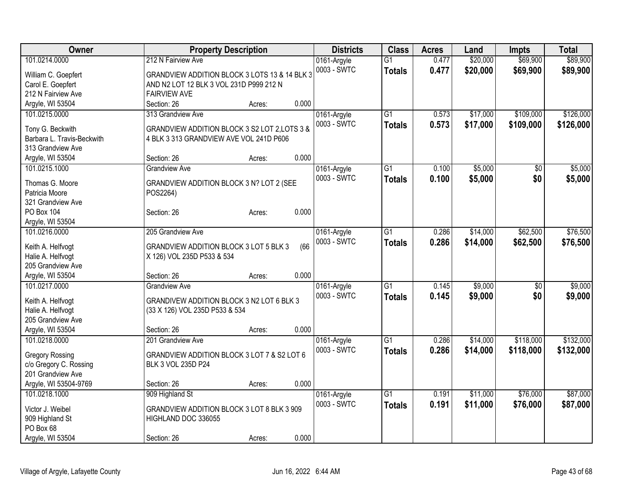| Owner                      | <b>Property Description</b>                    | <b>Districts</b> | <b>Class</b>    | <b>Acres</b> | Land     | <b>Impts</b>  | <b>Total</b> |
|----------------------------|------------------------------------------------|------------------|-----------------|--------------|----------|---------------|--------------|
| 101.0214.0000              | 212 N Fairview Ave                             | 0161-Argyle      | $\overline{G1}$ | 0.477        | \$20,000 | \$69,900      | \$89,900     |
| William C. Goepfert        | GRANDVIEW ADDITION BLOCK 3 LOTS 13 & 14 BLK 3  | 0003 - SWTC      | <b>Totals</b>   | 0.477        | \$20,000 | \$69,900      | \$89,900     |
| Carol E. Goepfert          | AND N2 LOT 12 BLK 3 VOL 231D P999 212 N        |                  |                 |              |          |               |              |
| 212 N Fairview Ave         | <b>FAIRVIEW AVE</b>                            |                  |                 |              |          |               |              |
| Argyle, WI 53504           | 0.000<br>Section: 26<br>Acres:                 |                  |                 |              |          |               |              |
| 101.0215.0000              | 313 Grandview Ave                              | 0161-Argyle      | G1              | 0.573        | \$17,000 | \$109,000     | \$126,000    |
|                            |                                                | 0003 - SWTC      | <b>Totals</b>   | 0.573        | \$17,000 | \$109,000     | \$126,000    |
| Tony G. Beckwith           | GRANDVIEW ADDITION BLOCK 3 S2 LOT 2, LOTS 3 &  |                  |                 |              |          |               |              |
| Barbara L. Travis-Beckwith | 4 BLK 3 313 GRANDVIEW AVE VOL 241D P606        |                  |                 |              |          |               |              |
| 313 Grandview Ave          |                                                |                  |                 |              |          |               |              |
| Argyle, WI 53504           | 0.000<br>Section: 26<br>Acres:                 |                  |                 |              |          |               |              |
| 101.0215.1000              | <b>Grandview Ave</b>                           | 0161-Argyle      | G1              | 0.100        | \$5,000  | $\sqrt{6}$    | \$5,000      |
| Thomas G. Moore            | GRANDVIEW ADDITION BLOCK 3 N? LOT 2 (SEE       | 0003 - SWTC      | <b>Totals</b>   | 0.100        | \$5,000  | \$0           | \$5,000      |
| Patricia Moore             | POS2264)                                       |                  |                 |              |          |               |              |
| 321 Grandview Ave          |                                                |                  |                 |              |          |               |              |
| <b>PO Box 104</b>          | 0.000<br>Section: 26<br>Acres:                 |                  |                 |              |          |               |              |
| Argyle, WI 53504           |                                                |                  |                 |              |          |               |              |
| 101.0216.0000              | 205 Grandview Ave                              | 0161-Argyle      | $\overline{G1}$ | 0.286        | \$14,000 | \$62,500      | \$76,500     |
| Keith A. Helfvogt          | (66)<br>GRANDVIEW ADDITION BLOCK 3 LOT 5 BLK 3 | 0003 - SWTC      | <b>Totals</b>   | 0.286        | \$14,000 | \$62,500      | \$76,500     |
| Halie A. Helfvogt          | X 126) VOL 235D P533 & 534                     |                  |                 |              |          |               |              |
| 205 Grandview Ave          |                                                |                  |                 |              |          |               |              |
| Argyle, WI 53504           | 0.000<br>Section: 26<br>Acres:                 |                  |                 |              |          |               |              |
| 101.0217.0000              | <b>Grandview Ave</b>                           | 0161-Argyle      | G1              | 0.145        | \$9,000  | $\sqrt[6]{3}$ | \$9,000      |
|                            |                                                | 0003 - SWTC      | <b>Totals</b>   | 0.145        | \$9,000  | \$0           | \$9,000      |
| Keith A. Helfvogt          | GRANDIVEW ADDITION BLOCK 3 N2 LOT 6 BLK 3      |                  |                 |              |          |               |              |
| Halie A. Helfvogt          | (33 X 126) VOL 235D P533 & 534                 |                  |                 |              |          |               |              |
| 205 Grandview Ave          |                                                |                  |                 |              |          |               |              |
| Argyle, WI 53504           | 0.000<br>Section: 26<br>Acres:                 |                  |                 |              |          |               |              |
| 101.0218.0000              | 201 Grandview Ave                              | 0161-Argyle      | $\overline{G1}$ | 0.286        | \$14,000 | \$118,000     | \$132,000    |
| <b>Gregory Rossing</b>     | GRANDVIEW ADDITION BLOCK 3 LOT 7 & S2 LOT 6    | 0003 - SWTC      | <b>Totals</b>   | 0.286        | \$14,000 | \$118,000     | \$132,000    |
| c/o Gregory C. Rossing     | BLK 3 VOL 235D P24                             |                  |                 |              |          |               |              |
| 201 Grandview Ave          |                                                |                  |                 |              |          |               |              |
| Argyle, WI 53504-9769      | 0.000<br>Section: 26<br>Acres:                 |                  |                 |              |          |               |              |
| 101.0218.1000              | 909 Highland St                                | 0161-Argyle      | $\overline{G1}$ | 0.191        | \$11,000 | \$76,000      | \$87,000     |
|                            |                                                | 0003 - SWTC      | <b>Totals</b>   | 0.191        | \$11,000 | \$76,000      | \$87,000     |
| Victor J. Weibel           | GRANDVIEW ADDITION BLOCK 3 LOT 8 BLK 3 909     |                  |                 |              |          |               |              |
| 909 Highland St            | HIGHLAND DOC 336055                            |                  |                 |              |          |               |              |
| PO Box 68                  |                                                |                  |                 |              |          |               |              |
| Argyle, WI 53504           | 0.000<br>Section: 26<br>Acres:                 |                  |                 |              |          |               |              |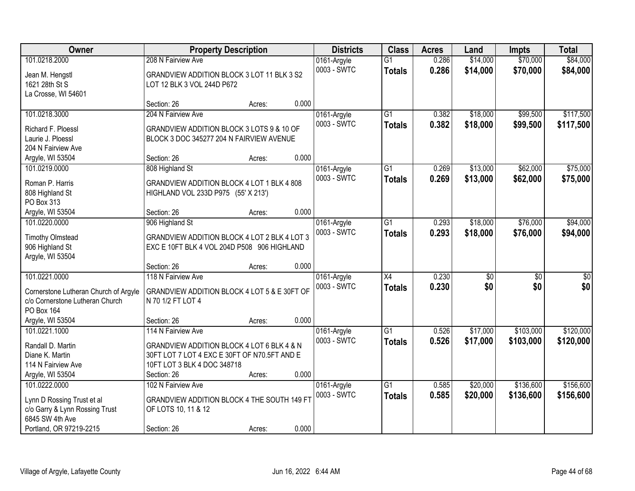| Owner                                 | <b>Property Description</b>                  |        |       | <b>Districts</b>           | <b>Class</b>    | <b>Acres</b> | Land            | <b>Impts</b>    | <b>Total</b>     |
|---------------------------------------|----------------------------------------------|--------|-------|----------------------------|-----------------|--------------|-----------------|-----------------|------------------|
| 101.0218.2000                         | 208 N Fairview Ave                           |        |       | 0161-Argyle                | $\overline{G1}$ | 0.286        | \$14,000        | \$70,000        | \$84,000         |
| Jean M. Hengstl                       | GRANDVIEW ADDITION BLOCK 3 LOT 11 BLK 3 S2   |        |       | 0003 - SWTC                | <b>Totals</b>   | 0.286        | \$14,000        | \$70,000        | \$84,000         |
| 1621 28th St S                        | LOT 12 BLK 3 VOL 244D P672                   |        |       |                            |                 |              |                 |                 |                  |
| La Crosse, WI 54601                   |                                              |        |       |                            |                 |              |                 |                 |                  |
|                                       | Section: 26                                  | Acres: | 0.000 |                            |                 |              |                 |                 |                  |
| 101.0218.3000                         | 204 N Fairview Ave                           |        |       | 0161-Argyle                | $\overline{G1}$ | 0.382        | \$18,000        | \$99,500        | \$117,500        |
| Richard F. Ploessl                    | GRANDVIEW ADDITION BLOCK 3 LOTS 9 & 10 OF    |        |       | 0003 - SWTC                | <b>Totals</b>   | 0.382        | \$18,000        | \$99,500        | \$117,500        |
| Laurie J. Ploessl                     | BLOCK 3 DOC 345277 204 N FAIRVIEW AVENUE     |        |       |                            |                 |              |                 |                 |                  |
| 204 N Fairview Ave                    |                                              |        |       |                            |                 |              |                 |                 |                  |
| Argyle, WI 53504                      | Section: 26                                  | Acres: | 0.000 |                            |                 |              |                 |                 |                  |
| 101.0219.0000                         | 808 Highland St                              |        |       | 0161-Argyle                | G1              | 0.269        | \$13,000        | \$62,000        | \$75,000         |
|                                       | GRANDVIEW ADDITION BLOCK 4 LOT 1 BLK 4 808   |        |       | 0003 - SWTC                | <b>Totals</b>   | 0.269        | \$13,000        | \$62,000        | \$75,000         |
| Roman P. Harris                       |                                              |        |       |                            |                 |              |                 |                 |                  |
| 808 Highland St                       | HIGHLAND VOL 233D P975 (55' X 213')          |        |       |                            |                 |              |                 |                 |                  |
| PO Box 313<br>Argyle, WI 53504        | Section: 26                                  | Acres: | 0.000 |                            |                 |              |                 |                 |                  |
| 101.0220.0000                         | 906 Highland St                              |        |       |                            | G1              | 0.293        | \$18,000        | \$76,000        | \$94,000         |
|                                       |                                              |        |       | 0161-Argyle<br>0003 - SWTC |                 |              |                 |                 |                  |
| <b>Timothy Olmstead</b>               | GRANDVIEW ADDITION BLOCK 4 LOT 2 BLK 4 LOT 3 |        |       |                            | <b>Totals</b>   | 0.293        | \$18,000        | \$76,000        | \$94,000         |
| 906 Highland St                       | EXC E 10FT BLK 4 VOL 204D P508 906 HIGHLAND  |        |       |                            |                 |              |                 |                 |                  |
| Argyle, WI 53504                      |                                              |        |       |                            |                 |              |                 |                 |                  |
|                                       | Section: 26                                  | Acres: | 0.000 |                            |                 |              |                 |                 |                  |
| 101.0221.0000                         | 118 N Fairview Ave                           |        |       | 0161-Argyle                | $\overline{X4}$ | 0.230        | $\overline{50}$ | $\overline{30}$ | $\overline{\$0}$ |
| Cornerstone Lutheran Church of Argyle | GRANDVIEW ADDITION BLOCK 4 LOT 5 & E 30FT OF |        |       | 0003 - SWTC                | Totals          | 0.230        | \$0             | \$0             | \$0              |
| c/o Cornerstone Lutheran Church       | N 70 1/2 FT LOT 4                            |        |       |                            |                 |              |                 |                 |                  |
| PO Box 164                            |                                              |        |       |                            |                 |              |                 |                 |                  |
| Argyle, WI 53504                      | Section: 26                                  | Acres: | 0.000 |                            |                 |              |                 |                 |                  |
| 101.0221.1000                         | 114 N Fairview Ave                           |        |       | 0161-Argyle                | $\overline{G1}$ | 0.526        | \$17,000        | \$103,000       | \$120,000        |
|                                       |                                              |        |       | 0003 - SWTC                | <b>Totals</b>   | 0.526        | \$17,000        | \$103,000       | \$120,000        |
| Randall D. Martin                     | GRANDVIEW ADDITION BLOCK 4 LOT 6 BLK 4 & N   |        |       |                            |                 |              |                 |                 |                  |
| Diane K. Martin                       | 30FT LOT 7 LOT 4 EXC E 30FT OF N70.5FT AND E |        |       |                            |                 |              |                 |                 |                  |
| 114 N Fairview Ave                    | 10FT LOT 3 BLK 4 DOC 348718                  |        |       |                            |                 |              |                 |                 |                  |
| Argyle, WI 53504                      | Section: 26                                  | Acres: | 0.000 |                            |                 |              |                 |                 |                  |
| 101.0222.0000                         | 102 N Fairview Ave                           |        |       | 0161-Argyle                | $\overline{G1}$ | 0.585        | \$20,000        | \$136,600       | \$156,600        |
| Lynn D Rossing Trust et al            | GRANDVIEW ADDITION BLOCK 4 THE SOUTH 149 FT  |        |       | 0003 - SWTC                | <b>Totals</b>   | 0.585        | \$20,000        | \$136,600       | \$156,600        |
| c/o Garry & Lynn Rossing Trust        | OF LOTS 10, 11 & 12                          |        |       |                            |                 |              |                 |                 |                  |
| 6845 SW 4th Ave                       |                                              |        |       |                            |                 |              |                 |                 |                  |
| Portland, OR 97219-2215               | Section: 26                                  | Acres: | 0.000 |                            |                 |              |                 |                 |                  |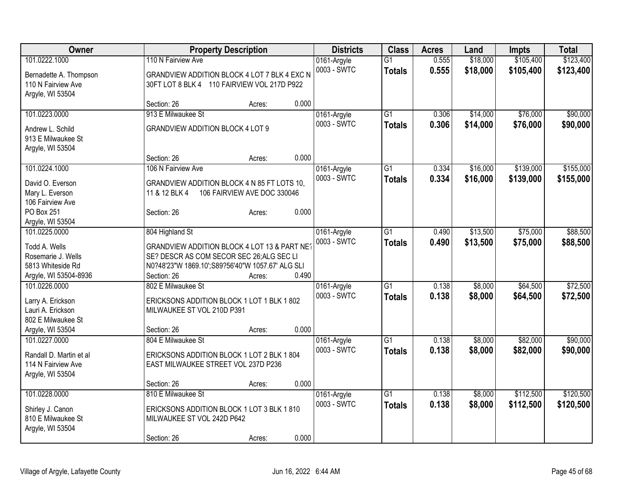| Owner                                   | <b>Property Description</b>                                                                  |                             | <b>Districts</b> | <b>Class</b>    | <b>Acres</b> | Land     | <b>Impts</b> | <b>Total</b> |
|-----------------------------------------|----------------------------------------------------------------------------------------------|-----------------------------|------------------|-----------------|--------------|----------|--------------|--------------|
| 101.0222.1000                           | 110 N Fairview Ave                                                                           |                             | 0161-Argyle      | $\overline{G1}$ | 0.555        | \$18,000 | \$105,400    | \$123,400    |
| Bernadette A. Thompson                  | GRANDVIEW ADDITION BLOCK 4 LOT 7 BLK 4 EXC N                                                 |                             | 0003 - SWTC      | <b>Totals</b>   | 0.555        | \$18,000 | \$105,400    | \$123,400    |
| 110 N Fairview Ave                      | 30FT LOT 8 BLK 4 110 FAIRVIEW VOL 217D P922                                                  |                             |                  |                 |              |          |              |              |
| Argyle, WI 53504                        |                                                                                              |                             |                  |                 |              |          |              |              |
|                                         | Section: 26                                                                                  | Acres:                      | 0.000            |                 |              |          |              |              |
| 101.0223.0000                           | 913 E Milwaukee St                                                                           |                             | 0161-Argyle      | $\overline{G1}$ | 0.306        | \$14,000 | \$76,000     | \$90,000     |
| Andrew L. Schild                        | <b>GRANDVIEW ADDITION BLOCK 4 LOT 9</b>                                                      |                             | 0003 - SWTC      | <b>Totals</b>   | 0.306        | \$14,000 | \$76,000     | \$90,000     |
| 913 E Milwaukee St                      |                                                                                              |                             |                  |                 |              |          |              |              |
| Argyle, WI 53504                        |                                                                                              |                             |                  |                 |              |          |              |              |
|                                         | Section: 26                                                                                  | Acres:                      | 0.000            |                 |              |          |              |              |
| 101.0224.1000                           | 106 N Fairview Ave                                                                           |                             | 0161-Argyle      | $\overline{G1}$ | 0.334        | \$16,000 | \$139,000    | \$155,000    |
| David O. Everson                        | GRANDVIEW ADDITION BLOCK 4 N 85 FT LOTS 10,                                                  |                             | 0003 - SWTC      | <b>Totals</b>   | 0.334        | \$16,000 | \$139,000    | \$155,000    |
| Mary L. Everson                         | 11 & 12 BLK 4                                                                                | 106 FAIRVIEW AVE DOC 330046 |                  |                 |              |          |              |              |
| 106 Fairview Ave                        |                                                                                              |                             |                  |                 |              |          |              |              |
| <b>PO Box 251</b>                       | Section: 26                                                                                  | Acres:                      | 0.000            |                 |              |          |              |              |
| Argyle, WI 53504                        |                                                                                              |                             |                  |                 |              |          |              |              |
| 101.0225.0000                           | 804 Highland St                                                                              |                             | 0161-Argyle      | $\overline{G1}$ | 0.490        | \$13,500 | \$75,000     | \$88,500     |
|                                         |                                                                                              |                             | 0003 - SWTC      | <b>Totals</b>   | 0.490        | \$13,500 | \$75,000     | \$88,500     |
| Todd A. Wells                           | GRANDVIEW ADDITION BLOCK 4 LOT 13 & PART NET                                                 |                             |                  |                 |              |          |              |              |
| Rosemarie J. Wells<br>5813 Whiteside Rd | SE? DESCR AS COM SECOR SEC 26;ALG SEC LI<br>N0?48'23"W 1869.10';S89?56'40"W 1057.67' ALG SLI |                             |                  |                 |              |          |              |              |
| Argyle, WI 53504-8936                   | Section: 26                                                                                  | Acres:                      | 0.490            |                 |              |          |              |              |
| 101.0226.0000                           | 802 E Milwaukee St                                                                           |                             | 0161-Argyle      | $\overline{G1}$ | 0.138        | \$8,000  | \$64,500     | \$72,500     |
|                                         |                                                                                              |                             | 0003 - SWTC      |                 | 0.138        | \$8,000  | \$64,500     | \$72,500     |
| Larry A. Erickson                       | ERICKSONS ADDITION BLOCK 1 LOT 1 BLK 1 802                                                   |                             |                  | <b>Totals</b>   |              |          |              |              |
| Lauri A. Erickson                       | MILWAUKEE ST VOL 210D P391                                                                   |                             |                  |                 |              |          |              |              |
| 802 E Milwaukee St                      |                                                                                              |                             |                  |                 |              |          |              |              |
| Argyle, WI 53504                        | Section: 26                                                                                  | Acres:                      | 0.000            |                 |              |          |              |              |
| 101.0227.0000                           | 804 E Milwaukee St                                                                           |                             | 0161-Argyle      | $\overline{G1}$ | 0.138        | \$8,000  | \$82,000     | \$90,000     |
| Randall D. Martin et al                 | ERICKSONS ADDITION BLOCK 1 LOT 2 BLK 1 804                                                   |                             | 0003 - SWTC      | <b>Totals</b>   | 0.138        | \$8,000  | \$82,000     | \$90,000     |
| 114 N Fairview Ave                      | EAST MILWAUKEE STREET VOL 237D P236                                                          |                             |                  |                 |              |          |              |              |
| Argyle, WI 53504                        |                                                                                              |                             |                  |                 |              |          |              |              |
|                                         | Section: 26                                                                                  | Acres:                      | 0.000            |                 |              |          |              |              |
| 101.0228.0000                           | 810 E Milwaukee St                                                                           |                             | 0161-Argyle      | $\overline{G1}$ | 0.138        | \$8,000  | \$112,500    | \$120,500    |
| Shirley J. Canon                        | ERICKSONS ADDITION BLOCK 1 LOT 3 BLK 1 810                                                   |                             | 0003 - SWTC      | <b>Totals</b>   | 0.138        | \$8,000  | \$112,500    | \$120,500    |
| 810 E Milwaukee St                      | MILWAUKEE ST VOL 242D P642                                                                   |                             |                  |                 |              |          |              |              |
| Argyle, WI 53504                        |                                                                                              |                             |                  |                 |              |          |              |              |
|                                         | Section: 26                                                                                  | Acres:                      | 0.000            |                 |              |          |              |              |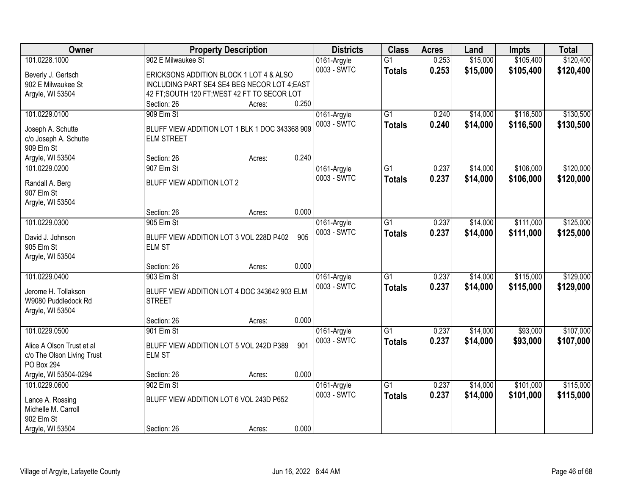| Owner                          | <b>Property Description</b>                    |        |       | <b>Districts</b>           | <b>Class</b>    | <b>Acres</b> | Land     | <b>Impts</b> | <b>Total</b> |
|--------------------------------|------------------------------------------------|--------|-------|----------------------------|-----------------|--------------|----------|--------------|--------------|
| 101.0228.1000                  | 902 E Milwaukee St                             |        |       | 0161-Argyle                | $\overline{G1}$ | 0.253        | \$15,000 | \$105,400    | \$120,400    |
| Beverly J. Gertsch             | ERICKSONS ADDITION BLOCK 1 LOT 4 & ALSO        |        |       | 0003 - SWTC                | <b>Totals</b>   | 0.253        | \$15,000 | \$105,400    | \$120,400    |
| 902 E Milwaukee St             | INCLUDING PART SE4 SE4 BEG NECOR LOT 4; EAST   |        |       |                            |                 |              |          |              |              |
| Argyle, WI 53504               | 42 FT; SOUTH 120 FT; WEST 42 FT TO SECOR LOT   |        |       |                            |                 |              |          |              |              |
|                                | Section: 26                                    | Acres: | 0.250 |                            |                 |              |          |              |              |
| 101.0229.0100                  | 909 Elm St                                     |        |       | 0161-Argyle                | $\overline{G1}$ | 0.240        | \$14,000 | \$116,500    | \$130,500    |
| Joseph A. Schutte              | BLUFF VIEW ADDITION LOT 1 BLK 1 DOC 343368 909 |        |       | 0003 - SWTC                | <b>Totals</b>   | 0.240        | \$14,000 | \$116,500    | \$130,500    |
| c/o Joseph A. Schutte          | <b>ELM STREET</b>                              |        |       |                            |                 |              |          |              |              |
| 909 Elm St                     |                                                |        |       |                            |                 |              |          |              |              |
| Argyle, WI 53504               | Section: 26                                    | Acres: | 0.240 |                            |                 |              |          |              |              |
| 101.0229.0200                  | 907 Elm St                                     |        |       | 0161-Argyle                | $\overline{G1}$ | 0.237        | \$14,000 | \$106,000    | \$120,000    |
|                                | BLUFF VIEW ADDITION LOT 2                      |        |       | 0003 - SWTC                | <b>Totals</b>   | 0.237        | \$14,000 | \$106,000    | \$120,000    |
| Randall A. Berg<br>907 Elm St  |                                                |        |       |                            |                 |              |          |              |              |
| Argyle, WI 53504               |                                                |        |       |                            |                 |              |          |              |              |
|                                | Section: 26                                    | Acres: | 0.000 |                            |                 |              |          |              |              |
| 101.0229.0300                  | 905 Elm St                                     |        |       | 0161-Argyle                | G1              | 0.237        | \$14,000 | \$111,000    | \$125,000    |
|                                |                                                |        |       | 0003 - SWTC                | <b>Totals</b>   | 0.237        | \$14,000 | \$111,000    | \$125,000    |
| David J. Johnson               | BLUFF VIEW ADDITION LOT 3 VOL 228D P402        |        | 905   |                            |                 |              |          |              |              |
| 905 Elm St<br>Argyle, WI 53504 | <b>ELM ST</b>                                  |        |       |                            |                 |              |          |              |              |
|                                | Section: 26                                    | Acres: | 0.000 |                            |                 |              |          |              |              |
| 101.0229.0400                  | 903 Elm St                                     |        |       | 0161-Argyle                | $\overline{G1}$ | 0.237        | \$14,000 | \$115,000    | \$129,000    |
|                                |                                                |        |       | 0003 - SWTC                | <b>Totals</b>   | 0.237        | \$14,000 | \$115,000    | \$129,000    |
| Jerome H. Tollakson            | BLUFF VIEW ADDITION LOT 4 DOC 343642 903 ELM   |        |       |                            |                 |              |          |              |              |
| W9080 Puddledock Rd            | <b>STREET</b>                                  |        |       |                            |                 |              |          |              |              |
| Argyle, WI 53504               |                                                |        | 0.000 |                            |                 |              |          |              |              |
| 101.0229.0500                  | Section: 26<br>901 Elm St                      | Acres: |       |                            | $\overline{G1}$ | 0.237        | \$14,000 | \$93,000     | \$107,000    |
|                                |                                                |        |       | 0161-Argyle<br>0003 - SWTC | <b>Totals</b>   | 0.237        | \$14,000 | \$93,000     | \$107,000    |
| Alice A Olson Trust et al      | BLUFF VIEW ADDITION LOT 5 VOL 242D P389        |        | 901   |                            |                 |              |          |              |              |
| c/o The Olson Living Trust     | <b>ELM ST</b>                                  |        |       |                            |                 |              |          |              |              |
| <b>PO Box 294</b>              |                                                |        |       |                            |                 |              |          |              |              |
| Argyle, WI 53504-0294          | Section: 26                                    | Acres: | 0.000 |                            |                 |              |          |              |              |
| 101.0229.0600                  | 902 Elm St                                     |        |       | 0161-Argyle                | $\overline{G1}$ | 0.237        | \$14,000 | \$101,000    | \$115,000    |
| Lance A. Rossing               | BLUFF VIEW ADDITION LOT 6 VOL 243D P652        |        |       | 0003 - SWTC                | <b>Totals</b>   | 0.237        | \$14,000 | \$101,000    | \$115,000    |
| Michelle M. Carroll            |                                                |        |       |                            |                 |              |          |              |              |
| 902 Elm St                     |                                                |        |       |                            |                 |              |          |              |              |
| Argyle, WI 53504               | Section: 26                                    | Acres: | 0.000 |                            |                 |              |          |              |              |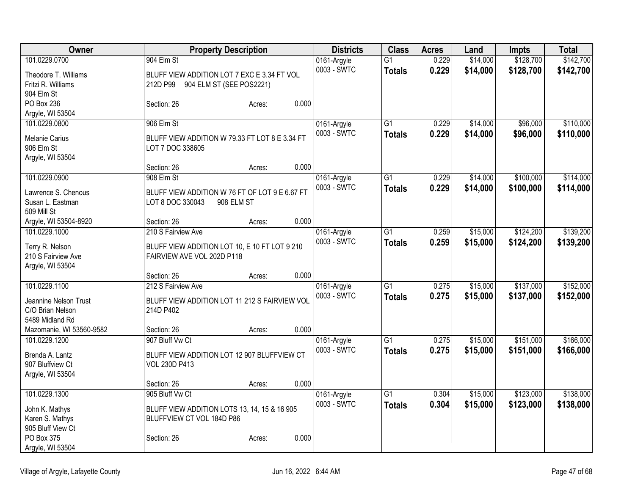| Owner                    |                                                | <b>Property Description</b> |       | <b>Districts</b> | <b>Class</b>    | <b>Acres</b> | Land     | <b>Impts</b> | <b>Total</b> |
|--------------------------|------------------------------------------------|-----------------------------|-------|------------------|-----------------|--------------|----------|--------------|--------------|
| 101.0229.0700            | 904 Elm St                                     |                             |       | 0161-Argyle      | $\overline{G1}$ | 0.229        | \$14,000 | \$128,700    | \$142,700    |
| Theodore T. Williams     | BLUFF VIEW ADDITION LOT 7 EXC E 3.34 FT VOL    |                             |       | 0003 - SWTC      | <b>Totals</b>   | 0.229        | \$14,000 | \$128,700    | \$142,700    |
| Fritzi R. Williams       | 212D P99 904 ELM ST (SEE POS2221)              |                             |       |                  |                 |              |          |              |              |
| 904 Elm St               |                                                |                             |       |                  |                 |              |          |              |              |
| PO Box 236               | Section: 26                                    | Acres:                      | 0.000 |                  |                 |              |          |              |              |
| Argyle, WI 53504         |                                                |                             |       |                  |                 |              |          |              |              |
| 101.0229.0800            | 906 Elm St                                     |                             |       | 0161-Argyle      | G1              | 0.229        | \$14,000 | \$96,000     | \$110,000    |
| Melanie Carius           | BLUFF VIEW ADDITION W 79.33 FT LOT 8 E 3.34 FT |                             |       | 0003 - SWTC      | <b>Totals</b>   | 0.229        | \$14,000 | \$96,000     | \$110,000    |
| 906 Elm St               | LOT 7 DOC 338605                               |                             |       |                  |                 |              |          |              |              |
| Argyle, WI 53504         |                                                |                             |       |                  |                 |              |          |              |              |
|                          | Section: 26                                    | Acres:                      | 0.000 |                  |                 |              |          |              |              |
| 101.0229.0900            | 908 Elm St                                     |                             |       | 0161-Argyle      | $\overline{G1}$ | 0.229        | \$14,000 | \$100,000    | \$114,000    |
| Lawrence S. Chenous      | BLUFF VIEW ADDITION W 76 FT OF LOT 9 E 6.67 FT |                             |       | 0003 - SWTC      | <b>Totals</b>   | 0.229        | \$14,000 | \$100,000    | \$114,000    |
| Susan L. Eastman         | LOT 8 DOC 330043                               | 908 ELM ST                  |       |                  |                 |              |          |              |              |
| 509 Mill St              |                                                |                             |       |                  |                 |              |          |              |              |
| Argyle, WI 53504-8920    | Section: 26                                    | Acres:                      | 0.000 |                  |                 |              |          |              |              |
| 101.0229.1000            | 210 S Fairview Ave                             |                             |       | 0161-Argyle      | $\overline{G1}$ | 0.259        | \$15,000 | \$124,200    | \$139,200    |
| Terry R. Nelson          | BLUFF VIEW ADDITION LOT 10, E 10 FT LOT 9 210  |                             |       | 0003 - SWTC      | <b>Totals</b>   | 0.259        | \$15,000 | \$124,200    | \$139,200    |
| 210 S Fairview Ave       | FAIRVIEW AVE VOL 202D P118                     |                             |       |                  |                 |              |          |              |              |
| Argyle, WI 53504         |                                                |                             |       |                  |                 |              |          |              |              |
|                          | Section: 26                                    | Acres:                      | 0.000 |                  |                 |              |          |              |              |
| 101.0229.1100            | 212 S Fairview Ave                             |                             |       | 0161-Argyle      | $\overline{G1}$ | 0.275        | \$15,000 | \$137,000    | \$152,000    |
| Jeannine Nelson Trust    | BLUFF VIEW ADDITION LOT 11 212 S FAIRVIEW VOL  |                             |       | 0003 - SWTC      | <b>Totals</b>   | 0.275        | \$15,000 | \$137,000    | \$152,000    |
| C/O Brian Nelson         | 214D P402                                      |                             |       |                  |                 |              |          |              |              |
| 5489 Midland Rd          |                                                |                             |       |                  |                 |              |          |              |              |
| Mazomanie, WI 53560-9582 | Section: 26                                    | Acres:                      | 0.000 |                  |                 |              |          |              |              |
| 101.0229.1200            | 907 Bluff Vw Ct                                |                             |       | 0161-Argyle      | G1              | 0.275        | \$15,000 | \$151,000    | \$166,000    |
| Brenda A. Lantz          | BLUFF VIEW ADDITION LOT 12 907 BLUFFVIEW CT    |                             |       | 0003 - SWTC      | <b>Totals</b>   | 0.275        | \$15,000 | \$151,000    | \$166,000    |
| 907 Bluffview Ct         | <b>VOL 230D P413</b>                           |                             |       |                  |                 |              |          |              |              |
| Argyle, WI 53504         |                                                |                             |       |                  |                 |              |          |              |              |
|                          | Section: 26                                    | Acres:                      | 0.000 |                  |                 |              |          |              |              |
| 101.0229.1300            | 905 Bluff Vw Ct                                |                             |       | 0161-Argyle      | G1              | 0.304        | \$15,000 | \$123,000    | \$138,000    |
| John K. Mathys           | BLUFF VIEW ADDITION LOTS 13, 14, 15 & 16 905   |                             |       | 0003 - SWTC      | <b>Totals</b>   | 0.304        | \$15,000 | \$123,000    | \$138,000    |
| Karen S. Mathys          | BLUFFVIEW CT VOL 184D P86                      |                             |       |                  |                 |              |          |              |              |
| 905 Bluff View Ct        |                                                |                             |       |                  |                 |              |          |              |              |
| PO Box 375               | Section: 26                                    | Acres:                      | 0.000 |                  |                 |              |          |              |              |
| Argyle, WI 53504         |                                                |                             |       |                  |                 |              |          |              |              |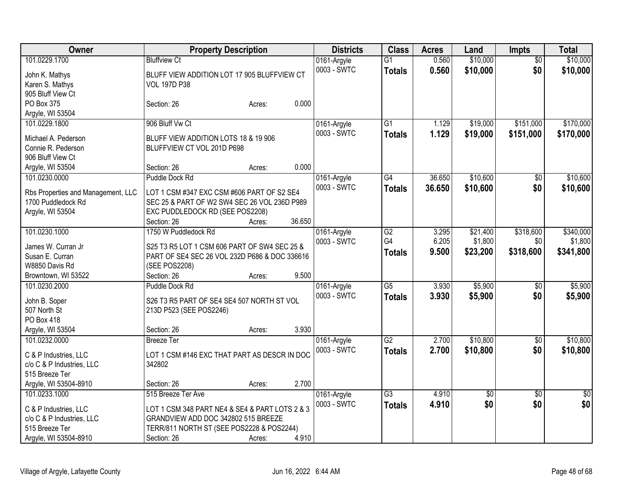| Owner                                       | <b>Property Description</b>                    | <b>Districts</b> | <b>Class</b>    | <b>Acres</b> | Land     | Impts           | <b>Total</b>    |
|---------------------------------------------|------------------------------------------------|------------------|-----------------|--------------|----------|-----------------|-----------------|
| 101.0229.1700                               | <b>Bluffview Ct</b>                            | 0161-Argyle      | $\overline{G1}$ | 0.560        | \$10,000 | $\overline{50}$ | \$10,000        |
| John K. Mathys                              | BLUFF VIEW ADDITION LOT 17 905 BLUFFVIEW CT    | 0003 - SWTC      | <b>Totals</b>   | 0.560        | \$10,000 | \$0             | \$10,000        |
| Karen S. Mathys                             | <b>VOL 197D P38</b>                            |                  |                 |              |          |                 |                 |
| 905 Bluff View Ct                           |                                                |                  |                 |              |          |                 |                 |
| PO Box 375                                  | Section: 26<br>Acres:                          | 0.000            |                 |              |          |                 |                 |
| Argyle, WI 53504                            |                                                |                  |                 |              |          |                 |                 |
| 101.0229.1800                               | 906 Bluff Vw Ct                                | 0161-Argyle      | G1              | 1.129        | \$19,000 | \$151,000       | \$170,000       |
| Michael A. Pederson                         | BLUFF VIEW ADDITION LOTS 18 & 19 906           | 0003 - SWTC      | <b>Totals</b>   | 1.129        | \$19,000 | \$151,000       | \$170,000       |
| Connie R. Pederson                          | BLUFFVIEW CT VOL 201D P698                     |                  |                 |              |          |                 |                 |
| 906 Bluff View Ct                           |                                                |                  |                 |              |          |                 |                 |
| Argyle, WI 53504                            | Section: 26<br>Acres:                          | 0.000            |                 |              |          |                 |                 |
| 101.0230.0000                               | Puddle Dock Rd                                 | 0161-Argyle      | $\overline{G4}$ | 36.650       | \$10,600 | \$0             | \$10,600        |
|                                             |                                                | 0003 - SWTC      | <b>Totals</b>   | 36.650       | \$10,600 | \$0             | \$10,600        |
| Rbs Properties and Management, LLC          | LOT 1 CSM #347 EXC CSM #606 PART OF S2 SE4     |                  |                 |              |          |                 |                 |
| 1700 Puddledock Rd                          | SEC 25 & PART OF W2 SW4 SEC 26 VOL 236D P989   |                  |                 |              |          |                 |                 |
| Argyle, WI 53504                            | EXC PUDDLEDOCK RD (SEE POS2208)                |                  |                 |              |          |                 |                 |
|                                             | Section: 26<br>Acres:                          | 36.650           |                 |              |          |                 |                 |
| 101.0230.1000                               | 1750 W Puddledock Rd                           | 0161-Argyle      | G2              | 3.295        | \$21,400 | \$318,600       | \$340,000       |
| James W. Curran Jr                          | S25 T3 R5 LOT 1 CSM 606 PART OF SW4 SEC 25 &   | 0003 - SWTC      | G4              | 6.205        | \$1,800  | \$0             | \$1,800         |
| Susan E. Curran                             | PART OF SE4 SEC 26 VOL 232D P686 & DOC 336616  |                  | <b>Totals</b>   | 9.500        | \$23,200 | \$318,600       | \$341,800       |
| W8850 Davis Rd                              | (SEE POS2208)                                  |                  |                 |              |          |                 |                 |
| Browntown, WI 53522                         | Section: 26<br>Acres:                          | 9.500            |                 |              |          |                 |                 |
| 101.0230.2000                               | Puddle Dock Rd                                 | 0161-Argyle      | $\overline{G5}$ | 3.930        | \$5,900  | \$0             | \$5,900         |
|                                             |                                                | 0003 - SWTC      | <b>Totals</b>   | 3.930        | \$5,900  | \$0             | \$5,900         |
| John B. Soper                               | S26 T3 R5 PART OF SE4 SE4 507 NORTH ST VOL     |                  |                 |              |          |                 |                 |
| 507 North St                                | 213D P523 (SEE POS2246)                        |                  |                 |              |          |                 |                 |
| PO Box 418                                  |                                                |                  |                 |              |          |                 |                 |
| Argyle, WI 53504                            | Section: 26<br>Acres:                          | 3.930            |                 |              |          |                 |                 |
| 101.0232.0000                               | <b>Breeze Ter</b>                              | 0161-Argyle      | $\overline{G2}$ | 2.700        | \$10,800 | $\overline{50}$ | \$10,800        |
| C & P Industries, LLC                       | LOT 1 CSM #146 EXC THAT PART AS DESCR IN DOC   | 0003 - SWTC      | <b>Totals</b>   | 2.700        | \$10,800 | \$0             | \$10,800        |
| c/o C & P Industries, LLC                   | 342802                                         |                  |                 |              |          |                 |                 |
| 515 Breeze Ter                              |                                                |                  |                 |              |          |                 |                 |
| Argyle, WI 53504-8910                       | Section: 26<br>Acres:                          | 2.700            |                 |              |          |                 |                 |
| 101.0233.1000                               | 515 Breeze Ter Ave                             | 0161-Argyle      | $\overline{G3}$ | 4.910        | \$0      | $\overline{50}$ | $\overline{50}$ |
|                                             |                                                | 0003 - SWTC      | <b>Totals</b>   | 4.910        | \$0      | \$0             | \$0             |
| C & P Industries, LLC                       | LOT 1 CSM 348 PART NE4 & SE4 & PART LOTS 2 & 3 |                  |                 |              |          |                 |                 |
| c/o C & P Industries, LLC<br>515 Breeze Ter | GRANDVIEW ADD DOC 342802 515 BREEZE            |                  |                 |              |          |                 |                 |
|                                             | TERR/811 NORTH ST (SEE POS2228 & POS2244)      | 4.910            |                 |              |          |                 |                 |
| Argyle, WI 53504-8910                       | Section: 26<br>Acres:                          |                  |                 |              |          |                 |                 |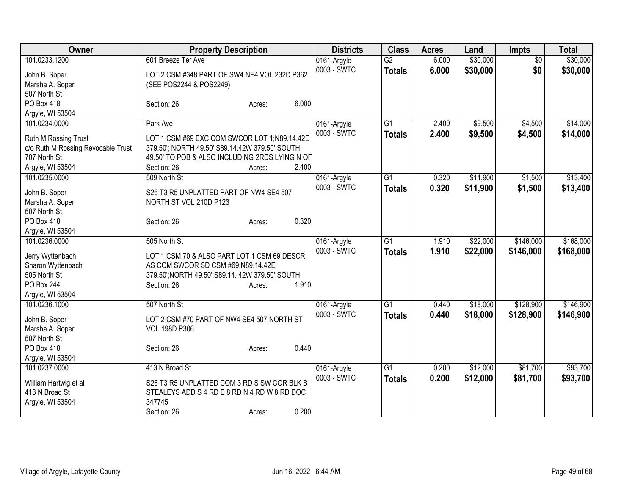| Owner                              | <b>Property Description</b>                       | <b>Districts</b> | <b>Class</b>    | <b>Acres</b> | Land     | <b>Impts</b>    | <b>Total</b> |
|------------------------------------|---------------------------------------------------|------------------|-----------------|--------------|----------|-----------------|--------------|
| 101.0233.1200                      | 601 Breeze Ter Ave                                | 0161-Argyle      | $\overline{G2}$ | 6.000        | \$30,000 | $\overline{50}$ | \$30,000     |
| John B. Soper                      | LOT 2 CSM #348 PART OF SW4 NE4 VOL 232D P362      | 0003 - SWTC      | <b>Totals</b>   | 6.000        | \$30,000 | \$0             | \$30,000     |
| Marsha A. Soper                    | (SEE POS2244 & POS2249)                           |                  |                 |              |          |                 |              |
| 507 North St                       |                                                   |                  |                 |              |          |                 |              |
| PO Box 418                         | 6.000<br>Section: 26<br>Acres:                    |                  |                 |              |          |                 |              |
| Argyle, WI 53504                   |                                                   |                  |                 |              |          |                 |              |
| 101.0234.0000                      | Park Ave                                          | 0161-Argyle      | G1              | 2.400        | \$9,500  | \$4,500         | \$14,000     |
| Ruth M Rossing Trust               | LOT 1 CSM #69 EXC COM SWCOR LOT 1;N89.14.42E      | 0003 - SWTC      | <b>Totals</b>   | 2.400        | \$9,500  | \$4,500         | \$14,000     |
| c/o Ruth M Rossing Revocable Trust | 379.50'; NORTH 49.50'; S89.14.42W 379.50'; SOUTH  |                  |                 |              |          |                 |              |
| 707 North St                       | 49.50' TO POB & ALSO INCLUDING 2RDS LYING N OF    |                  |                 |              |          |                 |              |
| Argyle, WI 53504                   | 2.400<br>Section: 26<br>Acres:                    |                  |                 |              |          |                 |              |
| 101.0235.0000                      | 509 North St                                      | 0161-Argyle      | G1              | 0.320        | \$11,900 | \$1,500         | \$13,400     |
|                                    |                                                   | 0003 - SWTC      | <b>Totals</b>   | 0.320        | \$11,900 | \$1,500         | \$13,400     |
| John B. Soper                      | S26 T3 R5 UNPLATTED PART OF NW4 SE4 507           |                  |                 |              |          |                 |              |
| Marsha A. Soper                    | NORTH ST VOL 210D P123                            |                  |                 |              |          |                 |              |
| 507 North St                       |                                                   |                  |                 |              |          |                 |              |
| PO Box 418                         | 0.320<br>Section: 26<br>Acres:                    |                  |                 |              |          |                 |              |
| Argyle, WI 53504                   |                                                   |                  |                 |              |          |                 |              |
| 101.0236.0000                      | 505 North St                                      | 0161-Argyle      | $\overline{G1}$ | 1.910        | \$22,000 | \$146,000       | \$168,000    |
| Jerry Wyttenbach                   | LOT 1 CSM 70 & ALSO PART LOT 1 CSM 69 DESCR       | 0003 - SWTC      | <b>Totals</b>   | 1.910        | \$22,000 | \$146,000       | \$168,000    |
| Sharon Wyttenbach                  | AS COM SWCOR SD CSM #69;N89.14.42E                |                  |                 |              |          |                 |              |
| 505 North St                       | 379.50'; NORTH 49.50'; S89.14. 42W 379.50'; SOUTH |                  |                 |              |          |                 |              |
| PO Box 244                         | 1.910<br>Section: 26<br>Acres:                    |                  |                 |              |          |                 |              |
| Argyle, WI 53504                   |                                                   |                  |                 |              |          |                 |              |
| 101.0236.1000                      | 507 North St                                      | 0161-Argyle      | G1              | 0.440        | \$18,000 | \$128,900       | \$146,900    |
| John B. Soper                      | LOT 2 CSM #70 PART OF NW4 SE4 507 NORTH ST        | 0003 - SWTC      | <b>Totals</b>   | 0.440        | \$18,000 | \$128,900       | \$146,900    |
| Marsha A. Soper                    | <b>VOL 198D P306</b>                              |                  |                 |              |          |                 |              |
| 507 North St                       |                                                   |                  |                 |              |          |                 |              |
| PO Box 418                         | 0.440<br>Section: 26<br>Acres:                    |                  |                 |              |          |                 |              |
| Argyle, WI 53504                   |                                                   |                  |                 |              |          |                 |              |
| 101.0237.0000                      | 413 N Broad St                                    | 0161-Argyle      | G1              | 0.200        | \$12,000 | \$81,700        | \$93,700     |
|                                    |                                                   | 0003 - SWTC      | <b>Totals</b>   | 0.200        | \$12,000 | \$81,700        | \$93,700     |
| William Hartwig et al              | S26 T3 R5 UNPLATTED COM 3 RD S SW COR BLK B       |                  |                 |              |          |                 |              |
| 413 N Broad St                     | STEALEYS ADD S 4 RD E 8 RD N 4 RD W 8 RD DOC      |                  |                 |              |          |                 |              |
| Argyle, WI 53504                   | 347745<br>0.200<br>Section: 26                    |                  |                 |              |          |                 |              |
|                                    | Acres:                                            |                  |                 |              |          |                 |              |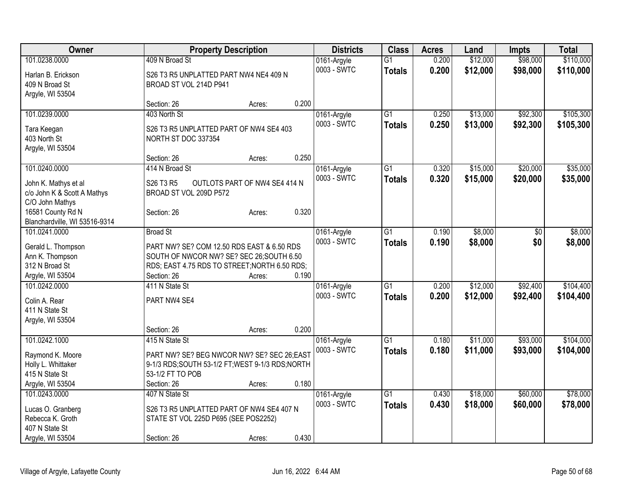| Owner                                 |                                                   | <b>Property Description</b>   |       | <b>Districts</b>           | <b>Class</b>    | <b>Acres</b> | Land     | <b>Impts</b> | <b>Total</b> |
|---------------------------------------|---------------------------------------------------|-------------------------------|-------|----------------------------|-----------------|--------------|----------|--------------|--------------|
| 101.0238.0000                         | 409 N Broad St                                    |                               |       | 0161-Argyle                | $\overline{G1}$ | 0.200        | \$12,000 | \$98,000     | \$110,000    |
| Harlan B. Erickson                    | S26 T3 R5 UNPLATTED PART NW4 NE4 409 N            |                               |       | 0003 - SWTC                | <b>Totals</b>   | 0.200        | \$12,000 | \$98,000     | \$110,000    |
| 409 N Broad St                        | BROAD ST VOL 214D P941                            |                               |       |                            |                 |              |          |              |              |
| Argyle, WI 53504                      |                                                   |                               |       |                            |                 |              |          |              |              |
|                                       | Section: 26                                       | Acres:                        | 0.200 |                            |                 |              |          |              |              |
| 101.0239.0000                         | 403 North St                                      |                               |       | 0161-Argyle                | $\overline{G1}$ | 0.250        | \$13,000 | \$92,300     | \$105,300    |
|                                       |                                                   |                               |       | 0003 - SWTC                | <b>Totals</b>   | 0.250        | \$13,000 | \$92,300     | \$105,300    |
| Tara Keegan                           | S26 T3 R5 UNPLATTED PART OF NW4 SE4 403           |                               |       |                            |                 |              |          |              |              |
| 403 North St                          | NORTH ST DOC 337354                               |                               |       |                            |                 |              |          |              |              |
| Argyle, WI 53504                      |                                                   |                               | 0.250 |                            |                 |              |          |              |              |
|                                       | Section: 26<br>414 N Broad St                     | Acres:                        |       |                            |                 |              |          |              |              |
| 101.0240.0000                         |                                                   |                               |       | 0161-Argyle                | $\overline{G1}$ | 0.320        | \$15,000 | \$20,000     | \$35,000     |
| John K. Mathys et al                  | S26 T3 R5                                         | OUTLOTS PART OF NW4 SE4 414 N |       | 0003 - SWTC                | <b>Totals</b>   | 0.320        | \$15,000 | \$20,000     | \$35,000     |
| c/o John K & Scott A Mathys           | BROAD ST VOL 209D P572                            |                               |       |                            |                 |              |          |              |              |
| C/O John Mathys                       |                                                   |                               |       |                            |                 |              |          |              |              |
| 16581 County Rd N                     | Section: 26                                       | Acres:                        | 0.320 |                            |                 |              |          |              |              |
| Blanchardville, WI 53516-9314         |                                                   |                               |       |                            |                 |              |          |              |              |
| 101.0241.0000                         | <b>Broad St</b>                                   |                               |       | 0161-Argyle                | $\overline{G1}$ | 0.190        | \$8,000  | \$0          | \$8,000      |
|                                       | PART NW? SE? COM 12.50 RDS EAST & 6.50 RDS        |                               |       | 0003 - SWTC                | <b>Totals</b>   | 0.190        | \$8,000  | \$0          | \$8,000      |
| Gerald L. Thompson<br>Ann K. Thompson | SOUTH OF NWCOR NW? SE? SEC 26; SOUTH 6.50         |                               |       |                            |                 |              |          |              |              |
| 312 N Broad St                        | RDS; EAST 4.75 RDS TO STREET; NORTH 6.50 RDS;     |                               |       |                            |                 |              |          |              |              |
| Argyle, WI 53504                      | Section: 26                                       | Acres:                        | 0.190 |                            |                 |              |          |              |              |
| 101.0242.0000                         | 411 N State St                                    |                               |       |                            | $\overline{G1}$ | 0.200        | \$12,000 | \$92,400     | \$104,400    |
|                                       |                                                   |                               |       | 0161-Argyle<br>0003 - SWTC |                 |              |          |              |              |
| Colin A. Rear                         | PART NW4 SE4                                      |                               |       |                            | <b>Totals</b>   | 0.200        | \$12,000 | \$92,400     | \$104,400    |
| 411 N State St                        |                                                   |                               |       |                            |                 |              |          |              |              |
| Argyle, WI 53504                      |                                                   |                               |       |                            |                 |              |          |              |              |
|                                       | Section: 26                                       | Acres:                        | 0.200 |                            |                 |              |          |              |              |
| 101.0242.1000                         | 415 N State St                                    |                               |       | 0161-Argyle                | $\overline{G1}$ | 0.180        | \$11,000 | \$93,000     | \$104,000    |
| Raymond K. Moore                      | PART NW? SE? BEG NWCOR NW? SE? SEC 26;EAST        |                               |       | 0003 - SWTC                | <b>Totals</b>   | 0.180        | \$11,000 | \$93,000     | \$104,000    |
| Holly L. Whittaker                    | 9-1/3 RDS; SOUTH 53-1/2 FT; WEST 9-1/3 RDS; NORTH |                               |       |                            |                 |              |          |              |              |
| 415 N State St                        | 53-1/2 FT TO POB                                  |                               |       |                            |                 |              |          |              |              |
| Argyle, WI 53504                      | Section: 26                                       | Acres:                        | 0.180 |                            |                 |              |          |              |              |
| 101.0243.0000                         | 407 N State St                                    |                               |       | 0161-Argyle                | $\overline{G1}$ | 0.430        | \$18,000 | \$60,000     | \$78,000     |
|                                       |                                                   |                               |       | 0003 - SWTC                | <b>Totals</b>   | 0.430        | \$18,000 | \$60,000     | \$78,000     |
| Lucas O. Granberg                     | S26 T3 R5 UNPLATTED PART OF NW4 SE4 407 N         |                               |       |                            |                 |              |          |              |              |
| Rebecca K. Groth                      | STATE ST VOL 225D P695 (SEE POS2252)              |                               |       |                            |                 |              |          |              |              |
| 407 N State St                        |                                                   |                               |       |                            |                 |              |          |              |              |
| Argyle, WI 53504                      | Section: 26                                       | Acres:                        | 0.430 |                            |                 |              |          |              |              |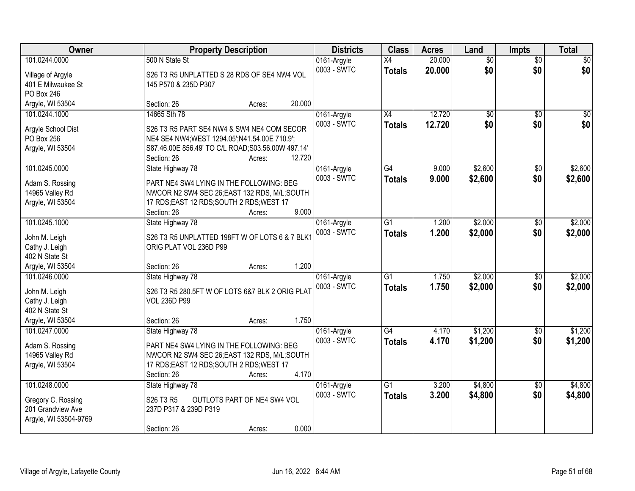| Owner                 | <b>Property Description</b>                        | <b>Districts</b> | <b>Class</b>    | <b>Acres</b> | Land            | <b>Impts</b>    | <b>Total</b> |
|-----------------------|----------------------------------------------------|------------------|-----------------|--------------|-----------------|-----------------|--------------|
| 101.0244.0000         | 500 N State St                                     | 0161-Argyle      | $\overline{X4}$ | 20.000       | $\overline{50}$ | $\overline{50}$ | $\sqrt{30}$  |
| Village of Argyle     | S26 T3 R5 UNPLATTED S 28 RDS OF SE4 NW4 VOL        | 0003 - SWTC      | <b>Totals</b>   | 20.000       | \$0             | \$0             | \$0          |
| 401 E Milwaukee St    | 145 P570 & 235D P307                               |                  |                 |              |                 |                 |              |
| PO Box 246            |                                                    |                  |                 |              |                 |                 |              |
| Argyle, WI 53504      | 20.000<br>Section: 26<br>Acres:                    |                  |                 |              |                 |                 |              |
| 101.0244.1000         | 14665 Sth 78                                       | 0161-Argyle      | $\overline{X4}$ | 12.720       | $\overline{50}$ | $\overline{30}$ | $\sqrt{50}$  |
| Argyle School Dist    | S26 T3 R5 PART SE4 NW4 & SW4 NE4 COM SECOR         | 0003 - SWTC      | <b>Totals</b>   | 12.720       | \$0             | \$0             | \$0          |
| PO Box 256            | NE4 SE4 NW4; WEST 1294.05'; N41.54.00E 710.9';     |                  |                 |              |                 |                 |              |
| Argyle, WI 53504      | S87.46.00E 856.49' TO C/L ROAD; S03.56.00W 497.14' |                  |                 |              |                 |                 |              |
|                       | 12.720<br>Section: 26<br>Acres:                    |                  |                 |              |                 |                 |              |
| 101.0245.0000         | State Highway 78                                   | 0161-Argyle      | G4              | 9.000        | \$2,600         | \$0             | \$2,600      |
|                       |                                                    | 0003 - SWTC      | <b>Totals</b>   | 9.000        | \$2,600         | \$0             | \$2,600      |
| Adam S. Rossing       | PART NE4 SW4 LYING IN THE FOLLOWING: BEG           |                  |                 |              |                 |                 |              |
| 14965 Valley Rd       | NWCOR N2 SW4 SEC 26; EAST 132 RDS, M/L; SOUTH      |                  |                 |              |                 |                 |              |
| Argyle, WI 53504      | 17 RDS; EAST 12 RDS; SOUTH 2 RDS; WEST 17          |                  |                 |              |                 |                 |              |
|                       | 9.000<br>Section: 26<br>Acres:                     |                  |                 |              |                 |                 |              |
| 101.0245.1000         | State Highway 78                                   | 0161-Argyle      | G1              | 1.200        | \$2,000         | \$0             | \$2,000      |
| John M. Leigh         | S26 T3 R5 UNPLATTED 198FT W OF LOTS 6 & 7 BLK1     | 0003 - SWTC      | <b>Totals</b>   | 1.200        | \$2,000         | \$0             | \$2,000      |
| Cathy J. Leigh        | ORIG PLAT VOL 236D P99                             |                  |                 |              |                 |                 |              |
| 402 N State St        |                                                    |                  |                 |              |                 |                 |              |
| Argyle, WI 53504      | 1.200<br>Section: 26<br>Acres:                     |                  |                 |              |                 |                 |              |
| 101.0246.0000         | State Highway 78                                   | 0161-Argyle      | $\overline{G1}$ | 1.750        | \$2,000         | $\overline{50}$ | \$2,000      |
|                       |                                                    | 0003 - SWTC      | <b>Totals</b>   | 1.750        | \$2,000         | \$0             | \$2,000      |
| John M. Leigh         | S26 T3 R5 280.5FT W OF LOTS 6&7 BLK 2 ORIG PLAT    |                  |                 |              |                 |                 |              |
| Cathy J. Leigh        | <b>VOL 236D P99</b>                                |                  |                 |              |                 |                 |              |
| 402 N State St        |                                                    |                  |                 |              |                 |                 |              |
| Argyle, WI 53504      | 1.750<br>Section: 26<br>Acres:                     |                  |                 |              |                 |                 |              |
| 101.0247.0000         | State Highway 78                                   | 0161-Argyle      | $\overline{G4}$ | 4.170        | \$1,200         | $\sqrt{6}$      | \$1,200      |
| Adam S. Rossing       | PART NE4 SW4 LYING IN THE FOLLOWING: BEG           | 0003 - SWTC      | <b>Totals</b>   | 4.170        | \$1,200         | \$0             | \$1,200      |
| 14965 Valley Rd       | NWCOR N2 SW4 SEC 26; EAST 132 RDS, M/L; SOUTH      |                  |                 |              |                 |                 |              |
| Argyle, WI 53504      | 17 RDS; EAST 12 RDS; SOUTH 2 RDS; WEST 17          |                  |                 |              |                 |                 |              |
|                       | 4.170<br>Section: 26<br>Acres:                     |                  |                 |              |                 |                 |              |
| 101.0248.0000         | State Highway 78                                   | 0161-Argyle      | $\overline{G1}$ | 3.200        | \$4,800         | $\overline{50}$ | \$4,800      |
|                       | S26 T3 R5<br>OUTLOTS PART OF NE4 SW4 VOL           | 0003 - SWTC      | <b>Totals</b>   | 3.200        | \$4,800         | \$0             | \$4,800      |
| Gregory C. Rossing    |                                                    |                  |                 |              |                 |                 |              |
| 201 Grandview Ave     | 237D P317 & 239D P319                              |                  |                 |              |                 |                 |              |
| Argyle, WI 53504-9769 | 0.000<br>Section: 26<br>Acres:                     |                  |                 |              |                 |                 |              |
|                       |                                                    |                  |                 |              |                 |                 |              |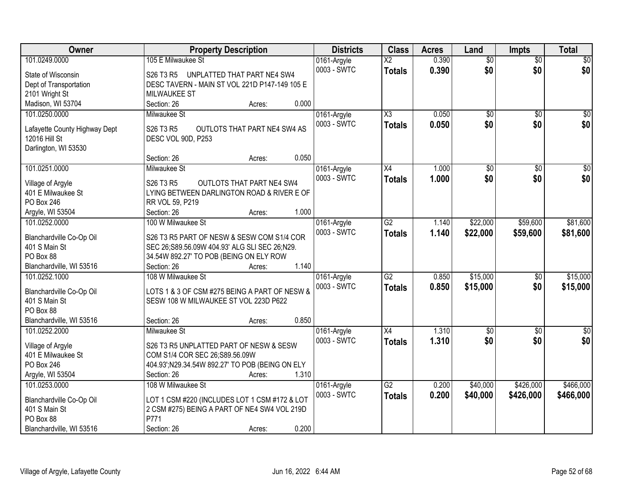| Owner                                     | <b>Property Description</b>                                                                 | <b>Districts</b> | <b>Class</b>           | <b>Acres</b> | Land            | <b>Impts</b>    | <b>Total</b>     |
|-------------------------------------------|---------------------------------------------------------------------------------------------|------------------|------------------------|--------------|-----------------|-----------------|------------------|
| 101.0249.0000                             | 105 E Milwaukee St                                                                          | 0161-Argyle      | $\overline{\text{X2}}$ | 0.390        | $\overline{50}$ | $\overline{50}$ | \$0              |
| State of Wisconsin                        | S <sub>26</sub> T <sub>3</sub> R <sub>5</sub><br>UNPLATTED THAT PART NE4 SW4                | 0003 - SWTC      | <b>Totals</b>          | 0.390        | \$0             | \$0             | \$0              |
| Dept of Transportation                    | DESC TAVERN - MAIN ST VOL 221D P147-149 105 E                                               |                  |                        |              |                 |                 |                  |
| 2101 Wright St                            | <b>MILWAUKEE ST</b>                                                                         |                  |                        |              |                 |                 |                  |
| Madison, WI 53704                         | 0.000<br>Section: 26<br>Acres:                                                              |                  |                        |              |                 |                 |                  |
| 101.0250.0000                             | Milwaukee St                                                                                | 0161-Argyle      | $\overline{\text{X3}}$ | 0.050        | $\overline{50}$ | $\overline{50}$ | \$0              |
|                                           |                                                                                             | 0003 - SWTC      | <b>Totals</b>          | 0.050        | \$0             | \$0             | \$0              |
| Lafayette County Highway Dept             | S26 T3 R5<br>OUTLOTS THAT PART NE4 SW4 AS                                                   |                  |                        |              |                 |                 |                  |
| 12016 Hill St                             | DESC VOL 90D, P253                                                                          |                  |                        |              |                 |                 |                  |
| Darlington, WI 53530                      |                                                                                             |                  |                        |              |                 |                 |                  |
|                                           | 0.050<br>Section: 26<br>Acres:                                                              |                  |                        |              |                 |                 |                  |
| 101.0251.0000                             | Milwaukee St                                                                                | 0161-Argyle      | X4                     | 1.000        | \$0             | \$0             | $\overline{\$0}$ |
| Village of Argyle                         | S26 T3 R5<br>OUTLOTS THAT PART NE4 SW4                                                      | 0003 - SWTC      | <b>Totals</b>          | 1.000        | \$0             | \$0             | \$0              |
| 401 E Milwaukee St                        | LYING BETWEEN DARLINGTON ROAD & RIVER E OF                                                  |                  |                        |              |                 |                 |                  |
| PO Box 246                                | RR VOL 59, P219                                                                             |                  |                        |              |                 |                 |                  |
| Argyle, WI 53504                          | 1.000<br>Section: 26<br>Acres:                                                              |                  |                        |              |                 |                 |                  |
| 101.0252.0000                             | 100 W Milwaukee St                                                                          | 0161-Argyle      | $\overline{G2}$        | 1.140        | \$22,000        | \$59,600        | \$81,600         |
|                                           |                                                                                             | 0003 - SWTC      | <b>Totals</b>          | 1.140        | \$22,000        | \$59,600        | \$81,600         |
| Blanchardville Co-Op Oil<br>401 S Main St | S26 T3 R5 PART OF NESW & SESW COM S1/4 COR<br>SEC 26;S89.56.09W 404.93' ALG SLI SEC 26;N29. |                  |                        |              |                 |                 |                  |
| PO Box 88                                 | 34.54W 892.27' TO POB (BEING ON ELY ROW                                                     |                  |                        |              |                 |                 |                  |
| Blanchardville, WI 53516                  | 1.140<br>Section: 26<br>Acres:                                                              |                  |                        |              |                 |                 |                  |
| 101.0252.1000                             | 108 W Milwaukee St                                                                          | 0161-Argyle      | $\overline{G2}$        | 0.850        | \$15,000        | $\overline{60}$ | \$15,000         |
|                                           |                                                                                             | 0003 - SWTC      | <b>Totals</b>          | 0.850        | \$15,000        | \$0             | \$15,000         |
| Blanchardville Co-Op Oil                  | LOTS 1 & 3 OF CSM #275 BEING A PART OF NESW &                                               |                  |                        |              |                 |                 |                  |
| 401 S Main St                             | SESW 108 W MILWAUKEE ST VOL 223D P622                                                       |                  |                        |              |                 |                 |                  |
| PO Box 88                                 |                                                                                             |                  |                        |              |                 |                 |                  |
| Blanchardville, WI 53516                  | 0.850<br>Section: 26<br>Acres:                                                              |                  |                        |              |                 |                 |                  |
| 101.0252.2000                             | Milwaukee St                                                                                | 0161-Argyle      | X4                     | 1.310        | $\sqrt{6}$      | $\overline{50}$ | $\overline{\$0}$ |
| Village of Argyle                         | S26 T3 R5 UNPLATTED PART OF NESW & SESW                                                     | 0003 - SWTC      | <b>Totals</b>          | 1.310        | \$0             | \$0             | \$0              |
| 401 E Milwaukee St                        | COM S1/4 COR SEC 26;S89.56.09W                                                              |                  |                        |              |                 |                 |                  |
| PO Box 246                                | 404.93';N29.34.54W 892.27' TO POB (BEING ON ELY                                             |                  |                        |              |                 |                 |                  |
| Argyle, WI 53504                          | 1.310<br>Section: 26<br>Acres:                                                              |                  |                        |              |                 |                 |                  |
| 101.0253.0000                             | 108 W Milwaukee St                                                                          | 0161-Argyle      | G2                     | 0.200        | \$40,000        | \$426,000       | \$466,000        |
|                                           |                                                                                             | 0003 - SWTC      | <b>Totals</b>          | 0.200        | \$40,000        | \$426,000       | \$466,000        |
| Blanchardville Co-Op Oil                  | LOT 1 CSM #220 (INCLUDES LOT 1 CSM #172 & LOT                                               |                  |                        |              |                 |                 |                  |
| 401 S Main St                             | 2 CSM #275) BEING A PART OF NE4 SW4 VOL 219D                                                |                  |                        |              |                 |                 |                  |
| PO Box 88                                 | P771                                                                                        |                  |                        |              |                 |                 |                  |
| Blanchardville, WI 53516                  | 0.200<br>Section: 26<br>Acres:                                                              |                  |                        |              |                 |                 |                  |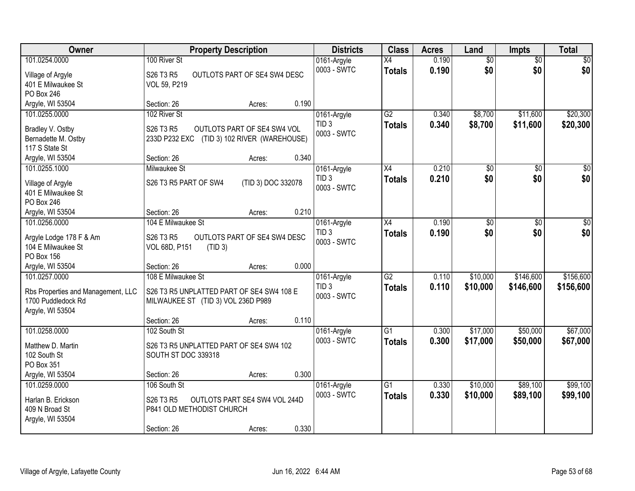| Owner                                         | <b>Property Description</b>                                                    | <b>Districts</b> | <b>Class</b>    | <b>Acres</b> | Land            | <b>Impts</b>    | <b>Total</b>    |
|-----------------------------------------------|--------------------------------------------------------------------------------|------------------|-----------------|--------------|-----------------|-----------------|-----------------|
| 101.0254.0000                                 | 100 River St                                                                   | 0161-Argyle      | X4              | 0.190        | $\overline{60}$ | $\overline{50}$ | \$0             |
| Village of Argyle                             | S26 T3 R5<br>OUTLOTS PART OF SE4 SW4 DESC                                      | 0003 - SWTC      | <b>Totals</b>   | 0.190        | \$0             | \$0             | \$0             |
| 401 E Milwaukee St                            | VOL 59, P219                                                                   |                  |                 |              |                 |                 |                 |
| PO Box 246                                    |                                                                                |                  |                 |              |                 |                 |                 |
| Argyle, WI 53504                              | 0.190<br>Section: 26<br>Acres:                                                 |                  |                 |              |                 |                 |                 |
| 101.0255.0000                                 | 102 River St                                                                   | 0161-Argyle      | G2              | 0.340        | \$8,700         | \$11,600        | \$20,300        |
| Bradley V. Ostby                              | S26 T3 R5<br>OUTLOTS PART OF SE4 SW4 VOL                                       | TID <sub>3</sub> | <b>Totals</b>   | 0.340        | \$8,700         | \$11,600        | \$20,300        |
| Bernadette M. Ostby                           | 233D P232 EXC<br>(TID 3) 102 RIVER (WAREHOUSE)                                 | 0003 - SWTC      |                 |              |                 |                 |                 |
| 117 S State St                                |                                                                                |                  |                 |              |                 |                 |                 |
| Argyle, WI 53504                              | Section: 26<br>0.340<br>Acres:                                                 |                  |                 |              |                 |                 |                 |
| 101.0255.1000                                 | Milwaukee St                                                                   | 0161-Argyle      | X4              | 0.210        | \$0             | \$0             | $\overline{50}$ |
| Village of Argyle                             | (TID 3) DOC 332078<br>S26 T3 R5 PART OF SW4                                    | TID <sub>3</sub> | <b>Totals</b>   | 0.210        | \$0             | \$0             | \$0             |
| 401 E Milwaukee St                            |                                                                                | 0003 - SWTC      |                 |              |                 |                 |                 |
| PO Box 246                                    |                                                                                |                  |                 |              |                 |                 |                 |
| Argyle, WI 53504                              | 0.210<br>Section: 26<br>Acres:                                                 |                  |                 |              |                 |                 |                 |
| 101.0256.0000                                 | 104 E Milwaukee St                                                             | 0161-Argyle      | X4              | 0.190        | \$0             | $\sqrt[6]{3}$   | $\sqrt{50}$     |
|                                               |                                                                                | TID <sub>3</sub> | <b>Totals</b>   | 0.190        | \$0             | \$0             | \$0             |
| Argyle Lodge 178 F & Am<br>104 E Milwaukee St | S26 T3 R5<br>OUTLOTS PART OF SE4 SW4 DESC                                      | 0003 - SWTC      |                 |              |                 |                 |                 |
| PO Box 156                                    | VOL 68D, P151<br>(TID 3)                                                       |                  |                 |              |                 |                 |                 |
| Argyle, WI 53504                              | 0.000<br>Section: 26<br>Acres:                                                 |                  |                 |              |                 |                 |                 |
| 101.0257.0000                                 | 108 E Milwaukee St                                                             | 0161-Argyle      | $\overline{G2}$ | 0.110        | \$10,000        | \$146,600       | \$156,600       |
|                                               |                                                                                | TID <sub>3</sub> | <b>Totals</b>   | 0.110        | \$10,000        | \$146,600       | \$156,600       |
| Rbs Properties and Management, LLC            | S26 T3 R5 UNPLATTED PART OF SE4 SW4 108 E                                      | 0003 - SWTC      |                 |              |                 |                 |                 |
| 1700 Puddledock Rd                            | MILWAUKEE ST (TID 3) VOL 236D P989                                             |                  |                 |              |                 |                 |                 |
| Argyle, WI 53504                              | 0.110<br>Section: 26                                                           |                  |                 |              |                 |                 |                 |
| 101.0258.0000                                 | Acres:<br>102 South St                                                         | 0161-Argyle      | $\overline{G1}$ | 0.300        | \$17,000        | \$50,000        | \$67,000        |
|                                               |                                                                                | 0003 - SWTC      | <b>Totals</b>   | 0.300        | \$17,000        | \$50,000        | \$67,000        |
| Matthew D. Martin                             | S26 T3 R5 UNPLATTED PART OF SE4 SW4 102                                        |                  |                 |              |                 |                 |                 |
| 102 South St                                  | SOUTH ST DOC 339318                                                            |                  |                 |              |                 |                 |                 |
| PO Box 351                                    |                                                                                |                  |                 |              |                 |                 |                 |
| Argyle, WI 53504                              | 0.300<br>Section: 26<br>Acres:                                                 |                  |                 |              |                 |                 |                 |
| 101.0259.0000                                 | 106 South St                                                                   | 0161-Argyle      | $\overline{G1}$ | 0.330        | \$10,000        | \$89,100        | \$99,100        |
| Harlan B. Erickson                            | OUTLOTS PART SE4 SW4 VOL 244D<br>S <sub>26</sub> T <sub>3</sub> R <sub>5</sub> | 0003 - SWTC      | <b>Totals</b>   | 0.330        | \$10,000        | \$89,100        | \$99,100        |
| 409 N Broad St                                | P841 OLD METHODIST CHURCH                                                      |                  |                 |              |                 |                 |                 |
| Argyle, WI 53504                              |                                                                                |                  |                 |              |                 |                 |                 |
|                                               | 0.330<br>Section: 26<br>Acres:                                                 |                  |                 |              |                 |                 |                 |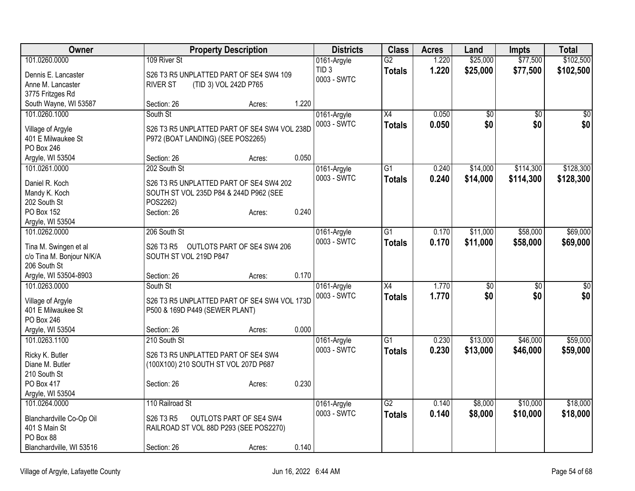| Owner                     | <b>Property Description</b>                  |                                |       | <b>Districts</b> | <b>Class</b>    | <b>Acres</b> | Land            | Impts     | <b>Total</b> |
|---------------------------|----------------------------------------------|--------------------------------|-------|------------------|-----------------|--------------|-----------------|-----------|--------------|
| 101.0260.0000             | 109 River St                                 |                                |       | 0161-Argyle      | $\overline{G2}$ | 1.220        | \$25,000        | \$77,500  | \$102,500    |
| Dennis E. Lancaster       | S26 T3 R5 UNPLATTED PART OF SE4 SW4 109      |                                |       | TID <sub>3</sub> | <b>Totals</b>   | 1.220        | \$25,000        | \$77,500  | \$102,500    |
| Anne M. Lancaster         | <b>RIVER ST</b><br>(TID 3) VOL 242D P765     |                                |       | 0003 - SWTC      |                 |              |                 |           |              |
| 3775 Fritzges Rd          |                                              |                                |       |                  |                 |              |                 |           |              |
| South Wayne, WI 53587     | Section: 26                                  | Acres:                         | 1.220 |                  |                 |              |                 |           |              |
| 101.0260.1000             | South St                                     |                                |       | 0161-Argyle      | X4              | 0.050        | $\overline{50}$ | \$0       | $\sqrt{50}$  |
| Village of Argyle         | S26 T3 R5 UNPLATTED PART OF SE4 SW4 VOL 238D |                                |       | 0003 - SWTC      | <b>Totals</b>   | 0.050        | \$0             | \$0       | \$0          |
| 401 E Milwaukee St        | P972 (BOAT LANDING) (SEE POS2265)            |                                |       |                  |                 |              |                 |           |              |
| PO Box 246                |                                              |                                |       |                  |                 |              |                 |           |              |
| Argyle, WI 53504          | Section: 26                                  | Acres:                         | 0.050 |                  |                 |              |                 |           |              |
| 101.0261.0000             | 202 South St                                 |                                |       | 0161-Argyle      | G1              | 0.240        | \$14,000        | \$114,300 | \$128,300    |
| Daniel R. Koch            | S26 T3 R5 UNPLATTED PART OF SE4 SW4 202      |                                |       | 0003 - SWTC      | <b>Totals</b>   | 0.240        | \$14,000        | \$114,300 | \$128,300    |
| Mandy K. Koch             | SOUTH ST VOL 235D P84 & 244D P962 (SEE       |                                |       |                  |                 |              |                 |           |              |
| 202 South St              | POS2262)                                     |                                |       |                  |                 |              |                 |           |              |
| PO Box 152                | Section: 26                                  | Acres:                         | 0.240 |                  |                 |              |                 |           |              |
| Argyle, WI 53504          |                                              |                                |       |                  |                 |              |                 |           |              |
| 101.0262.0000             | 206 South St                                 |                                |       | 0161-Argyle      | $\overline{G1}$ | 0.170        | \$11,000        | \$58,000  | \$69,000     |
| Tina M. Swingen et al     | S26 T3 R5 OUTLOTS PART OF SE4 SW4 206        |                                |       | 0003 - SWTC      | <b>Totals</b>   | 0.170        | \$11,000        | \$58,000  | \$69,000     |
| c/o Tina M. Bonjour N/K/A | SOUTH ST VOL 219D P847                       |                                |       |                  |                 |              |                 |           |              |
| 206 South St              |                                              |                                |       |                  |                 |              |                 |           |              |
| Argyle, WI 53504-8903     | Section: 26                                  | Acres:                         | 0.170 |                  |                 |              |                 |           |              |
| 101.0263.0000             | South St                                     |                                |       | 0161-Argyle      | $\overline{X4}$ | 1.770        | $\overline{50}$ | \$0       | \$0          |
| Village of Argyle         | S26 T3 R5 UNPLATTED PART OF SE4 SW4 VOL 173D |                                |       | 0003 - SWTC      | <b>Totals</b>   | 1.770        | \$0             | \$0       | \$0          |
| 401 E Milwaukee St        | P500 & 169D P449 (SEWER PLANT)               |                                |       |                  |                 |              |                 |           |              |
| PO Box 246                |                                              |                                |       |                  |                 |              |                 |           |              |
| Argyle, WI 53504          | Section: 26                                  | Acres:                         | 0.000 |                  |                 |              |                 |           |              |
| 101.0263.1100             | 210 South St                                 |                                |       | 0161-Argyle      | G1              | 0.230        | \$13,000        | \$46,000  | \$59,000     |
| Ricky K. Butler           | S26 T3 R5 UNPLATTED PART OF SE4 SW4          |                                |       | 0003 - SWTC      | <b>Totals</b>   | 0.230        | \$13,000        | \$46,000  | \$59,000     |
| Diane M. Butler           | (100X100) 210 SOUTH ST VOL 207D P687         |                                |       |                  |                 |              |                 |           |              |
| 210 South St              |                                              |                                |       |                  |                 |              |                 |           |              |
| PO Box 417                | Section: 26                                  | Acres:                         | 0.230 |                  |                 |              |                 |           |              |
| Argyle, WI 53504          |                                              |                                |       |                  |                 |              |                 |           |              |
| 101.0264.0000             | 110 Railroad St                              |                                |       | 0161-Argyle      | $\overline{G2}$ | 0.140        | \$8,000         | \$10,000  | \$18,000     |
| Blanchardville Co-Op Oil  | S26 T3 R5                                    | <b>OUTLOTS PART OF SE4 SW4</b> |       | 0003 - SWTC      | <b>Totals</b>   | 0.140        | \$8,000         | \$10,000  | \$18,000     |
| 401 S Main St             | RAILROAD ST VOL 88D P293 (SEE POS2270)       |                                |       |                  |                 |              |                 |           |              |
| PO Box 88                 |                                              |                                |       |                  |                 |              |                 |           |              |
| Blanchardville, WI 53516  | Section: 26                                  | Acres:                         | 0.140 |                  |                 |              |                 |           |              |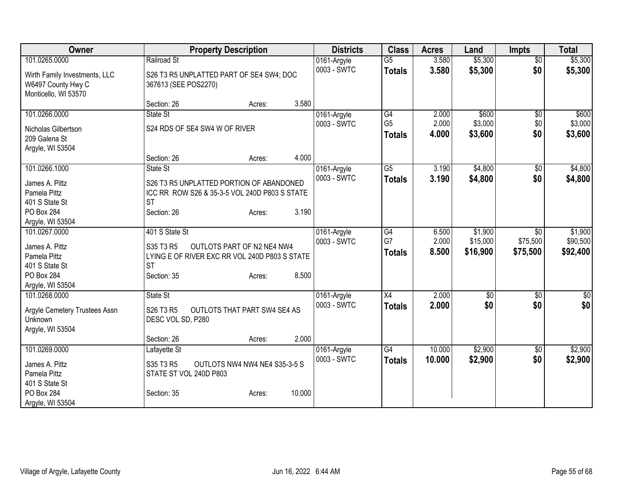| Owner                             | <b>Property Description</b>                   | <b>Districts</b>           | <b>Class</b>    | <b>Acres</b> | Land     | <b>Impts</b>    | <b>Total</b> |
|-----------------------------------|-----------------------------------------------|----------------------------|-----------------|--------------|----------|-----------------|--------------|
| 101.0265.0000                     | Railroad St                                   | 0161-Argyle                | $\overline{G5}$ | 3.580        | \$5,300  | $\overline{50}$ | \$5,300      |
| Wirth Family Investments, LLC     | S26 T3 R5 UNPLATTED PART OF SE4 SW4; DOC      | 0003 - SWTC                | <b>Totals</b>   | 3.580        | \$5,300  | \$0             | \$5,300      |
| W6497 County Hwy C                | 367613 (SEE POS2270)                          |                            |                 |              |          |                 |              |
| Monticello, WI 53570              |                                               |                            |                 |              |          |                 |              |
|                                   | 3.580<br>Section: 26<br>Acres:                |                            |                 |              |          |                 |              |
| 101.0266.0000                     | State St                                      | 0161-Argyle                | G4              | 2.000        | \$600    | \$0             | \$600        |
| Nicholas Gilbertson               | S24 RDS OF SE4 SW4 W OF RIVER                 | 0003 - SWTC                | G <sub>5</sub>  | 2.000        | \$3,000  | \$0             | \$3,000      |
| 209 Galena St                     |                                               |                            | <b>Totals</b>   | 4.000        | \$3,600  | \$0             | \$3,600      |
| Argyle, WI 53504                  |                                               |                            |                 |              |          |                 |              |
|                                   | 4.000<br>Section: 26<br>Acres:                |                            |                 |              |          |                 |              |
| 101.0266.1000                     | State St                                      | 0161-Argyle                | $\overline{G5}$ | 3.190        | \$4,800  | \$0             | \$4,800      |
|                                   | S26 T3 R5 UNPLATTED PORTION OF ABANDONED      | 0003 - SWTC                | <b>Totals</b>   | 3.190        | \$4,800  | \$0             | \$4,800      |
| James A. Pittz<br>Pamela Pittz    | ICC RR ROW S26 & 35-3-5 VOL 240D P803 S STATE |                            |                 |              |          |                 |              |
| 401 S State St                    | <b>ST</b>                                     |                            |                 |              |          |                 |              |
| PO Box 284                        | Section: 26<br>3.190<br>Acres:                |                            |                 |              |          |                 |              |
| Argyle, WI 53504                  |                                               |                            |                 |              |          |                 |              |
| 101.0267.0000                     | 401 S State St                                | 0161-Argyle                | G4              | 6.500        | \$1,900  | \$0             | \$1,900      |
|                                   |                                               | 0003 - SWTC                | G7              | 2.000        | \$15,000 | \$75,500        | \$90,500     |
| James A. Pittz                    | S35 T3 R5<br>OUTLOTS PART OF N2 NE4 NW4       |                            | <b>Totals</b>   | 8.500        | \$16,900 | \$75,500        | \$92,400     |
| Pamela Pittz                      | LYING E OF RIVER EXC RR VOL 240D P803 S STATE |                            |                 |              |          |                 |              |
| 401 S State St                    | <b>ST</b>                                     |                            |                 |              |          |                 |              |
| <b>PO Box 284</b>                 | 8.500<br>Section: 35<br>Acres:                |                            |                 |              |          |                 |              |
| Argyle, WI 53504<br>101.0268.0000 | State St                                      |                            | $\overline{X4}$ | 2.000        |          |                 |              |
|                                   |                                               | 0161-Argyle<br>0003 - SWTC |                 |              | \$0      | \$0             | \$0          |
| Argyle Cemetery Trustees Assn     | S26 T3 R5<br>OUTLOTS THAT PART SW4 SE4 AS     |                            | <b>Totals</b>   | 2.000        | \$0      | \$0             | \$0          |
| Unknown                           | DESC VOL SD, P280                             |                            |                 |              |          |                 |              |
| Argyle, WI 53504                  |                                               |                            |                 |              |          |                 |              |
|                                   | 2.000<br>Section: 26<br>Acres:                |                            |                 |              |          |                 |              |
| 101.0269.0000                     | Lafayette St                                  | 0161-Argyle                | G4              | 10.000       | \$2,900  | \$0             | \$2,900      |
| James A. Pittz                    | OUTLOTS NW4 NW4 NE4 S35-3-5 S<br>S35 T3 R5    | 0003 - SWTC                | <b>Totals</b>   | 10.000       | \$2,900  | \$0             | \$2,900      |
| Pamela Pittz                      | STATE ST VOL 240D P803                        |                            |                 |              |          |                 |              |
| 401 S State St                    |                                               |                            |                 |              |          |                 |              |
| PO Box 284                        | 10.000<br>Section: 35<br>Acres:               |                            |                 |              |          |                 |              |
| Argyle, WI 53504                  |                                               |                            |                 |              |          |                 |              |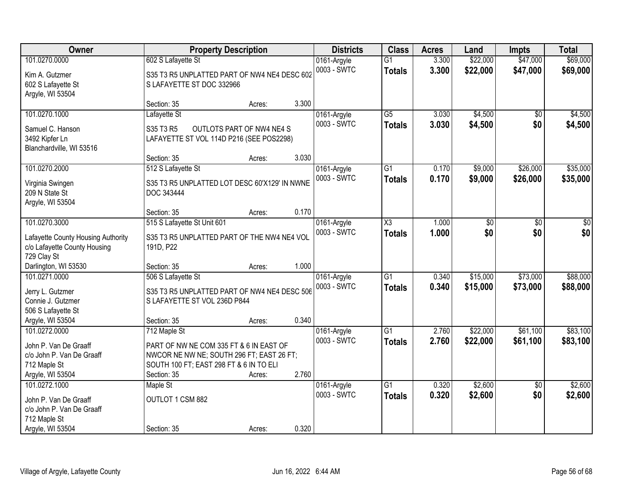| Owner                                              |                                               | <b>Property Description</b> |       | <b>Districts</b> | <b>Class</b>        | <b>Acres</b> | Land            | Impts           | <b>Total</b> |
|----------------------------------------------------|-----------------------------------------------|-----------------------------|-------|------------------|---------------------|--------------|-----------------|-----------------|--------------|
| 101.0270.0000                                      | 602 S Lafayette St                            |                             |       | 0161-Argyle      | $\overline{G1}$     | 3.300        | \$22,000        | \$47,000        | \$69,000     |
| Kim A. Gutzmer                                     | S35 T3 R5 UNPLATTED PART OF NW4 NE4 DESC 602  |                             |       | 0003 - SWTC      | <b>Totals</b>       | 3.300        | \$22,000        | \$47,000        | \$69,000     |
| 602 S Lafayette St                                 | S LAFAYETTE ST DOC 332966                     |                             |       |                  |                     |              |                 |                 |              |
| Argyle, WI 53504                                   |                                               |                             |       |                  |                     |              |                 |                 |              |
|                                                    | Section: 35                                   | Acres:                      | 3.300 |                  |                     |              |                 |                 |              |
| 101.0270.1000                                      | Lafayette St                                  |                             |       | 0161-Argyle      | $\overline{G5}$     | 3.030        | \$4,500         | $\overline{50}$ | \$4,500      |
| Samuel C. Hanson                                   | S35 T3 R5                                     | OUTLOTS PART OF NW4 NE4 S   |       | 0003 - SWTC      | <b>Totals</b>       | 3.030        | \$4,500         | \$0             | \$4,500      |
| 3492 Kipfer Ln                                     | LAFAYETTE ST VOL 114D P216 (SEE POS2298)      |                             |       |                  |                     |              |                 |                 |              |
| Blanchardville, WI 53516                           |                                               |                             |       |                  |                     |              |                 |                 |              |
|                                                    | Section: 35                                   | Acres:                      | 3.030 |                  |                     |              |                 |                 |              |
| 101.0270.2000                                      | 512 S Lafayette St                            |                             |       | 0161-Argyle      | $\overline{G1}$     | 0.170        | \$9,000         | \$26,000        | \$35,000     |
| Virginia Swingen                                   | S35 T3 R5 UNPLATTED LOT DESC 60'X129' IN NWNE |                             |       | 0003 - SWTC      | <b>Totals</b>       | 0.170        | \$9,000         | \$26,000        | \$35,000     |
| 209 N State St                                     | DOC 343444                                    |                             |       |                  |                     |              |                 |                 |              |
| Argyle, WI 53504                                   |                                               |                             |       |                  |                     |              |                 |                 |              |
|                                                    | Section: 35                                   | Acres:                      | 0.170 |                  |                     |              |                 |                 |              |
| 101.0270.3000                                      | 515 S Lafayette St Unit 601                   |                             |       | 0161-Argyle      | $\overline{\chi_3}$ | 1.000        | $\overline{50}$ | \$0             | \$0          |
| Lafayette County Housing Authority                 | S35 T3 R5 UNPLATTED PART OF THE NW4 NE4 VOL   |                             |       | 0003 - SWTC      | <b>Totals</b>       | 1.000        | \$0             | \$0             | \$0          |
| c/o Lafayette County Housing                       | 191D, P22                                     |                             |       |                  |                     |              |                 |                 |              |
| 729 Clay St                                        |                                               |                             |       |                  |                     |              |                 |                 |              |
| Darlington, WI 53530                               | Section: 35                                   | Acres:                      | 1.000 |                  |                     |              |                 |                 |              |
| 101.0271.0000                                      | 506 S Lafayette St                            |                             |       | 0161-Argyle      | $\overline{G1}$     | 0.340        | \$15,000        | \$73,000        | \$88,000     |
| Jerry L. Gutzmer                                   | S35 T3 R5 UNPLATTED PART OF NW4 NE4 DESC 506  |                             |       | 0003 - SWTC      | <b>Totals</b>       | 0.340        | \$15,000        | \$73,000        | \$88,000     |
| Connie J. Gutzmer                                  | S LAFAYETTE ST VOL 236D P844                  |                             |       |                  |                     |              |                 |                 |              |
| 506 S Lafayette St                                 |                                               |                             |       |                  |                     |              |                 |                 |              |
| Argyle, WI 53504                                   | Section: 35                                   | Acres:                      | 0.340 |                  |                     |              |                 |                 |              |
| 101.0272.0000                                      | 712 Maple St                                  |                             |       | 0161-Argyle      | $\overline{G1}$     | 2.760        | \$22,000        | \$61,100        | \$83,100     |
| John P. Van De Graaff                              | PART OF NW NE COM 335 FT & 6 IN EAST OF       |                             |       | 0003 - SWTC      | <b>Totals</b>       | 2.760        | \$22,000        | \$61,100        | \$83,100     |
| c/o John P. Van De Graaff                          | NWCOR NE NW NE; SOUTH 296 FT; EAST 26 FT;     |                             |       |                  |                     |              |                 |                 |              |
| 712 Maple St                                       | SOUTH 100 FT; EAST 298 FT & 6 IN TO ELI       |                             |       |                  |                     |              |                 |                 |              |
| Argyle, WI 53504                                   | Section: 35                                   | Acres:                      | 2.760 |                  |                     |              |                 |                 |              |
| 101.0272.1000                                      | Maple St                                      |                             |       | 0161-Argyle      | $\overline{G1}$     | 0.320        | \$2,600         | $\overline{50}$ | \$2,600      |
|                                                    | OUTLOT 1 CSM 882                              |                             |       | 0003 - SWTC      | <b>Totals</b>       | 0.320        | \$2,600         | \$0             | \$2,600      |
| John P. Van De Graaff<br>c/o John P. Van De Graaff |                                               |                             |       |                  |                     |              |                 |                 |              |
| 712 Maple St                                       |                                               |                             |       |                  |                     |              |                 |                 |              |
| Argyle, WI 53504                                   | Section: 35                                   | Acres:                      | 0.320 |                  |                     |              |                 |                 |              |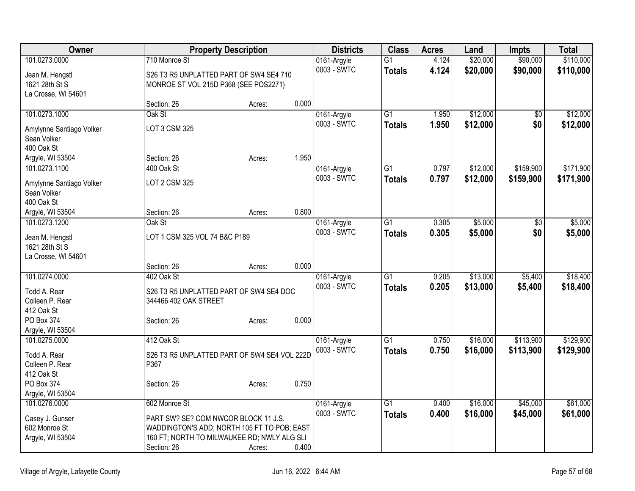| \$20,000<br>\$90,000<br>\$110,000<br>101.0273.0000<br>710 Monroe St<br>4.124<br>$\overline{G1}$<br>0161-Argyle<br>0003 - SWTC<br>\$20,000<br>4.124<br>\$90,000<br>\$110,000<br><b>Totals</b><br>S26 T3 R5 UNPLATTED PART OF SW4 SE4 710<br>Jean M. Hengstl<br>1621 28th St S<br>MONROE ST VOL 215D P368 (SEE POS2271)<br>La Crosse, WI 54601<br>0.000<br>Section: 26<br>Acres:<br>\$12,000<br>\$12,000<br>101.0273.1000<br>Oak St<br>$\overline{G1}$<br>1.950<br>0161-Argyle<br>\$0 |
|-------------------------------------------------------------------------------------------------------------------------------------------------------------------------------------------------------------------------------------------------------------------------------------------------------------------------------------------------------------------------------------------------------------------------------------------------------------------------------------|
|                                                                                                                                                                                                                                                                                                                                                                                                                                                                                     |
|                                                                                                                                                                                                                                                                                                                                                                                                                                                                                     |
|                                                                                                                                                                                                                                                                                                                                                                                                                                                                                     |
|                                                                                                                                                                                                                                                                                                                                                                                                                                                                                     |
|                                                                                                                                                                                                                                                                                                                                                                                                                                                                                     |
|                                                                                                                                                                                                                                                                                                                                                                                                                                                                                     |
| 0003 - SWTC<br>\$12,000<br>\$0<br>\$12,000<br>1.950<br><b>Totals</b><br>LOT 3 CSM 325<br>Amylynne Santiago Volker                                                                                                                                                                                                                                                                                                                                                                   |
| Sean Volker                                                                                                                                                                                                                                                                                                                                                                                                                                                                         |
| 400 Oak St                                                                                                                                                                                                                                                                                                                                                                                                                                                                          |
| 1.950<br>Argyle, WI 53504<br>Section: 26<br>Acres:                                                                                                                                                                                                                                                                                                                                                                                                                                  |
| $\overline{G1}$<br>\$159,900<br>\$171,900<br>101.0273.1100<br>400 Oak St<br>0.797<br>\$12,000<br>0161-Argyle                                                                                                                                                                                                                                                                                                                                                                        |
| 0003 - SWTC<br>0.797<br>\$12,000<br>\$159,900<br>\$171,900<br><b>Totals</b>                                                                                                                                                                                                                                                                                                                                                                                                         |
| LOT 2 CSM 325<br>Amylynne Santiago Volker                                                                                                                                                                                                                                                                                                                                                                                                                                           |
| Sean Volker<br>400 Oak St                                                                                                                                                                                                                                                                                                                                                                                                                                                           |
| 0.800<br>Argyle, WI 53504<br>Section: 26<br>Acres:                                                                                                                                                                                                                                                                                                                                                                                                                                  |
| Oak St<br>$\overline{G1}$<br>\$5,000<br>\$5,000<br>101.0273.1200<br>0.305<br>0161-Argyle<br>$\sqrt{6}$                                                                                                                                                                                                                                                                                                                                                                              |
| 0003 - SWTC<br>0.305<br>\$5,000<br>\$0<br>\$5,000                                                                                                                                                                                                                                                                                                                                                                                                                                   |
| Totals<br>Jean M. Hengstl<br>LOT 1 CSM 325 VOL 74 B&C P189                                                                                                                                                                                                                                                                                                                                                                                                                          |
| 1621 28th St S                                                                                                                                                                                                                                                                                                                                                                                                                                                                      |
| La Crosse, WI 54601                                                                                                                                                                                                                                                                                                                                                                                                                                                                 |
| 0.000<br>Section: 26<br>Acres:                                                                                                                                                                                                                                                                                                                                                                                                                                                      |
| \$18,400<br>101.0274.0000<br>$\overline{G1}$<br>0.205<br>\$13,000<br>\$5,400<br>402 Oak St<br>0161-Argyle                                                                                                                                                                                                                                                                                                                                                                           |
| 0.205<br>0003 - SWTC<br>\$13,000<br>\$18,400<br><b>Totals</b><br>\$5,400<br>Todd A. Rear<br>S26 T3 R5 UNPLATTED PART OF SW4 SE4 DOC                                                                                                                                                                                                                                                                                                                                                 |
| Colleen P. Rear<br>344466 402 OAK STREET                                                                                                                                                                                                                                                                                                                                                                                                                                            |
| 412 Oak St                                                                                                                                                                                                                                                                                                                                                                                                                                                                          |
| PO Box 374<br>0.000<br>Section: 26<br>Acres:                                                                                                                                                                                                                                                                                                                                                                                                                                        |
| Argyle, WI 53504                                                                                                                                                                                                                                                                                                                                                                                                                                                                    |
| \$129,900<br>101.0275.0000<br>412 Oak St<br>0.750<br>\$16,000<br>\$113,900<br>G1<br>0161-Argyle                                                                                                                                                                                                                                                                                                                                                                                     |
| 0003 - SWTC<br>0.750<br>\$16,000<br>\$113,900<br>\$129,900<br><b>Totals</b><br>Todd A. Rear<br>S26 T3 R5 UNPLATTED PART OF SW4 SE4 VOL 222D                                                                                                                                                                                                                                                                                                                                         |
| P367<br>Colleen P. Rear                                                                                                                                                                                                                                                                                                                                                                                                                                                             |
| 412 Oak St                                                                                                                                                                                                                                                                                                                                                                                                                                                                          |
| PO Box 374<br>0.750<br>Section: 26<br>Acres:                                                                                                                                                                                                                                                                                                                                                                                                                                        |
| Argyle, WI 53504                                                                                                                                                                                                                                                                                                                                                                                                                                                                    |
| 101.0276.0000<br>602 Monroe St<br>$\overline{G1}$<br>\$16,000<br>\$45,000<br>\$61,000<br>0161-Argyle<br>0.400                                                                                                                                                                                                                                                                                                                                                                       |
| 0003 - SWTC<br>0.400<br>\$16,000<br>\$45,000<br>Totals<br>\$61,000<br>Casey J. Gunser<br>PART SW? SE? COM NWCOR BLOCK 11 J.S.                                                                                                                                                                                                                                                                                                                                                       |
| 602 Monroe St<br>WADDINGTON'S ADD; NORTH 105 FT TO POB; EAST                                                                                                                                                                                                                                                                                                                                                                                                                        |
| 160 FT; NORTH TO MILWAUKEE RD; NWLY ALG SLI<br>Argyle, WI 53504                                                                                                                                                                                                                                                                                                                                                                                                                     |
| Section: 26<br>0.400<br>Acres:                                                                                                                                                                                                                                                                                                                                                                                                                                                      |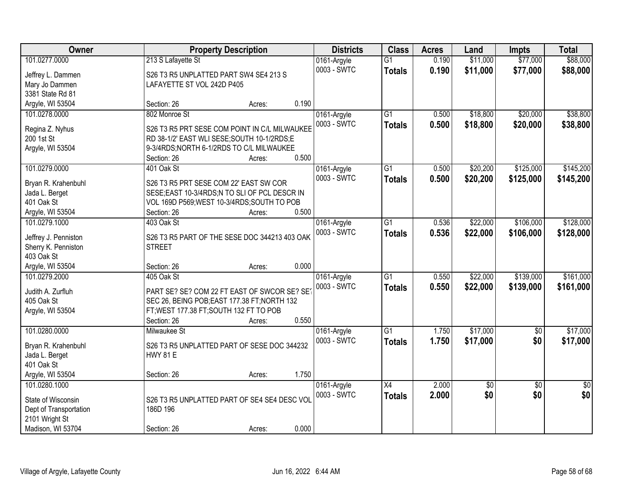| Owner                  | <b>Property Description</b>                    |                 | <b>Districts</b> | <b>Class</b>    | <b>Acres</b> | Land            | <b>Impts</b>    | <b>Total</b>    |
|------------------------|------------------------------------------------|-----------------|------------------|-----------------|--------------|-----------------|-----------------|-----------------|
| 101.0277.0000          | 213 S Lafayette St                             |                 | 0161-Argyle      | $\overline{G1}$ | 0.190        | \$11,000        | \$77,000        | \$88,000        |
| Jeffrey L. Dammen      | S26 T3 R5 UNPLATTED PART SW4 SE4 213 S         |                 | 0003 - SWTC      | <b>Totals</b>   | 0.190        | \$11,000        | \$77,000        | \$88,000        |
| Mary Jo Dammen         | LAFAYETTE ST VOL 242D P405                     |                 |                  |                 |              |                 |                 |                 |
| 3381 State Rd 81       |                                                |                 |                  |                 |              |                 |                 |                 |
| Argyle, WI 53504       | Section: 26                                    | 0.190<br>Acres: |                  |                 |              |                 |                 |                 |
| 101.0278.0000          | 802 Monroe St                                  |                 | 0161-Argyle      | $\overline{G1}$ | 0.500        | \$18,800        | \$20,000        | \$38,800        |
|                        |                                                |                 | 0003 - SWTC      | <b>Totals</b>   | 0.500        | \$18,800        | \$20,000        | \$38,800        |
| Regina Z. Nyhus        | S26 T3 R5 PRT SESE COM POINT IN C/L MILWAUKEE  |                 |                  |                 |              |                 |                 |                 |
| 200 1st St             | RD 38-1/2' EAST WLI SESE; SOUTH 10-1/2RDS; E   |                 |                  |                 |              |                 |                 |                 |
| Argyle, WI 53504       | 9-3/4RDS; NORTH 6-1/2RDS TO C/L MILWAUKEE      |                 |                  |                 |              |                 |                 |                 |
|                        | Section: 26                                    | 0.500<br>Acres: |                  |                 |              |                 |                 |                 |
| 101.0279.0000          | 401 Oak St                                     |                 | 0161-Argyle      | $\overline{G1}$ | 0.500        | \$20,200        | \$125,000       | \$145,200       |
| Bryan R. Krahenbuhl    | S26 T3 R5 PRT SESE COM 22' EAST SW COR         |                 | 0003 - SWTC      | <b>Totals</b>   | 0.500        | \$20,200        | \$125,000       | \$145,200       |
| Jada L. Berget         | SESE; EAST 10-3/4RDS; N TO SLI OF PCL DESCR IN |                 |                  |                 |              |                 |                 |                 |
| 401 Oak St             | VOL 169D P569; WEST 10-3/4RDS; SOUTH TO POB    |                 |                  |                 |              |                 |                 |                 |
| Argyle, WI 53504       | Section: 26                                    | 0.500<br>Acres: |                  |                 |              |                 |                 |                 |
| 101.0279.1000          | 403 Oak St                                     |                 | 0161-Argyle      | $\overline{G1}$ | 0.536        | \$22,000        | \$106,000       | \$128,000       |
|                        |                                                |                 | 0003 - SWTC      | <b>Totals</b>   | 0.536        | \$22,000        | \$106,000       | \$128,000       |
| Jeffrey J. Penniston   | S26 T3 R5 PART OF THE SESE DOC 344213 403 OAK  |                 |                  |                 |              |                 |                 |                 |
| Sherry K. Penniston    | <b>STREET</b>                                  |                 |                  |                 |              |                 |                 |                 |
| 403 Oak St             |                                                |                 |                  |                 |              |                 |                 |                 |
| Argyle, WI 53504       | Section: 26                                    | 0.000<br>Acres: |                  |                 |              |                 |                 |                 |
| 101.0279.2000          | 405 Oak St                                     |                 | 0161-Argyle      | $\overline{G1}$ | 0.550        | \$22,000        | \$139,000       | \$161,000       |
| Judith A. Zurfluh      | PART SE? SE? COM 22 FT EAST OF SWCOR SE? SE    |                 | 0003 - SWTC      | <b>Totals</b>   | 0.550        | \$22,000        | \$139,000       | \$161,000       |
| 405 Oak St             | SEC 26, BEING POB; EAST 177.38 FT; NORTH 132   |                 |                  |                 |              |                 |                 |                 |
| Argyle, WI 53504       | FT; WEST 177.38 FT; SOUTH 132 FT TO POB        |                 |                  |                 |              |                 |                 |                 |
|                        | Section: 26                                    | 0.550<br>Acres: |                  |                 |              |                 |                 |                 |
| 101.0280.0000          | Milwaukee St                                   |                 | 0161-Argyle      | $\overline{G1}$ | 1.750        | \$17,000        | $\sqrt{6}$      | \$17,000        |
|                        |                                                |                 | 0003 - SWTC      | <b>Totals</b>   | 1.750        | \$17,000        | \$0             | \$17,000        |
| Bryan R. Krahenbuhl    | S26 T3 R5 UNPLATTED PART OF SESE DOC 344232    |                 |                  |                 |              |                 |                 |                 |
| Jada L. Berget         | <b>HWY 81 E</b>                                |                 |                  |                 |              |                 |                 |                 |
| 401 Oak St             |                                                |                 |                  |                 |              |                 |                 |                 |
| Argyle, WI 53504       | Section: 26                                    | 1.750<br>Acres: |                  |                 |              |                 |                 |                 |
| 101.0280.1000          |                                                |                 | 0161-Argyle      | X4              | 2.000        | $\overline{60}$ | $\overline{30}$ | $\overline{50}$ |
| State of Wisconsin     | S26 T3 R5 UNPLATTED PART OF SE4 SE4 DESC VOL   |                 | 0003 - SWTC      | <b>Totals</b>   | 2.000        | \$0             | \$0             | \$0             |
| Dept of Transportation | 186D 196                                       |                 |                  |                 |              |                 |                 |                 |
| 2101 Wright St         |                                                |                 |                  |                 |              |                 |                 |                 |
| Madison, WI 53704      | Section: 26                                    | 0.000<br>Acres: |                  |                 |              |                 |                 |                 |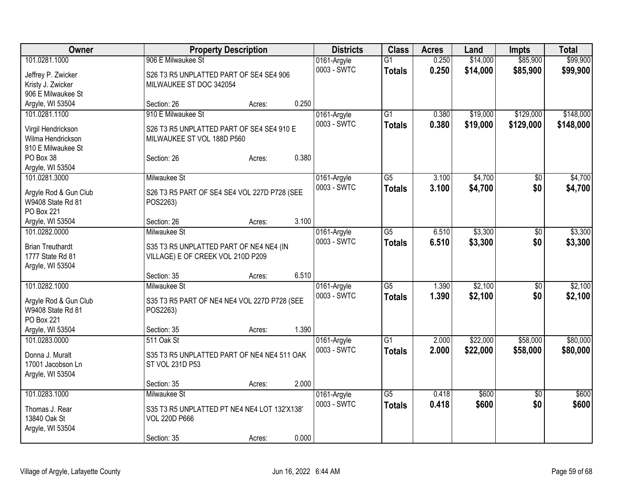| Owner                           | <b>Property Description</b>                  |        |       | <b>Districts</b>           | <b>Class</b>    | <b>Acres</b> | Land     | <b>Impts</b>    | <b>Total</b> |
|---------------------------------|----------------------------------------------|--------|-------|----------------------------|-----------------|--------------|----------|-----------------|--------------|
| 101.0281.1000                   | 906 E Milwaukee St                           |        |       | 0161-Argyle                | $\overline{G1}$ | 0.250        | \$14,000 | \$85,900        | \$99,900     |
| Jeffrey P. Zwicker              | S26 T3 R5 UNPLATTED PART OF SE4 SE4 906      |        |       | 0003 - SWTC                | <b>Totals</b>   | 0.250        | \$14,000 | \$85,900        | \$99,900     |
| Kristy J. Zwicker               | MILWAUKEE ST DOC 342054                      |        |       |                            |                 |              |          |                 |              |
| 906 E Milwaukee St              |                                              |        |       |                            |                 |              |          |                 |              |
| Argyle, WI 53504                | Section: 26                                  | Acres: | 0.250 |                            |                 |              |          |                 |              |
| 101.0281.1100                   | 910 E Milwaukee St                           |        |       | 0161-Argyle                | G1              | 0.380        | \$19,000 | \$129,000       | \$148,000    |
|                                 |                                              |        |       | 0003 - SWTC                | <b>Totals</b>   | 0.380        | \$19,000 | \$129,000       | \$148,000    |
| Virgil Hendrickson              | S26 T3 R5 UNPLATTED PART OF SE4 SE4 910 E    |        |       |                            |                 |              |          |                 |              |
| Wilma Hendrickson               | MILWAUKEE ST VOL 188D P560                   |        |       |                            |                 |              |          |                 |              |
| 910 E Milwaukee St<br>PO Box 38 | Section: 26                                  |        | 0.380 |                            |                 |              |          |                 |              |
| Argyle, WI 53504                |                                              | Acres: |       |                            |                 |              |          |                 |              |
| 101.0281.3000                   | <b>Milwaukee St</b>                          |        |       | 0161-Argyle                | $\overline{G5}$ | 3.100        | \$4,700  | \$0             | \$4,700      |
|                                 |                                              |        |       | 0003 - SWTC                |                 | 3.100        | \$4,700  | \$0             |              |
| Argyle Rod & Gun Club           | S26 T3 R5 PART OF SE4 SE4 VOL 227D P728 (SEE |        |       |                            | <b>Totals</b>   |              |          |                 | \$4,700      |
| W9408 State Rd 81               | POS2263)                                     |        |       |                            |                 |              |          |                 |              |
| <b>PO Box 221</b>               |                                              |        |       |                            |                 |              |          |                 |              |
| Argyle, WI 53504                | Section: 26                                  | Acres: | 3.100 |                            |                 |              |          |                 |              |
| 101.0282.0000                   | Milwaukee St                                 |        |       | 0161-Argyle                | G5              | 6.510        | \$3,300  | \$0             | \$3,300      |
| <b>Brian Treuthardt</b>         | S35 T3 R5 UNPLATTED PART OF NE4 NE4 (IN      |        |       | 0003 - SWTC                | <b>Totals</b>   | 6.510        | \$3,300  | \$0             | \$3,300      |
| 1777 State Rd 81                | VILLAGE) E OF CREEK VOL 210D P209            |        |       |                            |                 |              |          |                 |              |
| Argyle, WI 53504                |                                              |        |       |                            |                 |              |          |                 |              |
|                                 | Section: 35                                  | Acres: | 6.510 |                            |                 |              |          |                 |              |
| 101.0282.1000                   | Milwaukee St                                 |        |       | 0161-Argyle                | $\overline{G5}$ | 1.390        | \$2,100  | $\sqrt[6]{}$    | \$2,100      |
|                                 |                                              |        |       | 0003 - SWTC                | <b>Totals</b>   | 1.390        | \$2,100  | \$0             | \$2,100      |
| Argyle Rod & Gun Club           | S35 T3 R5 PART OF NE4 NE4 VOL 227D P728 (SEE |        |       |                            |                 |              |          |                 |              |
| W9408 State Rd 81               | POS2263)                                     |        |       |                            |                 |              |          |                 |              |
| <b>PO Box 221</b>               |                                              |        |       |                            |                 |              |          |                 |              |
| Argyle, WI 53504                | Section: 35                                  | Acres: | 1.390 |                            |                 |              |          |                 |              |
| 101.0283.0000                   | 511 Oak St                                   |        |       | 0161-Argyle<br>0003 - SWTC | $\overline{G1}$ | 2.000        | \$22,000 | \$58,000        | \$80,000     |
| Donna J. Muralt                 | S35 T3 R5 UNPLATTED PART OF NE4 NE4 511 OAK  |        |       |                            | <b>Totals</b>   | 2.000        | \$22,000 | \$58,000        | \$80,000     |
| 17001 Jacobson Ln               | ST VOL 231D P53                              |        |       |                            |                 |              |          |                 |              |
| Argyle, WI 53504                |                                              |        |       |                            |                 |              |          |                 |              |
|                                 | Section: 35                                  | Acres: | 2.000 |                            |                 |              |          |                 |              |
| 101.0283.1000                   | Milwaukee St                                 |        |       | 0161-Argyle                | $\overline{G5}$ | 0.418        | \$600    | $\overline{50}$ | \$600        |
| Thomas J. Rear                  | S35 T3 R5 UNPLATTED PT NE4 NE4 LOT 132'X138' |        |       | 0003 - SWTC                | <b>Totals</b>   | 0.418        | \$600    | \$0             | \$600        |
| 13840 Oak St                    | <b>VOL 220D P666</b>                         |        |       |                            |                 |              |          |                 |              |
| Argyle, WI 53504                |                                              |        |       |                            |                 |              |          |                 |              |
|                                 | Section: 35                                  | Acres: | 0.000 |                            |                 |              |          |                 |              |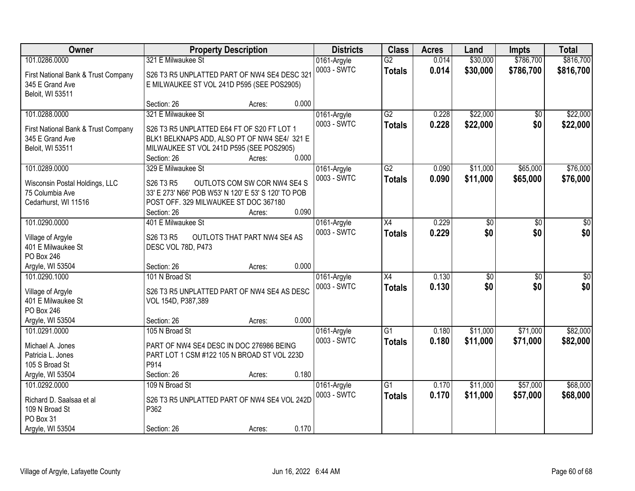| \$786,700<br>\$816,700<br>101.0286.0000<br>321 E Milwaukee St<br>$\overline{G2}$<br>\$30,000<br>0161-Argyle<br>0.014<br>0003 - SWTC<br>0.014<br>\$30,000<br>\$786,700<br>\$816,700<br><b>Totals</b><br>S26 T3 R5 UNPLATTED PART OF NW4 SE4 DESC 321<br>First National Bank & Trust Company<br>345 E Grand Ave<br>E MILWAUKEE ST VOL 241D P595 (SEE POS2905)<br>Beloit, WI 53511<br>0.000<br>Section: 26<br>Acres:<br>321 E Milwaukee St<br>G2<br>\$22,000<br>\$22,000<br>101.0288.0000<br>0161-Argyle<br>0.228<br>$\overline{50}$<br>0.228<br>0003 - SWTC<br>\$22,000<br>\$0<br>\$22,000<br><b>Totals</b><br>First National Bank & Trust Company<br>S26 T3 R5 UNPLATTED E64 FT OF S20 FT LOT 1<br>345 E Grand Ave<br>BLK1 BELKNAPS ADD, ALSO PT OF NW4 SE4/ 321 E<br>Beloit, WI 53511<br>MILWAUKEE ST VOL 241D P595 (SEE POS2905)<br>0.000<br>Section: 26<br>Acres:<br>\$11,000<br>\$65,000<br>\$76,000<br>101.0289.0000<br>329 E Milwaukee St<br>G2<br>0.090<br>0161-Argyle<br>0003 - SWTC<br>\$11,000<br>\$65,000<br>0.090<br>\$76,000<br><b>Totals</b><br>S26 T3 R5<br>OUTLOTS COM SW COR NW4 SE4 S<br>Wisconsin Postal Holdings, LLC<br>75 Columbia Ave<br>33' E 273' N66' POB W53' N 120' E 53' S 120' TO POB<br>POST OFF. 329 MILWAUKEE ST DOC 367180<br>Cedarhurst, WI 11516<br>0.090<br>Section: 26<br>Acres:<br>101.0290.0000<br>0.229<br>$\sqrt{50}$<br>401 E Milwaukee St<br>\$0<br>0161-Argyle<br>X4<br>$\sqrt{6}$<br>0.229<br>\$0<br>\$0<br>\$0<br>0003 - SWTC<br><b>Totals</b><br>S26 T3 R5<br>OUTLOTS THAT PART NW4 SE4 AS<br>Village of Argyle<br>401 E Milwaukee St<br>DESC VOL 78D, P473<br>PO Box 246<br>0.000<br>Argyle, WI 53504<br>Section: 26<br>Acres:<br>101.0290.1000<br>101 N Broad St<br>$\overline{X4}$<br>0.130<br>$\overline{50}$<br>$\overline{30}$<br>$\overline{50}$<br>0161-Argyle<br>0.130<br>\$0<br>\$0<br>\$0<br>0003 - SWTC<br><b>Totals</b><br>S26 T3 R5 UNPLATTED PART OF NW4 SE4 AS DESC<br>Village of Argyle<br>401 E Milwaukee St<br>VOL 154D, P387,389<br>PO Box 246<br>0.000<br>Argyle, WI 53504<br>Section: 26<br>Acres:<br>$\overline{G1}$<br>\$11,000<br>\$71,000<br>\$82,000<br>101.0291.0000<br>105 N Broad St<br>0161-Argyle<br>0.180<br>0003 - SWTC<br>0.180<br>\$11,000<br>\$71,000<br>\$82,000<br><b>Totals</b><br>PART OF NW4 SE4 DESC IN DOC 276986 BEING<br>Michael A. Jones<br>PART LOT 1 CSM #122 105 N BROAD ST VOL 223D<br>Patricia L. Jones | Owner | <b>Property Description</b> | <b>Districts</b> | <b>Class</b> | <b>Acres</b> | Land | <b>Impts</b> | <b>Total</b> |
|------------------------------------------------------------------------------------------------------------------------------------------------------------------------------------------------------------------------------------------------------------------------------------------------------------------------------------------------------------------------------------------------------------------------------------------------------------------------------------------------------------------------------------------------------------------------------------------------------------------------------------------------------------------------------------------------------------------------------------------------------------------------------------------------------------------------------------------------------------------------------------------------------------------------------------------------------------------------------------------------------------------------------------------------------------------------------------------------------------------------------------------------------------------------------------------------------------------------------------------------------------------------------------------------------------------------------------------------------------------------------------------------------------------------------------------------------------------------------------------------------------------------------------------------------------------------------------------------------------------------------------------------------------------------------------------------------------------------------------------------------------------------------------------------------------------------------------------------------------------------------------------------------------------------------------------------------------------------------------------------------------------------------------------------------------------------------------------------------------------------------------------------------------------------------------------------------------------------------------------------------------------------------------------------------------------------------------------------------------------------------------------------------------|-------|-----------------------------|------------------|--------------|--------------|------|--------------|--------------|
|                                                                                                                                                                                                                                                                                                                                                                                                                                                                                                                                                                                                                                                                                                                                                                                                                                                                                                                                                                                                                                                                                                                                                                                                                                                                                                                                                                                                                                                                                                                                                                                                                                                                                                                                                                                                                                                                                                                                                                                                                                                                                                                                                                                                                                                                                                                                                                                                            |       |                             |                  |              |              |      |              |              |
|                                                                                                                                                                                                                                                                                                                                                                                                                                                                                                                                                                                                                                                                                                                                                                                                                                                                                                                                                                                                                                                                                                                                                                                                                                                                                                                                                                                                                                                                                                                                                                                                                                                                                                                                                                                                                                                                                                                                                                                                                                                                                                                                                                                                                                                                                                                                                                                                            |       |                             |                  |              |              |      |              |              |
|                                                                                                                                                                                                                                                                                                                                                                                                                                                                                                                                                                                                                                                                                                                                                                                                                                                                                                                                                                                                                                                                                                                                                                                                                                                                                                                                                                                                                                                                                                                                                                                                                                                                                                                                                                                                                                                                                                                                                                                                                                                                                                                                                                                                                                                                                                                                                                                                            |       |                             |                  |              |              |      |              |              |
|                                                                                                                                                                                                                                                                                                                                                                                                                                                                                                                                                                                                                                                                                                                                                                                                                                                                                                                                                                                                                                                                                                                                                                                                                                                                                                                                                                                                                                                                                                                                                                                                                                                                                                                                                                                                                                                                                                                                                                                                                                                                                                                                                                                                                                                                                                                                                                                                            |       |                             |                  |              |              |      |              |              |
|                                                                                                                                                                                                                                                                                                                                                                                                                                                                                                                                                                                                                                                                                                                                                                                                                                                                                                                                                                                                                                                                                                                                                                                                                                                                                                                                                                                                                                                                                                                                                                                                                                                                                                                                                                                                                                                                                                                                                                                                                                                                                                                                                                                                                                                                                                                                                                                                            |       |                             |                  |              |              |      |              |              |
|                                                                                                                                                                                                                                                                                                                                                                                                                                                                                                                                                                                                                                                                                                                                                                                                                                                                                                                                                                                                                                                                                                                                                                                                                                                                                                                                                                                                                                                                                                                                                                                                                                                                                                                                                                                                                                                                                                                                                                                                                                                                                                                                                                                                                                                                                                                                                                                                            |       |                             |                  |              |              |      |              |              |
|                                                                                                                                                                                                                                                                                                                                                                                                                                                                                                                                                                                                                                                                                                                                                                                                                                                                                                                                                                                                                                                                                                                                                                                                                                                                                                                                                                                                                                                                                                                                                                                                                                                                                                                                                                                                                                                                                                                                                                                                                                                                                                                                                                                                                                                                                                                                                                                                            |       |                             |                  |              |              |      |              |              |
|                                                                                                                                                                                                                                                                                                                                                                                                                                                                                                                                                                                                                                                                                                                                                                                                                                                                                                                                                                                                                                                                                                                                                                                                                                                                                                                                                                                                                                                                                                                                                                                                                                                                                                                                                                                                                                                                                                                                                                                                                                                                                                                                                                                                                                                                                                                                                                                                            |       |                             |                  |              |              |      |              |              |
|                                                                                                                                                                                                                                                                                                                                                                                                                                                                                                                                                                                                                                                                                                                                                                                                                                                                                                                                                                                                                                                                                                                                                                                                                                                                                                                                                                                                                                                                                                                                                                                                                                                                                                                                                                                                                                                                                                                                                                                                                                                                                                                                                                                                                                                                                                                                                                                                            |       |                             |                  |              |              |      |              |              |
|                                                                                                                                                                                                                                                                                                                                                                                                                                                                                                                                                                                                                                                                                                                                                                                                                                                                                                                                                                                                                                                                                                                                                                                                                                                                                                                                                                                                                                                                                                                                                                                                                                                                                                                                                                                                                                                                                                                                                                                                                                                                                                                                                                                                                                                                                                                                                                                                            |       |                             |                  |              |              |      |              |              |
|                                                                                                                                                                                                                                                                                                                                                                                                                                                                                                                                                                                                                                                                                                                                                                                                                                                                                                                                                                                                                                                                                                                                                                                                                                                                                                                                                                                                                                                                                                                                                                                                                                                                                                                                                                                                                                                                                                                                                                                                                                                                                                                                                                                                                                                                                                                                                                                                            |       |                             |                  |              |              |      |              |              |
|                                                                                                                                                                                                                                                                                                                                                                                                                                                                                                                                                                                                                                                                                                                                                                                                                                                                                                                                                                                                                                                                                                                                                                                                                                                                                                                                                                                                                                                                                                                                                                                                                                                                                                                                                                                                                                                                                                                                                                                                                                                                                                                                                                                                                                                                                                                                                                                                            |       |                             |                  |              |              |      |              |              |
|                                                                                                                                                                                                                                                                                                                                                                                                                                                                                                                                                                                                                                                                                                                                                                                                                                                                                                                                                                                                                                                                                                                                                                                                                                                                                                                                                                                                                                                                                                                                                                                                                                                                                                                                                                                                                                                                                                                                                                                                                                                                                                                                                                                                                                                                                                                                                                                                            |       |                             |                  |              |              |      |              |              |
|                                                                                                                                                                                                                                                                                                                                                                                                                                                                                                                                                                                                                                                                                                                                                                                                                                                                                                                                                                                                                                                                                                                                                                                                                                                                                                                                                                                                                                                                                                                                                                                                                                                                                                                                                                                                                                                                                                                                                                                                                                                                                                                                                                                                                                                                                                                                                                                                            |       |                             |                  |              |              |      |              |              |
|                                                                                                                                                                                                                                                                                                                                                                                                                                                                                                                                                                                                                                                                                                                                                                                                                                                                                                                                                                                                                                                                                                                                                                                                                                                                                                                                                                                                                                                                                                                                                                                                                                                                                                                                                                                                                                                                                                                                                                                                                                                                                                                                                                                                                                                                                                                                                                                                            |       |                             |                  |              |              |      |              |              |
|                                                                                                                                                                                                                                                                                                                                                                                                                                                                                                                                                                                                                                                                                                                                                                                                                                                                                                                                                                                                                                                                                                                                                                                                                                                                                                                                                                                                                                                                                                                                                                                                                                                                                                                                                                                                                                                                                                                                                                                                                                                                                                                                                                                                                                                                                                                                                                                                            |       |                             |                  |              |              |      |              |              |
|                                                                                                                                                                                                                                                                                                                                                                                                                                                                                                                                                                                                                                                                                                                                                                                                                                                                                                                                                                                                                                                                                                                                                                                                                                                                                                                                                                                                                                                                                                                                                                                                                                                                                                                                                                                                                                                                                                                                                                                                                                                                                                                                                                                                                                                                                                                                                                                                            |       |                             |                  |              |              |      |              |              |
|                                                                                                                                                                                                                                                                                                                                                                                                                                                                                                                                                                                                                                                                                                                                                                                                                                                                                                                                                                                                                                                                                                                                                                                                                                                                                                                                                                                                                                                                                                                                                                                                                                                                                                                                                                                                                                                                                                                                                                                                                                                                                                                                                                                                                                                                                                                                                                                                            |       |                             |                  |              |              |      |              |              |
|                                                                                                                                                                                                                                                                                                                                                                                                                                                                                                                                                                                                                                                                                                                                                                                                                                                                                                                                                                                                                                                                                                                                                                                                                                                                                                                                                                                                                                                                                                                                                                                                                                                                                                                                                                                                                                                                                                                                                                                                                                                                                                                                                                                                                                                                                                                                                                                                            |       |                             |                  |              |              |      |              |              |
|                                                                                                                                                                                                                                                                                                                                                                                                                                                                                                                                                                                                                                                                                                                                                                                                                                                                                                                                                                                                                                                                                                                                                                                                                                                                                                                                                                                                                                                                                                                                                                                                                                                                                                                                                                                                                                                                                                                                                                                                                                                                                                                                                                                                                                                                                                                                                                                                            |       |                             |                  |              |              |      |              |              |
|                                                                                                                                                                                                                                                                                                                                                                                                                                                                                                                                                                                                                                                                                                                                                                                                                                                                                                                                                                                                                                                                                                                                                                                                                                                                                                                                                                                                                                                                                                                                                                                                                                                                                                                                                                                                                                                                                                                                                                                                                                                                                                                                                                                                                                                                                                                                                                                                            |       |                             |                  |              |              |      |              |              |
|                                                                                                                                                                                                                                                                                                                                                                                                                                                                                                                                                                                                                                                                                                                                                                                                                                                                                                                                                                                                                                                                                                                                                                                                                                                                                                                                                                                                                                                                                                                                                                                                                                                                                                                                                                                                                                                                                                                                                                                                                                                                                                                                                                                                                                                                                                                                                                                                            |       |                             |                  |              |              |      |              |              |
|                                                                                                                                                                                                                                                                                                                                                                                                                                                                                                                                                                                                                                                                                                                                                                                                                                                                                                                                                                                                                                                                                                                                                                                                                                                                                                                                                                                                                                                                                                                                                                                                                                                                                                                                                                                                                                                                                                                                                                                                                                                                                                                                                                                                                                                                                                                                                                                                            |       |                             |                  |              |              |      |              |              |
|                                                                                                                                                                                                                                                                                                                                                                                                                                                                                                                                                                                                                                                                                                                                                                                                                                                                                                                                                                                                                                                                                                                                                                                                                                                                                                                                                                                                                                                                                                                                                                                                                                                                                                                                                                                                                                                                                                                                                                                                                                                                                                                                                                                                                                                                                                                                                                                                            |       |                             |                  |              |              |      |              |              |
|                                                                                                                                                                                                                                                                                                                                                                                                                                                                                                                                                                                                                                                                                                                                                                                                                                                                                                                                                                                                                                                                                                                                                                                                                                                                                                                                                                                                                                                                                                                                                                                                                                                                                                                                                                                                                                                                                                                                                                                                                                                                                                                                                                                                                                                                                                                                                                                                            |       |                             |                  |              |              |      |              |              |
|                                                                                                                                                                                                                                                                                                                                                                                                                                                                                                                                                                                                                                                                                                                                                                                                                                                                                                                                                                                                                                                                                                                                                                                                                                                                                                                                                                                                                                                                                                                                                                                                                                                                                                                                                                                                                                                                                                                                                                                                                                                                                                                                                                                                                                                                                                                                                                                                            |       |                             |                  |              |              |      |              |              |
|                                                                                                                                                                                                                                                                                                                                                                                                                                                                                                                                                                                                                                                                                                                                                                                                                                                                                                                                                                                                                                                                                                                                                                                                                                                                                                                                                                                                                                                                                                                                                                                                                                                                                                                                                                                                                                                                                                                                                                                                                                                                                                                                                                                                                                                                                                                                                                                                            |       |                             |                  |              |              |      |              |              |
|                                                                                                                                                                                                                                                                                                                                                                                                                                                                                                                                                                                                                                                                                                                                                                                                                                                                                                                                                                                                                                                                                                                                                                                                                                                                                                                                                                                                                                                                                                                                                                                                                                                                                                                                                                                                                                                                                                                                                                                                                                                                                                                                                                                                                                                                                                                                                                                                            |       |                             |                  |              |              |      |              |              |
| P914<br>105 S Broad St                                                                                                                                                                                                                                                                                                                                                                                                                                                                                                                                                                                                                                                                                                                                                                                                                                                                                                                                                                                                                                                                                                                                                                                                                                                                                                                                                                                                                                                                                                                                                                                                                                                                                                                                                                                                                                                                                                                                                                                                                                                                                                                                                                                                                                                                                                                                                                                     |       |                             |                  |              |              |      |              |              |
| 0.180<br>Argyle, WI 53504<br>Section: 26<br>Acres:                                                                                                                                                                                                                                                                                                                                                                                                                                                                                                                                                                                                                                                                                                                                                                                                                                                                                                                                                                                                                                                                                                                                                                                                                                                                                                                                                                                                                                                                                                                                                                                                                                                                                                                                                                                                                                                                                                                                                                                                                                                                                                                                                                                                                                                                                                                                                         |       |                             |                  |              |              |      |              |              |
| 109 N Broad St<br>$\overline{G1}$<br>\$11,000<br>\$57,000<br>\$68,000<br>101.0292.0000<br>0161-Argyle<br>0.170                                                                                                                                                                                                                                                                                                                                                                                                                                                                                                                                                                                                                                                                                                                                                                                                                                                                                                                                                                                                                                                                                                                                                                                                                                                                                                                                                                                                                                                                                                                                                                                                                                                                                                                                                                                                                                                                                                                                                                                                                                                                                                                                                                                                                                                                                             |       |                             |                  |              |              |      |              |              |
| 0003 - SWTC<br>0.170<br>\$11,000<br>\$57,000<br>\$68,000<br><b>Totals</b>                                                                                                                                                                                                                                                                                                                                                                                                                                                                                                                                                                                                                                                                                                                                                                                                                                                                                                                                                                                                                                                                                                                                                                                                                                                                                                                                                                                                                                                                                                                                                                                                                                                                                                                                                                                                                                                                                                                                                                                                                                                                                                                                                                                                                                                                                                                                  |       |                             |                  |              |              |      |              |              |
| S26 T3 R5 UNPLATTED PART OF NW4 SE4 VOL 242D<br>Richard D. Saalsaa et al                                                                                                                                                                                                                                                                                                                                                                                                                                                                                                                                                                                                                                                                                                                                                                                                                                                                                                                                                                                                                                                                                                                                                                                                                                                                                                                                                                                                                                                                                                                                                                                                                                                                                                                                                                                                                                                                                                                                                                                                                                                                                                                                                                                                                                                                                                                                   |       |                             |                  |              |              |      |              |              |
| 109 N Broad St<br>P362<br>PO Box 31                                                                                                                                                                                                                                                                                                                                                                                                                                                                                                                                                                                                                                                                                                                                                                                                                                                                                                                                                                                                                                                                                                                                                                                                                                                                                                                                                                                                                                                                                                                                                                                                                                                                                                                                                                                                                                                                                                                                                                                                                                                                                                                                                                                                                                                                                                                                                                        |       |                             |                  |              |              |      |              |              |
| 0.170<br>Argyle, WI 53504<br>Section: 26<br>Acres:                                                                                                                                                                                                                                                                                                                                                                                                                                                                                                                                                                                                                                                                                                                                                                                                                                                                                                                                                                                                                                                                                                                                                                                                                                                                                                                                                                                                                                                                                                                                                                                                                                                                                                                                                                                                                                                                                                                                                                                                                                                                                                                                                                                                                                                                                                                                                         |       |                             |                  |              |              |      |              |              |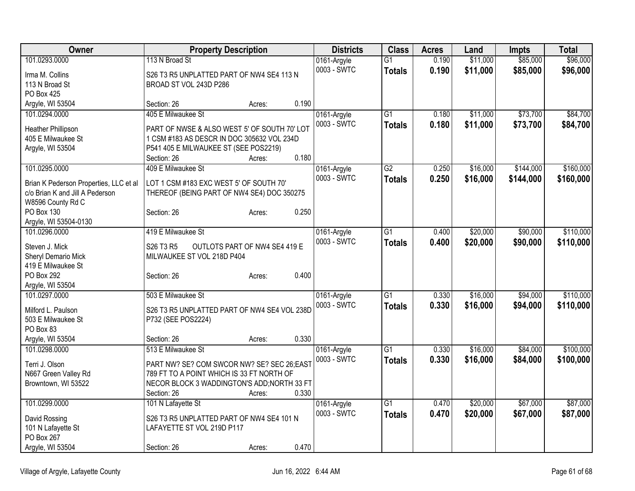| Owner                                  | <b>Property Description</b>                  |                 | <b>Districts</b> | <b>Class</b>    | <b>Acres</b> | Land     | <b>Impts</b> | <b>Total</b> |
|----------------------------------------|----------------------------------------------|-----------------|------------------|-----------------|--------------|----------|--------------|--------------|
| 101.0293.0000                          | 113 N Broad St                               |                 | 0161-Argyle      | $\overline{G1}$ | 0.190        | \$11,000 | \$85,000     | \$96,000     |
| Irma M. Collins                        | S26 T3 R5 UNPLATTED PART OF NW4 SE4 113 N    |                 | 0003 - SWTC      | <b>Totals</b>   | 0.190        | \$11,000 | \$85,000     | \$96,000     |
| 113 N Broad St                         | BROAD ST VOL 243D P286                       |                 |                  |                 |              |          |              |              |
| <b>PO Box 425</b>                      |                                              |                 |                  |                 |              |          |              |              |
| Argyle, WI 53504                       | Section: 26                                  | 0.190<br>Acres: |                  |                 |              |          |              |              |
| 101.0294.0000                          | 405 E Milwaukee St                           |                 | 0161-Argyle      | $\overline{G1}$ | 0.180        | \$11,000 | \$73,700     | \$84,700     |
| Heather Phillipson                     | PART OF NWSE & ALSO WEST 5' OF SOUTH 70' LOT |                 | 0003 - SWTC      | <b>Totals</b>   | 0.180        | \$11,000 | \$73,700     | \$84,700     |
| 405 E Milwaukee St                     | 1 CSM #183 AS DESCR IN DOC 305632 VOL 234D   |                 |                  |                 |              |          |              |              |
| Argyle, WI 53504                       | P541 405 E MILWAUKEE ST (SEE POS2219)        |                 |                  |                 |              |          |              |              |
|                                        | Section: 26                                  | 0.180<br>Acres: |                  |                 |              |          |              |              |
| 101.0295.0000                          | 409 E Milwaukee St                           |                 | 0161-Argyle      | $\overline{G2}$ | 0.250        | \$16,000 | \$144,000    | \$160,000    |
|                                        |                                              |                 | 0003 - SWTC      |                 | 0.250        | \$16,000 | \$144,000    | \$160,000    |
| Brian K Pederson Properties, LLC et al | LOT 1 CSM #183 EXC WEST 5' OF SOUTH 70'      |                 |                  | <b>Totals</b>   |              |          |              |              |
| c/o Brian K and Jill A Pederson        | THEREOF (BEING PART OF NW4 SE4) DOC 350275   |                 |                  |                 |              |          |              |              |
| W8596 County Rd C                      |                                              |                 |                  |                 |              |          |              |              |
| PO Box 130                             | Section: 26                                  | 0.250<br>Acres: |                  |                 |              |          |              |              |
| Argyle, WI 53504-0130                  |                                              |                 |                  |                 |              |          |              |              |
| 101.0296.0000                          | 419 E Milwaukee St                           |                 | 0161-Argyle      | G <sub>1</sub>  | 0.400        | \$20,000 | \$90,000     | \$110,000    |
| Steven J. Mick                         | S26 T3 R5<br>OUTLOTS PART OF NW4 SE4 419 E   |                 | 0003 - SWTC      | <b>Totals</b>   | 0.400        | \$20,000 | \$90,000     | \$110,000    |
| Sheryl Demario Mick                    | MILWAUKEE ST VOL 218D P404                   |                 |                  |                 |              |          |              |              |
| 419 E Milwaukee St                     |                                              |                 |                  |                 |              |          |              |              |
| PO Box 292                             | Section: 26                                  | 0.400<br>Acres: |                  |                 |              |          |              |              |
| Argyle, WI 53504                       |                                              |                 |                  |                 |              |          |              |              |
| 101.0297.0000                          | 503 E Milwaukee St                           |                 | 0161-Argyle      | G1              | 0.330        | \$16,000 | \$94,000     | \$110,000    |
|                                        |                                              |                 | 0003 - SWTC      | <b>Totals</b>   | 0.330        | \$16,000 | \$94,000     | \$110,000    |
| Milford L. Paulson                     | S26 T3 R5 UNPLATTED PART OF NW4 SE4 VOL 238D |                 |                  |                 |              |          |              |              |
| 503 E Milwaukee St                     | P732 (SEE POS2224)                           |                 |                  |                 |              |          |              |              |
| PO Box 83                              |                                              |                 |                  |                 |              |          |              |              |
| Argyle, WI 53504                       | Section: 26                                  | 0.330<br>Acres: |                  |                 |              |          |              |              |
| 101.0298.0000                          | 513 E Milwaukee St                           |                 | 0161-Argyle      | G1              | 0.330        | \$16,000 | \$84,000     | \$100,000    |
| Terri J. Olson                         | PART NW? SE? COM SWCOR NW? SE? SEC 26;EAST   |                 | 0003 - SWTC      | <b>Totals</b>   | 0.330        | \$16,000 | \$84,000     | \$100,000    |
| N667 Green Valley Rd                   | 789 FT TO A POINT WHICH IS 33 FT NORTH OF    |                 |                  |                 |              |          |              |              |
| Browntown, WI 53522                    | NECOR BLOCK 3 WADDINGTON'S ADD; NORTH 33 FT  |                 |                  |                 |              |          |              |              |
|                                        | Section: 26                                  | 0.330<br>Acres: |                  |                 |              |          |              |              |
| 101.0299.0000                          | 101 N Lafayette St                           |                 | 0161-Argyle      | $\overline{G1}$ | 0.470        | \$20,000 | \$67,000     | \$87,000     |
|                                        |                                              |                 | 0003 - SWTC      | <b>Totals</b>   | 0.470        | \$20,000 | \$67,000     | \$87,000     |
| David Rossing                          | S26 T3 R5 UNPLATTED PART OF NW4 SE4 101 N    |                 |                  |                 |              |          |              |              |
| 101 N Lafayette St                     | LAFAYETTE ST VOL 219D P117                   |                 |                  |                 |              |          |              |              |
| PO Box 267                             |                                              |                 |                  |                 |              |          |              |              |
| Argyle, WI 53504                       | Section: 26                                  | 0.470<br>Acres: |                  |                 |              |          |              |              |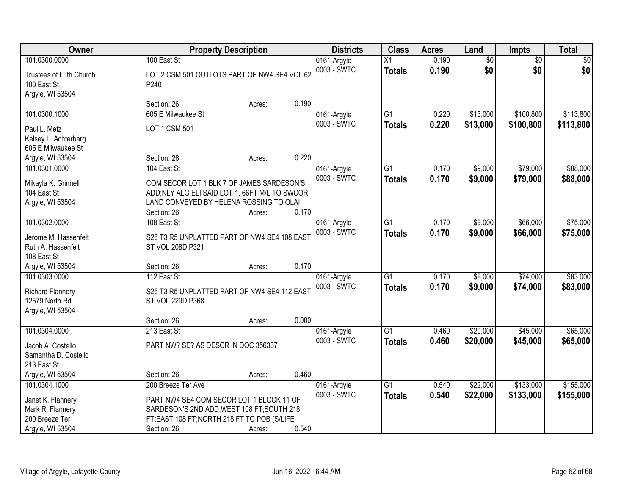| Owner                                                                          |                                                                                                                                                       | <b>Property Description</b> |       | <b>Districts</b>           | <b>Class</b>                     | <b>Acres</b>   | Land                 | <b>Impts</b>           | <b>Total</b>           |
|--------------------------------------------------------------------------------|-------------------------------------------------------------------------------------------------------------------------------------------------------|-----------------------------|-------|----------------------------|----------------------------------|----------------|----------------------|------------------------|------------------------|
| 101.0300.0000                                                                  | 100 East St                                                                                                                                           |                             |       | 0161-Argyle                | $\overline{X4}$                  | 0.190          | $\overline{50}$      | $\overline{50}$        | $\sqrt{50}$            |
| Trustees of Luth Church<br>100 East St<br>Argyle, WI 53504                     | LOT 2 CSM 501 OUTLOTS PART OF NW4 SE4 VOL 62<br>P240                                                                                                  |                             |       | 0003 - SWTC                | <b>Totals</b>                    | 0.190          | \$0                  | \$0                    | \$0                    |
|                                                                                | Section: 26                                                                                                                                           | Acres:                      | 0.190 |                            |                                  |                |                      |                        |                        |
| 101.0300.1000                                                                  | 605 E Milwaukee St                                                                                                                                    |                             |       | 0161-Argyle                | $\overline{G1}$                  | 0.220          | \$13,000             | \$100,800              | \$113,800              |
| Paul L. Metz<br>Kelsey L. Achterberg<br>605 E Milwaukee St                     | LOT 1 CSM 501                                                                                                                                         |                             | 0.220 | 0003 - SWTC                | <b>Totals</b>                    | 0.220          | \$13,000             | \$100,800              | \$113,800              |
| Argyle, WI 53504<br>101.0301.0000                                              | Section: 26<br>104 East St                                                                                                                            | Acres:                      |       |                            | G1                               | 0.170          | \$9,000              | \$79,000               | \$88,000               |
| Mikayla K. Grinnell<br>104 East St<br>Argyle, WI 53504                         | COM SECOR LOT 1 BLK 7 OF JAMES SARDESON'S<br>ADD; NLY ALG ELI SAID LOT 1, 66FT M/L TO SWCOR<br>LAND CONVEYED BY HELENA ROSSING TO OLAI<br>Section: 26 | Acres:                      | 0.170 | 0161-Argyle<br>0003 - SWTC | <b>Totals</b>                    | 0.170          | \$9,000              | \$79,000               | \$88,000               |
| 101.0302.0000                                                                  | 108 East St                                                                                                                                           |                             |       | 0161-Argyle                | G1                               | 0.170          | \$9,000              | \$66,000               | \$75,000               |
| Jerome M. Hassenfelt<br>Ruth A. Hassenfelt<br>108 East St                      | S26 T3 R5 UNPLATTED PART OF NW4 SE4 108 EAST<br>ST VOL 208D P321                                                                                      |                             |       | 0003 - SWTC                | <b>Totals</b>                    | 0.170          | \$9,000              | \$66,000               | \$75,000               |
| Argyle, WI 53504                                                               | Section: 26                                                                                                                                           | Acres:                      | 0.170 |                            |                                  |                |                      |                        |                        |
| 101.0303.0000<br><b>Richard Flannery</b><br>12579 North Rd<br>Argyle, WI 53504 | 112 East St<br>S26 T3 R5 UNPLATTED PART OF NW4 SE4 112 EAST<br>ST VOL 229D P368                                                                       |                             |       | 0161-Argyle<br>0003 - SWTC | $\overline{G1}$<br><b>Totals</b> | 0.170<br>0.170 | \$9,000<br>\$9,000   | \$74,000<br>\$74,000   | \$83,000<br>\$83,000   |
|                                                                                | Section: 26                                                                                                                                           | Acres:                      | 0.000 |                            |                                  |                |                      |                        |                        |
| 101.0304.0000<br>Jacob A. Costello<br>Samantha D. Costello<br>213 East St      | 213 East St<br>PART NW? SE? AS DESCR IN DOC 356337                                                                                                    |                             |       | 0161-Argyle<br>0003 - SWTC | $\overline{G1}$<br><b>Totals</b> | 0.460<br>0.460 | \$20,000<br>\$20,000 | \$45,000<br>\$45,000   | \$65,000<br>\$65,000   |
| Argyle, WI 53504                                                               | Section: 26                                                                                                                                           | Acres:                      | 0.460 |                            |                                  |                |                      |                        |                        |
| 101.0304.1000                                                                  | 200 Breeze Ter Ave                                                                                                                                    |                             |       | 0161-Argyle<br>0003 - SWTC | $\overline{G1}$<br><b>Totals</b> | 0.540<br>0.540 | \$22,000<br>\$22,000 | \$133,000<br>\$133,000 | \$155,000<br>\$155,000 |
| Janet K. Flannery<br>Mark R. Flannery                                          | PART NW4 SE4 COM SECOR LOT 1 BLOCK 11 OF<br>SARDESON'S 2ND ADD; WEST 108 FT; SOUTH 218                                                                |                             |       |                            |                                  |                |                      |                        |                        |
| 200 Breeze Ter                                                                 | FT;EAST 108 FT;NORTH 218 FT TO POB (S/LIFE                                                                                                            |                             |       |                            |                                  |                |                      |                        |                        |
| Argyle, WI 53504                                                               | Section: 26                                                                                                                                           | Acres:                      | 0.540 |                            |                                  |                |                      |                        |                        |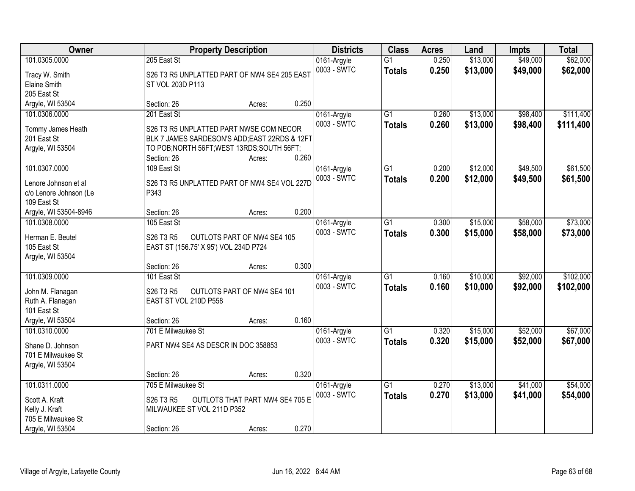| Owner                  |                                               | <b>Property Description</b>     |       | <b>Districts</b>           | <b>Class</b>                     | <b>Acres</b>   | Land                 | <b>Impts</b>         | <b>Total</b>           |
|------------------------|-----------------------------------------------|---------------------------------|-------|----------------------------|----------------------------------|----------------|----------------------|----------------------|------------------------|
| 101.0305.0000          | 205 East St                                   |                                 |       | 0161-Argyle<br>0003 - SWTC | $\overline{G1}$                  | 0.250<br>0.250 | \$13,000<br>\$13,000 | \$49,000<br>\$49,000 | \$62,000<br>\$62,000   |
| Tracy W. Smith         | S26 T3 R5 UNPLATTED PART OF NW4 SE4 205 EAST  |                                 |       |                            | <b>Totals</b>                    |                |                      |                      |                        |
| Elaine Smith           | ST VOL 203D P113                              |                                 |       |                            |                                  |                |                      |                      |                        |
| 205 East St            |                                               |                                 |       |                            |                                  |                |                      |                      |                        |
| Argyle, WI 53504       | Section: 26                                   | Acres:                          | 0.250 |                            |                                  |                |                      |                      |                        |
| 101.0306.0000          | 201 East St                                   |                                 |       | 0161-Argyle<br>0003 - SWTC | $\overline{G1}$<br><b>Totals</b> | 0.260<br>0.260 | \$13,000<br>\$13,000 | \$98,400<br>\$98,400 | \$111,400<br>\$111,400 |
| Tommy James Heath      | S26 T3 R5 UNPLATTED PART NWSE COM NECOR       |                                 |       |                            |                                  |                |                      |                      |                        |
| 201 East St            | BLK 7 JAMES SARDESON'S ADD; EAST 22RDS & 12FT |                                 |       |                            |                                  |                |                      |                      |                        |
| Argyle, WI 53504       | TO POB; NORTH 56FT; WEST 13RDS; SOUTH 56FT;   |                                 |       |                            |                                  |                |                      |                      |                        |
|                        | Section: 26                                   | Acres:                          | 0.260 |                            |                                  |                |                      |                      |                        |
| 101.0307.0000          | 109 East St                                   |                                 |       | 0161-Argyle                | G1                               | 0.200          | \$12,000             | \$49,500             | \$61,500               |
| Lenore Johnson et al   | S26 T3 R5 UNPLATTED PART OF NW4 SE4 VOL 227D  |                                 |       | 0003 - SWTC                | <b>Totals</b>                    | 0.200          | \$12,000             | \$49,500             | \$61,500               |
| c/o Lenore Johnson (Le | P343                                          |                                 |       |                            |                                  |                |                      |                      |                        |
| 109 East St            |                                               |                                 |       |                            |                                  |                |                      |                      |                        |
| Argyle, WI 53504-8946  | Section: 26                                   | Acres:                          | 0.200 |                            |                                  |                |                      |                      |                        |
| 101.0308.0000          | 105 East St                                   |                                 |       | 0161-Argyle                | G1                               | 0.300          | \$15,000             | \$58,000             | \$73,000               |
|                        |                                               |                                 |       | 0003 - SWTC                | <b>Totals</b>                    | 0.300          | \$15,000             | \$58,000             | \$73,000               |
| Herman E. Beutel       | S26 T3 R5                                     | OUTLOTS PART OF NW4 SE4 105     |       |                            |                                  |                |                      |                      |                        |
| 105 East St            | EAST ST (156.75' X 95') VOL 234D P724         |                                 |       |                            |                                  |                |                      |                      |                        |
| Argyle, WI 53504       |                                               |                                 |       |                            |                                  |                |                      |                      |                        |
|                        | Section: 26                                   | Acres:                          | 0.300 |                            |                                  |                |                      |                      |                        |
| 101.0309.0000          | 101 East St                                   |                                 |       | 0161-Argyle                | $\overline{G1}$                  | 0.160          | \$10,000             | \$92,000             | \$102,000              |
| John M. Flanagan       | S <sub>26</sub> T <sub>3</sub> R <sub>5</sub> | OUTLOTS PART OF NW4 SE4 101     |       | 0003 - SWTC                | <b>Totals</b>                    | 0.160          | \$10,000             | \$92,000             | \$102,000              |
| Ruth A. Flanagan       | EAST ST VOL 210D P558                         |                                 |       |                            |                                  |                |                      |                      |                        |
| 101 East St            |                                               |                                 |       |                            |                                  |                |                      |                      |                        |
| Argyle, WI 53504       | Section: 26                                   | Acres:                          | 0.160 |                            |                                  |                |                      |                      |                        |
| 101.0310.0000          | 701 E Milwaukee St                            |                                 |       | 0161-Argyle                | $\overline{G1}$                  | 0.320          | \$15,000             | \$52,000             | \$67,000               |
|                        |                                               |                                 |       | 0003 - SWTC                | <b>Totals</b>                    | 0.320          | \$15,000             | \$52,000             | \$67,000               |
| Shane D. Johnson       | PART NW4 SE4 AS DESCR IN DOC 358853           |                                 |       |                            |                                  |                |                      |                      |                        |
| 701 E Milwaukee St     |                                               |                                 |       |                            |                                  |                |                      |                      |                        |
| Argyle, WI 53504       |                                               |                                 |       |                            |                                  |                |                      |                      |                        |
|                        | Section: 26                                   | Acres:                          | 0.320 |                            |                                  |                |                      |                      |                        |
| 101.0311.0000          | 705 E Milwaukee St                            |                                 |       | 0161-Argyle                | $\overline{G1}$                  | 0.270          | \$13,000             | \$41,000             | \$54,000               |
| Scott A. Kraft         | S26 T3 R5                                     | OUTLOTS THAT PART NW4 SE4 705 E |       | 0003 - SWTC                | <b>Totals</b>                    | 0.270          | \$13,000             | \$41,000             | \$54,000               |
| Kelly J. Kraft         | MILWAUKEE ST VOL 211D P352                    |                                 |       |                            |                                  |                |                      |                      |                        |
| 705 E Milwaukee St     |                                               |                                 |       |                            |                                  |                |                      |                      |                        |
| Argyle, WI 53504       | Section: 26                                   | Acres:                          | 0.270 |                            |                                  |                |                      |                      |                        |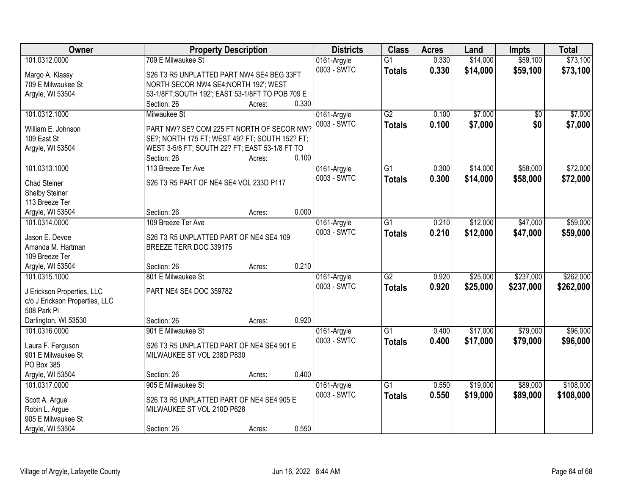| Owner                             |                                                  | <b>Property Description</b> |       | <b>Districts</b>           | <b>Class</b>    | <b>Acres</b> | Land     | <b>Impts</b> | <b>Total</b> |
|-----------------------------------|--------------------------------------------------|-----------------------------|-------|----------------------------|-----------------|--------------|----------|--------------|--------------|
| 101.0312.0000                     | 709 E Milwaukee St                               |                             |       | 0161-Argyle                | $\overline{G1}$ | 0.330        | \$14,000 | \$59,100     | \$73,100     |
| Margo A. Klassy                   | S26 T3 R5 UNPLATTED PART NW4 SE4 BEG 33FT        |                             |       | 0003 - SWTC                | <b>Totals</b>   | 0.330        | \$14,000 | \$59,100     | \$73,100     |
| 709 E Milwaukee St                | NORTH SECOR NW4 SE4; NORTH 192'; WEST            |                             |       |                            |                 |              |          |              |              |
| Argyle, WI 53504                  | 53-1/8FT; SOUTH 192'; EAST 53-1/8FT TO POB 709 E |                             |       |                            |                 |              |          |              |              |
|                                   | Section: 26                                      | Acres:                      | 0.330 |                            |                 |              |          |              |              |
| 101.0312.1000                     | Milwaukee St                                     |                             |       | 0161-Argyle                | $\overline{G2}$ | 0.100        | \$7,000  | \$0          | \$7,000      |
| William E. Johnson                | PART NW? SE? COM 225 FT NORTH OF SECOR NW?       |                             |       | 0003 - SWTC                | <b>Totals</b>   | 0.100        | \$7,000  | \$0          | \$7,000      |
| 109 East St                       | SE?; NORTH 175 FT; WEST 49? FT; SOUTH 152? FT;   |                             |       |                            |                 |              |          |              |              |
| Argyle, WI 53504                  | WEST 3-5/8 FT; SOUTH 22? FT; EAST 53-1/8 FT TO   |                             |       |                            |                 |              |          |              |              |
|                                   | Section: 26                                      | Acres:                      | 0.100 |                            |                 |              |          |              |              |
| 101.0313.1000                     | 113 Breeze Ter Ave                               |                             |       | 0161-Argyle                | $\overline{G1}$ | 0.300        | \$14,000 | \$58,000     | \$72,000     |
|                                   |                                                  |                             |       | 0003 - SWTC                | <b>Totals</b>   | 0.300        | \$14,000 | \$58,000     | \$72,000     |
| <b>Chad Steiner</b>               | S26 T3 R5 PART OF NE4 SE4 VOL 233D P117          |                             |       |                            |                 |              |          |              |              |
| Shelby Steiner                    |                                                  |                             |       |                            |                 |              |          |              |              |
| 113 Breeze Ter                    | Section: 26                                      |                             | 0.000 |                            |                 |              |          |              |              |
| Argyle, WI 53504<br>101.0314.0000 | 109 Breeze Ter Ave                               | Acres:                      |       |                            | $\overline{G1}$ | 0.210        | \$12,000 | \$47,000     | \$59,000     |
|                                   |                                                  |                             |       | 0161-Argyle<br>0003 - SWTC |                 |              |          |              |              |
| Jason E. Devoe                    | S26 T3 R5 UNPLATTED PART OF NE4 SE4 109          |                             |       |                            | <b>Totals</b>   | 0.210        | \$12,000 | \$47,000     | \$59,000     |
| Amanda M. Hartman                 | BREEZE TERR DOC 339175                           |                             |       |                            |                 |              |          |              |              |
| 109 Breeze Ter                    |                                                  |                             |       |                            |                 |              |          |              |              |
| Argyle, WI 53504                  | Section: 26                                      | Acres:                      | 0.210 |                            |                 |              |          |              |              |
| 101.0315.1000                     | 801 E Milwaukee St                               |                             |       | 0161-Argyle                | $\overline{G2}$ | 0.920        | \$25,000 | \$237,000    | \$262,000    |
| J Erickson Properties, LLC        | PART NE4 SE4 DOC 359782                          |                             |       | 0003 - SWTC                | <b>Totals</b>   | 0.920        | \$25,000 | \$237,000    | \$262,000    |
| c/o J Erickson Properties, LLC    |                                                  |                             |       |                            |                 |              |          |              |              |
| 508 Park PI                       |                                                  |                             |       |                            |                 |              |          |              |              |
| Darlington, WI 53530              | Section: 26                                      | Acres:                      | 0.920 |                            |                 |              |          |              |              |
| 101.0316.0000                     | 901 E Milwaukee St                               |                             |       | 0161-Argyle                | $\overline{G1}$ | 0.400        | \$17,000 | \$79,000     | \$96,000     |
| Laura F. Ferguson                 | S26 T3 R5 UNPLATTED PART OF NE4 SE4 901 E        |                             |       | 0003 - SWTC                | <b>Totals</b>   | 0.400        | \$17,000 | \$79,000     | \$96,000     |
| 901 E Milwaukee St                | MILWAUKEE ST VOL 238D P830                       |                             |       |                            |                 |              |          |              |              |
| PO Box 385                        |                                                  |                             |       |                            |                 |              |          |              |              |
| Argyle, WI 53504                  | Section: 26                                      | Acres:                      | 0.400 |                            |                 |              |          |              |              |
| 101.0317.0000                     | 905 E Milwaukee St                               |                             |       | 0161-Argyle                | $\overline{G1}$ | 0.550        | \$19,000 | \$89,000     | \$108,000    |
|                                   |                                                  |                             |       | 0003 - SWTC                | <b>Totals</b>   | 0.550        | \$19,000 | \$89,000     | \$108,000    |
| Scott A. Argue                    | S26 T3 R5 UNPLATTED PART OF NE4 SE4 905 E        |                             |       |                            |                 |              |          |              |              |
| Robin L. Argue                    | MILWAUKEE ST VOL 210D P628                       |                             |       |                            |                 |              |          |              |              |
| 905 E Milwaukee St                |                                                  |                             |       |                            |                 |              |          |              |              |
| Argyle, WI 53504                  | Section: 26                                      | Acres:                      | 0.550 |                            |                 |              |          |              |              |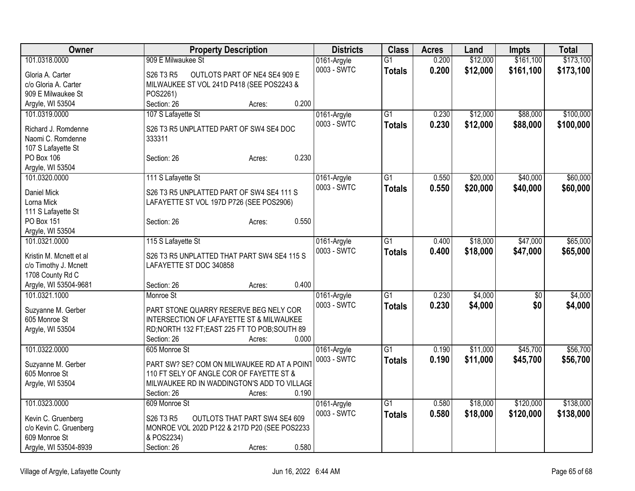| Owner                   | <b>Property Description</b>                    | <b>Districts</b> | <b>Class</b>    | <b>Acres</b> | Land     | <b>Impts</b> | <b>Total</b> |
|-------------------------|------------------------------------------------|------------------|-----------------|--------------|----------|--------------|--------------|
| 101.0318.0000           | 909 E Milwaukee St                             | 0161-Argyle      | $\overline{G1}$ | 0.200        | \$12,000 | \$161,100    | \$173,100    |
| Gloria A. Carter        | S26 T3 R5<br>OUTLOTS PART OF NE4 SE4 909 E     | 0003 - SWTC      | <b>Totals</b>   | 0.200        | \$12,000 | \$161,100    | \$173,100    |
| c/o Gloria A. Carter    | MILWAUKEE ST VOL 241D P418 (SEE POS2243 &      |                  |                 |              |          |              |              |
| 909 E Milwaukee St      | POS2261)                                       |                  |                 |              |          |              |              |
| Argyle, WI 53504        | Section: 26<br>0.200<br>Acres:                 |                  |                 |              |          |              |              |
| 101.0319.0000           | 107 S Lafayette St                             | 0161-Argyle      | $\overline{G1}$ | 0.230        | \$12,000 | \$88,000     | \$100,000    |
|                         |                                                | 0003 - SWTC      | <b>Totals</b>   | 0.230        | \$12,000 | \$88,000     | \$100,000    |
| Richard J. Romdenne     | S26 T3 R5 UNPLATTED PART OF SW4 SE4 DOC        |                  |                 |              |          |              |              |
| Naomi C. Romdenne       | 333311                                         |                  |                 |              |          |              |              |
| 107 S Lafayette St      |                                                |                  |                 |              |          |              |              |
| PO Box 106              | 0.230<br>Section: 26<br>Acres:                 |                  |                 |              |          |              |              |
| Argyle, WI 53504        |                                                |                  |                 |              |          |              |              |
| 101.0320.0000           | 111 S Lafayette St                             | 0161-Argyle      | $\overline{G1}$ | 0.550        | \$20,000 | \$40,000     | \$60,000     |
| Daniel Mick             | S26 T3 R5 UNPLATTED PART OF SW4 SE4 111 S      | 0003 - SWTC      | <b>Totals</b>   | 0.550        | \$20,000 | \$40,000     | \$60,000     |
| Lorna Mick              | LAFAYETTE ST VOL 197D P726 (SEE POS2906)       |                  |                 |              |          |              |              |
| 111 S Lafayette St      |                                                |                  |                 |              |          |              |              |
| PO Box 151              | 0.550<br>Section: 26<br>Acres:                 |                  |                 |              |          |              |              |
| Argyle, WI 53504        |                                                |                  |                 |              |          |              |              |
| 101.0321.0000           | 115 S Lafayette St                             | 0161-Argyle      | G1              | 0.400        | \$18,000 | \$47,000     | \$65,000     |
| Kristin M. Mcnett et al | S26 T3 R5 UNPLATTED THAT PART SW4 SE4 115 S    | 0003 - SWTC      | <b>Totals</b>   | 0.400        | \$18,000 | \$47,000     | \$65,000     |
| c/o Timothy J. Mcnett   | LAFAYETTE ST DOC 340858                        |                  |                 |              |          |              |              |
| 1708 County Rd C        |                                                |                  |                 |              |          |              |              |
| Argyle, WI 53504-9681   | 0.400<br>Section: 26<br>Acres:                 |                  |                 |              |          |              |              |
| 101.0321.1000           | Monroe St                                      | 0161-Argyle      | $\overline{G1}$ | 0.230        | \$4,000  | \$0          | \$4,000      |
|                         |                                                | 0003 - SWTC      |                 |              |          | \$0          |              |
| Suzyanne M. Gerber      | PART STONE QUARRY RESERVE BEG NELY COR         |                  | <b>Totals</b>   | 0.230        | \$4,000  |              | \$4,000      |
| 605 Monroe St           | INTERSECTION OF LAFAYETTE ST & MILWAUKEE       |                  |                 |              |          |              |              |
| Argyle, WI 53504        | RD; NORTH 132 FT; EAST 225 FT TO POB; SOUTH 89 |                  |                 |              |          |              |              |
|                         | 0.000<br>Section: 26<br>Acres:                 |                  |                 |              |          |              |              |
| 101.0322.0000           | 605 Monroe St                                  | 0161-Argyle      | $\overline{G1}$ | 0.190        | \$11,000 | \$45,700     | \$56,700     |
| Suzyanne M. Gerber      | PART SW? SE? COM ON MILWAUKEE RD AT A POINT    | 0003 - SWTC      | <b>Totals</b>   | 0.190        | \$11,000 | \$45,700     | \$56,700     |
| 605 Monroe St           | 110 FT SELY OF ANGLE COR OF FAYETTE ST &       |                  |                 |              |          |              |              |
| Argyle, WI 53504        | MILWAUKEE RD IN WADDINGTON'S ADD TO VILLAGE    |                  |                 |              |          |              |              |
|                         | 0.190<br>Section: 26<br>Acres:                 |                  |                 |              |          |              |              |
| 101.0323.0000           | 609 Monroe St                                  | 0161-Argyle      | $\overline{G1}$ | 0.580        | \$18,000 | \$120,000    | \$138,000    |
|                         |                                                | 0003 - SWTC      | <b>Totals</b>   | 0.580        | \$18,000 | \$120,000    | \$138,000    |
| Kevin C. Gruenberg      | OUTLOTS THAT PART SW4 SE4 609<br>S26 T3 R5     |                  |                 |              |          |              |              |
| c/o Kevin C. Gruenberg  | MONROE VOL 202D P122 & 217D P20 (SEE POS2233   |                  |                 |              |          |              |              |
| 609 Monroe St           | & POS2234)                                     |                  |                 |              |          |              |              |
| Argyle, WI 53504-8939   | 0.580<br>Section: 26<br>Acres:                 |                  |                 |              |          |              |              |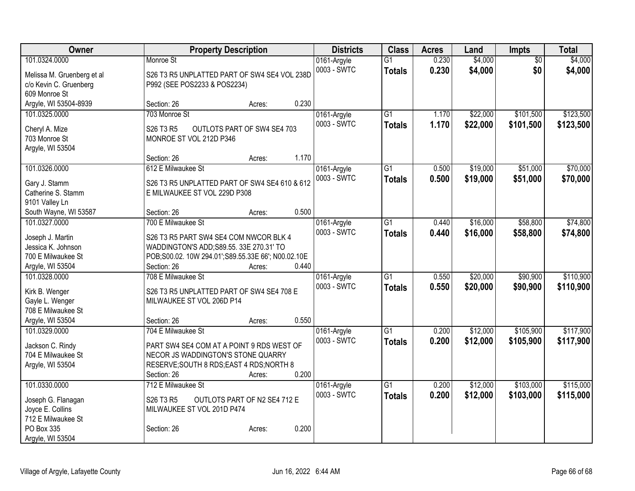| Owner                      | <b>Property Description</b>                        | <b>Districts</b> | <b>Class</b>    | <b>Acres</b> | Land     | Impts           | <b>Total</b> |
|----------------------------|----------------------------------------------------|------------------|-----------------|--------------|----------|-----------------|--------------|
| 101.0324.0000              | Monroe St                                          | 0161-Argyle      | $\overline{G1}$ | 0.230        | \$4,000  | $\overline{50}$ | \$4,000      |
| Melissa M. Gruenberg et al | S26 T3 R5 UNPLATTED PART OF SW4 SE4 VOL 238D       | 0003 - SWTC      | <b>Totals</b>   | 0.230        | \$4,000  | \$0             | \$4,000      |
| c/o Kevin C. Gruenberg     | P992 (SEE POS2233 & POS2234)                       |                  |                 |              |          |                 |              |
| 609 Monroe St              |                                                    |                  |                 |              |          |                 |              |
| Argyle, WI 53504-8939      | 0.230<br>Section: 26<br>Acres:                     |                  |                 |              |          |                 |              |
| 101.0325.0000              | 703 Monroe St                                      | 0161-Argyle      | $\overline{G1}$ | 1.170        | \$22,000 | \$101,500       | \$123,500    |
|                            |                                                    | 0003 - SWTC      | <b>Totals</b>   | 1.170        | \$22,000 | \$101,500       | \$123,500    |
| Cheryl A. Mize             | S26 T3 R5<br>OUTLOTS PART OF SW4 SE4 703           |                  |                 |              |          |                 |              |
| 703 Monroe St              | MONROE ST VOL 212D P346                            |                  |                 |              |          |                 |              |
| Argyle, WI 53504           | 1.170<br>Section: 26<br>Acres:                     |                  |                 |              |          |                 |              |
| 101.0326.0000              | 612 E Milwaukee St                                 | 0161-Argyle      | $\overline{G1}$ | 0.500        | \$19,000 | \$51,000        | \$70,000     |
|                            |                                                    | 0003 - SWTC      |                 |              |          |                 |              |
| Gary J. Stamm              | S26 T3 R5 UNPLATTED PART OF SW4 SE4 610 & 612      |                  | <b>Totals</b>   | 0.500        | \$19,000 | \$51,000        | \$70,000     |
| Catherine S. Stamm         | E MILWAUKEE ST VOL 229D P308                       |                  |                 |              |          |                 |              |
| 9101 Valley Ln             |                                                    |                  |                 |              |          |                 |              |
| South Wayne, WI 53587      | 0.500<br>Section: 26<br>Acres:                     |                  |                 |              |          |                 |              |
| 101.0327.0000              | 700 E Milwaukee St                                 | 0161-Argyle      | $\overline{G1}$ | 0.440        | \$16,000 | \$58,800        | \$74,800     |
| Joseph J. Martin           | S26 T3 R5 PART SW4 SE4 COM NWCOR BLK 4             | 0003 - SWTC      | <b>Totals</b>   | 0.440        | \$16,000 | \$58,800        | \$74,800     |
| Jessica K. Johnson         | WADDINGTON'S ADD; S89.55. 33E 270.31' TO           |                  |                 |              |          |                 |              |
| 700 E Milwaukee St         | POB;S00.02. 10W 294.01';S89.55.33E 66'; N00.02.10E |                  |                 |              |          |                 |              |
| Argyle, WI 53504           | 0.440<br>Section: 26<br>Acres:                     |                  |                 |              |          |                 |              |
| 101.0328.0000              | 708 E Milwaukee St                                 | 0161-Argyle      | $\overline{G1}$ | 0.550        | \$20,000 | \$90,900        | \$110,900    |
|                            |                                                    | 0003 - SWTC      | <b>Totals</b>   | 0.550        | \$20,000 | \$90,900        | \$110,900    |
| Kirk B. Wenger             | S26 T3 R5 UNPLATTED PART OF SW4 SE4 708 E          |                  |                 |              |          |                 |              |
| Gayle L. Wenger            | MILWAUKEE ST VOL 206D P14                          |                  |                 |              |          |                 |              |
| 708 E Milwaukee St         |                                                    |                  |                 |              |          |                 |              |
| Argyle, WI 53504           | 0.550<br>Section: 26<br>Acres:                     |                  |                 |              |          |                 |              |
| 101.0329.0000              | 704 E Milwaukee St                                 | 0161-Argyle      | $\overline{G1}$ | 0.200        | \$12,000 | \$105,900       | \$117,900    |
| Jackson C. Rindy           | PART SW4 SE4 COM AT A POINT 9 RDS WEST OF          | 0003 - SWTC      | <b>Totals</b>   | 0.200        | \$12,000 | \$105,900       | \$117,900    |
| 704 E Milwaukee St         | NECOR JS WADDINGTON'S STONE QUARRY                 |                  |                 |              |          |                 |              |
| Argyle, WI 53504           | RESERVE; SOUTH 8 RDS; EAST 4 RDS; NORTH 8          |                  |                 |              |          |                 |              |
|                            | 0.200<br>Section: 26<br>Acres:                     |                  |                 |              |          |                 |              |
| 101.0330.0000              | 712 E Milwaukee St                                 | 0161-Argyle      | $\overline{G1}$ | 0.200        | \$12,000 | \$103,000       | \$115,000    |
| Joseph G. Flanagan         | S26 T3 R5<br>OUTLOTS PART OF N2 SE4 712 E          | 0003 - SWTC      | <b>Totals</b>   | 0.200        | \$12,000 | \$103,000       | \$115,000    |
| Joyce E. Collins           | MILWAUKEE ST VOL 201D P474                         |                  |                 |              |          |                 |              |
| 712 E Milwaukee St         |                                                    |                  |                 |              |          |                 |              |
| PO Box 335                 | 0.200<br>Section: 26<br>Acres:                     |                  |                 |              |          |                 |              |
| Argyle, WI 53504           |                                                    |                  |                 |              |          |                 |              |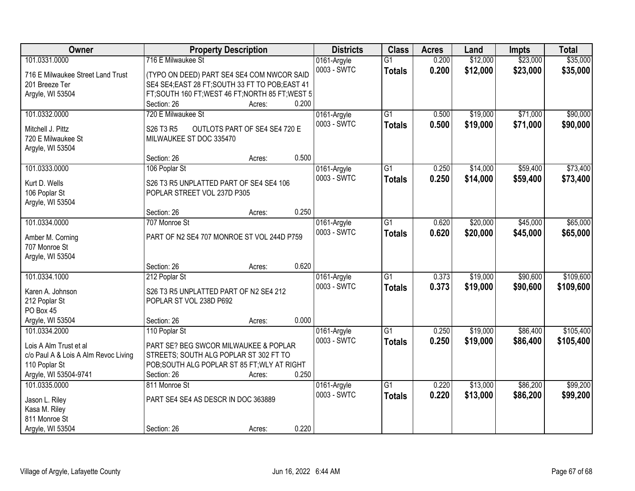| 101.0331.0000<br>716 E Milwaukee St<br>0.200<br>\$12,000<br>\$23,000<br>0161-Argyle<br>$\overline{G1}$<br>0003 - SWTC<br>0.200<br>\$12,000<br>\$23,000<br><b>Totals</b><br>716 E Milwaukee Street Land Trust<br>(TYPO ON DEED) PART SE4 SE4 COM NWCOR SAID<br>201 Breeze Ter<br>SE4 SE4; EAST 28 FT; SOUTH 33 FT TO POB; EAST 41<br>FT; SOUTH 160 FT; WEST 46 FT; NORTH 85 FT; WEST 5<br>Argyle, WI 53504<br>0.200<br>Section: 26<br>Acres: |  |  |  |           |
|---------------------------------------------------------------------------------------------------------------------------------------------------------------------------------------------------------------------------------------------------------------------------------------------------------------------------------------------------------------------------------------------------------------------------------------------|--|--|--|-----------|
|                                                                                                                                                                                                                                                                                                                                                                                                                                             |  |  |  | \$35,000  |
|                                                                                                                                                                                                                                                                                                                                                                                                                                             |  |  |  | \$35,000  |
|                                                                                                                                                                                                                                                                                                                                                                                                                                             |  |  |  |           |
|                                                                                                                                                                                                                                                                                                                                                                                                                                             |  |  |  |           |
|                                                                                                                                                                                                                                                                                                                                                                                                                                             |  |  |  |           |
| 101.0332.0000<br>720 E Milwaukee St<br>$\overline{G1}$<br>\$19,000<br>\$71,000<br>0161-Argyle<br>0.500                                                                                                                                                                                                                                                                                                                                      |  |  |  | \$90,000  |
| 0003 - SWTC<br>0.500<br>\$19,000<br>\$71,000<br><b>Totals</b><br>OUTLOTS PART OF SE4 SE4 720 E<br>Mitchell J. Pittz<br>S26 T3 R5                                                                                                                                                                                                                                                                                                            |  |  |  | \$90,000  |
| 720 E Milwaukee St<br>MILWAUKEE ST DOC 335470                                                                                                                                                                                                                                                                                                                                                                                               |  |  |  |           |
| Argyle, WI 53504                                                                                                                                                                                                                                                                                                                                                                                                                            |  |  |  |           |
| 0.500<br>Section: 26<br>Acres:                                                                                                                                                                                                                                                                                                                                                                                                              |  |  |  |           |
| \$14,000<br>\$59,400<br>101.0333.0000<br>0161-Argyle<br>G1<br>0.250<br>106 Poplar St                                                                                                                                                                                                                                                                                                                                                        |  |  |  | \$73,400  |
| 0003 - SWTC<br>0.250<br>\$14,000<br>\$59,400<br><b>Totals</b>                                                                                                                                                                                                                                                                                                                                                                               |  |  |  | \$73,400  |
| Kurt D. Wells<br>S26 T3 R5 UNPLATTED PART OF SE4 SE4 106                                                                                                                                                                                                                                                                                                                                                                                    |  |  |  |           |
| POPLAR STREET VOL 237D P305<br>106 Poplar St                                                                                                                                                                                                                                                                                                                                                                                                |  |  |  |           |
| Argyle, WI 53504                                                                                                                                                                                                                                                                                                                                                                                                                            |  |  |  |           |
| 0.250<br>Section: 26<br>Acres:                                                                                                                                                                                                                                                                                                                                                                                                              |  |  |  |           |
| 101.0334.0000<br>\$20,000<br>\$45,000<br>707 Monroe St<br>0161-Argyle<br>G1<br>0.620                                                                                                                                                                                                                                                                                                                                                        |  |  |  | \$65,000  |
| 0003 - SWTC<br>0.620<br>\$20,000<br>\$45,000<br><b>Totals</b><br>PART OF N2 SE4 707 MONROE ST VOL 244D P759<br>Amber M. Corning                                                                                                                                                                                                                                                                                                             |  |  |  | \$65,000  |
| 707 Monroe St                                                                                                                                                                                                                                                                                                                                                                                                                               |  |  |  |           |
| Argyle, WI 53504                                                                                                                                                                                                                                                                                                                                                                                                                            |  |  |  |           |
| 0.620<br>Section: 26<br>Acres:                                                                                                                                                                                                                                                                                                                                                                                                              |  |  |  |           |
| \$90,600<br>101.0334.1000<br>$\overline{G1}$<br>0.373<br>\$19,000<br>212 Poplar St<br>0161-Argyle                                                                                                                                                                                                                                                                                                                                           |  |  |  | \$109,600 |
| 0003 - SWTC<br>0.373<br>\$19,000<br>\$90,600<br><b>Totals</b><br>Karen A. Johnson<br>S26 T3 R5 UNPLATTED PART OF N2 SE4 212                                                                                                                                                                                                                                                                                                                 |  |  |  | \$109,600 |
| POPLAR ST VOL 238D P692<br>212 Poplar St                                                                                                                                                                                                                                                                                                                                                                                                    |  |  |  |           |
| PO Box 45                                                                                                                                                                                                                                                                                                                                                                                                                                   |  |  |  |           |
| 0.000<br>Argyle, WI 53504<br>Section: 26<br>Acres:                                                                                                                                                                                                                                                                                                                                                                                          |  |  |  |           |
| $\overline{G1}$<br>\$19,000<br>\$86,400<br>101.0334.2000<br>0.250<br>110 Poplar St<br>0161-Argyle                                                                                                                                                                                                                                                                                                                                           |  |  |  | \$105,400 |
| 0003 - SWTC<br>0.250<br>\$19,000<br>\$86,400<br><b>Totals</b><br>PART SE? BEG SWCOR MILWAUKEE & POPLAR<br>Lois A Alm Trust et al                                                                                                                                                                                                                                                                                                            |  |  |  | \$105,400 |
| STREETS; SOUTH ALG POPLAR ST 302 FT TO<br>c/o Paul A & Lois A Alm Revoc Living                                                                                                                                                                                                                                                                                                                                                              |  |  |  |           |
| POB; SOUTH ALG POPLAR ST 85 FT; WLY AT RIGHT<br>110 Poplar St                                                                                                                                                                                                                                                                                                                                                                               |  |  |  |           |
| 0.250<br>Argyle, WI 53504-9741<br>Section: 26<br>Acres:                                                                                                                                                                                                                                                                                                                                                                                     |  |  |  |           |
| $\overline{G1}$<br>\$13,000<br>\$86,200<br>101.0335.0000<br>811 Monroe St<br>0161-Argyle<br>0.220                                                                                                                                                                                                                                                                                                                                           |  |  |  | \$99,200  |
| 0.220<br>0003 - SWTC<br>\$13,000<br>\$86,200<br><b>Totals</b>                                                                                                                                                                                                                                                                                                                                                                               |  |  |  | \$99,200  |
| PART SE4 SE4 AS DESCR IN DOC 363889<br>Jason L. Riley                                                                                                                                                                                                                                                                                                                                                                                       |  |  |  |           |
| Kasa M. Riley<br>811 Monroe St                                                                                                                                                                                                                                                                                                                                                                                                              |  |  |  |           |
| 0.220<br>Argyle, WI 53504<br>Section: 26<br>Acres:                                                                                                                                                                                                                                                                                                                                                                                          |  |  |  |           |